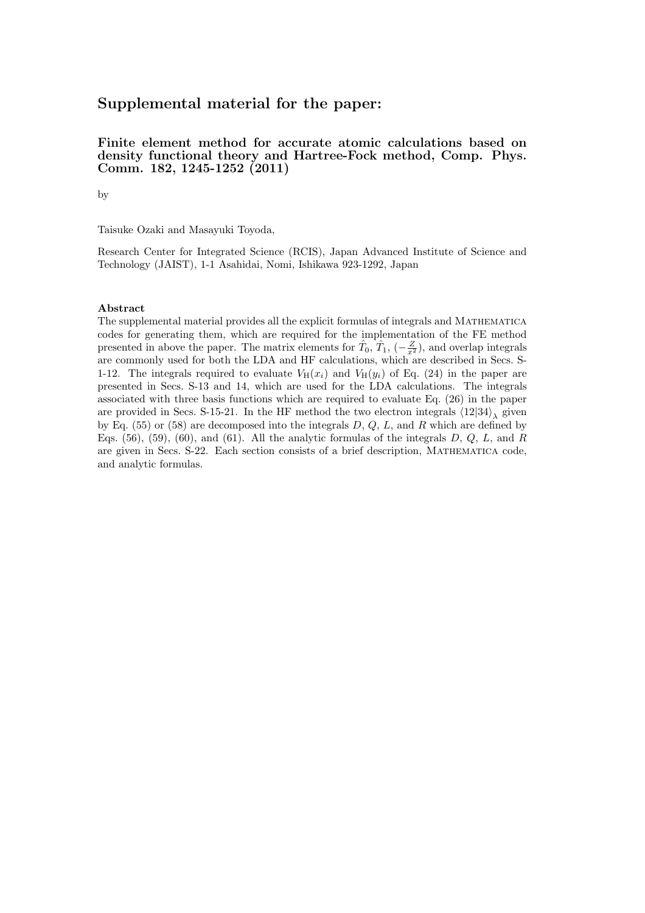# Supplemental material for the paper:

#### Finite element method for accurate atomic calculations based on density functional theory and Hartree-Fock method, Comp. Phys. Comm. 182, 1245-1252 (2011)

by

Taisuke Ozaki and Masayuki Toyoda,

Research Center for Integrated Science (RCIS), Japan Advanced Institute of Science and Technology (JAIST), 1-1 Asahidai, Nomi, Ishikawa 923-1292, Japan

#### Abstract

The supplemental material provides all the explicit formulas of integrals and Mathematica codes for generating them, which are required for the implementation of the FE method presented in above the paper. The matrix elements for  $\hat{T}_0$ ,  $\hat{T}_1$ ,  $\left(-\frac{Z}{x^2}\right)$ , and overlap integrals are commonly used for both the LDA and HF calculations, which are described in Secs. S-1-12. The integrals required to evaluate  $V_H(x_i)$  and  $V_H(y_i)$  of Eq. (24) in the paper are presented in Secs. S-13 and 14, which are used for the LDA calculations. The integrals associated with three basis functions which are required to evaluate Eq. (26) in the paper are provided in Secs. S-15-21. In the HF method the two electron integrals  $\langle 12|34\rangle$ <sub> $\lambda$ </sub> given by Eq.  $(55)$  or  $(58)$  are decomposed into the integrals D, Q, L, and R which are defined by Eqs.  $(56)$ ,  $(59)$ ,  $(60)$ , and  $(61)$ . All the analytic formulas of the integrals D, Q, L, and R are given in Secs. S-22. Each section consists of a brief description, Mathematica code, and analytic formulas.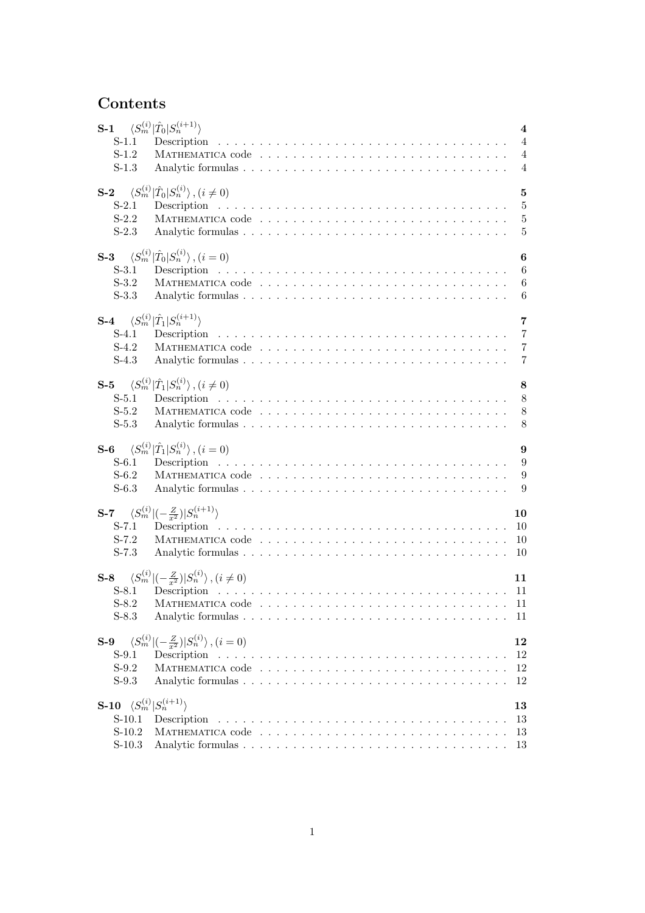# Contents

| S-1 $\langle S_m^{(i)}   \hat{T}_0   S_n^{(i+1)} \rangle$<br>$S-1.1$<br>$S-1.2$<br>$S-1.3$ |                                                                                | $\overline{\mathbf{4}}$<br>$\overline{4}$<br>$\overline{4}$<br>$\overline{4}$ |
|--------------------------------------------------------------------------------------------|--------------------------------------------------------------------------------|-------------------------------------------------------------------------------|
| $S-2$                                                                                      | $\langle S_m^{(i)}   \hat{T}_0   S_n^{(i)} \rangle$ , $(i \neq 0)$             | $\overline{5}$                                                                |
| S-2.1                                                                                      |                                                                                | $\overline{5}$                                                                |
| $S-2.2$                                                                                    |                                                                                | $\bf 5$                                                                       |
| $S-2.3$                                                                                    |                                                                                | $\overline{5}$                                                                |
| $S-3$                                                                                      | $\langle S_m^{(i)}   \hat{T}_0   S_n^{(i)} \rangle$ , $(i = 0)$                | 6                                                                             |
| S-3.1                                                                                      |                                                                                | 6                                                                             |
| $S-3.2$                                                                                    |                                                                                | $6\phantom{.}6$                                                               |
| $S-3.3$                                                                                    |                                                                                | 6                                                                             |
| $S-4$                                                                                      | $\langle S_m^{(i)} \hat{T}_1 S_n^{(i+1)}\rangle$                               | $\overline{7}$                                                                |
| $S-4.1$                                                                                    |                                                                                | $\overline{7}$                                                                |
| $S-4.2$                                                                                    |                                                                                | $\overline{7}$                                                                |
| $S-4.3$                                                                                    |                                                                                | $\overline{7}$                                                                |
| $S-5$                                                                                      | $\langle S_m^{(i)}   \hat{T}_1   S_n^{(i)} \rangle$ , $(i \neq 0)$             | 8                                                                             |
| $S-5.1$                                                                                    |                                                                                | 8                                                                             |
| $S-5.2$                                                                                    |                                                                                | 8                                                                             |
| $S-5.3$                                                                                    |                                                                                | 8                                                                             |
| $S-6$                                                                                      | $\langle S_m^{(i)}   \hat{T}_1   S_n^{(i)} \rangle$ , $(i = 0)$                | 9                                                                             |
| $S-6.1$                                                                                    |                                                                                | 9                                                                             |
| $S-6.2$                                                                                    |                                                                                | 9                                                                             |
| $S-6.3$                                                                                    |                                                                                | 9                                                                             |
| $S-7.1$<br>$S-7.2$<br>$S-7.3$                                                              | <b>S-7</b> $\langle S_m^{(i)} (-\frac{Z}{x^2}) S_n^{(i+1)}\rangle$             | 10                                                                            |
| S-8.1<br>S-8.3                                                                             | <b>S-8</b> $\langle S_m^{(i)} (-\frac{Z}{r^2}) S_n^{(i)}\rangle$ , $(i\neq 0)$ | 11                                                                            |
| $S-9$                                                                                      | $\langle S_m^{(i)} (-\frac{Z}{r^2}) S_n^{(i)}\rangle, (i=0)$                   | 12                                                                            |
| $S-9.1$                                                                                    |                                                                                | 12                                                                            |
| $S-9.2$                                                                                    |                                                                                | 12                                                                            |
| $S-9.3$                                                                                    |                                                                                | 12                                                                            |
| S-10 $\langle S_m^{(i)}   S_n^{(i+1)} \rangle$<br>$S-10.1$<br>$S-10.2$<br>$S-10.3$         |                                                                                | 13<br>13<br>13<br>13                                                          |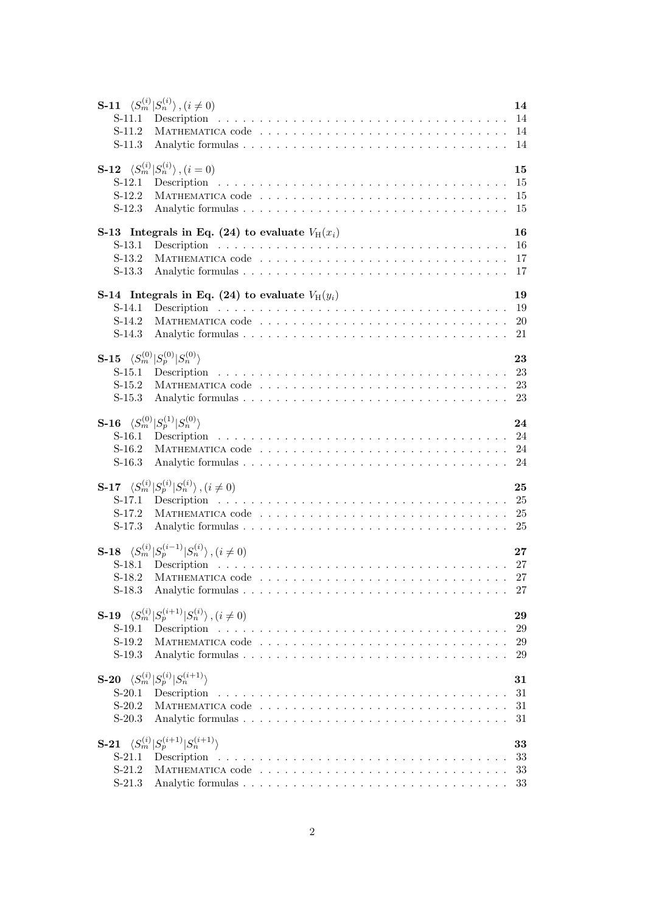| $S-11.1$<br>$S-11.2$<br>$S-11.3$                                                                    | <b>S-11</b> $\langle S_m^{(i)}   S_n^{(i)} \rangle$ , $(i \neq 0)$               | 14<br>14             |
|-----------------------------------------------------------------------------------------------------|----------------------------------------------------------------------------------|----------------------|
| $S-12$<br>$S-12.1$<br>$S-12.2$<br>$S-12.3$                                                          | $\langle S_m^{(i)}   S_n^{(i)} \rangle$ , $(i = 0)$                              | 15<br>15<br>15<br>15 |
| $S-13.1$<br>$S-13.2$<br>$S-13.3$                                                                    | S-13 Integrals in Eq. (24) to evaluate $V_H(x_i)$                                | 16<br>17             |
| $S-14.1$<br>$S-14.2$<br>$S-14.3$                                                                    | S-14 Integrals in Eq. (24) to evaluate $V_H(y_i)$                                | 19<br>20<br>21       |
| <b>S-15</b> $\langle S_m^{(0)}   S_p^{(0)}   S_n^{(0)} \rangle$<br>$S-15.1$<br>$S-15.2$<br>$S-15.3$ |                                                                                  | 23<br>23             |
| <b>S-16</b> $\langle S_m^{(0)}   S_p^{(1)}   S_n^{(0)} \rangle$<br>$S-16.1$<br>$S-16.2$<br>$S-16.3$ |                                                                                  | 24<br>-24<br>24      |
| $S-17.1$<br>$S-17.2$<br>$S-17.3$                                                                    | <b>S-17</b> $\langle S_m^{(i)}   S_p^{(i)}   S_n^{(i)} \rangle$ , $(i \neq 0)$   | 25<br>25             |
| S-18.1<br>$S-18.2$<br>$S-18.3$                                                                      | <b>S-18</b> $\langle S_m^{(i)}   S_p^{(i-1)}   S_n^{(i)} \rangle$ , $(i \neq 0)$ | 27<br>27<br>27       |
| $S-19.1$<br>$S-19.2$<br>$S-19.3$                                                                    | <b>S-19</b> $\langle S_m^{(i)}   S_p^{(i+1)}   S_n^{(i)} \rangle$ , $(i \neq 0)$ | 29<br>29<br>29<br>29 |
| $S-20.1$<br>$S-20.2$<br>$S-20.3$                                                                    | <b>S-20</b> $\langle S_m^{(i)}   S_p^{(i)}   S_n^{(i+1)} \rangle$                | 31<br>31<br>31<br>31 |
| $S-21.1$<br>$S-21.2$<br>$S-21.3$                                                                    | <b>S-21</b> $\langle S_m^{(i)}   S_p^{(i+1)}   S_n^{(i+1)} \rangle$              | 33<br>33<br>33<br>33 |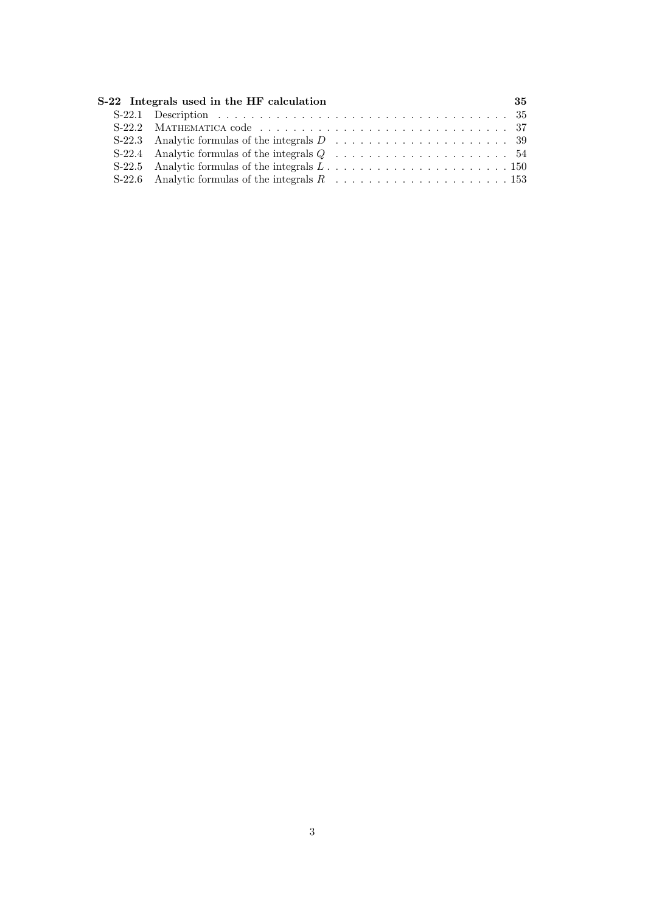| S-22 Integrals used in the HF calculation                                                           | 35 |
|-----------------------------------------------------------------------------------------------------|----|
|                                                                                                     |    |
|                                                                                                     |    |
|                                                                                                     |    |
| S-22.4 Analytic formulas of the integrals $Q \dots \dots \dots \dots \dots \dots \dots \dots \dots$ |    |
|                                                                                                     |    |
| S-22.6 Analytic formulas of the integrals $R_1, \ldots, \ldots, \ldots, \ldots, \ldots, 153$        |    |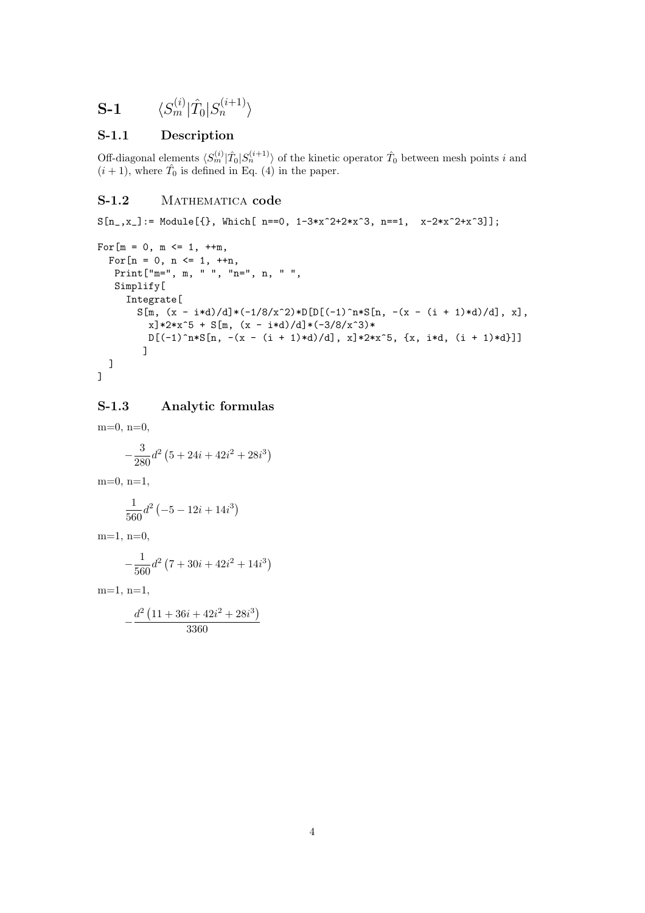$$
\textbf{S-1} \hspace{20pt} \langle S_m^{(i)} | \hat{T}_0 | S_n^{(i+1)} \rangle
$$

#### S-1.1 Description

Off-diagonal elements  $\langle S_m^{(i)} | \hat{T}_0 | S_n^{(i+1)} \rangle$  of the kinetic operator  $\hat{T}_0$  between mesh points i and  $(i+1)$ , where  $\hat{T}_0$  is defined in Eq. (4) in the paper.

#### S-1.2 MATHEMATICA code

 $S[n_-,x_+] := \text{Module}[\{\}, \text{ Which}[-n=-0, 1-3*x^2+2*x^3, n=-1, x-2*x^2+x^3]\};$ 

```
For [m = 0, m \le 1, ++m,For [n = 0, n \le 1, ++n,Print["m=", m, " ", "n=", n, " ",
   Simplify[
     Integrate[
        S[m, (x - i*d)/d] * (-1/8/x^2) * D[D[(-1)^n * S[n, -(x - (i + 1)*d)/d], x],x<sup>2</sup>*x<sup>2</sup>5 + S[m, (x - i*d)/d]*(-3/8/x<sup>2</sup>3)*
          D[(-1)^n*S[n, -(x - (i + 1)*d)/d], x]*2*x^5, {x, i*d, (i + 1)*d}]]
  ]
]
```
#### S-1.3 Analytic formulas

 $m=0$ ,  $n=0$ ,  $-\frac{3}{20}$  $rac{3}{280}d^2$  (  $5 + 24i + 42i^2 + 28i^3$  $m=0, n=1,$ 1  $rac{1}{560}d^2$  (  $-5 - 12i + 14i^3$  $m=1$ ,  $n=0$ ,  $-\frac{1}{5}$  $rac{1}{560}d^2$  (  $7 + 30i + 42i^2 + 14i^3$  $m=1, n=1,$  $-\frac{d^2}{dx^2}$  $11 + 36i + 42i^2 + 28i^3$ 

3360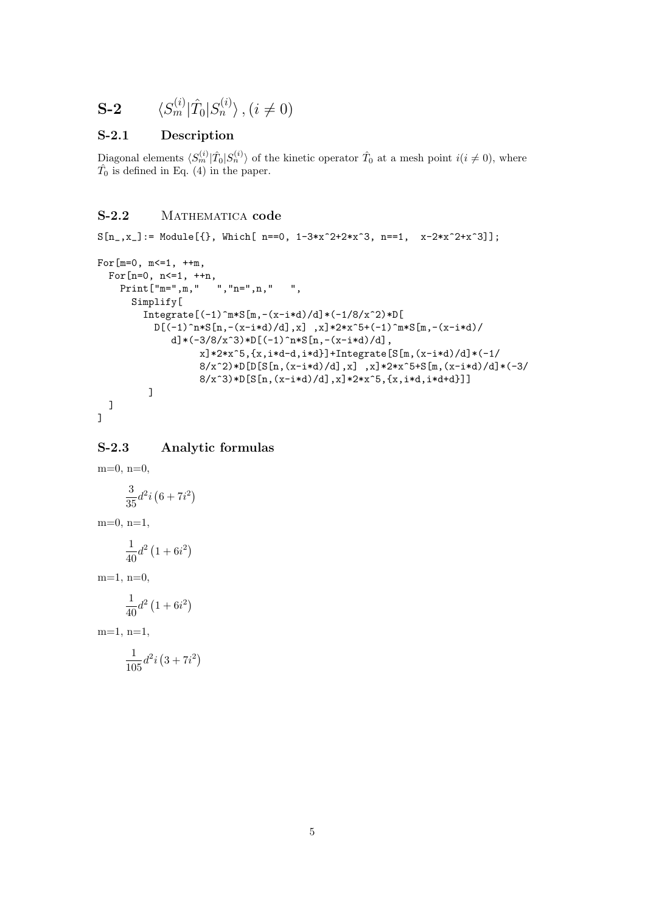$$
\mathbf{S}\text{-2} \qquad \langle S_m^{(i)} | \hat{T}_0 | S_n^{(i)} \rangle, (i \neq 0)
$$

#### S-2.1 Description

Diagonal elements  $\langle S_m^{(i)} | \hat{T}_0 | S_n^{(i)} \rangle$  of the kinetic operator  $\hat{T}_0$  at a mesh point  $i(i \neq 0)$ , where  $\hat{T}_0$  is defined in Eq. (4) in the paper.

# S-2.2 MATHEMATICA code

```
S[n_-,x_+] := \text{Module}[\{\}, \text{ Which}[-n=-0, 1-3*x^2+2*x^3, n=-1, x-2*x^2+x^3]\};
```

```
For [m=0, m<=1, ++m,For[n=0, n <= 1, ++n,
    Print["m=",m," ","n=",n," ",
      Simplify[
        Integrate [(-1)^{m*S[m,-(x-i*d)/d]*(-1/8/x^2)*D[}D[(-1)^n**S[n,-(x-i*d)/d],x],x]*2*x^5+(-1)^m**S[m,-(x-i*d)/d]d]*(-3/8/x^3)*D[(-1)^n*S[n,-(x-i*d)/d],
                  x]*2*x^5,{x,i*d-d,i*d}]+Integrate[S[m,(x-i*d)/d]*(-1/
                  8/x^2)*D[D[S[n,(x-i*d)/d],x],x]*2*x^5+S[m,(x-i*d)/d)*(-3/8/x^3)*D[S[n,(x-i*d)/d],x]*2*x^5,[x,i*d,i*d+d]]]]
  ]
```

```
]
```
#### S-2.3 Analytic formulas

 $m=0, n=0,$ 3  $rac{3}{35}d^2i$ ¡  $6 + 7i^2$  $m=0, n=1,$ 1  $\frac{1}{40}d^2$  (  $1 + 6i^2$  $m=1, n=0,$ 1  $\frac{1}{40}d^2$  (  $1 + 6i^2$  $m=1, n=1,$ 1  $\frac{1}{105}d^2i$ ¡  $3 + 7i^2$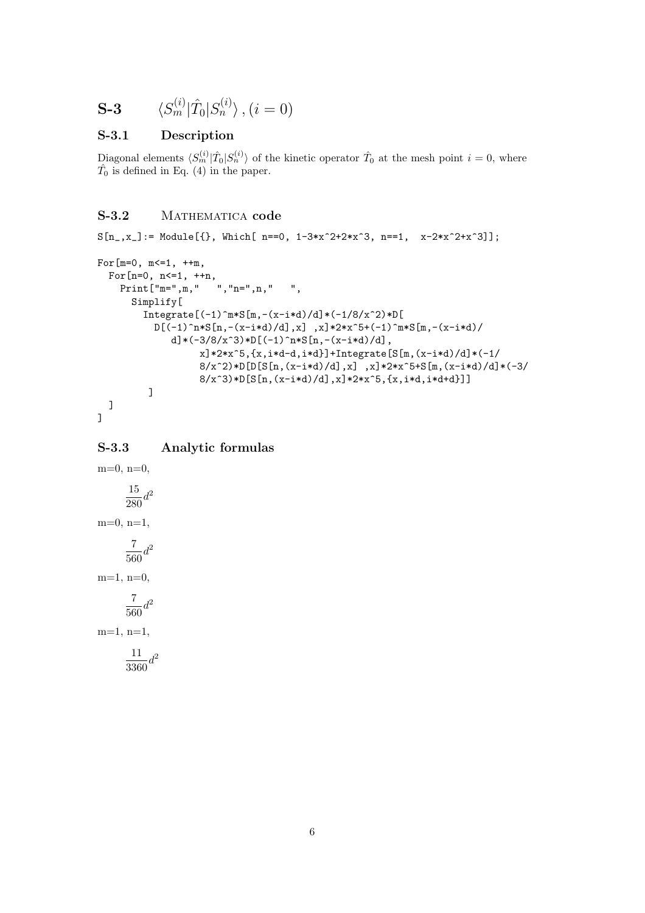$$
\mathbf{S}\text{-}\mathbf{3} \qquad \langle S_m^{(i)} | \hat{T}_0 | S_n^{(i)} \rangle \,, (i = 0)
$$

#### S-3.1 Description

Diagonal elements  $\langle S_m^{(i)} | \hat{T}_0 | S_n^{(i)} \rangle$  of the kinetic operator  $\hat{T}_0$  at the mesh point  $i = 0$ , where  $\hat{T}_0$  is defined in Eq. (4) in the paper.

# S-3.2 MATHEMATICA code

```
S[n_,x_+] := \text{Module}[\{\}, \text{ Which}[\text{ n==0, 1-3*x^2+2*x^3, n==1, x-2*x^2+x^3]\};
```

```
For[m=0, m <= 1, ++m,
  For[n=0, n <= 1, ++n,
    Print["m=",m," ","n=",n," ",
      Simplify[
        Integrate [(-1)^{m*S[m,-(x-i*d)/d]*(-1/8/x^2)*D[}D[(-1)^n**S[n,-(x-i*d)/d],x],x]*2*x^5+(-1)^m**S[m,-(x-i*d)/d]d]*(-3/8/x^3)*D[(-1)^n*S[n,-(x-i*d)/d],
                  x]*2*x^5,{x,i*d-d,i*d}]+Integrate[S[m,(x-i*d)/d]*(-1/
                  8/x^2)*D[D[S[n,(x-i*d)/d],x],x]*2*x^5+S[m,(x-i*d)/d)*(-3/8/x^3)*D[S[n,(x-i*d)/d],x]*2*x^5,[x,i*d,i*d+d]]]]
  ]
```

```
]
```
#### S-3.3 Analytic formulas

 $m=0, n=0,$ 15  $rac{15}{280}d^2$  $m=0$ ,  $n=1$ , 7  $\frac{1}{560}d^2$  $m=1, n=0,$ 7  $\frac{1}{560}d^2$ m=1, n=1, 11  $rac{11}{3360}d^2$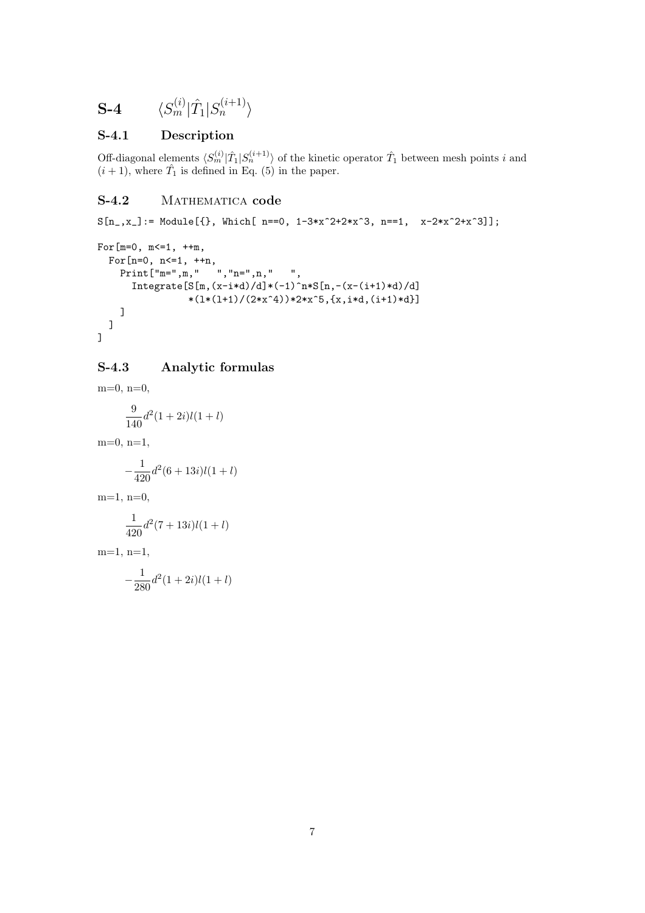$$
\mathbf{S}\text{-}\mathbf{4} \qquad \langle S_m^{(i)} | \hat{T}_1 | S_n^{(i+1)} \rangle
$$

# S-4.1 Description

Off-diagonal elements  $\langle S_m^{(i)} | \hat{T}_1 | S_n^{(i+1)} \rangle$  of the kinetic operator  $\hat{T}_1$  between mesh points i and  $(i+1)$ , where  $\hat{T}_1$  is defined in Eq. (5) in the paper.

# S-4.2 MATHEMATICA code

```
S[n_,x_+] := \text{Module}[\{\}, \text{ Which}[-n=-0, 1-3*x^2+2*x^3, n=-1, x-2*x^2+x^3]\};
```

```
For[m=0, m<=1, ++m,For[n=0, n<=1, ++n,
         Prim \mathbb{F} \mathbb{F} \mathbb{F} \mathbb{F} \mathbb{F} \mathbb{F} \mathbb{F} \mathbb{F} \mathbb{F} \mathbb{F} \mathbb{F} \mathbb{F} \mathbb{F} \mathbb{F} \mathbb{F} \mathbb{F} \mathbb{F} \mathbb{F} \mathbb{F} \mathbb{F} \mathbb{F} \mathbb{F} \mathbb{F} \mathbb{F} Integrate[S[m,(x-i*d)/d)*(-1)^n*S[n,-(x-(i+1)*d)/d]*(1*(1+1)/(2*x^4))*2*x^5,\{x,i*d,(i+1)*d\}]]
    ]
]
```
# S-4.3 Analytic formulas

 $m=0, n=0,$ 9  $\frac{9}{140}d^2(1+2i)l(1+l)$ m=0, n=1,  $-\frac{1}{10}$  $\frac{1}{420}d^2(6+13i)l(1+l)$  $m=1, n=0,$ 1  $\frac{1}{420}d^2(7+13i)l(1+l)$  $m=1, n=1,$  $-\frac{1}{20}$  $\frac{1}{280}d^2(1+2i)l(1+l)$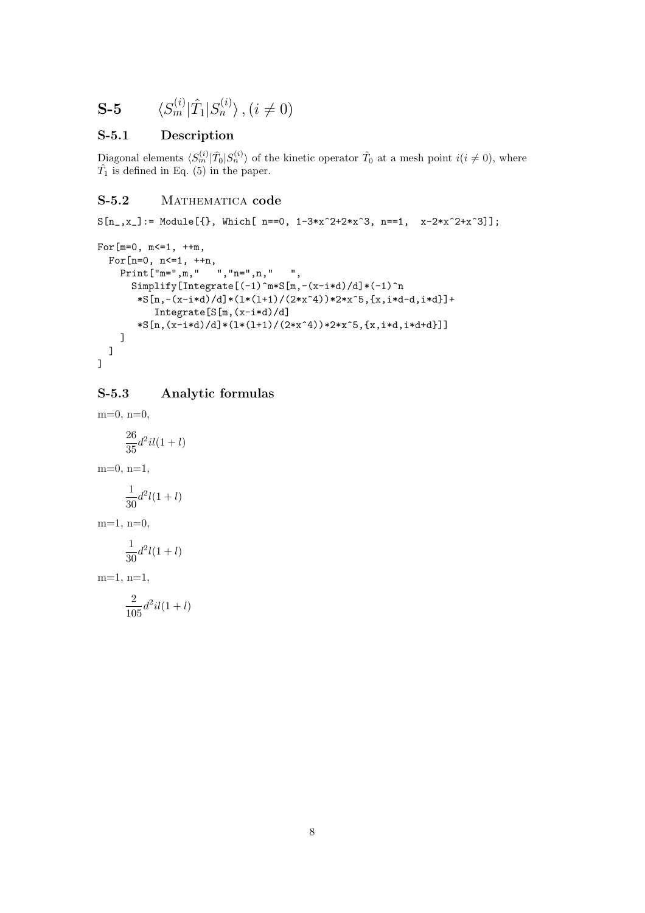$$
\mathbf{S}\text{-}\mathbf{5} \qquad \langle S_m^{(i)} | \hat{T}_1 | S_n^{(i)} \rangle \text{ , } (i \neq 0)
$$

#### S-5.1 Description

Diagonal elements  $\langle S_m^{(i)} | \hat{T}_0 | S_n^{(i)} \rangle$  of the kinetic operator  $\hat{T}_0$  at a mesh point  $i(i \neq 0)$ , where  $\hat{T}_1$  is defined in Eq. (5) in the paper.

#### S-5.2 MATHEMATICA code

```
S[n_,x_+] := \text{Module}[\{\}, \text{ Which}[-n=-0, 1-3*x^2+2*x^3, n=-1, x-2*x^2+x^3]\};
```

```
For[m=0, m <= 1, ++m,
  For[n=0, n<=1, ++n,
    Print<sup>["m="</sup>, m, " ", "n=", n, " ",
      Simplify[Integrate[(-1)^{m*S[m,-(x-i*d)/d)*(-1)^n*\S[n,-(x-i*d)/d]*(1*(1+1)/(2*x^4))*2*x^5,[x,i*d-d,i*d]+Integrate[S[m,(x-i*d)/d]
       *\S[n,(x-i*d)/d]*(1*(1+1)/(2*x^4))*2*x^5,{x,i*d,i*d+d}]]
    ]
  ]
]
```
#### S-5.3 Analytic formulas

 $m=0$ ,  $n=0$ , 26  $\frac{20}{35}d^2il(1+l)$  $m=0$ ,  $n=1$ , 1

$$
\frac{1}{30}d^2l(1+l)
$$

 $m=1$ ,  $n=0$ ,

$$
\frac{1}{30}d^2l(1+l)
$$

 $m=1, n=1,$ 

$$
\frac{2}{105}d^2il(1+l)
$$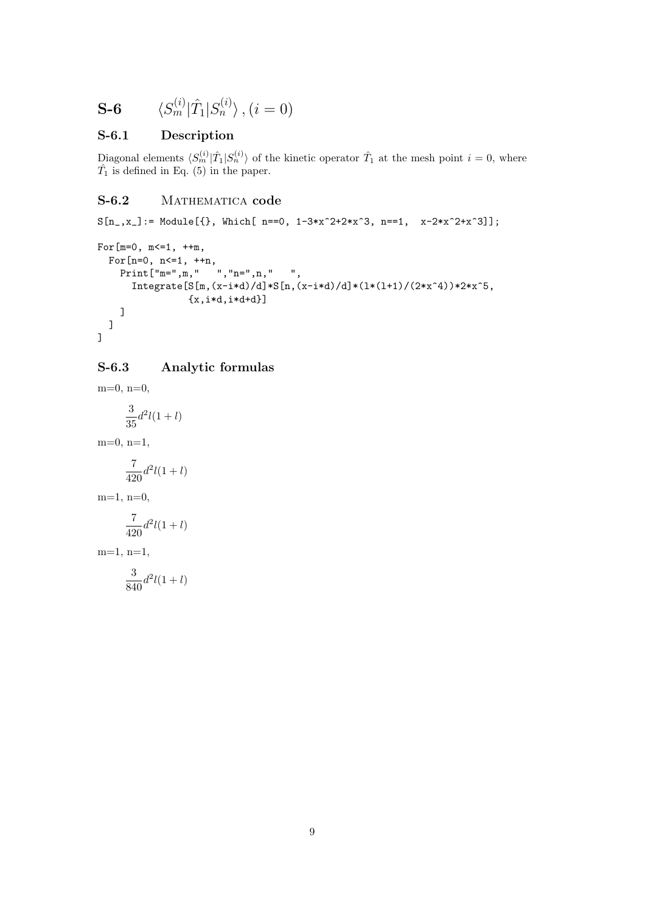$$
\mathbf{S}\text{-}\mathbf{6} \qquad \langle S_m^{(i)} | \hat{T}_1 | S_n^{(i)} \rangle \,, (i = 0)
$$

# S-6.1 Description

Diagonal elements  $\langle S_m^{(i)} | \hat{T}_1 | S_n^{(i)} \rangle$  of the kinetic operator  $\hat{T}_1$  at the mesh point  $i = 0$ , where  $\hat{T}_1$  is defined in Eq. (5) in the paper.

#### S-6.2 MATHEMATICA code

```
S[n_,x_+] := \text{Module}[\{\}, \text{ Which}[-n=-0, 1-3*x^2+2*x^3, n=-1, x-2*x^2+x^3]\};
```

```
For[m=0, m <= 1, ++m,
  For[n=0, n<=1, ++n,
    Print<sup>["m="</sup>, m, " ", "n=", n, " ",
      Integrate[S[m,(x-i*d)/d]*S[n,(x-i*d)/d]*(1*(1+1)/(2*x^4))*2*x^5,{x, i*d, i*d+d}]
    ]
  ]
]
```
# S-6.3 Analytic formulas

 $m=0, n=0,$ 3  $\frac{3}{35}d^2l(1+l)$ m=0, n=1, 7  $\frac{1}{420}d^2l(1+l)$  $m=1, n=0,$ 7  $\frac{1}{420}d^2l(1+l)$  $m=1, n=1,$ 3

$$
f_{\rm{max}}
$$

 $\frac{3}{840}d^2l(1+l)$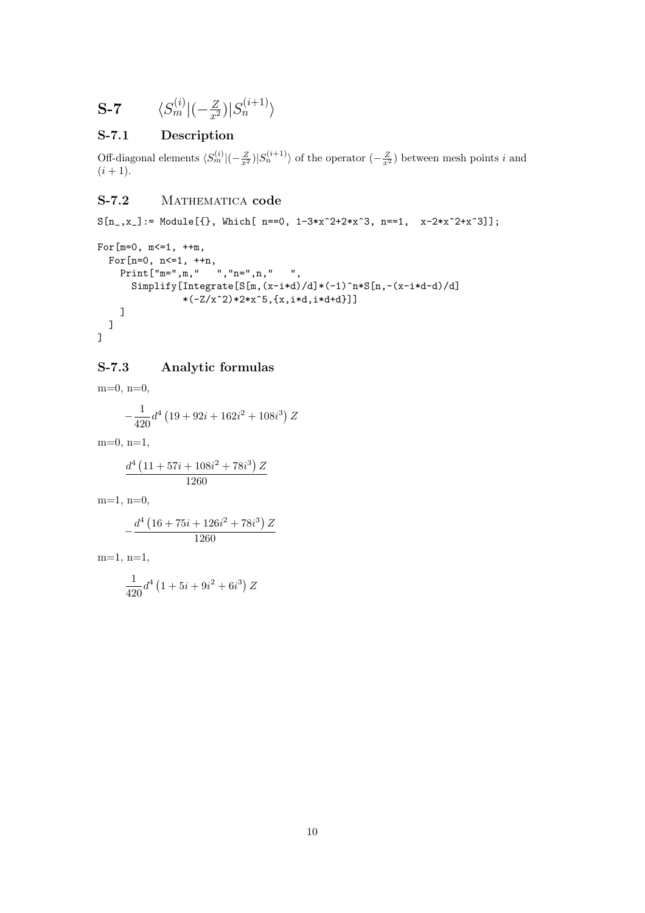$$
\textbf{S-7} \qquad \langle S_m^{(i)} | (-\tfrac{Z}{x^2}) | S_n^{(i+1)} \rangle
$$

# S-7.1 Description

Off-diagonal elements  $\langle S_m^{(i)}|(-\frac{Z}{x^2})|S_n^{(i+1)}\rangle$  of the operator  $(-\frac{Z}{x^2})$  between mesh points i and  $(i + 1)$ .

# S-7.2 MATHEMATICA code

 $S[n_,x_+] := \text{Module}[\{\}, \text{ Which}[-n=-0, 1-3*x^2+2*x^3, n=-1, x-2*x^2+x^3]\};$ 

```
For[m=0, m <= 1, ++m,
   For[n=0, n<=1, ++n,
     Print<sup>["</sup>m=",m," ","n=",n," ",
         \texttt{Simplify}[\texttt{Integrate}[S[\texttt{m},(\texttt{x-i*d})/d]*(-1)^{\texttt{m}*\texttt{S}[\texttt{n},-(\texttt{x-i*d}-d)/d]}*(-Z/x^2)*2*x^5,{x,i*d,i*d+d}]]
     ]
   ]
]
```
# S-7.3 Analytic formulas

 $m=0$ ,  $n=0$ ,  $\overline{1}$ 

$$
-\frac{1}{420}d^4 \left(19+92 i+162 i^2+108 i^3\right)Z
$$

m=0, n=1,

$$
\frac{d^4\left(11+57i+108i^2+78i^3\right)Z}{1260}
$$

m=1, n=0,

$$
-\frac{d^{4}\left(16+75 i+126 i^{2}+78 i^{3}\right) Z}{1260}
$$

m=1, n=1,

$$
\frac{1}{420}d^4\left(1+5i+9i^2+6i^3\right)Z
$$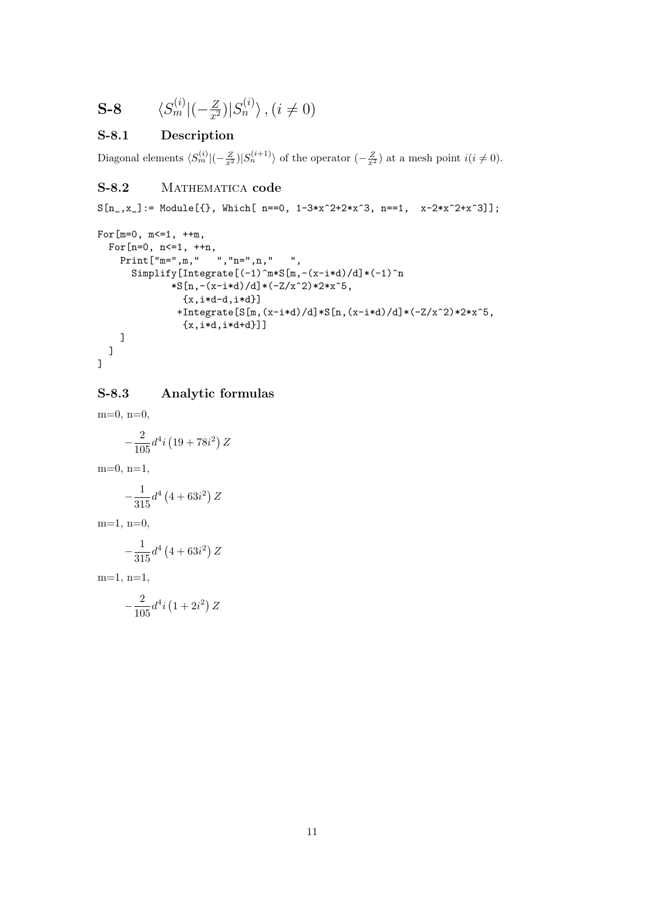$$
\mathbf{S}\text{-}\mathbf{8} \qquad \langle S_m^{(i)} | (-\tfrac{Z}{x^2}) | S_n^{(i)} \rangle, (i \neq 0)
$$

# S-8.1 Description

Diagonal elements  $\langle S_m^{(i)}|(-\frac{Z}{x^2})|S_n^{(i+1)}\rangle$  of the operator  $(-\frac{Z}{x^2})$  at a mesh point  $i(i \neq 0)$ .

## S-8.2 MATHEMATICA code

 $S[n_-,x_-]:$  Module[{}, Which[ n==0, 1-3\*x^2+2\*x^3, n==1, x-2\*x^2+x^3]];

```
For[m=0, m<=1, ++m,For[n=0, n <= 1, ++n,
   Print["m=",m," ","n=",n," ",
      Simplify[Integrate[(-1)^{m*S[m,-(x-i*d)/d)*(-1)^n*\S[n,-(x-i*d)/d]*(-Z/x^2)*2*x^5,{x, i*d-d, i*d}+Integrate[S[m,(x-i*d)/d]*S[n,(x-i*d)/d]*(-Z/x^2)*2*x^5,
               {x, i*d, i*d+d}]]
   ]
  ]
]
```
#### S-8.3 Analytic formulas

m=0, n=0,  $-\frac{2}{10}$  $\frac{2}{105}d^4i$ ¡  $19 + 78i^2$ Z  $m=0$ ,  $n=1$ ,  $-\frac{1}{21}$  $\frac{1}{315}d^4$  (  $(4+63i^2)$ Z  $m=1$ ,  $n=0$ ,  $-\frac{1}{21}$  $\frac{1}{315}d^4$  (  $(4+63i^2)$ Z  $m=1, n=1,$ ¡ ¢

$$
-\frac{2}{105}d^4i\left(1+2i^2\right)Z
$$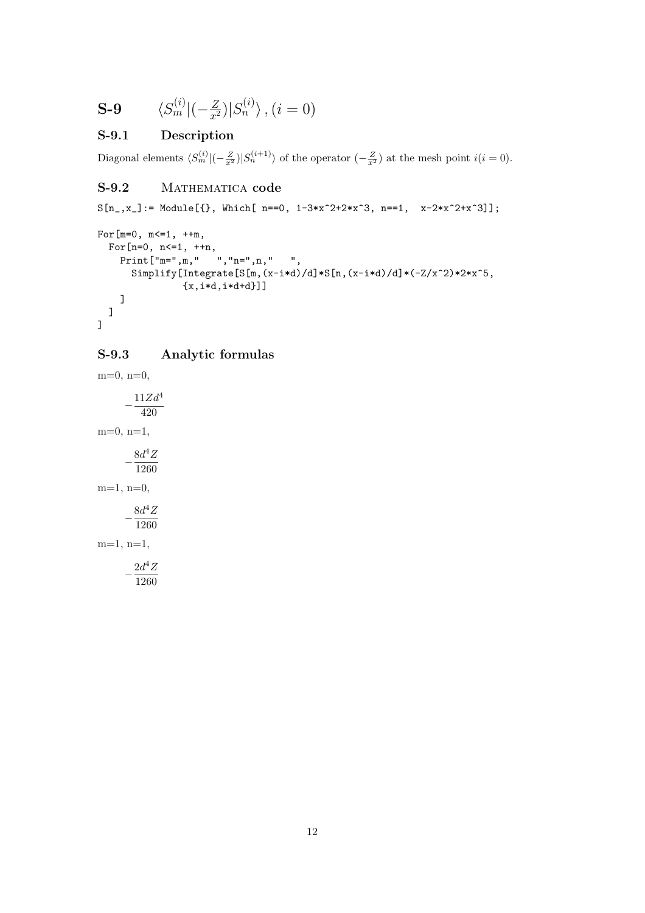$$
\mathbf{S}\text{-}\mathbf{9} \qquad \langle S_m^{(i)} | (-\tfrac{Z}{x^2}) | S_n^{(i)} \rangle \text{ , } (i=0)
$$

# S-9.1 Description

Diagonal elements  $\langle S_m^{(i)}|(-\frac{Z}{x^2})|S_n^{(i+1)}\rangle$  of the operator  $(-\frac{Z}{x^2})$  at the mesh point  $i(i = 0)$ .

# S-9.2 MATHEMATICA code

 $S[n_-,x_+] := \text{Module}[\{\}, \text{ Which}[-n=-0, 1-3*x^2+2*x^3, n=-1, x-2*x^2+x^3]\};$ 

```
For[m=0, m<=1, ++m,For[n=0, n <= 1, ++n,
    Print<sup>["</sup>m=",m," ","n=",n," ",
      Simplify[Integrate[S[m,(x-i*d)/d]*S[n,(x-i*d)/d]*(-Z/x^2)*2*x^5,
               {x,i*d,i*d+d}]]
    ]
  ]
]
```
# S-9.3 Analytic formulas

 $m=0, n=0,$  $-\frac{11Zd^4}{120}$ 420  $m=0$ ,  $n=1$ ,  $-\frac{8d^4Z}{1000}$ 1260  $m=1, n=0,$  $-\frac{6a}{1260}$  $8d^4Z$ m=1, n=1,  $-\frac{2d^4Z}{1238}$ 1260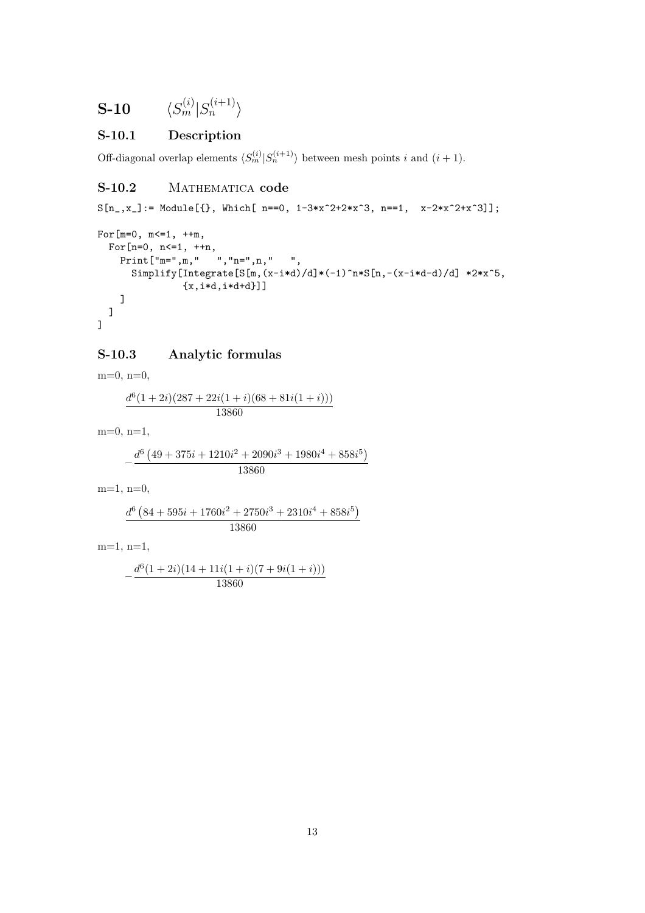$$
\textbf{S-10} \hspace{20pt} \langle S^{(i)}_m | S^{(i+1)}_n \rangle
$$

# S-10.1 Description

Off-diagonal overlap elements  $\langle S_m^{(i)} | S_n^{(i+1)} \rangle$  between mesh points i and  $(i + 1)$ .

## S-10.2 MATHEMATICA code

 $S[n_,x_+] := \text{Module}[\{\}, \text{ Which}[-n=-0, 1-3*x^2+2*x^3, n=-1, x-2*x^2+x^3]\};$ 

```
For[m=0, m<=1, ++m,For[n=0, n<=1, ++n,
     Print \left[\begin{array}{ccc} m=0, & m=0, & m=0, & m=0, & m=0 \\ m=0, & m=0, & m=0, & m=0, & m=0 \end{array}\right],
         Simplify[Integrate[S[m,(x-i*d)/d]*(-1)^n*S[n,-(x-i*d-d)/d] *2*x^5,
                      {x, i*d, i*d+d}]]
     ]
   ]
]
```
#### S-10.3 Analytic formulas

 $m=0, n=0,$ 

$$
\frac{d^6(1+2i)(287+22i(1+i)(68+81i(1+i)))}{13860}
$$

 $m=0$ ,  $n=1$ ,

$$
-\frac{d^6 (49 + 375i + 1210i^2 + 2090i^3 + 1980i^4 + 858i^5)}{13860}
$$

 $m=1$ ,  $n=0$ ,

$$
\frac{d^6 \left(84+595 i+1760 i^2+2750 i^3+2310 i^4+858 i^5\right)}{13860}
$$

m=1, n=1,

$$
-\frac{d^6(1+2i)(14+11i(1+i)(7+9i(1+i)))}{13860}
$$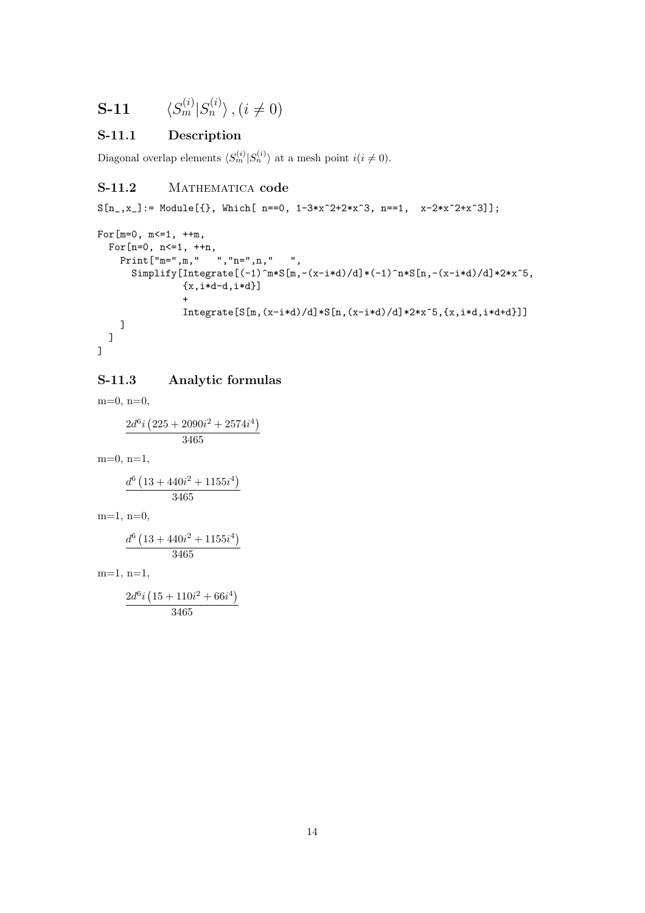$$
\mathbf{S}\text{-}\mathbf{11} \qquad \langle S_m^{(i)} | S_n^{(i)} \rangle, (i \neq 0)
$$

# S-11.1 Description

Diagonal overlap elements  $\langle S_m^{(i)} | S_n^{(i)} \rangle$  at a mesh point  $i(i \neq 0)$ .

#### S-11.2 MATHEMATICA code

 $S[n_,x_+] := \text{Module}[\{\}, \text{ Which}[-n=-0, 1-3*x^2+2*x^3, n=-1, x-2*x^2+x^3]\};$ 

```
For[m=0, m<=1, ++m,For[n=0, n<=1, ++n,
    Print<sup>["</sup>m=",m," ","n=",n," ",
      Simplify[Integrate[(-1)^m*S[m,-(x-i*d)/d]*(-1)^n*S[n,-(x-i*d)/d]*2*x^5,
               {x, i*d-d, i*d}]
               +
               Integrate[S[m,(x-i*d)/d]*S[n,(x-i*d)/d]*2*x^5,[x,i*d,i*d+d]]]]
  ]
]
```
#### S-11.3 Analytic formulas

 $m=0$ ,  $n=0$ ,

$$
\frac{2d^{6}i\left(225+2090i^{2}+2574i^{4}\right)}{3465}
$$

 $m=0$ ,  $n=1$ ,

$$
\frac{d^{6}\left(13+440i^{2}+1155i^{4}\right)}{3465}
$$

 $m=1$ ,  $n=0$ ,

$$
\frac{d^6\left(13+440i^2+1155i^4\right)}{3465}
$$

m=1, n=1,

$$
\frac{2d^{6}i\left(15+110i^{2}+66i^{4}\right)}{3465}
$$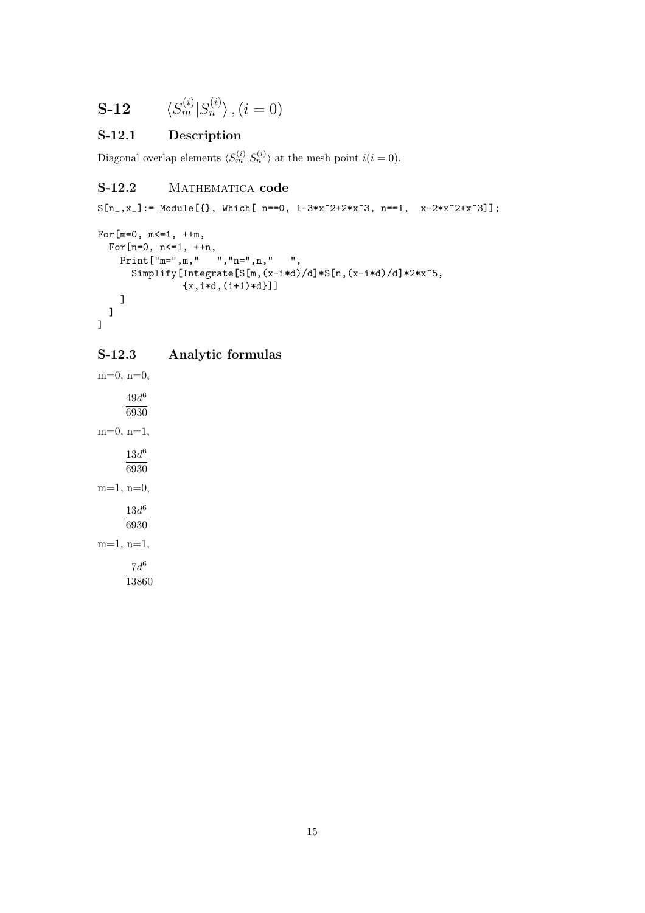$$
\mathbf{S}\text{-}\mathbf{12} \qquad \langle S_m^{(i)} | S_n^{(i)} \rangle \text{ , } (i=0)
$$

# S-12.1 Description

Diagonal overlap elements  $\langle S_m^{(i)} | S_n^{(i)} \rangle$  at the mesh point  $i(i = 0)$ .

#### S-12.2 MATHEMATICA code

 $S[n_,x_+] := \text{Module}[\{\}, \text{ Which}[-n=-0, 1-3*x^2+2*x^3, n=-1, x-2*x^2+x^3]\};$ 

```
For[m=0, m<=1, ++m,For[n=0, n<=1, ++n,
    Print<sup>["m="</sup>, m, " ", "n=", n, " ",
      Simplify[Integrate[S[m,(x-i*d)/d]*S[n,(x-i*d)/d]*2*x^5,
                {x, i*d, (i+1)*d}]]
    ]
  ]
]
```
#### S-12.3 Analytic formulas

 $m=0, n=0,$  $49d^6$ 6930  $m=0, n=1,$  $13d^6$ 6930  $m=1, n=0,$  $13d^6$ 6930  $m=1, n=1,$  $7d^6$ 13860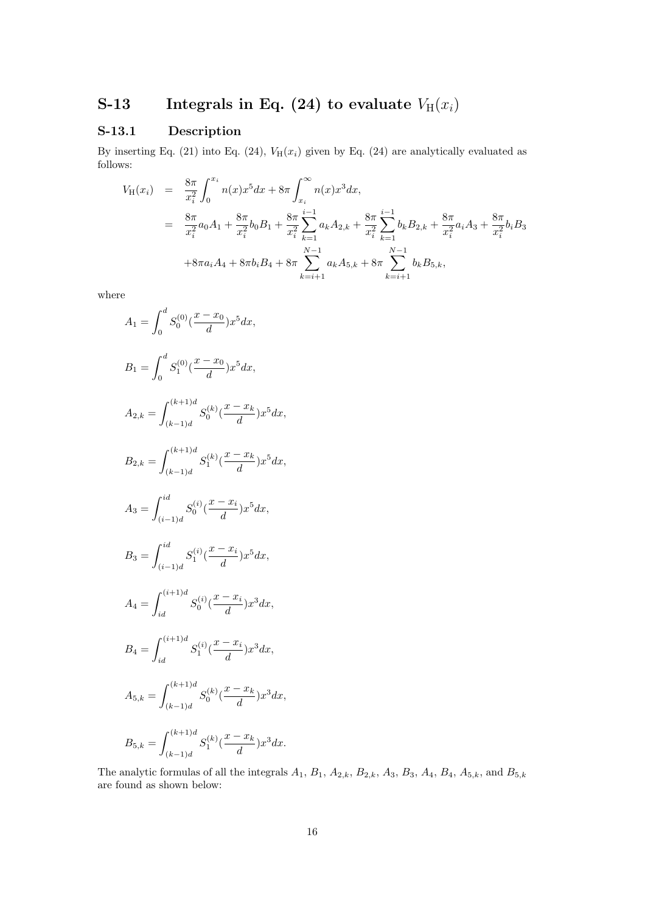# S-13 Integrals in Eq. (24) to evaluate  $V_H(x_i)$

# S-13.1 Description

By inserting Eq. (21) into Eq. (24),  $V_H(x_i)$  given by Eq. (24) are analytically evaluated as follows:

$$
V_{H}(x_{i}) = \frac{8\pi}{x_{i}^{2}} \int_{0}^{x_{i}} n(x)x^{5}dx + 8\pi \int_{x_{i}}^{\infty} n(x)x^{3}dx,
$$
  
\n
$$
= \frac{8\pi}{x_{i}^{2}} a_{0}A_{1} + \frac{8\pi}{x_{i}^{2}} b_{0}B_{1} + \frac{8\pi}{x_{i}^{2}} \sum_{k=1}^{i-1} a_{k}A_{2,k} + \frac{8\pi}{x_{i}^{2}} \sum_{k=1}^{i-1} b_{k}B_{2,k} + \frac{8\pi}{x_{i}^{2}} a_{i}A_{3} + \frac{8\pi}{x_{i}^{2}} b_{i}B_{3}
$$
  
\n
$$
+ 8\pi a_{i}A_{4} + 8\pi b_{i}B_{4} + 8\pi \sum_{k=i+1}^{N-1} a_{k}A_{5,k} + 8\pi \sum_{k=i+1}^{N-1} b_{k}B_{5,k},
$$

where

$$
A_{1} = \int_{0}^{d} S_{0}^{(0)}(\frac{x - x_{0}}{d})x^{5} dx,
$$
  
\n
$$
B_{1} = \int_{0}^{d} S_{1}^{(0)}(\frac{x - x_{0}}{d})x^{5} dx,
$$
  
\n
$$
A_{2,k} = \int_{(k-1)d}^{(k+1)d} S_{0}^{(k)}(\frac{x - x_{k}}{d})x^{5} dx,
$$
  
\n
$$
B_{2,k} = \int_{(k-1)d}^{(k+1)d} S_{1}^{(k)}(\frac{x - x_{k}}{d})x^{5} dx,
$$
  
\n
$$
A_{3} = \int_{(i-1)d}^{id} S_{0}^{(i)}(\frac{x - x_{i}}{d})x^{5} dx,
$$
  
\n
$$
B_{3} = \int_{(i-1)d}^{id} S_{1}^{(i)}(\frac{x - x_{i}}{d})x^{5} dx,
$$
  
\n
$$
A_{4} = \int_{id}^{(i+1)d} S_{0}^{(i)}(\frac{x - x_{i}}{d})x^{3} dx,
$$
  
\n
$$
B_{4} = \int_{id}^{(i+1)d} S_{1}^{(i)}(\frac{x - x_{i}}{d})x^{3} dx,
$$
  
\n
$$
A_{5,k} = \int_{(k-1)d}^{(k+1)d} S_{0}^{(k)}(\frac{x - x_{k}}{d})x^{3} dx,
$$
  
\n
$$
B_{5,k} = \int_{(k-1)d}^{(k+1)d} S_{1}^{(k)}(\frac{x - x_{k}}{d})x^{3} dx.
$$

The analytic formulas of all the integrals  $A_1$ ,  $B_1$ ,  $A_{2,k}$ ,  $B_{2,k}$ ,  $A_3$ ,  $B_3$ ,  $A_4$ ,  $B_4$ ,  $A_{5,k}$ , and  $B_{5,k}$ are found as shown below: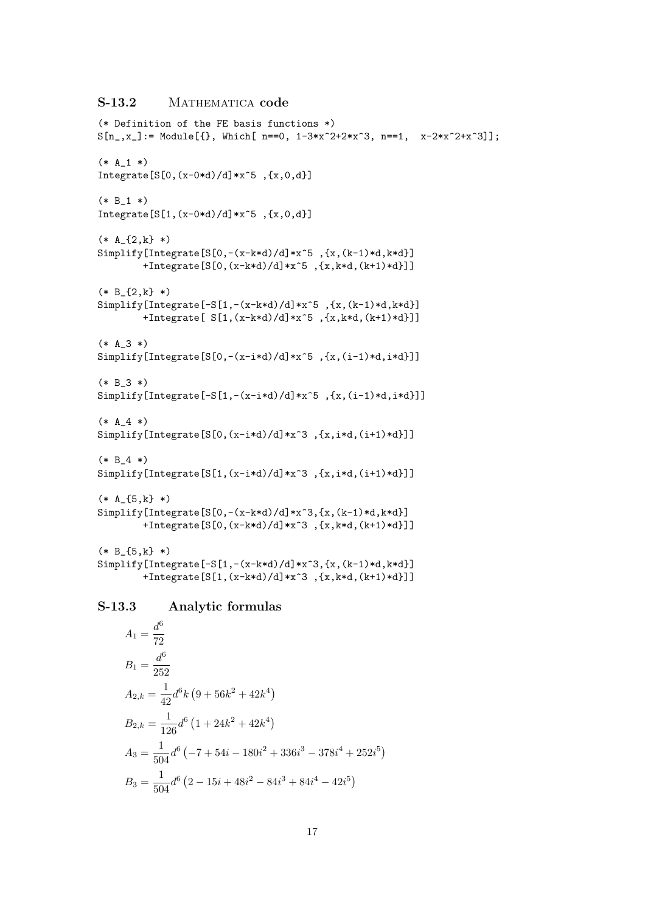# S-13.2 MATHEMATICA code

```
(* Definition of the FE basis functions *)
S[n_-,x_+] := Module[\{\}, Which[ n==0, 1-3*x^2+2*x^3, n==1, x-2*x^2+x^3]\};(* A_1 * )Integrate[S[0,(x-0*d)/d]*x^5, {x,0,d}](* B_1 * )Integrate[S[1,(x-0*d)/d]*x^5, {x,0,d}](* A_{2,k}^* *)
Simplify[Integrate[S[0,-(x-k*d)/d]*x^5 ,{x,(k-1)*d,k*d}]
        +Integrate[S[0,(x-k*d)/d]*x^5 ,{x,k*d,(k+1)*d}]]
(* B_{2,k} *)
Simplify[Integrate[-S[1,-(x-k*d)/d]*x^5 ,{x,(k-1)*d,k*d}]
        +Integrate[ S[1,(x-k*d)/d]*x^5 ,{x,k*d,(k+1)*d}]]
(* A_3 *)Simplify[Integrate[S[0,-(x-i*d)/d]*x^5 ,{x,(i-1)*d,i*d}]]
(* B_3 *)Simplify[Integrate[-S[1,-(x-i*d)/d]*x^5 ,{x,(i-1)*d,i*d}]]
(* A_4 * )Simplify[Integrate[S[0,(x-i*d)/d]*x^3 ,{x,i*d,(i+1)*d}]]
(* B 4 *)Simplify[Integrate[S[1,(x-i*d)/d]*x^3 ,{x,i*d,(i+1)*d}]]
(* A {5,k} *)Simplify[Integrate[S[0,-(x-k*d)/d]*x^3,{x,(k-1)*d,k*d}]
        +Integrate[S[0,(x-k*d)/d]*x^3 ,{x,k*d,(k+1)*d}]]
(* B_{5,k} \*)Simplify[Integrate[-S[1,-(x-k*d)/d]*x^3,{x,(k-1)*d,k*d}]
        +Integrate[S[1,(x-k*d)/d]*x^3 ,{x,k*d,(k+1)*d}]]
```
#### S-13.3 Analytic formulas

$$
A_1 = \frac{d^6}{72}
$$
  
\n
$$
B_1 = \frac{d^6}{252}
$$
  
\n
$$
A_{2,k} = \frac{1}{42}d^6k(9 + 56k^2 + 42k^4)
$$
  
\n
$$
B_{2,k} = \frac{1}{126}d^6(1 + 24k^2 + 42k^4)
$$
  
\n
$$
A_3 = \frac{1}{504}d^6(-7 + 54i - 180i^2 + 336i^3 - 378i^4 + 252i^5)
$$
  
\n
$$
B_3 = \frac{1}{504}d^6(2 - 15i + 48i^2 - 84i^3 + 84i^4 - 42i^5)
$$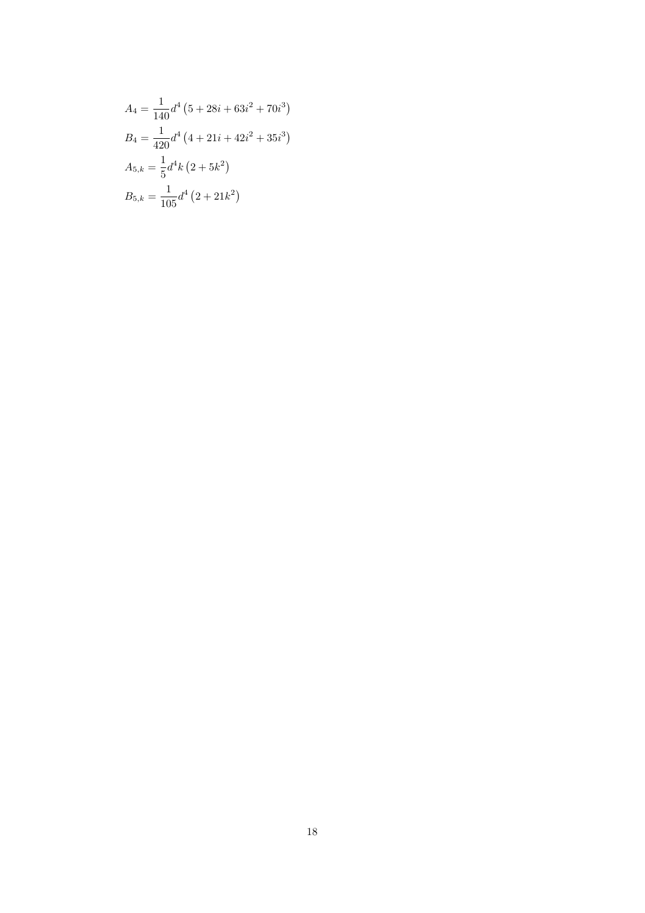$$
A_4 = \frac{1}{140}d^4 \left(5 + 28i + 63i^2 + 70i^3\right)
$$
  
\n
$$
B_4 = \frac{1}{420}d^4 \left(4 + 21i + 42i^2 + 35i^3\right)
$$
  
\n
$$
A_{5,k} = \frac{1}{5}d^4 k \left(2 + 5k^2\right)
$$
  
\n
$$
B_{5,k} = \frac{1}{105}d^4 \left(2 + 21k^2\right)
$$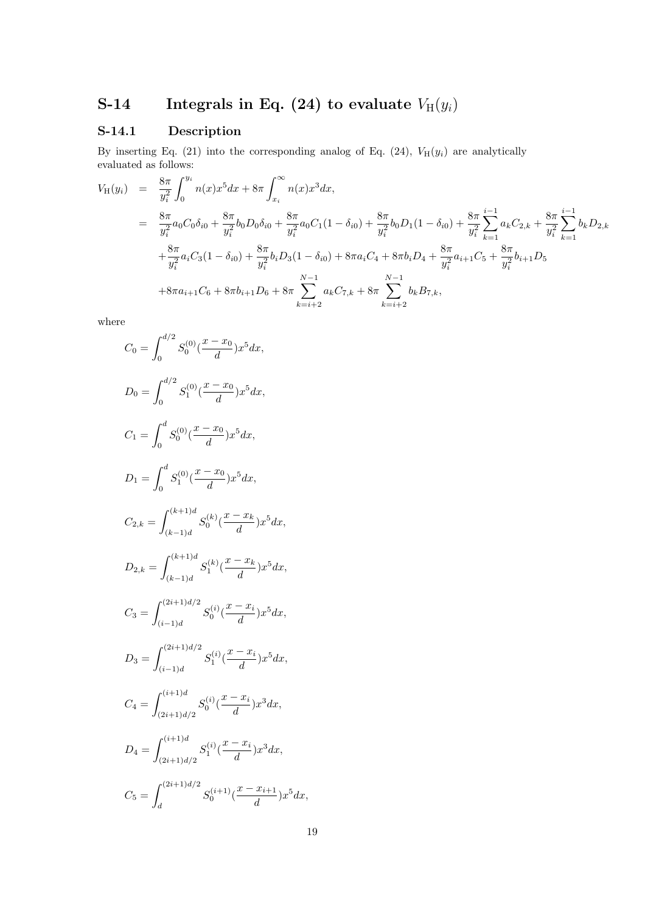# S-14 Integrals in Eq. (24) to evaluate  $V_H(y_i)$

# S-14.1 Description

By inserting Eq. (21) into the corresponding analog of Eq. (24),  $V_H(y_i)$  are analytically evaluated as follows:

$$
V_{H}(y_{i}) = \frac{8\pi}{y_{i}^{2}} \int_{0}^{y_{i}} n(x)x^{5}dx + 8\pi \int_{x_{i}}^{\infty} n(x)x^{3}dx,
$$
  
\n
$$
= \frac{8\pi}{y_{i}^{2}} a_{0}C_{0}\delta_{i0} + \frac{8\pi}{y_{i}^{2}} b_{0}D_{0}\delta_{i0} + \frac{8\pi}{y_{i}^{2}} a_{0}C_{1}(1 - \delta_{i0}) + \frac{8\pi}{y_{i}^{2}} b_{0}D_{1}(1 - \delta_{i0}) + \frac{8\pi}{y_{i}^{2}} \sum_{k=1}^{i-1} a_{k}C_{2,k} + \frac{8\pi}{y_{i}^{2}} \sum_{k=1}^{i-1} b_{k}D_{2,k}
$$
  
\n
$$
+ \frac{8\pi}{y_{i}^{2}} a_{i}C_{3}(1 - \delta_{i0}) + \frac{8\pi}{y_{i}^{2}} b_{i}D_{3}(1 - \delta_{i0}) + 8\pi a_{i}C_{4} + 8\pi b_{i}D_{4} + \frac{8\pi}{y_{i}^{2}} a_{i+1}C_{5} + \frac{8\pi}{y_{i}^{2}} b_{i+1}D_{5}
$$
  
\n
$$
+ 8\pi a_{i+1}C_{6} + 8\pi b_{i+1}D_{6} + 8\pi \sum_{k=i+2}^{N-1} a_{k}C_{7,k} + 8\pi \sum_{k=i+2}^{N-1} b_{k}B_{7,k},
$$

where

$$
C_0 = \int_0^{d/2} S_0^{(0)} \left(\frac{x - x_0}{d}\right) x^5 dx,
$$
  
\n
$$
D_0 = \int_0^{d/2} S_1^{(0)} \left(\frac{x - x_0}{d}\right) x^5 dx,
$$
  
\n
$$
C_1 = \int_0^d S_0^{(0)} \left(\frac{x - x_0}{d}\right) x^5 dx,
$$
  
\n
$$
D_1 = \int_0^d S_1^{(0)} \left(\frac{x - x_0}{d}\right) x^5 dx,
$$
  
\n
$$
C_{2,k} = \int_{(k-1)d}^{(k+1)d} S_0^{(k)} \left(\frac{x - x_k}{d}\right) x^5 dx,
$$
  
\n
$$
D_{2,k} = \int_{(k-1)d}^{(k+1)d} S_1^{(k)} \left(\frac{x - x_k}{d}\right) x^5 dx,
$$
  
\n
$$
C_3 = \int_{(i-1)d}^{(2i+1)d/2} S_0^{(i)} \left(\frac{x - x_i}{d}\right) x^5 dx,
$$
  
\n
$$
D_3 = \int_{(i-1)d}^{(2i+1)d/2} S_0^{(i)} \left(\frac{x - x_i}{d}\right) x^5 dx,
$$
  
\n
$$
C_4 = \int_{(2i+1)d/2}^{(i+1)d} S_0^{(i)} \left(\frac{x - x_i}{d}\right) x^3 dx,
$$
  
\n
$$
D_5 = \int_d^{(2i+1)d/2} S_0^{(i)} \left(\frac{x - x_i}{d}\right) x^3 dx,
$$
  
\n
$$
C_5 = \int_d^{(2i+1)d/2} S_0^{(i+1)} \left(\frac{x - x_{i+1}}{d}\right) x^5 dx,
$$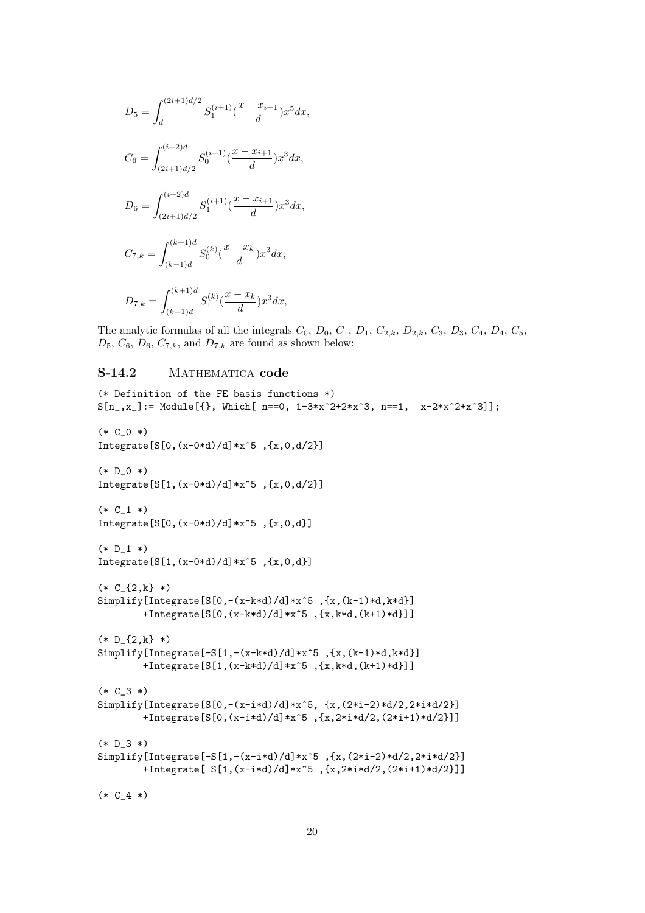$$
D_5 = \int_d^{(2i+1)d/2} S_1^{(i+1)}(\frac{x - x_{i+1}}{d}) x^5 dx,
$$
  
\n
$$
C_6 = \int_{(2i+1)d/2}^{(i+2)d} S_0^{(i+1)}(\frac{x - x_{i+1}}{d}) x^3 dx,
$$
  
\n
$$
D_6 = \int_{(2i+1)d/2}^{(i+2)d} S_1^{(i+1)}(\frac{x - x_{i+1}}{d}) x^3 dx,
$$
  
\n
$$
C_{7,k} = \int_{(k-1)d}^{(k+1)d} S_0^{(k)}(\frac{x - x_k}{d}) x^3 dx,
$$
  
\n
$$
D_{7,k} = \int_{(k-1)d}^{(k+1)d} S_1^{(k)}(\frac{x - x_k}{d}) x^3 dx,
$$

The analytic formulas of all the integrals  $C_0$ ,  $D_0$ ,  $C_1$ ,  $D_1$ ,  $C_{2,k}$ ,  $D_{2,k}$ ,  $C_3$ ,  $D_3$ ,  $C_4$ ,  $D_4$ ,  $C_5$ ,  $D_5$ ,  $C_6$ ,  $D_6$ ,  $C_{7,k}$ , and  $D_{7,k}$  are found as shown below:

#### S-14.2 MATHEMATICA code

```
(* Definition of the FE basis functions *)
S[n_-,x_+] := Module[\{\}, Which[ n==0, 1-3*x^2+2*x^3, n==1, x-2*x^2+x^3]\};(* C_0 * )Integrate[S[0,(x-0*d)/d]*x^5, {x,0,d/2}](* D_0 * )Integrate[S[1,(x-0*d)/d]*x^5 ,{x,0,d/2}]
(* C_1 * )Integrate[S[0,(x-0*d)/d]*x^5, {x,0,d}](* D_1 * )Integrate[S[1,(x-0*d)/d]*x^5, {x,0,d}](* C_{2,k} \* )Simplify[Integrate[S[0,-(x-k*d)/d]*x^5 ,{x,(k-1)*d,k*d}]
        +Integrate[S[0,(x-k*d)/d]*x^5 ,{x,k*d,(k+1)*d}]]
(* D_{2,k})*Simplify[Integrate[-S[1,-(x-k*d)/d]*x^5 ,{x,(k-1)*d,k*d}]
        +Integrate[S[1,(x-k*d)/d]*x^5 ,{x,k*d,(k+1)*d}]]
(* C_3 *)Simplify[Integrate[S[0,-(x-i*d)/d]*x^5, {x,(2*i-2)*d/2,2*i*d/2}]
        +Integrate[S[0,(x-i*d)/d]*x^5 ,{x,2*i*d/2,(2*i+1)*d/2}]]
(* D_3 *)Simplify[Integrate[-S[1,-(x-i*d)/d]*x^5 ,{x,(2*i-2)*d/2,2*i*d/2}]
        +Integrate[ S[1,(x-i*d)/d]*x^5 ,{x,2*i*d/2,(2*i+1)*d/2}]]
(* C_4 *)
```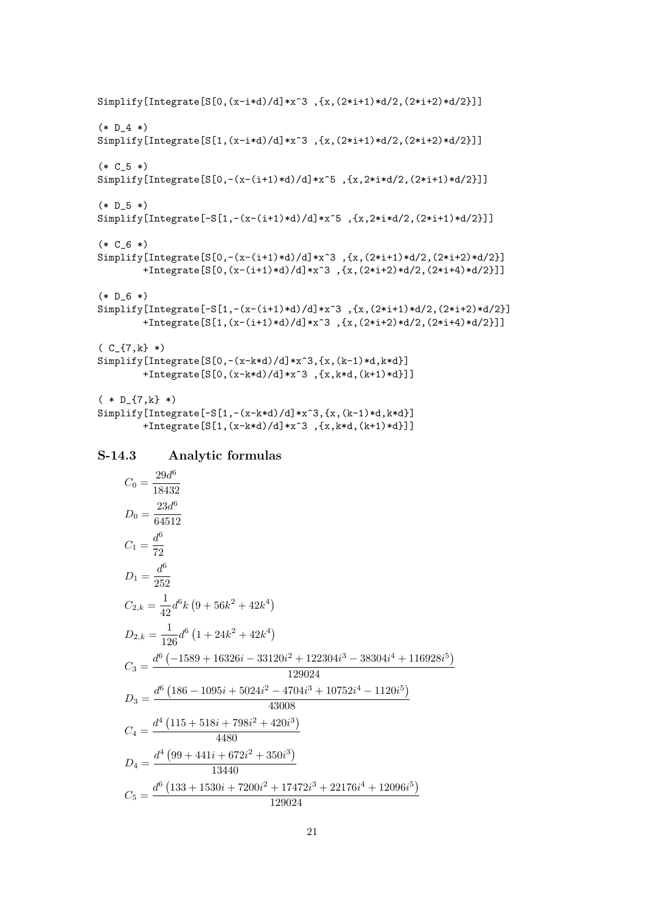Simplify[Integrate[S[0,(x-i\*d)/d]\*x^3 ,{x,(2\*i+1)\*d/2,(2\*i+2)\*d/2}]]  $(* D 4 *)$ Simplify[Integrate[S[1,(x-i\*d)/d]\*x^3 ,{x,(2\*i+1)\*d/2,(2\*i+2)\*d/2}]]  $(* C_5 * )$ Simplify[Integrate[S[0,-(x-(i+1)\*d)/d]\*x^5 ,{x,2\*i\*d/2,(2\*i+1)\*d/2}]]  $(* D_5 * )$ Simplify[Integrate[-S[1,-(x-(i+1)\*d)/d]\*x^5 ,{x,2\*i\*d/2,(2\*i+1)\*d/2}]]  $(* C_6 * )$ Simplify[Integrate[S[0,-(x-(i+1)\*d)/d]\*x^3 ,{x,(2\*i+1)\*d/2,(2\*i+2)\*d/2}] +Integrate[S[0,(x-(i+1)\*d)/d]\*x^3 ,{x,(2\*i+2)\*d/2,(2\*i+4)\*d/2}]]  $(* D_6 *)$ Simplify[Integrate[-S[1,-(x-(i+1)\*d)/d]\*x^3 ,{x,(2\*i+1)\*d/2,(2\*i+2)\*d/2}] +Integrate[S[1,(x-(i+1)\*d)/d]\*x^3 ,{x,(2\*i+2)\*d/2,(2\*i+4)\*d/2}]]  $(C_{-} \{7, k\} * )$ Simplify[Integrate[S[0,-(x-k\*d)/d]\*x^3,{x,(k-1)\*d,k\*d}] +Integrate[S[0,(x-k\*d)/d]\*x^3 ,{x,k\*d,(k+1)\*d}]]  $(* D_{17,k} * )$ Simplify[Integrate[-S[1,-(x-k\*d)/d]\*x^3,{x,(k-1)\*d,k\*d}] +Integrate[S[1,(x-k\*d)/d]\*x^3 ,{x,k\*d,(k+1)\*d}]]

#### S-14.3 Analytic formulas

$$
C_0 = \frac{29d^6}{18432}
$$
  
\n
$$
D_0 = \frac{23d^6}{64512}
$$
  
\n
$$
C_1 = \frac{d^6}{72}
$$
  
\n
$$
D_1 = \frac{d^6}{252}
$$
  
\n
$$
C_{2,k} = \frac{1}{42}d^6k(9 + 56k^2 + 42k^4)
$$
  
\n
$$
D_{2,k} = \frac{1}{126}d^6(1 + 24k^2 + 42k^4)
$$
  
\n
$$
C_3 = \frac{d^6(-1589 + 16326i - 33120i^2 + 122304i^3 - 38304i^4 + 116928i^5)}{129024}
$$
  
\n
$$
D_3 = \frac{d^6(186 - 1095i + 5024i^2 - 4704i^3 + 10752i^4 - 1120i^5)}{43008}
$$
  
\n
$$
C_4 = \frac{d^4(115 + 518i + 798i^2 + 420i^3)}{4480}
$$
  
\n
$$
D_4 = \frac{d^4(99 + 441i + 672i^2 + 350i^3)}{13440}
$$
  
\n
$$
C_5 = \frac{d^6(133 + 1530i + 7200i^2 + 17472i^3 + 22176i^4 + 12096i^5)}{129024}
$$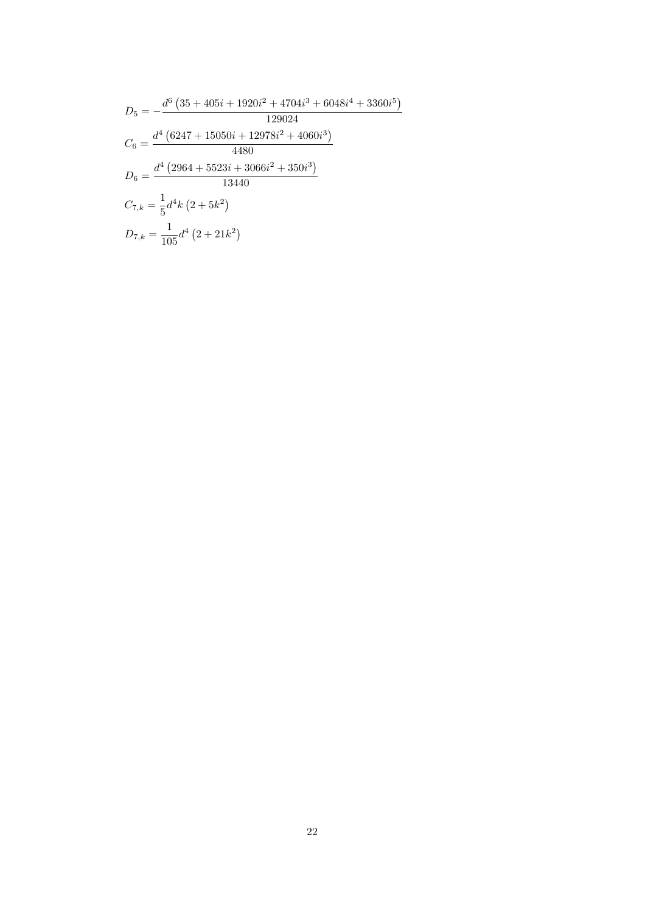$$
D_5 = -\frac{d^6 (35 + 405i + 1920i^2 + 4704i^3 + 6048i^4 + 3360i^5)}{129024}
$$
  
\n
$$
C_6 = \frac{d^4 (6247 + 15050i + 12978i^2 + 4060i^3)}{4480}
$$
  
\n
$$
D_6 = \frac{d^4 (2964 + 5523i + 3066i^2 + 350i^3)}{13440}
$$
  
\n
$$
C_{7,k} = \frac{1}{5}d^4k (2 + 5k^2)
$$
  
\n
$$
D_{7,k} = \frac{1}{105}d^4 (2 + 21k^2)
$$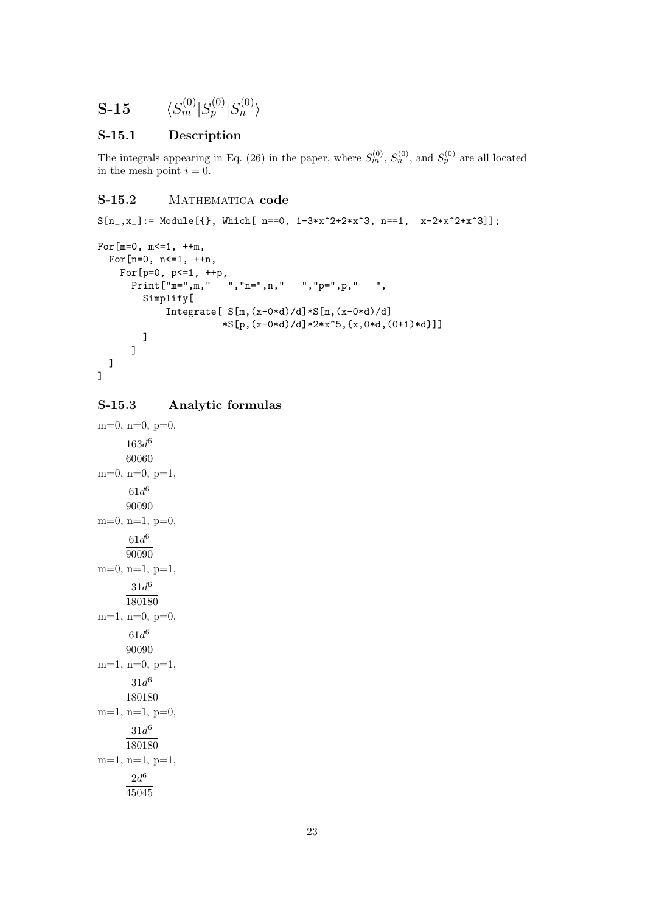$$
\textbf{S-15} \hspace{20pt} \langle S_{m}^{(0)}|S_{p}^{(0)}|S_{n}^{(0)}\rangle
$$

#### S-15.1 Description

The integrals appearing in Eq. (26) in the paper, where  $S_m^{(0)}$ ,  $S_n^{(0)}$ , and  $S_p^{(0)}$  are all located in the mesh point  $i = 0$ .

# S-15.2 MATHEMATICA code

```
S[n_,x_+] := \text{Module}[\{\}, \text{ Which}[-n=-0, 1-3*x^2+2*x^3, n=-1, x-2*x^2+x^3]\};For [m=0, m<=1, ++m,For[n=0, n<=1, ++n,For [p=0, p<=1, ++p,\text{Print}[\text{""} = \text{""}, \text{""}, \text{""} = \text{""}, \text{""} = \text{""}, \text{""} = \text{""}, \text{""} = \text{""}, \text{""} = \text{""}, \text{""} = \text{""}, \text{""} = \text{""}, \text{""} = \text{""}, \text{""} = \text{""}, \text{""} = \text{""}, \text{""} = \text{""}, \text{""} = \text{""}, \text{""} = \text{""}, \text{""} = \text{""}, \text{""} = \text{""}, \text{""} = \text{""}, \text{""} = \text{""}, \text{""} = \text{""}, \Simplify[
                               Integrate[ S[m,(x-0*d)/d]*S[n,(x-0*d)/d]
                                                         *S[p,(x-0*d)/d]*2*x^5,{x,0*d,(0+1)*d}]]
                     ]
               ]
     ]
]
```
#### S-15.3 Analytic formulas

```
m=0, n=0, p=0,
      163d^{6}60060
m=0, n=0, p=1,
      61d^690090
m=0, n=1, p=0,
      61d^690090
m=0, n=1, p=1,
       31d^6180180
m=1, n=0, p=0,
      61d^690090
m=1, n=0, p=1,
       31d^6180180
m=1, n=1, p=0,
       31d^6180180
m=1, n=1, p=1,
       2d^645045
```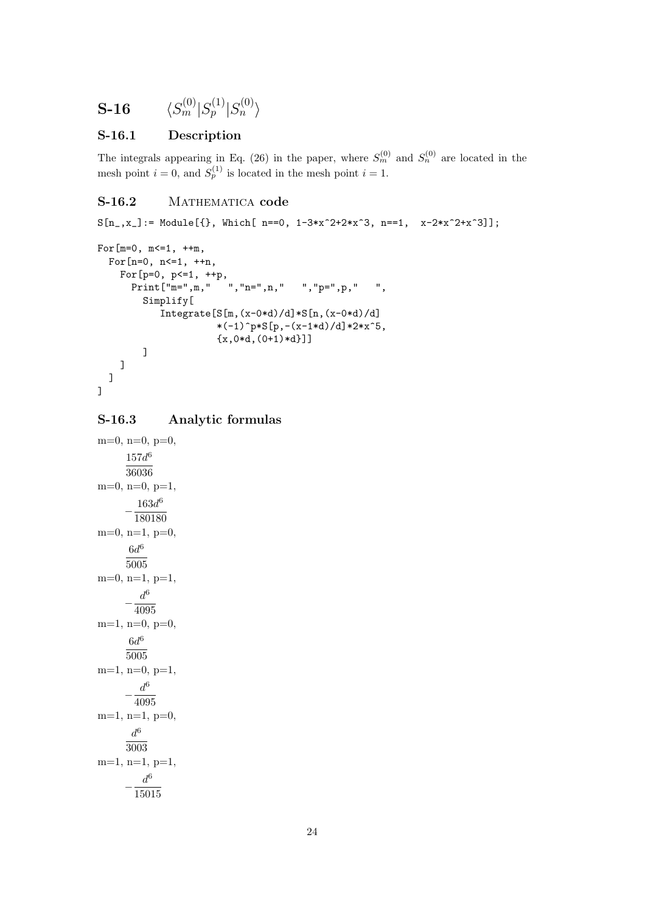$$
\textbf{S-16} \hspace{20pt} \langle S_m^{(0)}|S_p^{(1)}|S_n^{(0)}\rangle
$$

#### S-16.1 Description

The integrals appearing in Eq. (26) in the paper, where  $S_m^{(0)}$  and  $S_n^{(0)}$  are located in the mesh point  $i = 0$ , and  $S_p^{(1)}$  is located in the mesh point  $i = 1$ .

# S-16.2 MATHEMATICA code

```
S[n_-,x_+] := \text{Module}[\{\}, \text{ Which}[-n=-0, 1-3*x^2+2*x^3, n=-1, x-2*x^2+x^3]\};
```

```
For[m=0, m <= 1, ++m,
  For[n=0, n<=1, ++n,For [p=0, p<=1, ++p,\texttt{Print["m=", m, " " "", "n=", n, " " "", "p="", p, " "", "},Simplify[
             Integrate[S[m,(x-0*d)/d]*S[n,(x-0*d)/d]
                         *(-1)^pp*S[p,-(x-1*d)/d]*2*x^5,\{x,0*d,(0+1)*d\}]]
    \overline{1}]
]
```
## S-16.3 Analytic formulas

```
m=0, n=0, p=0,
       157d^{6}36036
m=0, n=0, p=1,
       -\frac{180u}{180180}163d^{6}m=0, n=1, p=0,
        6d^65005
m=0, n=1, p=1,
       -\frac{6}{4095}d^6m=1, n=0, p=0,
        6d^65005
m=1, n=0, p=1,
       -\frac{d^6}{100}4095
m=1, n=1, p=0,
        d^63003
m=1, n=1, p=1,
       -\frac{u}{15015}d^6
```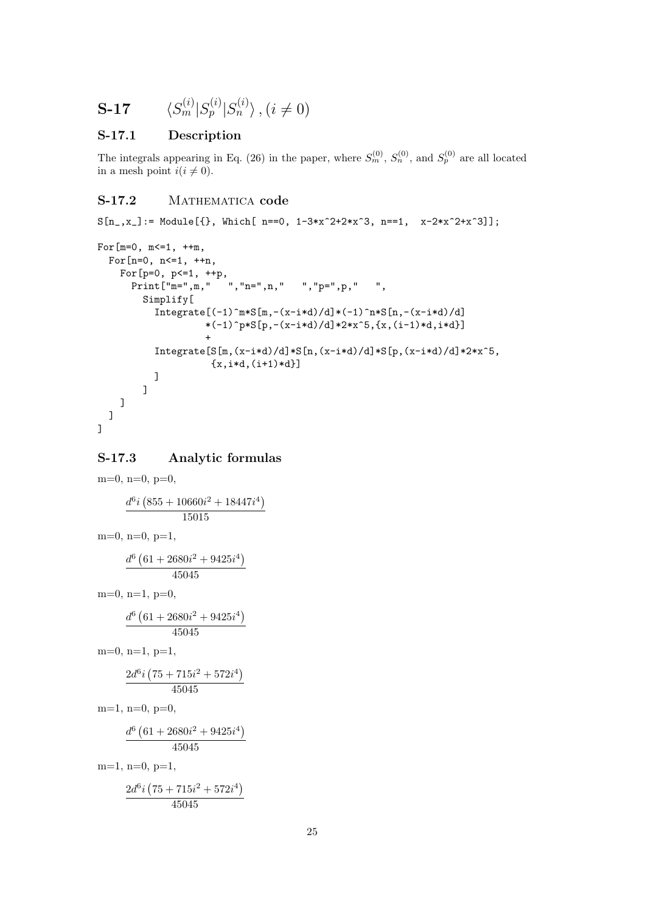$$
\mathbf{S}\text{-}\mathbf{17} \qquad \langle S_m^{(i)} | S_p^{(i)} | S_n^{(i)} \rangle \text{ , } (i \neq 0)
$$

#### S-17.1 Description

The integrals appearing in Eq. (26) in the paper, where  $S_m^{(0)}$ ,  $S_n^{(0)}$ , and  $S_p^{(0)}$  are all located in a mesh point  $i(i \neq 0)$ .

#### S-17.2 MATHEMATICA code

 $S[n_-,x_+] := \text{Module}[\{\}, \text{ Which}[-n=-0, 1-3*x^2+2*x^3, n=-1, x-2*x^2+x^3]\};$ 

```
For[m=0, m<=1, ++m,For[n=0, n<=1, ++n,For [p=0, p<=1, ++p,\begin{array}{ccc} \n\text{Print} \{\text{''m}=\text{''}, \text{m}, \text{''} \quad \text{''}, \text{''n}=\text{''}, \text{n}, \text{''} \quad \text{''}, \text{''p}=\text{''}, \text{p}, \text{''} \quad \text{''}, \n\end{array}Simplify[
                Integrate [(-1)^{m*S[m,-(x-i*d)/d]*(-1)^{n*S[n,-(x-i*d)/d]}*(-1)^p * S[p, -(x-i*d)/d]*2*x^5, {x, (i-1)*d,i*d}]+
                Integrate[S[m,(x-i*d)/d]*S[n,(x-i*d)/d]*S[p,(x-i*d)/d]*2*x^5,
                                 {x, i*d, (i+1)*d}]
             ]
      ]
   ]
]
```
#### S-17.3 Analytic formulas

 $m=0$ ,  $n=0$ ,  $p=0$ ,  $d^6i$ ¡  $855 + 10660i^2 + 18447i^4$ 15015  $m=0$ ,  $n=0$ ,  $p=1$ ,  $d^6$  (  $61 + 2680i^2 + 9425i^4$ 45045  $m=0$ ,  $n=1$ ,  $p=0$ ,  $d^6$  (  $61 + 2680i^2 + 9425i^4$ 45045  $m=0$ ,  $n=1$ ,  $p=1$ ,  $2d^6i$ ¡  $75 + 715i^2 + 572i^4$ 45045  $m=1$ ,  $n=0$ ,  $p=0$ ,  $d^6$  (  $61 + 2680i^2 + 9425i^4$ 45045  $m=1$ ,  $n=0$ ,  $p=1$ ,  $2d^6i$ ¡  $75 + 715i^2 + 572i^4$ 45045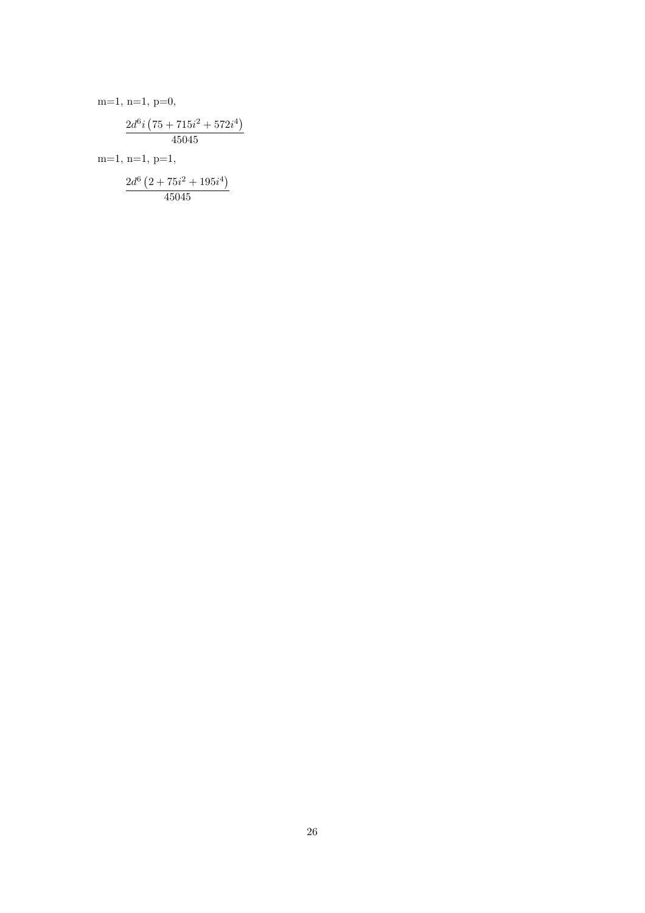m=1, n=1, p=0,  
\n
$$
\frac{2d^6i (75 + 715i^2 + 572i^4)}{45045}
$$
\nm=1, n=1, p=1,  
\n
$$
\frac{2d^6 (2 + 75i^2 + 195i^4)}{45045}
$$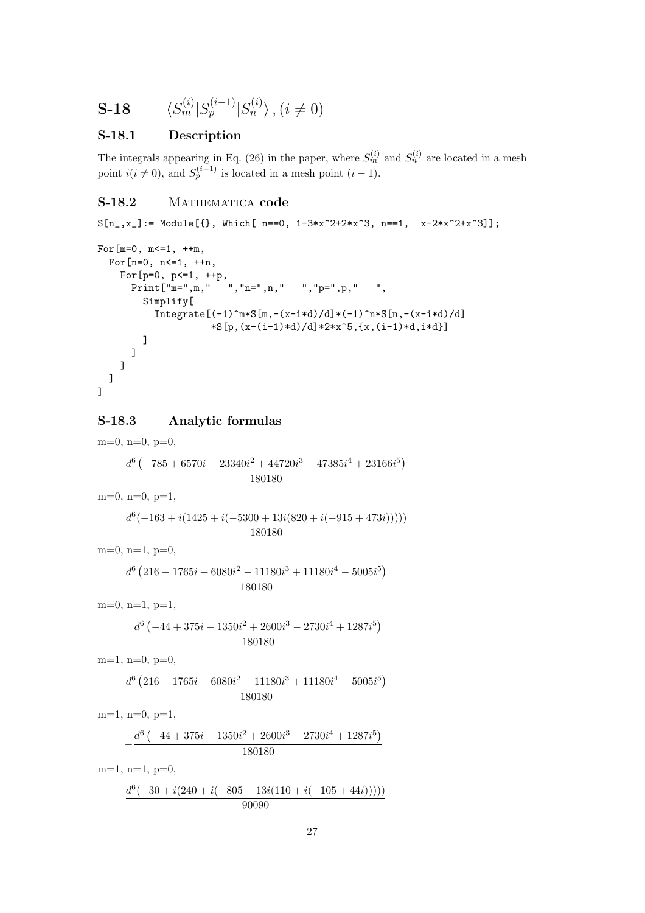$$
\mathbf{S}\text{-}\mathbf{18} \qquad \langle S_m^{(i)} | S_p^{(i-1)} | S_n^{(i)} \rangle \text{ , } (i \neq 0)
$$

#### S-18.1 Description

The integrals appearing in Eq. (26) in the paper, where  $S_m^{(i)}$  and  $S_n^{(i)}$  are located in a mesh point  $i(i \neq 0)$ , and  $S_p^{(i-1)}$  is located in a mesh point  $(i-1)$ .

## S-18.2 MATHEMATICA code

```
S[n_-,x_+] := \text{Module}[\{\}, \text{ Which}[-n=-0, 1-3*x^2+2*x^3, n=-1, x-2*x^2+x^3]\};For [m=0, m <= 1, ++m,
  For[n=0, n<=1, ++n,For[p=0, p<=1, ++p,
      Print["m=",m," ","n=",n," ","p=",p," ",
        Simplify[
```
\n
$$
\text{Integrate} \left[ (-1)^{\nm*} S[n, -(x-i*d)/d] * (-1)^{\nm*} S[n, -(x-i*d)/d] * S[p, (x-(i-1)*d)/d] * 2*x^5, \{x, (i-1)*d, i*d\} \right]
$$
\n

$$
\overline{\mathbf{1}}
$$

] ]

#### S-18.3 Analytic formulas

 $m=0$ ,  $n=0$ ,  $p=0$ ,  $d^6$  (  $-785 + 6570i - 23340i^2 + 44720i^3 - 47385i^4 + 23166i^5$ 180180  $m=0$ ,  $n=0$ ,  $p=1$ ,  $d^6(-163 + i(1425 + i(-5300 + 13i(820 + i(-915 + 473i))))))$ 180180  $m=0$ ,  $n=1$ ,  $p=0$ ,  $d^6$  (  $216 - 1765i + 6080i^2 - 11180i^3 + 11180i^4 - 5005i^5$ 180180  $m=0$ ,  $n=1$ ,  $p=1$ ,  $-\frac{d^6}{ }$  (  $-44 + 375i - 1350i^2 + 2600i^3 - 2730i^4 + 1287i^5$ 180180  $m=1$ ,  $n=0$ ,  $p=0$ ,  $d^6$  (  $216 - 1765i + 6080i^2 - 11180i^3 + 11180i^4 - 5005i^5$ 180180  $m=1$ ,  $n=0$ ,  $p=1$ ,  $-\frac{d^6}{ }$  (  $-44 + 375i - 1350i^2 + 2600i^3 - 2730i^4 + 1287i^5$ 180180  $m=1$ ,  $n=1$ ,  $p=0$ ,  $d^6(-30 + i(240 + i(-805 + 13i(110 + i(-105 + 44i))))))$ 

90090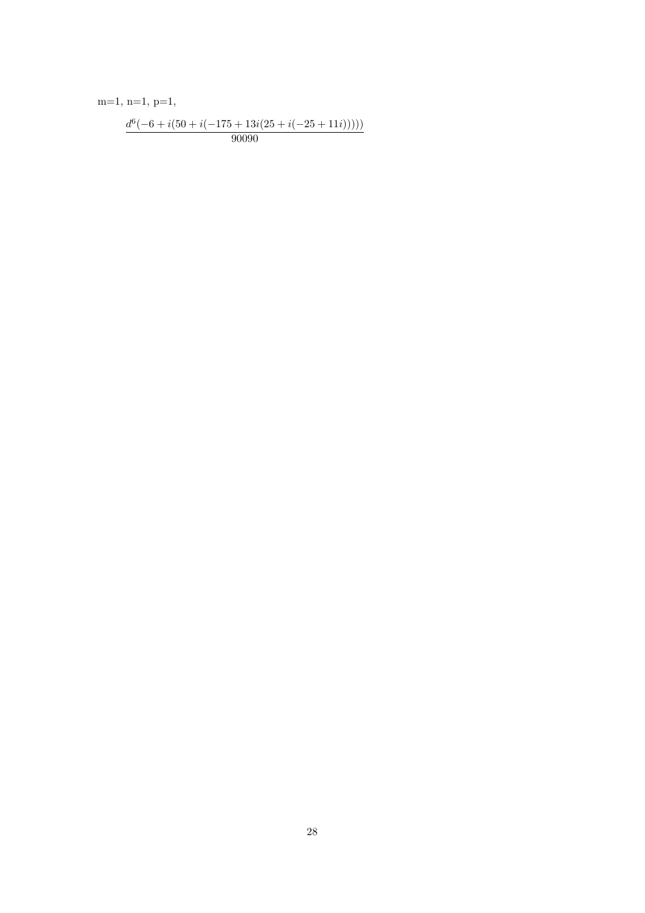$m=1, n=1, p=1,$ 

$$
\frac{d^6(-6+i(50+i(-175+13i(25+i(-25+11i))))}{90090}
$$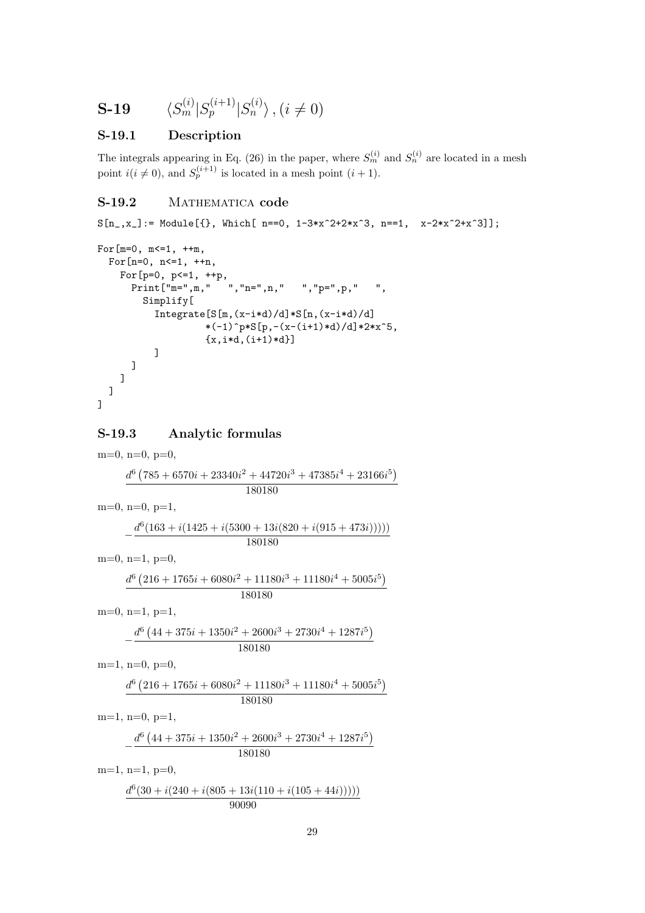$$
\mathbf{S}\text{-}\mathbf{19} \qquad \langle S_m^{(i)} | S_p^{(i+1)} | S_n^{(i)} \rangle \text{ , } (i \neq 0)
$$

#### S-19.1 Description

The integrals appearing in Eq. (26) in the paper, where  $S_m^{(i)}$  and  $S_n^{(i)}$  are located in a mesh point  $i(i \neq 0)$ , and  $S_p^{(i+1)}$  is located in a mesh point  $(i + 1)$ .

# S-19.2 MATHEMATICA code

```
S[n_-,x_+] := \text{Module}[\{\}, \text{ Which}[-n=-0, 1-3*x^2+2*x^3, n=-1, x-2*x^2+x^3]\};
```

```
For[m=0, m<=1, ++m,For[n=0, n<=1, ++n,For [p=0, p<=1, ++p,Print["m=",m," ","n=",n," ","p=",p," ",
        Simplify[
          Integrate[S[m,(x-i*d)/d]*S[n,(x-i*d)/d]
                   *(-1)^{p*S[p,-(x-(i+1)*d)/d]*2*x^5,{x, i*d, (i+1)*d}]
      ]
   ]
  ]
]
```
#### S-19.3 Analytic formulas

 $m=0$ ,  $n=0$ ,  $p=0$ ,  $d^6$  (  $785 + 6570i + 23340i^2 + 44720i^3 + 47385i^4 + 23166i^5$ 180180  $m=0$ ,  $n=0$ ,  $p=1$ ,  $-\frac{d^{6}(163 + i(1425 + i(5300 + 13i(820 + i(915 + 473i)))))}{100100}$ 180180  $m=0$ ,  $n=1$ ,  $p=0$ ,  $d^6$  (  $216 + 1765i + 6080i^2 + 11180i^3 + 11180i^4 + 5005i^5$ 180180  $m=0$ ,  $n=1$ ,  $p=1$ ,  $-\frac{d^6}{ }$  (  $44 + 375i + 1350i^2 + 2600i^3 + 2730i^4 + 1287i^5$ 180180  $m=1$ ,  $n=0$ ,  $p=0$ ,  $d^6$  (  $216 + 1765i + 6080i^2 + 11180i^3 + 11180i^4 + 5005i^5$ 180180  $m=1$ ,  $n=0$ ,  $p=1$ ,  $-\frac{d^6}{ }$  (  $44 + 375i + 1350i^2 + 2600i^3 + 2730i^4 + 1287i^5$ 180180  $m=1$ ,  $n=1$ ,  $p=0$ ,  $d^6(30 + i(240 + i(805 + 13i(110 + i(105 + 44i))))))$ 90090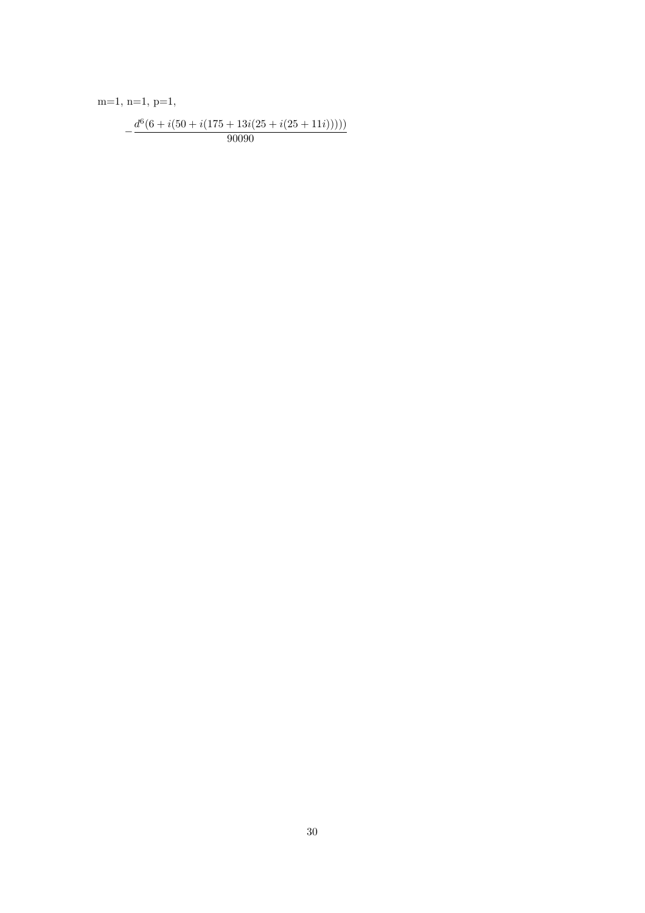$m=1, n=1, p=1,$ 

$$
-\frac{d^6(6+i(50+i(175+13i(25+i(25+11i))))}{90090}
$$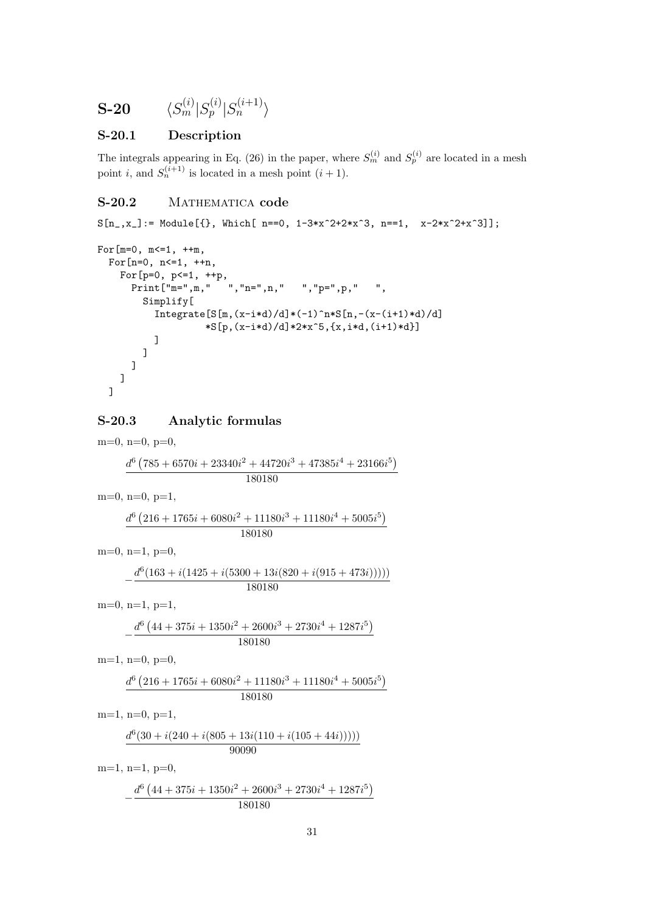$$
\textbf{S-20} \hspace{20pt} \langle S_m^{(i)} | S_p^{(i)} | S_n^{(i+1)} \rangle
$$

#### S-20.1 Description

The integrals appearing in Eq. (26) in the paper, where  $S_m^{(i)}$  and  $S_p^{(i)}$  are located in a mesh point *i*, and  $S_n^{(i+1)}$  is located in a mesh point  $(i + 1)$ .

#### S-20.2 MATHEMATICA code

```
S[n_-,x_+] := \text{Module}[\{\}, \text{ Which}[-n=-0, 1-3*x^2+2*x^3, n=-1, x-2*x^2+x^3]\};For[m=0, m<=1, ++m,For[n=0, n<=1, ++n,For [p=0, p<=1, ++p,Print["m=",m," ","n=",n," ","p=",p," ",
        Simplify[
          Integrate[S[m,(x-i*d)/d)*(-1)^n*S[n,-(x-(i+1)*d)/d]*S[p,(x-i*d)/d]*2*x^5,[x,i*d,(i+1)*d]]]
        ]
      ]
   ]
 ]
```
#### S-20.3 Analytic formulas

 $m=0$ ,  $n=0$ ,  $p=0$ ,  $d^6$  (  $785 + 6570i + 23340i^2 + 44720i^3 + 47385i^4 + 23166i^5$ 180180  $m=0$ ,  $n=0$ ,  $p=1$ ,  $d^6$  (  $216 + 1765i + 6080i^2 + 11180i^3 + 11180i^4 + 5005i^5$ 180180  $m=0$ ,  $n=1$ ,  $p=0$ ,  $-\frac{d^{6}(163 + i(1425 + i(5300 + 13i(820 + i(915 + 473i)))))}{190190}$ 180180 m=0, n=1, p=1,  $-\frac{d^6}{ }$  (  $44 + 375i + 1350i^2 + 2600i^3 + 2730i^4 + 1287i^5$ 180180  $m=1$ ,  $n=0$ ,  $p=0$ ,  $d^6$  (  $216 + 1765i + 6080i^2 + 11180i^3 + 11180i^4 + 5005i^5$ 180180  $m=1$ ,  $n=0$ ,  $p=1$ ,  $d^6(30 + i(240 + i(805 + 13i(110 + i(105 + 44i))))))$ 90090  $m=1$ ,  $n=1$ ,  $p=0$ ,  $-\frac{d^6}{ }$  (  $44 + 375i + 1350i^2 + 2600i^3 + 2730i^4 + 1287i^5$ 180180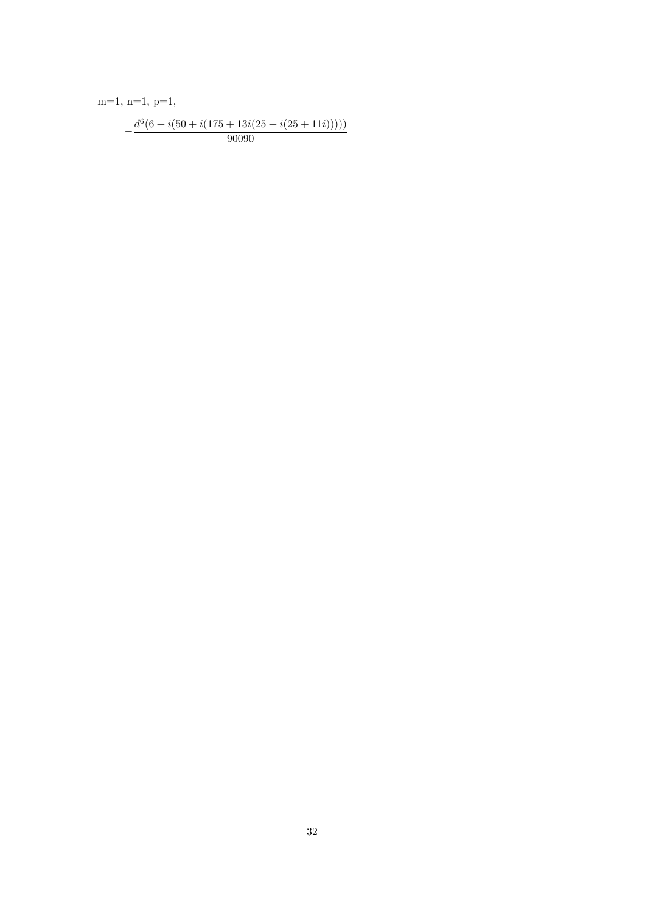$m=1, n=1, p=1,$ 

$$
-\frac{d^6(6+i(50+i(175+13i(25+i(25+11i))))}{90090}
$$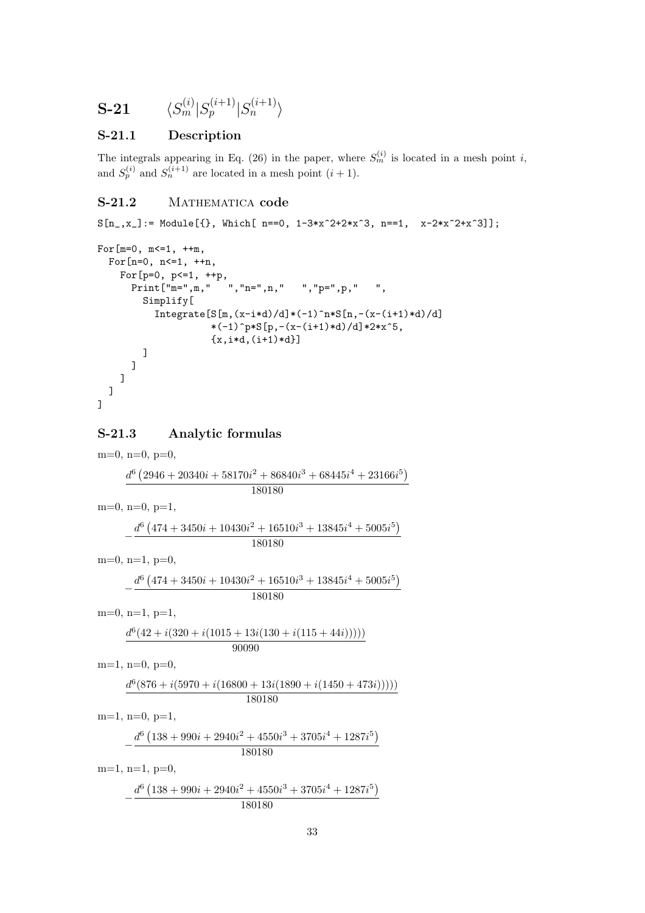$$
\textbf{S-21} \hspace{20pt} \langle S^{(i)}_m \vert S^{(i+1)}_p \vert S^{(i+1)}_n \rangle
$$

#### S-21.1 Description

The integrals appearing in Eq. (26) in the paper, where  $S_m^{(i)}$  is located in a mesh point i, and  $S_p^{(i)}$  and  $S_n^{(i+1)}$  are located in a mesh point  $(i + 1)$ .

## S-21.2 MATHEMATICA code

```
S[n_-,x_+] := \text{Module}[\{\}, \text{ Which}[-n=-0, 1-3*x^2+2*x^3, n=-1, x-2*x^2+x^3]\};
```

```
For[m=0, m<=1, ++m,For[n=0, n<=1, ++n,For [p=0, p<=1, ++p,Print["m=",m," ","n=",n," ","p=",p," ",
       Simplify[
         Integrate[S[m,(x-i*d)/d)*(-1)^n*S[n,-(x-(i+1)*d)/d]*(-1)^{p*S[p,-(x-(i+1)*d)/d]*2*x^5,{x,i*d,(i+1)*d}]]
     ]
   ]
 ]
]
```
#### S-21.3 Analytic formulas

m=0, n=0, p=0,  $d^6$  (  $2946 + 20340i + 58170i^2 + 86840i^3 + 68445i^4 + 23166i^5$ 180180  $m=0$ ,  $n=0$ ,  $p=1$ ,  $-\frac{d^6}{ }$  (  $474 + 3450i + 10430i^2 + 16510i^3 + 13845i^4 + 5005i^5$ 180180  $m=0$ ,  $n=1$ ,  $p=0$ ,  $-\frac{d^6}{ }$  (  $474 + 3450i + 10430i^2 + 16510i^3 + 13845i^4 + 5005i^5$ 180180  $m=0$ ,  $n=1$ ,  $p=1$ ,  $d^6(42 + i(320 + i(1015 + 13i(130 + i(115 + 44i))))))$ 90090  $m=1$ ,  $n=0$ ,  $p=0$ ,  $d^6(876 + i(5970 + i(16800 + 13i(1890 + i(1450 + 473i))))))$ 180180  $m=1$ ,  $n=0$ ,  $p=1$ ,  $-\frac{d^6}{ }$  (  $138 + 990i + 2940i^2 + 4550i^3 + 3705i^4 + 1287i^5$ 180180  $m=1$ ,  $n=1$ ,  $p=0$ ,  $-\frac{d^6}{ }$  (  $138 + 990i + 2940i^2 + 4550i^3 + 3705i^4 + 1287i^5$ 180180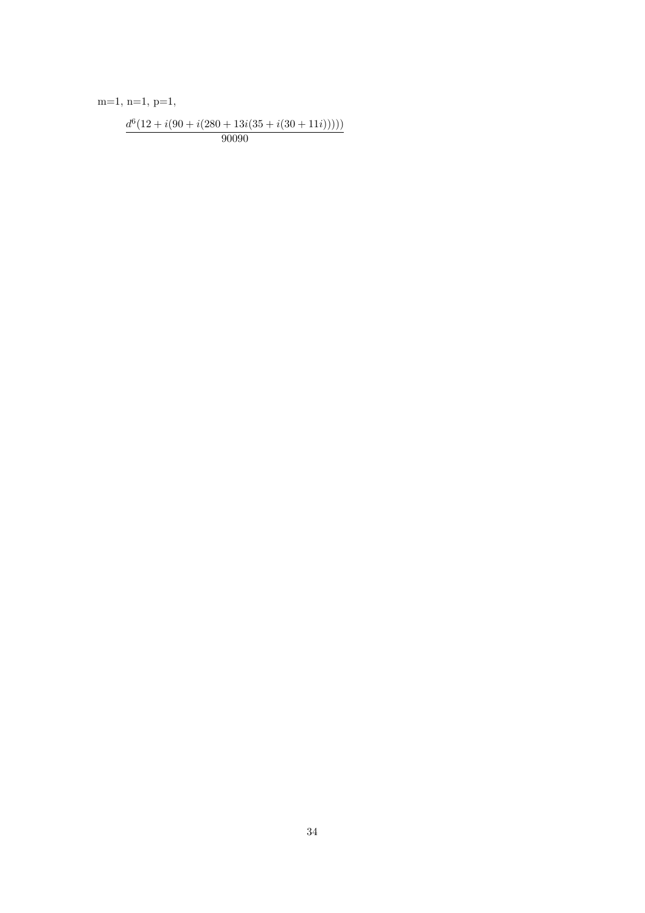$m=1, n=1, p=1,$ 

$$
\frac{d^6(12+i(90+i(280+13i(35+i(30+11i))))}{90090}
$$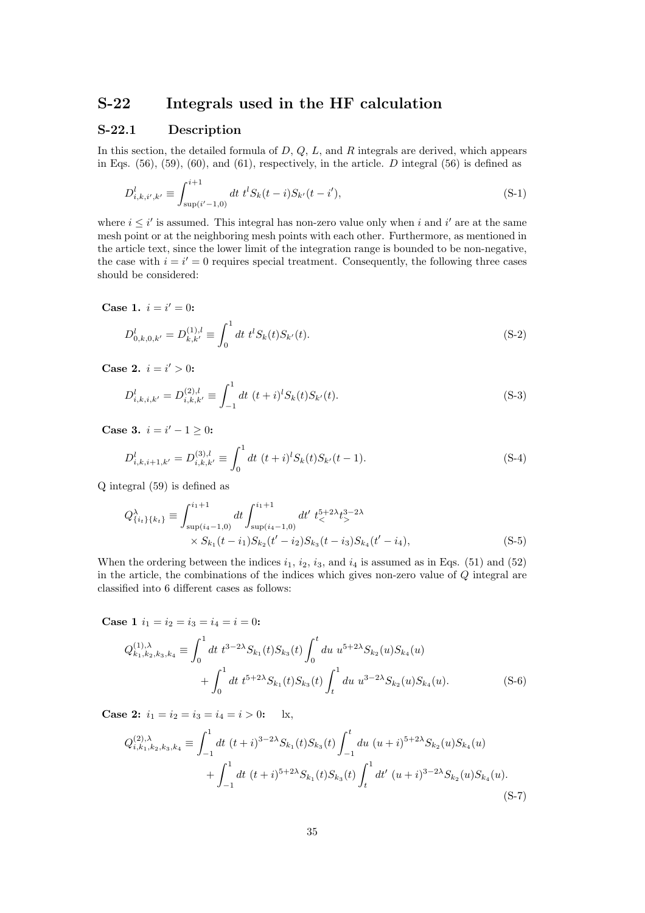# S-22 Integrals used in the HF calculation

#### S-22.1 Description

In this section, the detailed formula of  $D, Q, L$ , and  $R$  integrals are derived, which appears in Eqs.  $(56)$ ,  $(59)$ ,  $(60)$ , and  $(61)$ , respectively, in the article. D integral  $(56)$  is defined as

$$
D_{i,k,i',k'}^l \equiv \int_{\sup(i'-1,0)}^{i+1} dt \ t^l S_k(t-i) S_{k'}(t-i'), \tag{S-1}
$$

where  $i \leq i'$  is assumed. This integral has non-zero value only when i and i' are at the same mesh point or at the neighboring mesh points with each other. Furthermore, as mentioned in the article text, since the lower limit of the integration range is bounded to be non-negative, the case with  $i = i' = 0$  requires special treatment. Consequently, the following three cases should be considered:

Case 1.  $i = i' = 0$ :

$$
D_{0,k,0,k'}^l = D_{k,k'}^{(1),l} \equiv \int_0^1 dt \ t^l S_k(t) S_{k'}(t).
$$
 (S-2)

Case 2.  $i = i' > 0$ :

$$
D_{i,k,i,k'}^l = D_{i,k,k'}^{(2),l} \equiv \int_{-1}^1 dt \ (t+i)^l S_k(t) S_{k'}(t).
$$
 (S-3)

Case 3.  $i = i' - 1 \geq 0$ :

$$
D_{i,k,i+1,k'}^l = D_{i,k,k'}^{(3),l} \equiv \int_0^1 dt \ (t+i)^l S_k(t) S_{k'}(t-1).
$$
 (S-4)

Q integral (59) is defined as

$$
Q_{\{i_t\}\{k_t\}}^{\lambda} \equiv \int_{\sup(i_4-1,0)}^{i_1+1} dt \int_{\sup(i_4-1,0)}^{i_1+1} dt' \ t_{\leq}^{5+2\lambda} t_{\geq}^{3-2\lambda}
$$
  
×  $S_{k_1}(t-i_1) S_{k_2}(t'-i_2) S_{k_3}(t-i_3) S_{k_4}(t'-i_4),$  (S-5)

When the ordering between the indices  $i_1$ ,  $i_2$ ,  $i_3$ , and  $i_4$  is assumed as in Eqs. (51) and (52) in the article, the combinations of the indices which gives non-zero value of Q integral are classified into 6 different cases as follows:

Case 1  $i_1 = i_2 = i_3 = i_4 = i = 0$ :

$$
Q_{k_1,k_2,k_3,k_4}^{(1),\lambda} \equiv \int_0^1 dt \ t^{3-2\lambda} S_{k_1}(t) S_{k_3}(t) \int_0^t du \ u^{5+2\lambda} S_{k_2}(u) S_{k_4}(u) + \int_0^1 dt \ t^{5+2\lambda} S_{k_1}(t) S_{k_3}(t) \int_t^1 du \ u^{3-2\lambda} S_{k_2}(u) S_{k_4}(u).
$$
 (S-6)

**Case 2:**  $i_1 = i_2 = i_3 = i_4 = i > 0$ : lx,

$$
Q_{i,k_1,k_2,k_3,k_4}^{(2),\lambda} \equiv \int_{-1}^1 dt \ (t+i)^{3-2\lambda} S_{k_1}(t) S_{k_3}(t) \int_{-1}^t du \ (u+i)^{5+2\lambda} S_{k_2}(u) S_{k_4}(u) + \int_{-1}^1 dt \ (t+i)^{5+2\lambda} S_{k_1}(t) S_{k_3}(t) \int_t^1 dt' \ (u+i)^{3-2\lambda} S_{k_2}(u) S_{k_4}(u).
$$
\n(S-7)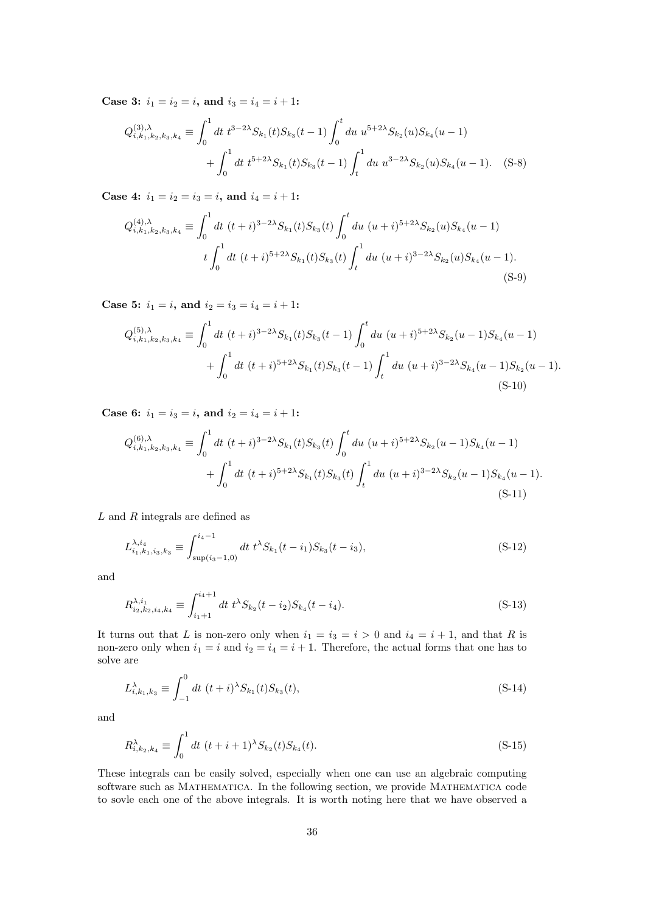Case 3:  $i_1 = i_2 = i$ , and  $i_3 = i_4 = i + 1$ :

$$
Q_{i,k_1,k_2,k_3,k_4}^{(3),\lambda} \equiv \int_0^1 dt \ t^{3-2\lambda} S_{k_1}(t) S_{k_3}(t-1) \int_0^t du \ u^{5+2\lambda} S_{k_2}(u) S_{k_4}(u-1) + \int_0^1 dt \ t^{5+2\lambda} S_{k_1}(t) S_{k_3}(t-1) \int_t^1 du \ u^{3-2\lambda} S_{k_2}(u) S_{k_4}(u-1). \tag{S-8}
$$

Case 4:  $i_1 = i_2 = i_3 = i$ , and  $i_4 = i + 1$ :

$$
Q_{i,k_1,k_2,k_3,k_4}^{(4),\lambda} \equiv \int_0^1 dt \ (t+i)^{3-2\lambda} S_{k_1}(t) S_{k_3}(t) \int_0^t du \ (u+i)^{5+2\lambda} S_{k_2}(u) S_{k_4}(u-1)
$$
  

$$
t \int_0^1 dt \ (t+i)^{5+2\lambda} S_{k_1}(t) S_{k_3}(t) \int_t^1 du \ (u+i)^{3-2\lambda} S_{k_2}(u) S_{k_4}(u-1).
$$
 (S-9)

Case 5:  $i_1 = i$ , and  $i_2 = i_3 = i_4 = i + 1$ :

$$
Q_{i,k_1,k_2,k_3,k_4}^{(5),\lambda} \equiv \int_0^1 dt \ (t+i)^{3-2\lambda} S_{k_1}(t) S_{k_3}(t-1) \int_0^t du \ (u+i)^{5+2\lambda} S_{k_2}(u-1) S_{k_4}(u-1) + \int_0^1 dt \ (t+i)^{5+2\lambda} S_{k_1}(t) S_{k_3}(t-1) \int_t^1 du \ (u+i)^{3-2\lambda} S_{k_4}(u-1) S_{k_2}(u-1).
$$
\n(S-10)

Case 6:  $i_1 = i_3 = i$ , and  $i_2 = i_4 = i + 1$ :

$$
Q_{i,k_1,k_2,k_3,k_4}^{(6),\lambda} \equiv \int_0^1 dt \ (t+i)^{3-2\lambda} S_{k_1}(t) S_{k_3}(t) \int_0^t du \ (u+i)^{5+2\lambda} S_{k_2}(u-1) S_{k_4}(u-1)
$$

$$
+ \int_0^1 dt \ (t+i)^{5+2\lambda} S_{k_1}(t) S_{k_3}(t) \int_t^1 du \ (u+i)^{3-2\lambda} S_{k_2}(u-1) S_{k_4}(u-1).
$$
(S-11)

L and R integrals are defined as

$$
L_{i_1,k_1,i_3,k_3}^{\lambda,i_4} \equiv \int_{\sup(i_3-1,0)}^{i_4-1} dt \ t^{\lambda} S_{k_1}(t-i_1) S_{k_3}(t-i_3), \tag{S-12}
$$

and

$$
R_{i_2,k_2,i_4,k_4}^{\lambda,i_1} \equiv \int_{i_1+1}^{i_4+1} dt \ t^{\lambda} S_{k_2}(t-i_2) S_{k_4}(t-i_4). \tag{S-13}
$$

It turns out that L is non-zero only when  $i_1 = i_3 = i > 0$  and  $i_4 = i + 1$ , and that R is non-zero only when  $i_1 = i$  and  $i_2 = i_4 = i + 1$ . Therefore, the actual forms that one has to solve are

$$
L_{i,k_1,k_3}^{\lambda} \equiv \int_{-1}^{0} dt \ (t+i)^{\lambda} S_{k_1}(t) S_{k_3}(t), \tag{S-14}
$$

and

$$
R_{i,k_2,k_4}^{\lambda} \equiv \int_0^1 dt \ (t+i+1)^{\lambda} S_{k_2}(t) S_{k_4}(t). \tag{S-15}
$$

These integrals can be easily solved, especially when one can use an algebraic computing software such as Mathematica. In the following section, we provide Mathematica code to sovle each one of the above integrals. It is worth noting here that we have observed a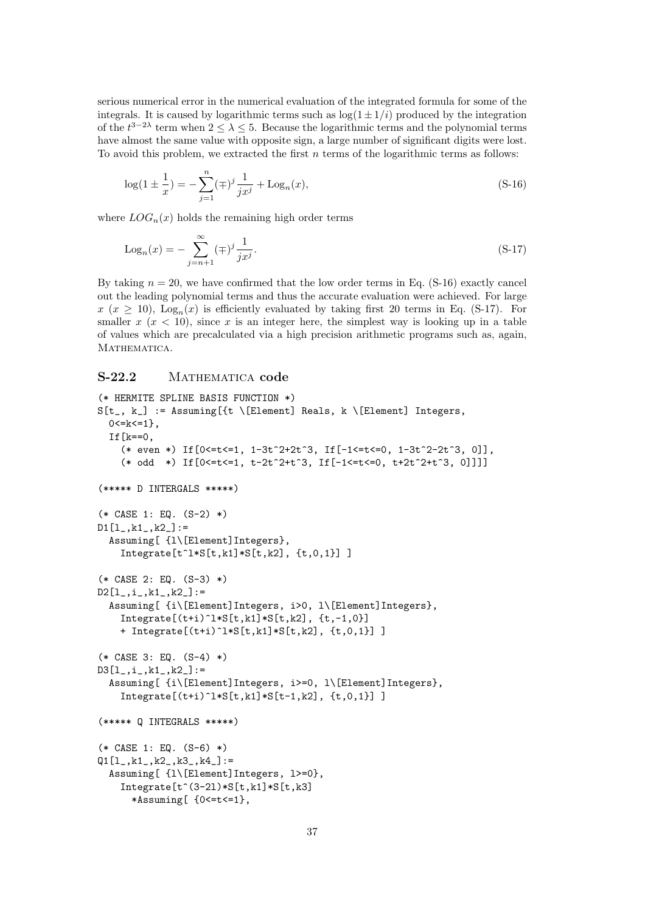serious numerical error in the numerical evaluation of the integrated formula for some of the integrals. It is caused by logarithmic terms such as  $log(1 \pm 1/i)$  produced by the integration of the  $t^{3-2\lambda}$  term when  $2 \leq \lambda \leq 5$ . Because the logarithmic terms and the polynomial terms have almost the same value with opposite sign, a large number of significant digits were lost. To avoid this problem, we extracted the first  $n$  terms of the logarithmic terms as follows:

$$
\log(1 \pm \frac{1}{x}) = -\sum_{j=1}^{n} (\mp)^j \frac{1}{jx^j} + \text{Log}_n(x),\tag{S-16}
$$

where  $LOG_n(x)$  holds the remaining high order terms

$$
Log_n(x) = -\sum_{j=n+1}^{\infty} (\mp)^j \frac{1}{jx^j}.
$$
\n(S-17)

By taking  $n = 20$ , we have confirmed that the low order terms in Eq. (S-16) exactly cancel out the leading polynomial terms and thus the accurate evaluation were achieved. For large  $x (x \ge 10)$ , Log<sub>n</sub> $(x)$  is efficiently evaluated by taking first 20 terms in Eq. (S-17). For smaller  $x (x < 10)$ , since x is an integer here, the simplest way is looking up in a table of values which are precalculated via a high precision arithmetic programs such as, again, MATHEMATICA.

## S-22.2 MATHEMATICA code

```
(* HERMITE SPLINE BASIS FUNCTION *)
S[t_, k_] := Assuming[{t \[Element] Reals, k \[Element] Integers,
  0 < = k < = 1,
  If [k == 0,(* even *) If [0 <= t <= 1, 1-3t^2+2t^3, \text{ If } [-1 <= t <= 0, 1-3t^2-2t^3, 0]],(* odd *) If[0<=t<=1, t-2t^2+t^3, If[-1<=t<=0, t+2t^2+t^3, 0]]]]
(***** D INTERGALS *****)
(* CASE 1: EQ. (S-2) *)
D1[1_, k1_, k2_]:=
  Assuming[ {l\[Element]Integers},
    Integrate[t^1*S[t, k1]*S[t, k2], \{t,0,1\}](* CASE 2: EQ. (S-3) *)
D2[1_{}, i_{}, k1_{}, k2_{}]:=
  Assuming[ {i\[Element]Integers, i>0, l\[Element]Integers},
    Integrate[(t+i)^1*S[t,k1]*S[t,k2], {t,-1,0}]+ Integrate[(t+i)^l*S[t,k1]*S[t,k2], {t,0,1}] ]
(* CASE 3: EQ. (S-4) *)
D3[1_-,i_-,k1_-,k2_]]:=
  Assuming[ {i\[Element]Integers, i>=0, l\[Element]Integers},
    Integrate[(t+i)^1*S[t,k1]*S[t-1,k2], \{t,0,1\}](***** Q INTEGRALS *****)
(* CASE 1: EQ. (S-6) *)
Q1[1_, k1_, k2_, k3_, k4_]:=
  Assuming[ {l\[Element]Integers, l>=0},
    Integrate[t^-(3-21)*S[t,k1]*S[t,k3]*Assuming[ {0<=t<=1},
```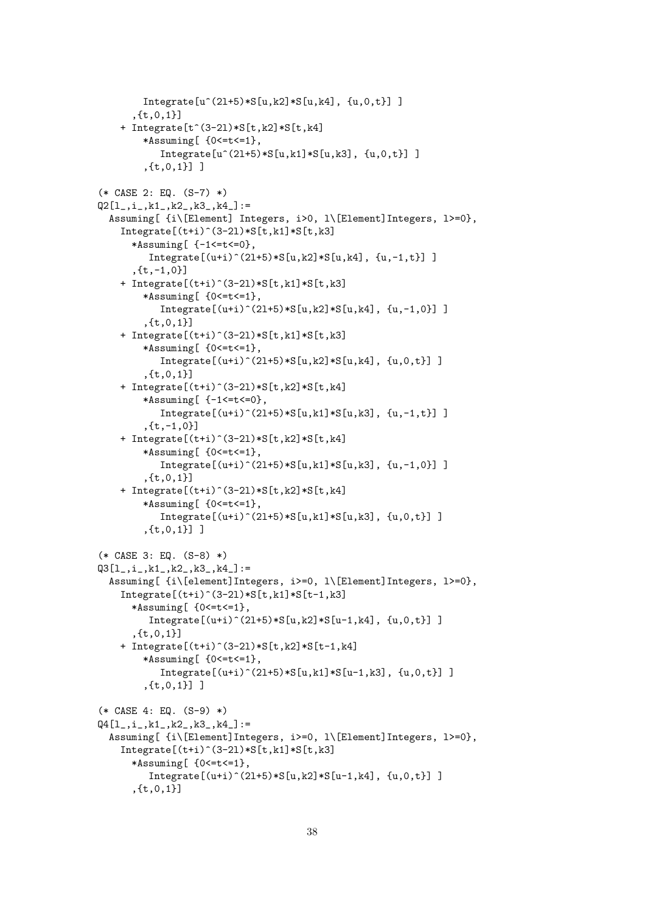```
Integrate[u^{(21+5)*S[u,k2]*S[u,k4], \{u,0,t\}]]
      ,{t,0,1}]
    + Integrate[t^(3-2l)*S[t,k2]*S[t,k4]
        *Assuming[ {0<=t<=1},
           Integrate[u^{(21+5)*S[u,k1]*S[u,k3], \{u,0,t\}]]
        ,{t,0,1}] ]
(* CASE 2: EQ. (S-7) *)
Q2[1_, i_, k1_, k2_, k3_, k4_]: =
  Assuming[ {i\[Element] Integers, i>0, l\[Element]Integers, l>=0},
    Integrate[(t+i)^-(3-21)*S[t,k1]*S[t,k3]*Assuming[ {-1<=t<=0},
         Integrate[(u+i)^(21+5)*S[u,k2]*S[u,k4], \{u,-1,t\}]]
      ,[t,-1,0]+ Integrate[(t+i)^(3-2l)*S[t,k1]*S[t,k3]
        *Assuming[ {0<=t<=1},
           Integrate[(u+i)^(21+5)*S[u,k2]*S[u,k4], \{u,-1,0\}]]
        ,{t,0,1}]
    + Integrate[(t+i)^(3-2l)*S[t,k1]*S[t,k3]
        *Assuming[ {0<=t<=1},
           Integrate[(u+i)^(21+5)*S[u,k2]*S[u,k4], \{u,0,t\}]]
        ,{t,0,1}]
    + Integrate[(t+i)^(3-2l)*S[t,k2]*S[t,k4]
        *Assuming[ {-1<=t<=0},
           Integrate[(u+i)^(2l+5)*S[u,k1]*S[u,k3], \{u,-1,t\}]]
        ,{t,-1,0}]
    + Integrate[(t+i)^(3-2l)*S[t,k2]*S[t,k4]
        *Assuming[ {0<=t<=1},
           Integrate[(u+i)^(2l+5)*S[u,k1]*S[u,k3], \{u,-1,0\}]]
        ,{t,0,1}]
    + Integrate[(t+i)^(3-2l)*S[t,k2]*S[t,k4]
        *Assuming[ {0<=t<=1},
           Integrate[(u+i)^-(21+5)*S[u,k1]*S[u,k3], \{u,0,t\}],{t,0,1}] ]
(* CASE 3: EQ. (S-8) *)
Q3[1_-,i_-,k1_-,k2_-,k3_-,k4_ :=
  Assuming[ {i\[element]Integers, i>=0, l\[Element]Integers, l>=0},
    Integrate[(t+i)^-(3-21)*S[t,k1]*S[t-1,k3]*Assuming[ {0<=t<=1},
         Integrate[(u+i)^-(21+5)*S[u,k2]*S[u-1,k4], \{u,0,t\}],{t,0,1}]
    + Integrate[(t+i)^(3-2l)*S[t,k2]*S[t-1,k4]
        *Assuming[ {0<=t<=1},
           Integrate[(u+i)^-(21+5)*S[u,k1]*S[u-1,k3], \{u,0,t\}],{t,0,1}] ]
(* CASE 4: EQ. (S-9) *)
Q4[1_, i<sub>-</sub>, k1<sub>-</sub>, k2<sub>-</sub>, k3<sub>-</sub>, k4<sub>-</sub>]: =
  Assuming[ {i\[Element]Integers, i>=0, l\[Element]Integers, l>=0},
    Integrate[(t+i)^-(3-21)*S[t,k1]*S[t,k3]*Assuming[ {0<=t<=1},
         Integrate[(u+i)^-(21+5)*S[u,k2]*S[u-1,k4], \{u,0,t\}],{t,0,1}]
```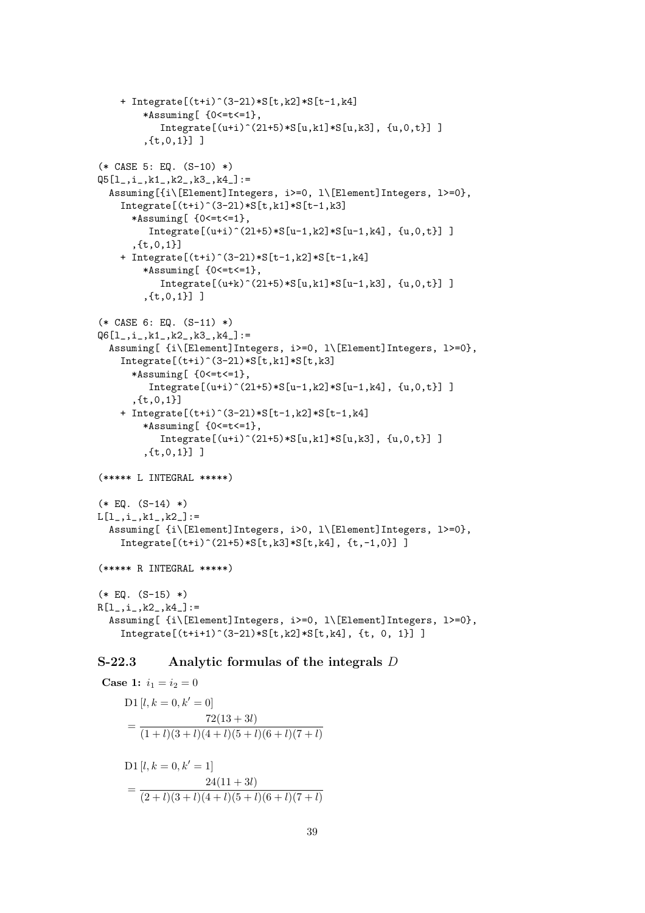```
+ Integrate[(t+i)^(3-2l)*S[t,k2]*S[t-1,k4]
        *Assuming[ {0<=t<=1},
            Integrate[(u+i)^(21+5)*S[u,k1]*S[u,k3], \{u,0,t\}],{t,0,1}] ]
(* CASE 5: EQ. (S-10) *)
Q5[1_, i_, k1_, k2_, k3_, k4_]: =
  Assuming[{i\[Element]Integers, i>=0, l\[Element]Integers, l>=0},
    Integrate[(t+i)^-(3-21)*S[t,k1]*S[t-1,k3]*Assuming[ {0<=t<=1},
         Integrate[(u+i)^-(21+5)*S[u-1,k2]*S[u-1,k4], \{u,0,t\}]]
       ,{t,0,1}]
    + Integrate[(t+i)^(3-2l)*S[t-1,k2]*S[t-1,k4]
        *Assuming[ {0<=t<=1},
            Integrate[(u+k)^(21+5)*S[u,k1]*S[u-1,k3], \{u,0,t\}],{t,0,1}] ]
(* CASE 6: EQ. (S-11) *)
Q6[1_, i<sub>-</sub>, k1<sub>-</sub>, k2<sub>-</sub>, k3<sub>-</sub>, k4<sub>-</sub>]: =
  Assuming[ {i\[Element]Integers, i>=0, l\[Element]Integers, l>=0},
    Integrate[(t+i)^-(3-21)*S[t,k1]*S[t,k3]*Assuming[ {0<=t<=1},
         Integrate[(u+i)^(21+5)*S[u-1,k2]*S[u-1,k4], \{u,0,t\}],{t,0,1}]
    + Integrate[(t+i)^(3-2l)*S[t-1,k2]*S[t-1,k4]
        *Assuming[ {0<=t<=1},
            Integrate[(u+i)^(21+5)*S[u,k1]*S[u,k3], \{u,0,t\}]]
         ,{t,0,1}] ]
(***** L INTEGRAL *****)
(* EQ. (S-14) *)L[1_, i_, k1_, k2_]: =
  Assuming[ {i\[Element]Integers, i>0, l\[Element]Integers, l>=0},
    Integrate[(t+i)^-(21+5)*S[t,k3]*S[t,k4], \{t,-1,0\}]]
(***** R INTEGRAL *****)
(* EQ. (S-15) *)R[1_-,i_-,k2_-,k4_+]:=
  Assuming[ {i\[Element]Integers, i>=0, l\[Element]Integers, l>=0},
    Integrate[(t+i+1)^-(3-21)*S[t,k2]*S[t,k4], \{t, 0, 1\}]
```
## S-22.3 Analytic formulas of the integrals D

```
Case 1: i_1 = i_2 = 0D1 [l, k = 0, k' = 0]= \frac{72(13+3l)}{(1+l)(2+l)(4+l)(5+l)}(1 + l)(3 + l)(4 + l)(5 + l)(6 + l)(7 + l)D1 [l, k = 0, k' = 1]=\frac{24(11+3l)}{(2l+1)(2l+1)(4l+1)(2l+1)}(2 + l)(3 + l)(4 + l)(5 + l)(6 + l)(7 + l)
```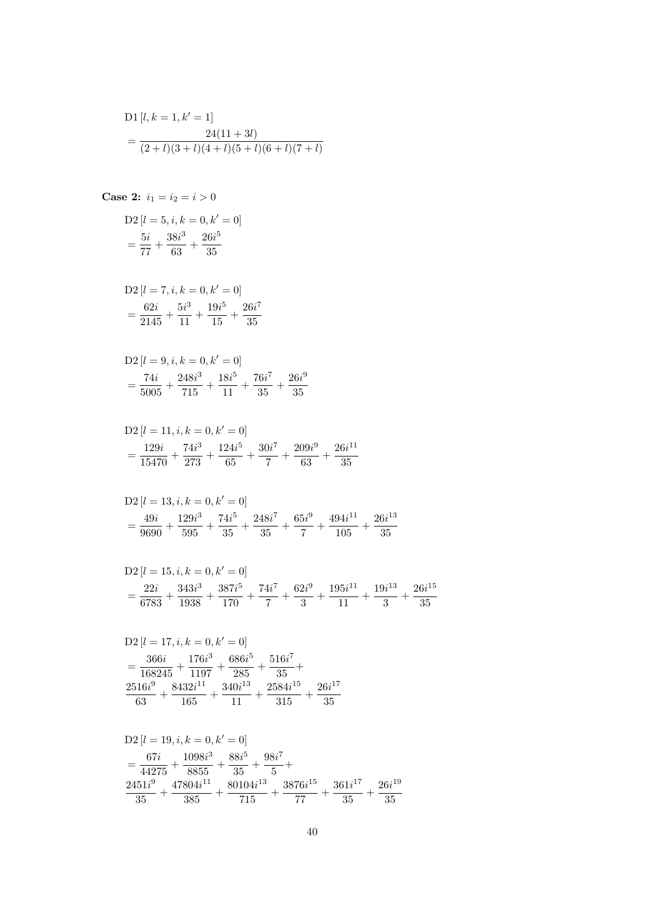D1 [l, k = 1, k' = 1]  
= 
$$
\frac{24(11+3l)}{(2+l)(3+l)(4+l)(5+l)(6+l)(7+l)}
$$

Case 2: 
$$
i_1 = i_2 = i > 0
$$

$$
D2 [l = 5, i, k = 0, k' = 0]
$$
  
=  $\frac{5i}{77} + \frac{38i^3}{63} + \frac{26i^5}{35}$ 

D2 
$$
[l = 7, i, k = 0, k' = 0]
$$
  
=  $\frac{62i}{2145} + \frac{5i^3}{11} + \frac{19i^5}{15} + \frac{26i^7}{35}$ 

D2 
$$
[l = 9, i, k = 0, k' = 0]
$$
  
=  $\frac{74i}{5005} + \frac{248i^3}{715} + \frac{18i^5}{11} + \frac{76i^7}{35} + \frac{26i^9}{35}$ 

$$
D2 [l = 11, i, k = 0, k' = 0]
$$
  
=  $\frac{129i}{15470} + \frac{74i^3}{273} + \frac{124i^5}{65} + \frac{30i^7}{7} + \frac{209i^9}{63} + \frac{26i^{11}}{35}$ 

D2 
$$
[l = 13, i, k = 0, k' = 0]
$$
  
=  $\frac{49i}{9690} + \frac{129i^3}{595} + \frac{74i^5}{35} + \frac{248i^7}{35} + \frac{65i^9}{7} + \frac{494i^{11}}{105} + \frac{26i^{13}}{35}$ 

$$
D2 [l = 15, i, k = 0, k' = 0]
$$
  
=  $\frac{22i}{6783} + \frac{343i^3}{1938} + \frac{387i^5}{170} + \frac{74i^7}{7} + \frac{62i^9}{3} + \frac{195i^{11}}{11} + \frac{19i^{13}}{3} + \frac{26i^{15}}{35}$ 

$$
D2 [l = 17, i, k = 0, k' = 0]
$$
  
= 
$$
\frac{366i}{168245} + \frac{176i^3}{1197} + \frac{686i^5}{285} + \frac{516i^7}{35} +
$$
  

$$
\frac{2516i^9}{63} + \frac{8432i^{11}}{165} + \frac{340i^{13}}{11} + \frac{2584i^{15}}{315} + \frac{26i^{17}}{35}
$$

$$
D2 [l = 19, i, k = 0, k' = 0]
$$
  
=  $\frac{67i}{44275} + \frac{1098i^3}{8855} + \frac{88i^5}{35} + \frac{98i^7}{5} +$   
 $\frac{2451i^9}{35} + \frac{47804i^{11}}{385} + \frac{80104i^{13}}{715} + \frac{3876i^{15}}{77} + \frac{361i^{17}}{35} + \frac{26i^{19}}{35}$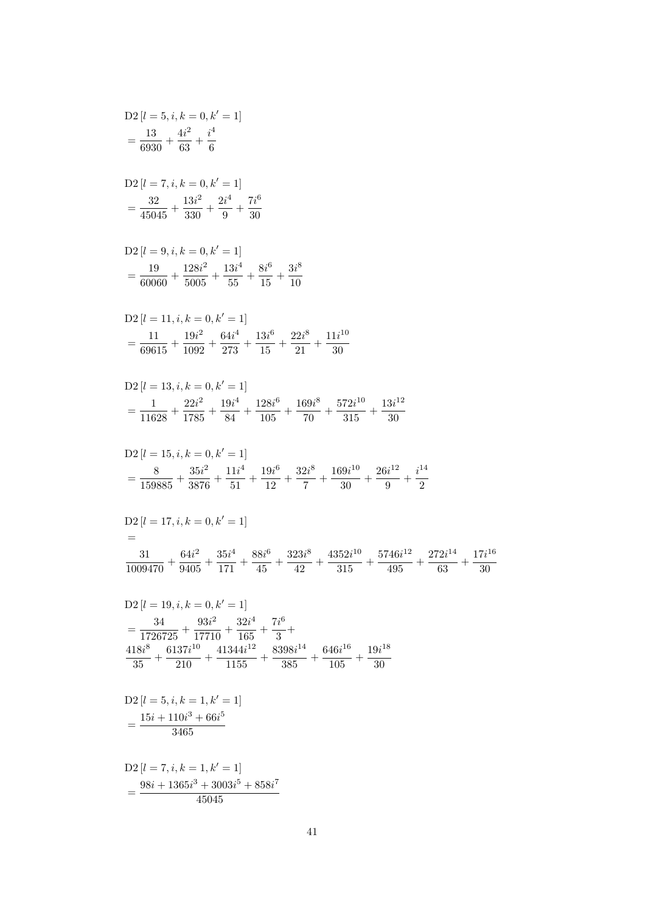$$
D2 [l = 7, i, k = 1, k' = 1]
$$
  
= 
$$
\frac{98i + 1365i^3 + 3003i^5 + 858i^7}{45045}
$$

$$
= \frac{34}{1726725} + \frac{93i^2}{17710} + \frac{32i^4}{165} + \frac{7i^6}{3} +
$$
  
\n
$$
\frac{418i^8}{35} + \frac{6137i^{10}}{210} + \frac{41344i^{12}}{1155} + \frac{8398i^{14}}{385} + \frac{646i^{16}}{105} + \frac{19i^{18}}{30}
$$
  
\nD2  $[l = 5, i, k = 1, k' = 1]$   
\n
$$
= \frac{15i + 110i^3 + 66i^5}{3465}
$$

D2 
$$
[l = 17, i, k = 0, k' = 1]
$$
  
=  

$$
\frac{31}{1009470} + \frac{64i^2}{9405} + \frac{35i^4}{171} + \frac{88i^6}{45} + \frac{323i^8}{42} + \frac{4352i^{10}}{315} + \frac{5746i^{12}}{495} + \frac{272i^{14}}{63} + \frac{17i^{16}}{30}
$$
  
D2  $[l = 19, i, k = 0, k' = 1]$ 

$$
D2 [l = 15, i, k = 0, k' = 1]
$$
  
=  $\frac{8}{159885} + \frac{35i^2}{3876} + \frac{11i^4}{51} + \frac{19i^6}{12} + \frac{32i^8}{7} + \frac{169i^{10}}{30} + \frac{26i^{12}}{9} + \frac{i^{14}}{2}$ 

$$
D2 [l = 13, i, k = 0, k' = 1]
$$
  
=  $\frac{1}{11628} + \frac{22i^2}{1785} + \frac{19i^4}{84} + \frac{128i^6}{105} + \frac{169i^8}{70} + \frac{572i^{10}}{315} + \frac{13i^{12}}{30}$ 

$$
D2 [l = 11, i, k = 0, k' = 1]
$$
  
=  $\frac{11}{69615} + \frac{19i^2}{1092} + \frac{64i^4}{273} + \frac{13i^6}{15} + \frac{22i^8}{21} + \frac{11i^{10}}{30}$ 

D2 
$$
[l = 9, i, k = 0, k' = 1]
$$
  
=  $\frac{19}{60060} + \frac{128i^2}{5005} + \frac{13i^4}{55} + \frac{8i^6}{15} + \frac{3i^8}{10}$ 

$$
D2 [l = 7, i, k = 0, k' = 1]
$$
  
=  $\frac{32}{45045} + \frac{13i^2}{330} + \frac{2i^4}{9} + \frac{7i^6}{30}$ 

D2 
$$
[l = 5, i, k = 0, k' = 1]
$$
  
=  $\frac{13}{6930} + \frac{4i^2}{63} + \frac{i^4}{6}$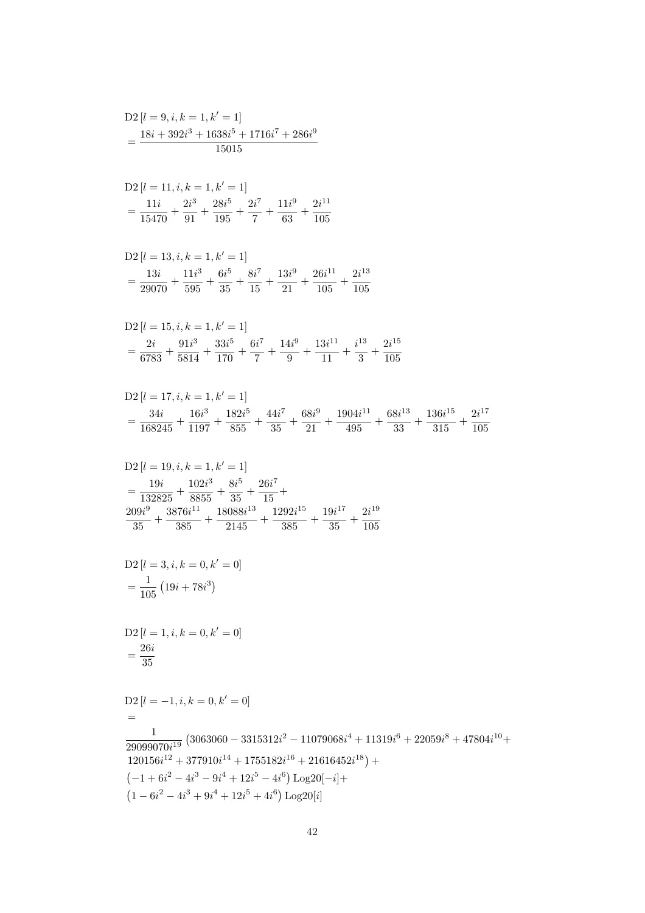$$
= \frac{26i}{35}
$$
  
D2 [l = -1, i, k = 0, k' = 0]  

$$
= \frac{1}{29099070i^{19}} (3063060 - 3315312i^2 - 11079068i^4 + 11319i^6 + 22059i^8 + 47804i^{10} + 120156i^{12} + 377910i^{14} + 1755182i^{16} + 21616452i^{18}) + (-1 + 6i^2 - 4i^3 - 9i^4 + 12i^5 - 4i^6) Log20[-i] + (1 - 6i^2 - 4i^3 + 9i^4 + 12i^5 + 4i^6) Log20[i]
$$

$$
D2[l = 3, i, k = 0, k' = 0]
$$

$$
= \frac{1}{105} (19i + 78i3)
$$

 $D2[l = 1, i, k = 0, k' = 0]$ 

$$
D2 [l = 19, i, k = 1, k' = 1]
$$
  
=  $\frac{19i}{132825} + \frac{102i^3}{8855} + \frac{8i^5}{35} + \frac{26i^7}{15} +$   
 $\frac{209i^9}{35} + \frac{3876i^{11}}{385} + \frac{18088i^{13}}{2145} + \frac{1292i^{15}}{385} + \frac{19i^{17}}{35} + \frac{2i^{19}}{105}$ 

$$
D2\left[l = 17, i, k = 1, k' = 1\right]
$$
  
=  $\frac{34i}{168245} + \frac{16i^3}{1197} + \frac{182i^5}{855} + \frac{44i^7}{35} + \frac{68i^9}{21} + \frac{1904i^{11}}{495} + \frac{68i^{13}}{33} + \frac{136i^{15}}{315} + \frac{2i^{17}}{105}$ 

$$
D2[l = 15, i, k = 1, k' = 1]
$$
  
=  $\frac{2i}{6783} + \frac{91i^3}{5814} + \frac{33i^5}{170} + \frac{6i^7}{7} + \frac{14i^9}{9} + \frac{13i^{11}}{11} + \frac{i^{13}}{3} + \frac{2i^{15}}{105}$ 

D2 
$$
[l = 13, i, k = 1, k' = 1]
$$
  
=  $\frac{13i}{29070} + \frac{11i^3}{595} + \frac{6i^5}{35} + \frac{8i^7}{15} + \frac{13i^9}{21} + \frac{26i^{11}}{105} + \frac{2i^{13}}{105}$ 

D2 [
$$
l = 11, i, k = 1, k' = 1
$$
]  
=  $\frac{11i}{15470} + \frac{2i^3}{91} + \frac{28i^5}{195} + \frac{2i^7}{7} + \frac{11i^9}{63} + \frac{2i^{11}}{105}$ 

$$
D2 [l = 9, i, k = 1, k' = 1]
$$
  
= 
$$
\frac{18i + 392i^3 + 1638i^5 + 1716i^7 + 286i^9}{15015}
$$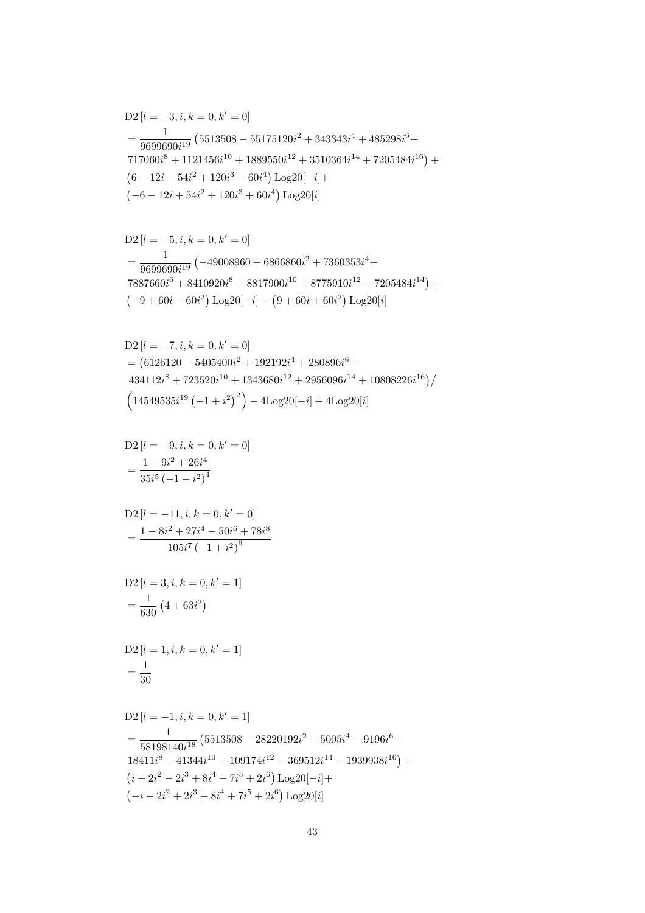$$
D2 [l = -1, i, k = 0, k' = 1]
$$
  
=  $\frac{1}{58198140i^{18}}$  (5513508 – 28220192i<sup>2</sup> – 5005i<sup>4</sup> – 9196i<sup>6</sup> –  
18411i<sup>8</sup> – 41344i<sup>10</sup> – 109174i<sup>12</sup> – 369512i<sup>14</sup> – 1939938i<sup>16</sup>) +  
(i – 2i<sup>2</sup> – 2i<sup>3</sup> + 8i<sup>4</sup> – 7i<sup>5</sup> + 2i<sup>6</sup>) Log20[-i]+  
(-i – 2i<sup>2</sup> + 2i<sup>3</sup> + 8i<sup>4</sup> + 7i<sup>5</sup> + 2i<sup>6</sup>) Log20[i]

$$
D2[l = 1, i, k = 0, k' = 1]
$$
  
=  $\frac{1}{30}$ 

D2 
$$
[l = 3, i, k = 0, k' = 1]
$$
  
=  $\frac{1}{630} (4 + 63i^2)$ 

$$
D2 [l = -11, i, k = 0, k' = 0]
$$
  
= 
$$
\frac{1 - 8i^2 + 27i^4 - 50i^6 + 78i^8}{105i^7 (-1 + i^2)^6}
$$

D2 
$$
[l = -9, i, k = 0, k' = 0]
$$
  
=  $\frac{1 - 9i^2 + 26i^4}{35i^5 (-1 + i^2)^4}$ 

D2 [
$$
l = -7, i, k = 0, k' = 0
$$
]  
\n= (6126120 - 5405400 $i^2$  + 192192 $i^4$  + 280896 $i^6$ +  
\n434112 $i^8$  + 723520 $i^{10}$  + 1343680 $i^{12}$  + 2956096 $i^{14}$  + 10808226 $i^{16}$ )/  
\n $(14549535i^{19} (-1 + i^2)^2)$  - 4Log20[- $i$ ] + 4Log20[ $i$ ]

$$
D2 [l = -5, i, k = 0, k' = 0]
$$
  
= 
$$
\frac{1}{9699690i^{19}} (-49008960 + 6866860i^{2} + 7360353i^{4} + 7887660i^{6} + 8410920i^{8} + 8817900i^{10} + 8775910i^{12} + 7205484i^{14}) + (-9 + 60i - 60i^{2}) Log20[-i] + (9 + 60i + 60i^{2}) Log20[i] + (-1)^{2} + (-1)^{2} Log200i^{2}]
$$

D2 [
$$
l = -3, i, k = 0, k' = 0
$$
]  
\n
$$
= \frac{1}{9699690i^{19}} (5513508 - 55175120i^{2} + 343343i^{4} + 485298i^{6} + 717060i^{8} + 1121456i^{10} + 1889550i^{12} + 3510364i^{14} + 7205484i^{16}) +
$$
\n
$$
(6 - 12i - 54i^{2} + 120i^{3} - 60i^{4}) Log20[-i] +
$$
\n
$$
(-6 - 12i + 54i^{2} + 120i^{3} + 60i^{4}) Log20[i]
$$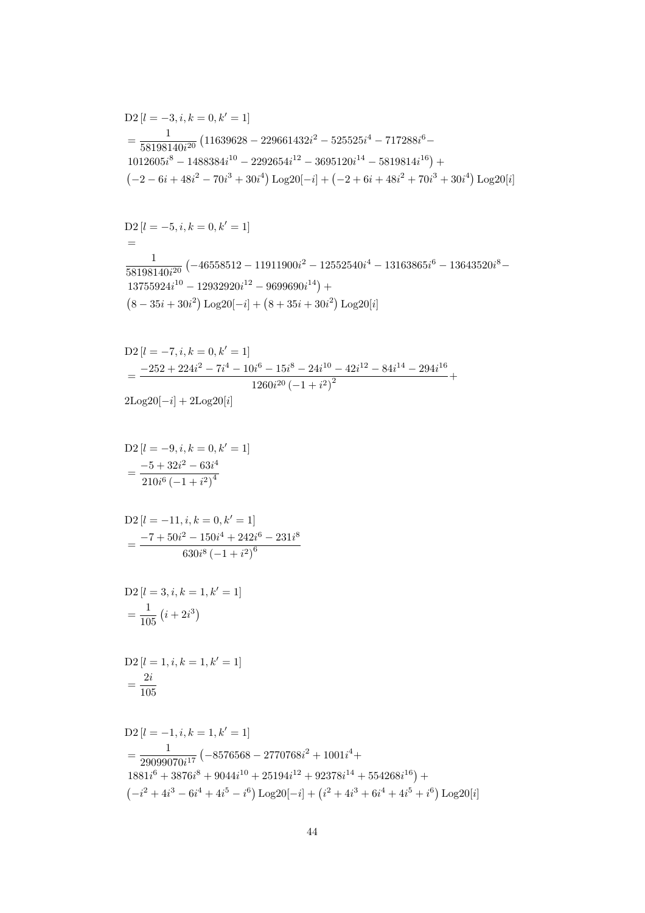$$
D2 [l = -1, i, k = 1, k' = 1]
$$
  
= 
$$
\frac{1}{29099070i^{17}} (-8576568 - 2770768i^2 + 1001i^4 +
$$
  

$$
1881i^6 + 3876i^8 + 9044i^{10} + 25194i^{12} + 92378i^{14} + 554268i^{16}) +
$$
  

$$
(-i^2 + 4i^3 - 6i^4 + 4i^5 - i^6) \text{Log }20[-i] + (i^2 + 4i^3 + 6i^4 + 4i^5 + i^6) \text{Log }20[i]
$$

D2 [
$$
l = 1, i, k = 1, k' = 1
$$
]  
=  $\frac{2i}{105}$ 

D2 
$$
[l = 3, i, k = 1, k' = 1]
$$
  
=  $\frac{1}{105} (i + 2i^3)$ 

D2 
$$
[l = -11, i, k = 0, k' = 1]
$$
  
= 
$$
\frac{-7 + 50i^2 - 150i^4 + 242i^6 - 231i^8}{630i^8 (-1 + i^2)^6}
$$

$$
D2 [l = -9, i, k = 0, k' = 1]
$$
  
= 
$$
\frac{-5 + 32i^2 - 63i^4}{210i^6 (-1 + i^2)^4}
$$

$$
2\mathrm{Log}20[-i]+2\mathrm{Log}20[i]
$$

D2 
$$
[l = -7, i, k = 0, k' = 1]
$$
  
= 
$$
\frac{-252 + 224i^2 - 7i^4 - 10i^6 - 15i^8 - 24i^{10} - 42i^{12} - 84i^{14} - 294i^{16}}{1260i^{20} (-1 + i^2)^2} +
$$

$$
D2 [l = -5, i, k = 0, k' = 1]
$$
  
=  

$$
\frac{1}{58198140i^{20}} (-46558512 - 11911900i^{2} - 12552540i^{4} - 13163865i^{6} - 13643520i^{8} - 13755924i^{10} - 12932920i^{12} - 9699690i^{14}) +
$$
  

$$
(8 - 35i + 30i^{2}) Log20[-i] + (8 + 35i + 30i^{2}) Log20[i]
$$

$$
D2 [l = -3, i, k = 0, k' = 1]
$$
  
=  $\frac{1}{58198140i^{20}}$  (11639628 - 229661432i<sup>2</sup> - 525525i<sup>4</sup> - 717288i<sup>6</sup> -  
1012605i<sup>8</sup> - 1488384i<sup>10</sup> - 2292654i<sup>12</sup> - 3695120i<sup>14</sup> - 5819814i<sup>16</sup>) +  
(-2 - 6i + 48i<sup>2</sup> - 70i<sup>3</sup> + 30i<sup>4</sup>) Log20[-i] + (-2 + 6i + 48i<sup>2</sup> + 70i<sup>3</sup> + 30i<sup>4</sup>) Log20[i]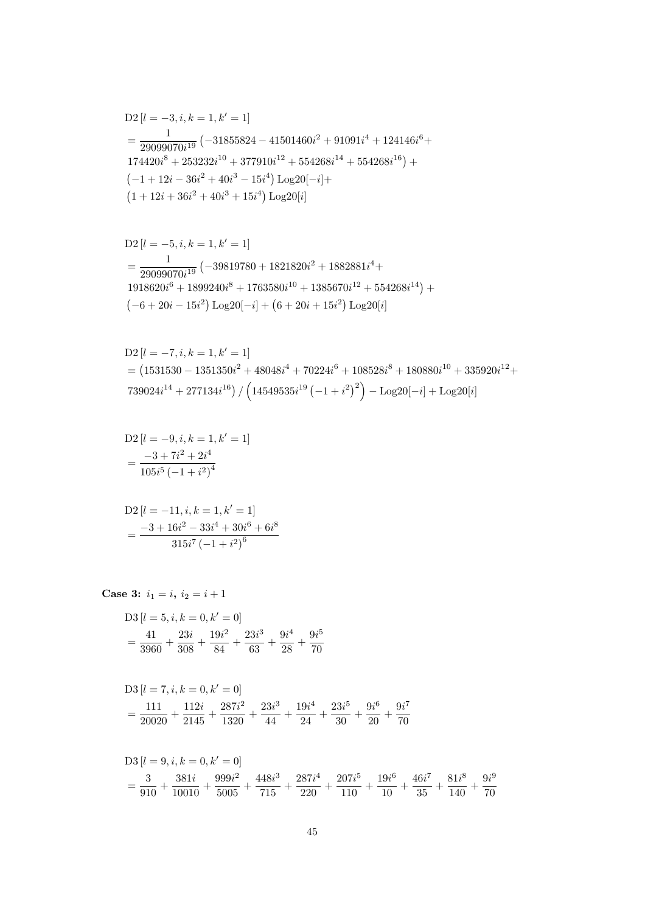$$
D3 [l = 7, i, k = 0, k' = 0]
$$
  
=  $\frac{111}{20020} + \frac{112i}{2145} + \frac{287i^2}{1320} + \frac{23i^3}{44} + \frac{19i^4}{24} + \frac{23i^5}{30} + \frac{9i^6}{20} + \frac{9i^7}{70}$ 

$$
D3 [l = 5, i, k = 0, k' = 0]
$$
  
=  $\frac{41}{3960} + \frac{23i}{308} + \frac{19i^2}{84} + \frac{23i^3}{63} + \frac{9i^4}{28} + \frac{9i^5}{70}$ 

Case 3: 
$$
i_1 = i
$$
,  $i_2 = i + 1$ 

$$
D2 [l = -11, i, k = 1, k' = 1]
$$
  
= 
$$
\frac{-3 + 16i^{2} - 33i^{4} + 30i^{6} + 6i^{8}}{315i^{7} (-1 + i^{2})^{6}}
$$

D2 
$$
[l = -9, i, k = 1, k' = 1]
$$
  
= 
$$
\frac{-3 + 7i^2 + 2i^4}{105i^5(-1 + i^2)^4}
$$

$$
D2 [l = -7, i, k = 1, k' = 1]
$$
  
= (1531530 - 1351350i<sup>2</sup> + 48048i<sup>4</sup> + 70224i<sup>6</sup> + 108528i<sup>8</sup> + 180880i<sup>10</sup> + 335920i<sup>12</sup> + 739024i<sup>14</sup> + 277134i<sup>16</sup>) / (14549535i<sup>19</sup> (-1 + i<sup>2</sup>)<sup>2</sup>) - Log20[-i] + Log20[i]

$$
D2 [l = -5, i, k = 1, k' = 1]
$$
  
= 
$$
\frac{1}{29099070i^{19}} (-39819780 + 1821820i^{2} + 1882881i^{4} + 1918620i^{6} + 1899240i^{8} + 1763580i^{10} + 1385670i^{12} + 554268i^{14}) + (-6 + 20i - 15i^{2}) Log20[-i] + (6 + 20i + 15i^{2}) Log20[i]
$$

$$
D2 [l = -3, i, k = 1, k' = 1]
$$
  
= 
$$
\frac{1}{29099070i^{19}} (-31855824 - 41501460i^2 + 91091i^4 + 124146i^6 +
$$
  
174420i<sup>8</sup> + 253232i<sup>10</sup> + 377910i<sup>12</sup> + 554268i<sup>14</sup> + 554268i<sup>16</sup>) +  
(-1 + 12i - 36i<sup>2</sup> + 40i<sup>3</sup> - 15i<sup>4</sup>) Log20[-i]+  
(1 + 12i + 36i<sup>2</sup> + 40i<sup>3</sup> + 15i<sup>4</sup>) Log20[i]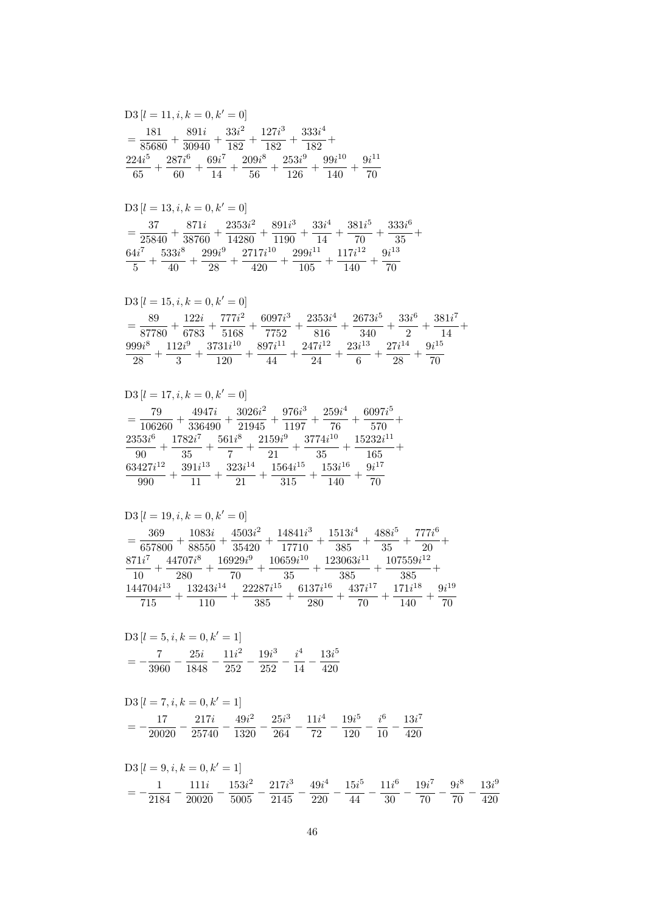$$
D3 [l = 7, i, k = 0, k' = 1]
$$
  
=  $-\frac{17}{20020} - \frac{217i}{25740} - \frac{49i^2}{1320} - \frac{25i^3}{264} - \frac{11i^4}{72} - \frac{19i^5}{120} - \frac{i^6}{10} - \frac{13i^7}{420}$ 

$$
D3 [l = 5, i, k = 0, k' = 1]
$$
  
=  $-\frac{7}{3960} - \frac{25i}{1848} - \frac{11i^2}{252} - \frac{19i^3}{252} - \frac{i^4}{14} - \frac{13i^5}{420}$ 

$$
D3 \left[l = 19, i, k = 0, k' = 0\right] \n= \frac{369}{657800} + \frac{1083i}{88550} + \frac{4503i^2}{35420} + \frac{14841i^3}{17710} + \frac{1513i^4}{385} + \frac{488i^5}{35} + \frac{777i^6}{20} + \frac{871i^7}{10} + \frac{44707i^8}{280} + \frac{16929i^9}{70} + \frac{10659i^{10}}{35} + \frac{123063i^{11}}{385} + \frac{107559i^{12}}{385} + \frac{144704i^{13}}{715} + \frac{13243i^{14}}{110} + \frac{22287i^{15}}{385} + \frac{6137i^{16}}{280} + \frac{437i^{17}}{70} + \frac{171i^{18}}{140} + \frac{9i^{19}}{70}
$$

$$
\begin{aligned} \textrm{D3}\left[l=17,i,k=0,k'=0\right] \\ & = \frac{79}{106260}+\frac{4947i}{336490}+\frac{3026i^2}{21945}+\frac{976i^3}{1197}+\frac{259i^4}{76}+\frac{6097i^5}{570}+\\ \frac{2353i^6}{90}+\frac{1782i^7}{35}+\frac{561i^8}{7}+\frac{2159i^9}{21}+\frac{3774i^{10}}{35}+\frac{15232i^{11}}{165}+\\ \frac{63427i^{12}}{990}+\frac{391i^{13}}{11}+\frac{323i^{14}}{21}+\frac{1564i^{15}}{315}+\frac{153i^{16}}{140}+\frac{9i^{17}}{70} \end{aligned}
$$

$$
\begin{aligned} &\text{D3}\left[l=15,i,k=0,k'=0\right] \\ &=\frac{89}{87780}+\frac{122i}{6783}+\frac{777i^2}{5168}+\frac{6097i^3}{7752}+\frac{2353i^4}{816}+\frac{2673i^5}{340}+\frac{33i^6}{2}+\frac{381i^7}{14}+\\ &\frac{999i^8}{28}+\frac{112i^9}{3}+\frac{3731i^{10}}{120}+\frac{897i^{11}}{44}+\frac{247i^{12}}{24}+\frac{23i^{13}}{6}+\frac{27i^{14}}{28}+\frac{9i^{15}}{70} \end{aligned}
$$

$$
D3 [l = 13, i, k = 0, k' = 0]
$$
\n
$$
= \frac{37}{25840} + \frac{871i}{38760} + \frac{2353i^2}{14280} + \frac{891i^3}{1190} + \frac{33i^4}{14} + \frac{381i^5}{70} + \frac{333i^6}{35} + \frac{64i^7}{5} + \frac{533i^8}{40} + \frac{299i^9}{28} + \frac{2717i^{10}}{420} + \frac{299i^{11}}{105} + \frac{117i^{12}}{140} + \frac{9i^{13}}{70}
$$

$$
D3 [l = 11, i, k = 0, k' = 0]
$$
  
=  $\frac{181}{85680} + \frac{891i}{30940} + \frac{33i^2}{182} + \frac{127i^3}{182} + \frac{333i^4}{182} +$   
 $\frac{224i^5}{65} + \frac{287i^6}{60} + \frac{69i^7}{14} + \frac{209i^8}{56} + \frac{253i^9}{126} + \frac{99i^{10}}{140} + \frac{9i^{11}}{70}$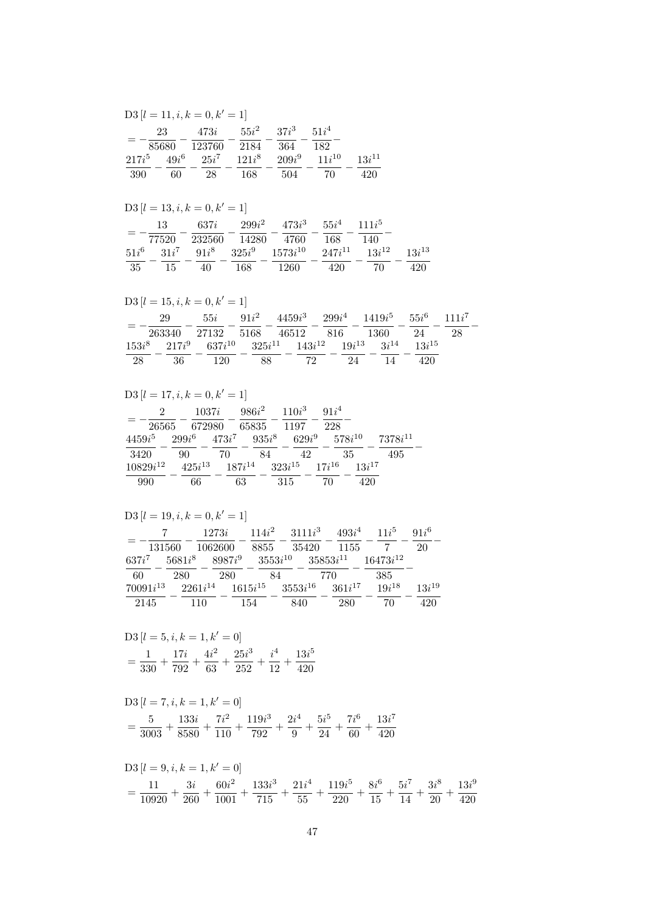$$
D3 [l = 9, i, k = 1, k' = 0]
$$
  
=  $\frac{11}{10920} + \frac{3i}{260} + \frac{60i^2}{1001} + \frac{133i^3}{715} + \frac{21i^4}{55} + \frac{119i^5}{220} + \frac{8i^6}{15} + \frac{5i^7}{14} + \frac{3i^8}{20} + \frac{13i^9}{420}$ 

$$
D3 [l = 7, i, k = 1, k' = 0]
$$
  
=  $\frac{5}{3003} + \frac{133i}{8580} + \frac{7i^2}{110} + \frac{119i^3}{792} + \frac{2i^4}{9} + \frac{5i^5}{24} + \frac{7i^6}{60} + \frac{13i^7}{420}$ 

$$
D3 [l = 5, i, k = 1, k' = 0]
$$
  
=  $\frac{1}{330} + \frac{17i}{792} + \frac{4i^2}{63} + \frac{25i^3}{252} + \frac{i^4}{12} + \frac{13i^5}{420}$ 

|               |        | $D3[l = 19, i, k = 0, k' = 1]$ |                            |              |             |               |            |
|---------------|--------|--------------------------------|----------------------------|--------------|-------------|---------------|------------|
|               |        | 1273i                          | $114i^2$                   | $3111i^3$    | $493i^4$    | $11i^5$       | $91i^6$    |
|               | 131560 | 1062600                        | 8855                       | 35420        | - 1155      |               | 20         |
| $637i^7$      |        | $5681i^8$ $8987i^9$            | $3553i^{10}$ $35853i^{11}$ |              |             | $16473i^{12}$ |            |
| 60            | 280    | 280                            | 84                         | 770          |             | 385           |            |
| $70091i^{13}$ |        | $2261i^{14}$                   | $1615i^{15}$               | $3553i^{16}$ | $361i^{17}$ | $19i^{18}$    | $13i^{19}$ |
| 2145          |        | 110                            | 154                        | 840          | 280         | 70            | 420        |

| $D3[l = 17, i, k = 0, k' = 1]$ |                    |             |                   |                        |                    |              |
|--------------------------------|--------------------|-------------|-------------------|------------------------|--------------------|--------------|
| 2                              | 1037i              |             | $986i^2$          | $110i^3$               | $91i^4$            |              |
| 26565<br>$4459i^5$             | 672980<br>$299i^6$ | $473i^7$    | 65835<br>$935i^8$ | 1197<br>$629i^9$       | 228<br>$578i^{10}$ | $7378i^{11}$ |
| 3420                           | 90                 | 70          | 84                | 42                     | -35                | 495          |
| $10829i^{12}$                  | $425i^{13}$        | $187i^{14}$ |                   | $323i^{15}$ $17i^{16}$ | $13i^{17}$         |              |
| 990                            | 66                 | 63          |                   | 315                    | 420<br>70          |              |

$$
D3 [l = 15, i, k = 0, k' = 1]
$$
\n
$$
= -\frac{29}{263340} - \frac{55i}{27132} - \frac{91i^2}{5168} - \frac{4459i^3}{46512} - \frac{299i^4}{816} - \frac{1419i^5}{1360} - \frac{55i^6}{24} - \frac{111i^7}{28} - \frac{153i^8}{28} - \frac{217i^9}{36} - \frac{637i^{10}}{120} - \frac{325i^{11}}{88} - \frac{143i^{12}}{72} - \frac{19i^{13}}{24} - \frac{3i^{14}}{14} - \frac{13i^{15}}{420}
$$

| $D3 [l = 13, i, k = 0, k' = 1]$ |    |      |          |  |                                                                                 |       |     |  |  |
|---------------------------------|----|------|----------|--|---------------------------------------------------------------------------------|-------|-----|--|--|
|                                 |    |      |          |  | 13 637 <i>i</i> $299i^2$ $473i^3$ $55i^4$ $111i^5$                              |       |     |  |  |
|                                 |    |      |          |  | 77520 232560 14280 4760 168                                                     | - 140 |     |  |  |
|                                 |    |      |          |  | $51i^6$ $31i^7$ $91i^8$ $325i^9$ $1573i^{10}$ $247i^{11}$ $13i^{12}$ $13i^{13}$ |       |     |  |  |
| 35                              | 15 | - 40 | 168 1260 |  | 420                                                                             | - 70  | 420 |  |  |

| $D3[l = 11, i, k = 0, k' = 1]$   |                        |                 |                 |                  |                   |  |  |  |  |
|----------------------------------|------------------------|-----------------|-----------------|------------------|-------------------|--|--|--|--|
| 23<br>85680                      | 473i<br>123760         | $55i^2$<br>2184 | $37i^3$<br>364  | $51i^4$<br>182   |                   |  |  |  |  |
| $49i^6$<br>$217i^5$<br>60<br>390 | $25i^7$ $121i^8$<br>28 | 168             | $209i^9$<br>504 | $11i^{10}$<br>70 | $13i^{11}$<br>420 |  |  |  |  |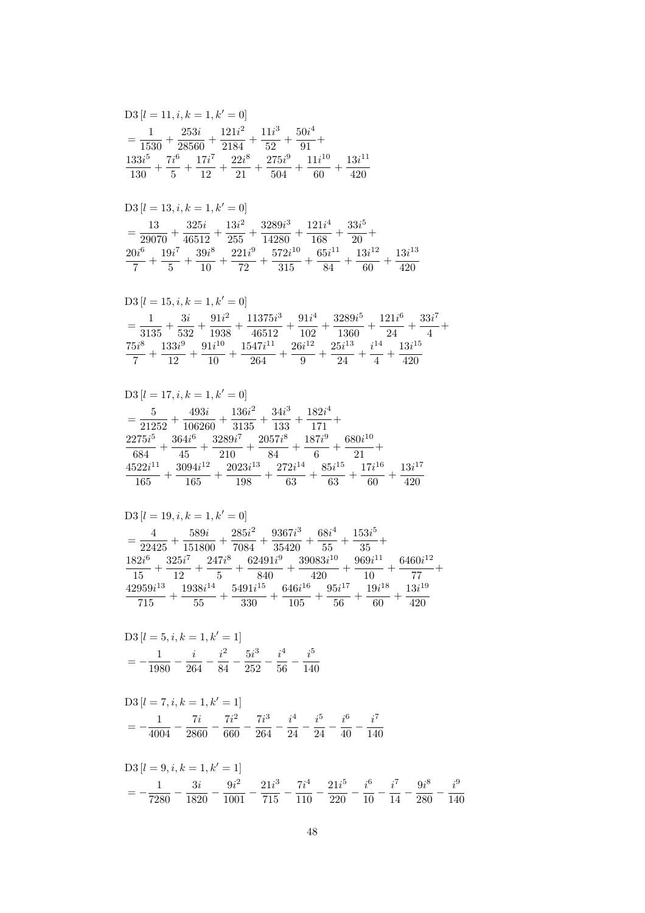$$
\begin{aligned} \text{D3}\left[l=7,i,k=1,k'=1\right] \\ &= -\frac{1}{4004} - \frac{7i}{2860} - \frac{7i^2}{660} - \frac{7i^3}{264} - \frac{i^4}{24} - \frac{i^5}{24} - \frac{i^6}{40} - \frac{i^7}{140} \end{aligned}
$$

$$
D3 [l = 5, i, k = 1, k' = 1]
$$
  
=  $-\frac{1}{1980} - \frac{i}{264} - \frac{i^2}{84} - \frac{5i^3}{252} - \frac{i^4}{56} - \frac{i^5}{140}$ 

$$
\begin{aligned} &\text{D3}\left[l=19,i,k=1,k'=0\right] \\ &=\frac{4}{22425}+\frac{589i}{151800}+\frac{285i^2}{7084}+\frac{9367i^3}{35420}+\frac{68i^4}{55}+\frac{153i^5}{35}+\\ &\frac{182i^6}{15}+\frac{325i^7}{12}+\frac{247i^8}{5}+\frac{62491i^9}{840}+\frac{39083i^{10}}{420}+\frac{969i^{11}}{10}+\frac{6460i^{12}}{77}+\\ &\frac{42959i^{13}}{715}+\frac{1938i^{14}}{55}+\frac{5491i^{15}}{330}+\frac{646i^{16}}{105}+\frac{95i^{17}}{56}+\frac{19i^{18}}{60}+\frac{13i^{19}}{420} \end{aligned}
$$

$$
\begin{aligned} &\text{D3}\left[l=17,i,k=1,k'=0\right]\\ &=\frac{5}{21252}+\frac{493i}{106260}+\frac{136i^2}{3135}+\frac{34i^3}{133}+\frac{182i^4}{171}+\\ &\frac{2275i^5}{684}+\frac{364i^6}{45}+\frac{3289i^7}{210}+\frac{2057i^8}{84}+\frac{187i^9}{6}+\frac{680i^{10}}{21}+\\ &\frac{4522i^{11}}{165}+\frac{3094i^{12}}{165}+\frac{2023i^{13}}{198}+\frac{272i^{14}}{63}+\frac{85i^{15}}{63}+\frac{17i^{16}}{60}+\frac{13i^{17}}{420} \end{aligned}
$$

$$
\begin{aligned} &\textrm{D3}\left[l=15,i,k=1,k'=0\right]\\ &=\frac{1}{3135}+\frac{3i}{532}+\frac{91i^2}{1938}+\frac{11375i^3}{46512}+\frac{91i^4}{102}+\frac{3289i^5}{1360}+\frac{121i^6}{24}+\frac{33i^7}{4}+\\ &\frac{75i^8}{7}+\frac{133i^9}{12}+\frac{91i^{10}}{10}+\frac{1547i^{11}}{264}+\frac{26i^{12}}{9}+\frac{25i^{13}}{24}+\frac{i^{14}}{4}+\frac{13i^{15}}{420} \end{aligned}
$$

$$
D3 [l = 13, i, k = 1, k' = 0]
$$
  
=  $\frac{13}{29070} + \frac{325i}{46512} + \frac{13i^2}{255} + \frac{3289i^3}{14280} + \frac{121i^4}{168} + \frac{33i^5}{20} +$   
 $\frac{20i^6}{7} + \frac{19i^7}{5} + \frac{39i^8}{10} + \frac{221i^9}{72} + \frac{572i^{10}}{315} + \frac{65i^{11}}{84} + \frac{13i^{12}}{60} + \frac{13i^{13}}{420}$ 

$$
D3 [l = 11, i, k = 1, k' = 0]
$$
  
=  $\frac{1}{1530} + \frac{253i}{28560} + \frac{121i^2}{2184} + \frac{11i^3}{52} + \frac{50i^4}{91} + \frac{133i^5}{130} + \frac{7i^6}{5} + \frac{17i^7}{12} + \frac{22i^8}{21} + \frac{275i^9}{504} + \frac{11i^{10}}{60} + \frac{13i^{11}}{420}$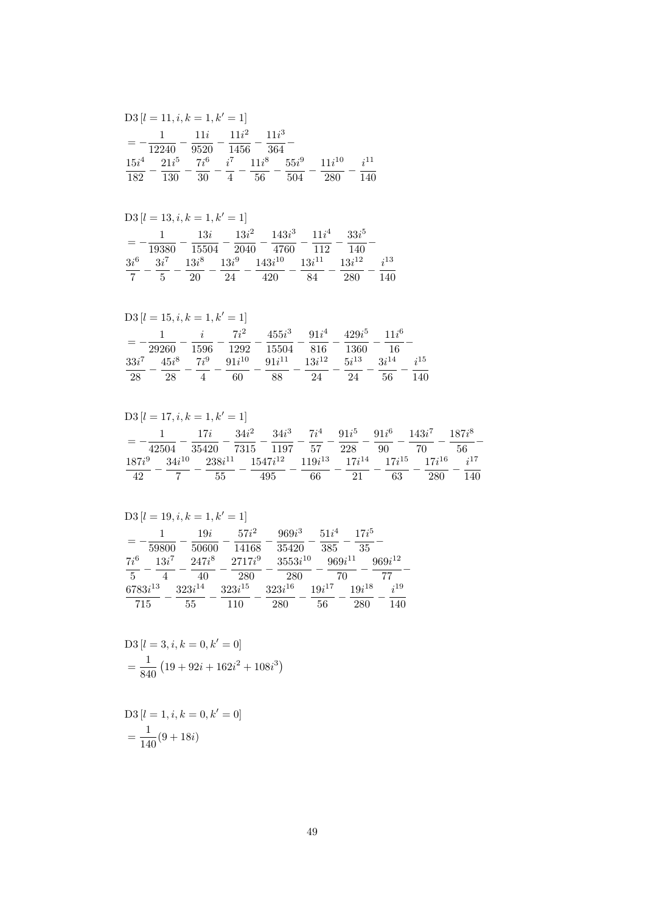$$
D3 [l = 1, i, k = 0, k' = 0]
$$
  
=  $\frac{1}{140} (9 + 18i)$ 

D3 
$$
[l = 3, i, k = 0, k' = 0]
$$
  
=  $\frac{1}{840} (19 + 92i + 162i^2 + 108i^3)$ 

 $D3[l = 19, i, k = 1, k' = 1]$ 

|                | 59800    | 19i<br>50600 | $57i^2$<br>14168 | $969i^3$<br>35420 | $51i^4$<br>385 | $17i^5$<br>35 |             |
|----------------|----------|--------------|------------------|-------------------|----------------|---------------|-------------|
| $7i^6$         | $13i^7$  | $247i^8$     | $2717i^9$        | $3553i^{10}$      | $969i^{11}$    |               | $969i^{12}$ |
| $\overline{5}$ | $\Delta$ | 40           | 280              | 280               | 70             |               | 77          |
| $6783i^{13}$   |          | $323i^{14}$  | $323i^{15}$      | $323i^{16}$       | $19i^{17}$     | $19i^{18}$    | $i^{19}$    |
| 715            |          | 55           | 110              | 280               | 56             | 280           | 140         |

| $D3[l = 17, i, k = 1, k' = 1]$ |                 |                                                                                           |                                                  |    |    |     |     |  |  |
|--------------------------------|-----------------|-------------------------------------------------------------------------------------------|--------------------------------------------------|----|----|-----|-----|--|--|
|                                | 1 $17i$ $34i^2$ |                                                                                           | $34i^3$ $7i^4$ $91i^5$ $91i^6$ $143i^7$ $187i^8$ |    |    |     |     |  |  |
|                                |                 | 42504 35420 7315 1197 57 228 90 70                                                        |                                                  |    |    |     | -56 |  |  |
| $187i^9$                       |                 | $34i^{10}$ $238i^{11}$ $1547i^{12}$ $119i^{13}$ $17i^{14}$ $17i^{15}$ $17i^{16}$ $i^{17}$ |                                                  |    |    |     |     |  |  |
| 42                             | 55              | 495                                                                                       | 66 —                                             | 21 | 63 | 280 | 140 |  |  |

|         | $D3[l = 15, i, k = 1, k' = 1]$ |                                                                                                                                                                                                                                                                                                                                                                                     |    |                                           |    |    |      |                |
|---------|--------------------------------|-------------------------------------------------------------------------------------------------------------------------------------------------------------------------------------------------------------------------------------------------------------------------------------------------------------------------------------------------------------------------------------|----|-------------------------------------------|----|----|------|----------------|
|         |                                | 1 $i$ $7i^2$                                                                                                                                                                                                                                                                                                                                                                        |    | $455i^3$ $91i^4$ $429i^5$ $11i^6$         |    |    |      |                |
|         | 29260                          |                                                                                                                                                                                                                                                                                                                                                                                     |    | 1596 1292 15504 816 1360                  |    |    | - 16 |                |
| $33i^7$ | $45i^8$ $7i^9$ $91i^{10}$      |                                                                                                                                                                                                                                                                                                                                                                                     |    | $91i^{11}$ $13i^{12}$ $5i^{13}$ $3i^{14}$ |    |    |      | $\frac{15}{2}$ |
| 28      | 28                             | $4\phantom{.0000}\phantom{.0000}\phantom{.0000}\phantom{.0000}\phantom{.0000}\phantom{.0000}\phantom{.0000}\phantom{.0000}\phantom{.0000}\phantom{.0000}\phantom{.0000}\phantom{.0000}\phantom{.0000}\phantom{.0000}\phantom{.0000}\phantom{.0000}\phantom{.0000}\phantom{.0000}\phantom{.0000}\phantom{.0000}\phantom{.0000}\phantom{.0000}\phantom{.0000}\phantom{.0000}\phantom$ | 60 | 88                                        | 24 | 24 | 56   | 140            |

|        |                | $D3 [l = 13, i, k = 1, k' = 1]$                          |    |     |    |         |          |
|--------|----------------|----------------------------------------------------------|----|-----|----|---------|----------|
|        |                | $13i$ $13i^2$ $143i^3$ $11i^4$                           |    |     |    | $33i^5$ |          |
|        | 19380          | 15504 2040 4760 112                                      |    |     |    | - 140   |          |
| $3i^6$ |                | $3i^7$ $13i^8$ $13i^9$ $143i^{10}$ $13i^{11}$ $13i^{12}$ |    |     |    |         | $i^{13}$ |
|        | 5 <sub>5</sub> | $-20$                                                    | 24 | 420 | 84 | 280     | 140      |

|     |       | $D3[l = 11, i, k = 1, k' = 1]$                          |         |     |     |          |
|-----|-------|---------------------------------------------------------|---------|-----|-----|----------|
|     | 12240 | 1 $11i$ $11i^2$<br>9520 1456 364                        | $11i^3$ |     |     |          |
|     |       | $15i^4$ $21i^5$ $7i^6$ $i^7$ $11i^8$ $55i^9$ $11i^{10}$ |         |     |     | $i^{11}$ |
| 182 |       | 130 30 4                                                | - 56    | 504 | 280 | 140      |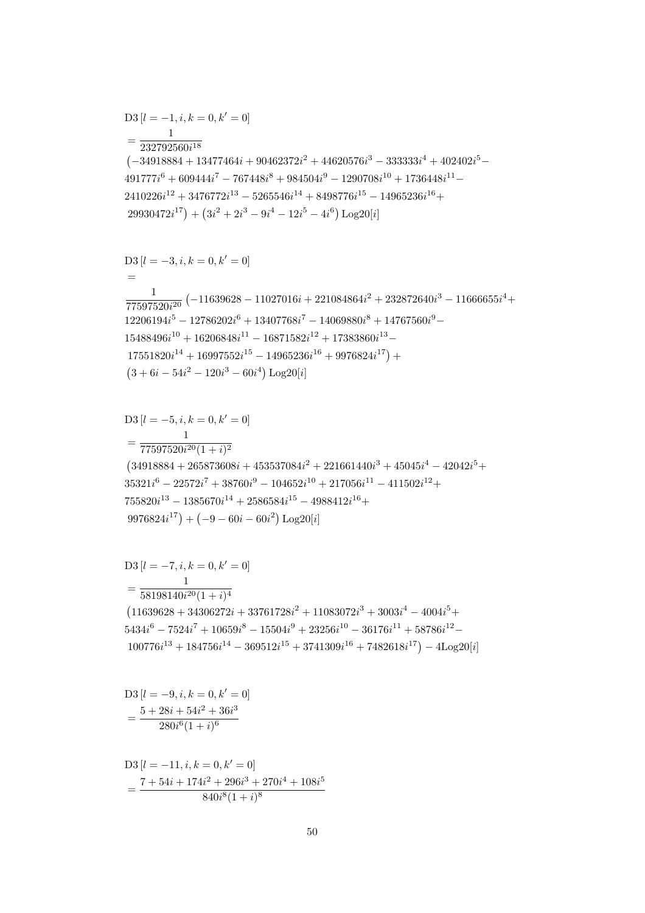$$
D3 [l = -11, i, k = 0, k' = 0]
$$
  
= 
$$
\frac{7 + 54i + 174i^{2} + 296i^{3} + 270i^{4} + 108i^{5}}{840i^{8}(1 + i)^{8}}
$$

$$
D3 [l = -9, i, k = 0, k' = 0]
$$
  
= 
$$
\frac{5 + 28i + 54i^{2} + 36i^{3}}{280i^{6}(1 + i)^{6}}
$$

$$
D3 [l = -7, i, k = 0, k' = 0]
$$
  
= 
$$
\frac{1}{58198140i^{20}(1+i)^4}
$$
  
(11639628 + 34306272i + 33761728i<sup>2</sup> + 11083072i<sup>3</sup> + 3003i<sup>4</sup> - 4004i<sup>5</sup> + 5434i<sup>6</sup> - 7524i<sup>7</sup> + 10659i<sup>8</sup> - 15504i<sup>9</sup> + 23256i<sup>10</sup> - 36176i<sup>11</sup> + 58786i<sup>12</sup> - 100776i<sup>13</sup> + 184756i<sup>14</sup> - 369512i<sup>15</sup> + 3741309i<sup>16</sup> + 7482618i<sup>17</sup>) - 4Log20[i]

$$
D3 [l = -5, i, k = 0, k' = 0]
$$
  
= 
$$
\frac{1}{77597520i^{20}(1 + i)^2}
$$
  
(34918884 + 265873608i + 453537084i<sup>2</sup> + 221661440i<sup>3</sup> + 45045i<sup>4</sup> - 42042i<sup>5</sup> +  
35321i<sup>6</sup> - 22572i<sup>7</sup> + 38760i<sup>9</sup> - 104652i<sup>10</sup> + 217056i<sup>11</sup> - 411502i<sup>12</sup> +  
755820i<sup>13</sup> - 1385670i<sup>14</sup> + 2586584i<sup>15</sup> - 4988412i<sup>16</sup> +  
9976824i<sup>17</sup>) + (-9 - 60i - 60i<sup>2</sup>) Log20[i]

$$
(3 + 6i - 54i^2 - 120i^3 - 60i^4) Log20[i]
$$

$$
D3 [l = -3, i, k = 0, k' = 0]
$$
  
=  

$$
\frac{1}{77597520i^{20}} (-11639628 - 11027016i + 221084864i^{2} + 232872640i^{3} - 11666655i^{4} + 12206194i^{5} - 12786202i^{6} + 13407768i^{7} - 14069880i^{8} + 14767560i^{9} - 15488496i^{10} + 16206848i^{11} - 16871582i^{12} + 17383860i^{13} - 17551820i^{14} + 16997552i^{15} - 14965236i^{16} + 9976824i^{17}) +(3 + 6i - 54i^{2} - 120i^{3} - 60i^{4}) Log206i]
$$

$$
D3 [l = -1, i, k = 0, k' = 0]
$$
  
= 
$$
\frac{1}{232792560i^{18}}
$$
  

$$
(-34918884 + 13477464i + 90462372i^{2} + 44620576i^{3} - 333333i^{4} + 402402i^{5} - 491777i^{6} + 609444i^{7} - 767448i^{8} + 984504i^{9} - 1290708i^{10} + 1736448i^{11} - 2410226i^{12} + 3476772i^{13} - 5265546i^{14} + 8498776i^{15} - 14965236i^{16} + 29930472i^{17}) + (3i^{2} + 2i^{3} - 9i^{4} - 12i^{5} - 4i^{6}) Log20[i]
$$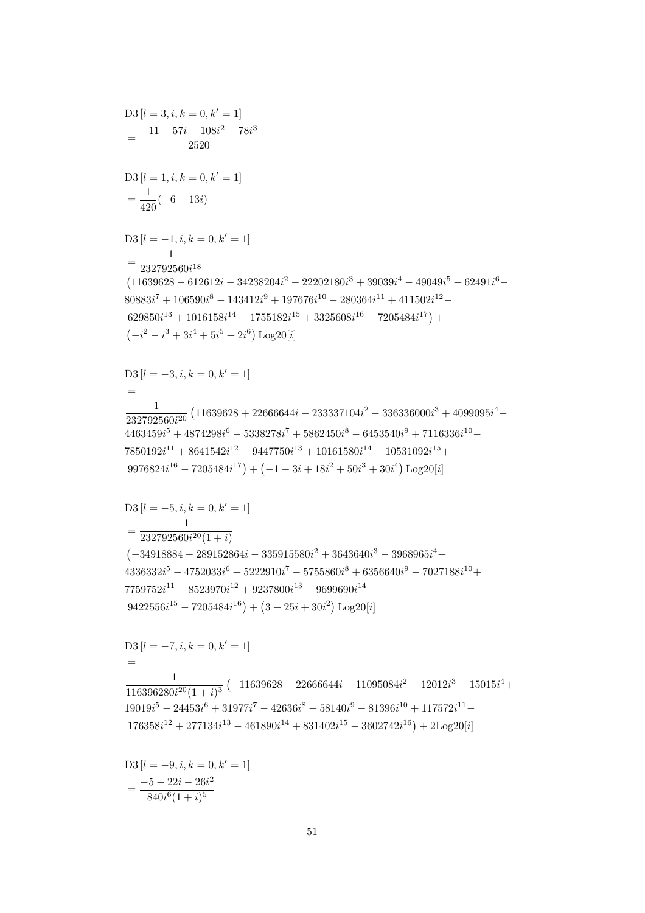$$
D3 [l = -9, i, k = 0, k' = 1]
$$
  
= 
$$
\frac{-5 - 22i - 26i^2}{840i^6(1 + i)^5}
$$

 $D3[l = -7, i, k = 0, k' = 1]$  $\frac{1}{116396280i^{20}(1+i)^3}\left(-11639628-22666644i-11095084i^2+12012i^3-15015i^4+\right.$  $19019i^5 - 24453i^6 + 31977i^7 - 42636i^8 + 58140i^9 - 81396i^{10} + 117572i^{11} 176358i^{12} + 277134i^{13} - 461890i^{14} + 831402i^{15} - 3602742i^{16}) + 2\text{Log }20[i]$ 

 $\operatorname{D3}\left[ l=-5,i,k=0,k^{\prime}=1\right]$  $=\frac{1}{232792560i^{20}(1+i)}$  $\left(-34918884 - 289152864i - 335915580i^2 + 3643640i^3 - 3968965i^4 + \right.$  $4336332i^5 - 4752033i^6 + 5222910i^7 - 5755860i^8 + 6356640i^9 - 7027188i^{10} +$  $7759752i^{11} - 8523970i^{12} + 9237800i^{13} - 9699690i^{14} +$  $9422556i^{15} - 7205484i^{16} + (3 + 25i + 30i^2) \text{Log }20[i]$ 

 $D3[l = -3, i, k = 0, k' = 1]$  $\frac{1}{232792560i^{20}}\left(11639628+22666644i-233337104i^2-336336000i^3+4099095i^4-\right.$  $4463459i^5 + 4874298i^6 - 5338278i^7 + 5862450i^8 - 6453540i^9 + 7116336i^{10} 7850192i^{11} + 8641542i^{12} - 9447750i^{13} + 10161580i^{14} - 10531092i^{15} +$  $9976824i^{16} - 7205484i^{17}$  +  $(-1 - 3i + 18i^2 + 50i^3 + 30i^4)$  Log20[i]

 $D3 [l = 3, i, k = 0, k' = 1]$  $=\frac{-11-57i-108i^2-78i^3}{2520}$  $D3[l = 1, i, k = 0, k' = 1]$  $=\frac{1}{420}(-6-13i)$  $\mathrm{D3}\left[l=-1,i,k=0,k'=1\right]$  $=\frac{1}{232792560i^{18}}$  $(11639628 - 612612i - 34238204i^2 - 22202180i^3 + 39039i^4 - 49049i^5 + 62491i^6 80883i<sup>7</sup> + 106590i<sup>8</sup> - 143412i<sup>9</sup> + 197676i<sup>10</sup> - 280364i<sup>11</sup> + 411502i<sup>12</sup> 629850i^{13} + 1016158i^{14} - 1755182i^{15} + 3325608i^{16} - 7205484i^{17}) +$  $(-i^2 - i^3 + 3i^4 + 5i^5 + 2i^6) \text{Log}20[i]$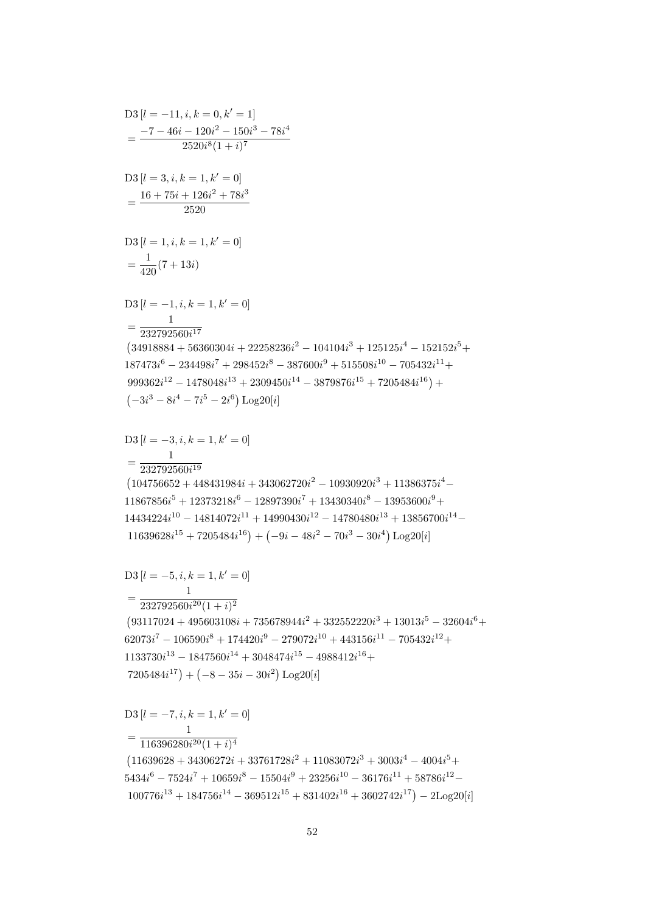$(-3i^3 - 8i^4 - 7i^5 - 2i^6)$  Log20[i] D3  $[l = -3, i, k = 1, k' = 0]$ <br>1  $=\frac{1}{232792560i^{19}}$  $(104756652 + 448431984i + 343062720i^2 - 10930920i^3 + 11386375i^4 11867856i<sup>5</sup> + 12373218i<sup>6</sup> - 12897390i<sup>7</sup> + 13430340i<sup>8</sup> - 13953600i<sup>9</sup> +$  $14434224i^{10} - 14814072i^{11} + 14990430i^{12} - 14780480i^{13} + 13856700i^{14} 11639628i^{15} + 7205484i^{16}$  +  $(-9i - 48i^2 - 70i^3 - 30i^4)$  Log20[i]  $D3[l = -5, i, k = 1, k' = 0]$  $=\frac{1}{232792560i^{20}(1+i)^2}$  $\left(93117024 + 495603108i + 735678944i^2 + 332552220i^3 + 13013i^5 - 32604i^6 + \right.$  $62073i^7 - 106590i^8 + 174420i^9 - 279072i^{10} + 443156i^{11} - 705432i^{12} +$  $1133730i^{13} - 1847560i^{14} + 3048474i^{15} - 4988412i^{16} +$  $7205484i^{17}$  +  $(-8 - 35i - 30i^2)$  Log20[i]  $D3[l = -7, i, k = 1, k' = 0]$  $=\frac{1}{116396280i^{20}(1+i)^4}$  $(11639628 + 34306272i + 33761728i^2 + 11083072i^3 + 3003i^4 - 4004i^5 +$  $5434i^6 - 7524i^7 + 10659i^8 - 15504i^9 + 23256i^{10} - 36176i^{11} + 58786i^{12} 100776i^{13} + 184756i^{14} - 369512i^{15} + 831402i^{16} + 3602742i^{17}) - 2\text{Log}20[i]$ 

 $D3 [l = 1, i, k = 1, k' = 0]$  $=\frac{1}{420}(7+13i)$  $D3 [l = -1, i, k = 1, k' = 0]$  $=\frac{1}{232792560i^{17}}$  $(34918884 + 56360304i + 22258236i^2 - 104104i^3 + 125125i^4 - 152152i^5 +$  $187473i^6 - 234498i^7 + 298452i^8 - 387600i^9 + 515508i^{10} - 705432i^{11} +$  $999362i^{12} - 1478048i^{13} + 2309450i^{14} - 3879876i^{15} + 7205484i^{16} +$ 

$$
D3 [l = 3, i, k = 1, k' = 0]
$$
  
= 
$$
\frac{16 + 75i + 126i^2 + 78i^3}{2520}
$$

 $D3[l = -11, i, k = 0, k' = 1]$  $=\frac{-7-46i-120i^2-150i^3-78i^4}{2520i^8(1+i)^7}$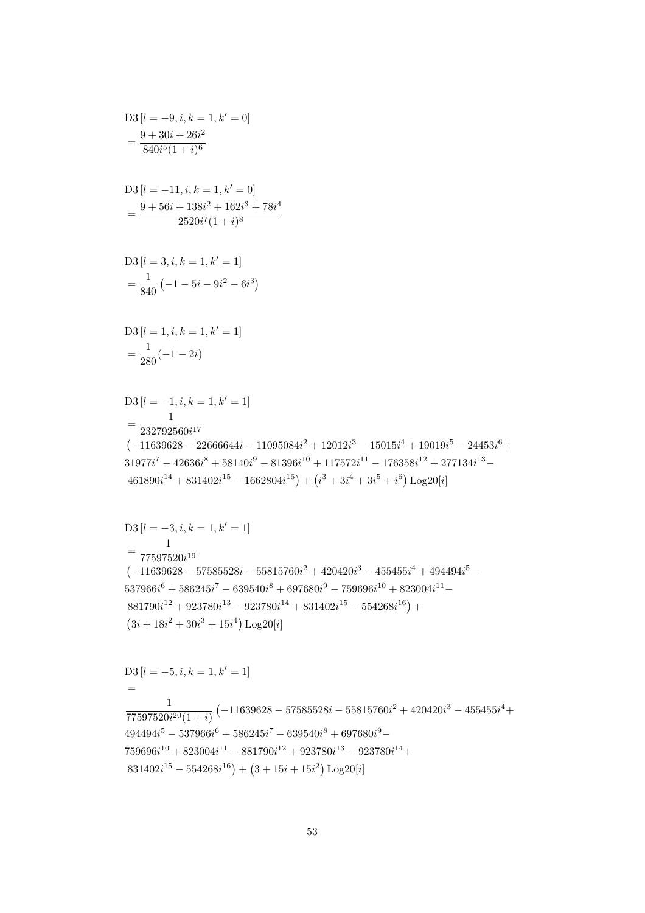$$
D3 [l = -5, i, k = 1, k' = 1]
$$
  
=  

$$
\frac{1}{77597520i^{20}(1+i)} \left(-11639628 - 57585528i - 55815760i^{2} + 420420i^{3} - 455455i^{4} + 494494i^{5} - 537966i^{6} + 586245i^{7} - 639540i^{8} + 697680i^{9} - 759696i^{10} + 823004i^{11} - 881790i^{12} + 923780i^{13} - 923780i^{14} + 831402i^{15} - 554268i^{16}\right) + (3 + 15i + 15i^{2}) Log20[i]
$$

$$
D3 [l = -3, i, k = 1, k' = 1]
$$
  
= 
$$
\frac{1}{77597520i^{19}}
$$
  
(-11639628 - 57585528i - 55815760i<sup>2</sup> + 420420i<sup>3</sup> - 455455i<sup>4</sup> + 494494i<sup>5</sup> - 537966i<sup>6</sup> + 586245i<sup>7</sup> - 639540i<sup>8</sup> + 697680i<sup>9</sup> - 759696i<sup>10</sup> + 823004i<sup>11</sup> - 881790i<sup>12</sup> + 923780i<sup>13</sup> - 923780i<sup>14</sup> + 831402i<sup>15</sup> - 554268i<sup>16</sup>) + (3i + 18i<sup>2</sup> + 30i<sup>3</sup> + 15i<sup>4</sup>) Log20[i]

$$
D3 [l = -1, i, k = 1, k' = 1]
$$
  
= 
$$
\frac{1}{232792560i^{17}}
$$
  
(-11639628 - 22666644i - 11095084i<sup>2</sup> + 12012i<sup>3</sup> - 15015i<sup>4</sup> + 19019i<sup>5</sup> - 24453i<sup>6</sup> +  
31977i<sup>7</sup> - 42636i<sup>8</sup> + 58140i<sup>9</sup> - 81396i<sup>10</sup> + 117572i<sup>11</sup> - 176358i<sup>12</sup> + 277134i<sup>13</sup> -  
461890i<sup>14</sup> + 831402i<sup>15</sup> - 1662804i<sup>16</sup>) + (i<sup>3</sup> + 3i<sup>4</sup> + 3i<sup>5</sup> + i<sup>6</sup>) Log20[i]

$$
D3 [l = 1, i, k = 1, k' = 1]
$$
  
= 
$$
\frac{1}{280}(-1 - 2i)
$$

$$
D3 [l = 3, i, k = 1, k' = 1]
$$

$$
= \frac{1}{840} (-1 - 5i - 9i^2 - 6i^3)
$$

$$
D3 [l = -11, i, k = 1, k' = 0]
$$
  
= 
$$
\frac{9 + 56i + 138i^2 + 162i^3 + 78i^4}{2520i^7(1 + i)^8}
$$

$$
D3 [l = -9, i, k = 1, k' = 0]
$$
  
= 
$$
\frac{9 + 30i + 26i^2}{840i^5(1 + i)^6}
$$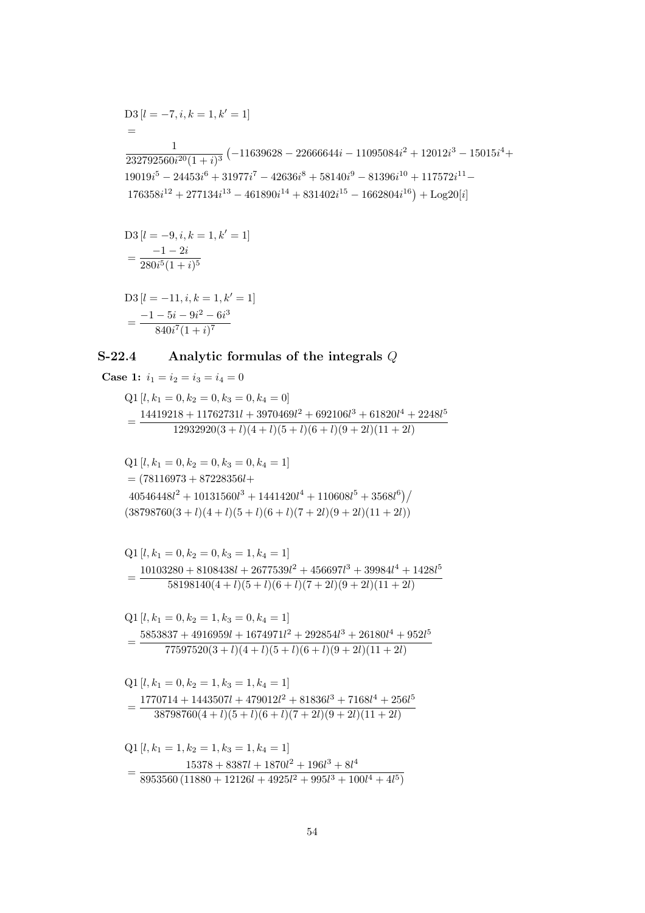$$
D3 [l = -7, i, k = 1, k' = 1]
$$
  
=  

$$
\frac{1}{232792560i^{20}(1+i)^3} (-11639628 - 22666644i - 11095084i^2 + 12012i^3 - 15015i^4 + 19019i^5 - 24453i^6 + 31977i^7 - 42636i^8 + 58140i^9 - 81396i^{10} + 117572i^{11} - 176358i^{12} + 277134i^{13} - 461890i^{14} + 831402i^{15} - 1662804i^{16}) + \text{Log20}[i]
$$

$$
D3 [l = -9, i, k = 1, k' = 1]
$$
  
= 
$$
\frac{-1 - 2i}{280i^5(1 + i)^5}
$$

$$
D3 [l = -11, i, k = 1, k' = 1]
$$
  
= 
$$
\frac{-1 - 5i - 9i^2 - 6i^3}{840i^7(1 + i)^7}
$$

## Analytic formulas of the integrals  $Q$  $S-22.4$

**Case 1:**  $i_1 = i_2 = i_3 = i_4 = 0$ 

Q1 [ $l, k_1 = 0, k_2 = 0, k_3 = 0, k_4 = 0$ ]  $=\frac{14419218+11762731l+3970469l^2+692106l^3+61820l^4+2248l^5}{12932920(3+l)(4+l)(5+l)(6+l)(9+2l)(11+2l)}$ 

$$
Q1 [l, k_1 = 0, k_2 = 0, k_3 = 0, k_4 = 1]
$$
  
= (78116973 + 87228356l+  

$$
40546448l^2 + 10131560l^3 + 1441420l^4 + 110608l^5 + 3568l^6) /
$$
  
(38798760(3 + l)(4 + l)(5 + l)(6 + l)(7 + 2l)(9 + 2l)(11 + 2l))

$$
Q1 [l, k1 = 0, k2 = 0, k3 = 1, k4 = 1]
$$
  
= 
$$
\frac{10103280 + 8108438l + 2677539l2 + 456697l3 + 39984l4 + 1428l5}{58198140(4+l)(5+l)(6+l)(7+2l)(9+2l)(11+2l)}
$$

$$
Q1 [l, k1 = 0, k2 = 1, k3 = 0, k4 = 1]
$$
  
= 
$$
\frac{5853837 + 4916959l + 1674971l2 + 292854l3 + 26180l4 + 952l5}{77597520(3 + l)(4 + l)(5 + l)(6 + l)(9 + 2l)(11 + 2l)}
$$

$$
Q1 [l, k1 = 0, k2 = 1, k3 = 1, k4 = 1]
$$
  
= 
$$
\frac{1770714 + 1443507l + 479012l2 + 81836l3 + 7168l4 + 256l5}{38798760(4+l)(5+l)(6+l)(7+2l)(9+2l)(11+2l)}
$$

$$
Q1 [l, k_1 = 1, k_2 = 1, k_3 = 1, k_4 = 1]
$$
  
= 
$$
\frac{15378 + 8387l + 1870l^2 + 196l^3 + 8l^4}{8953560 (11880 + 12126l + 4925l^2 + 995l^3 + 100l^4 + 4l^5)}
$$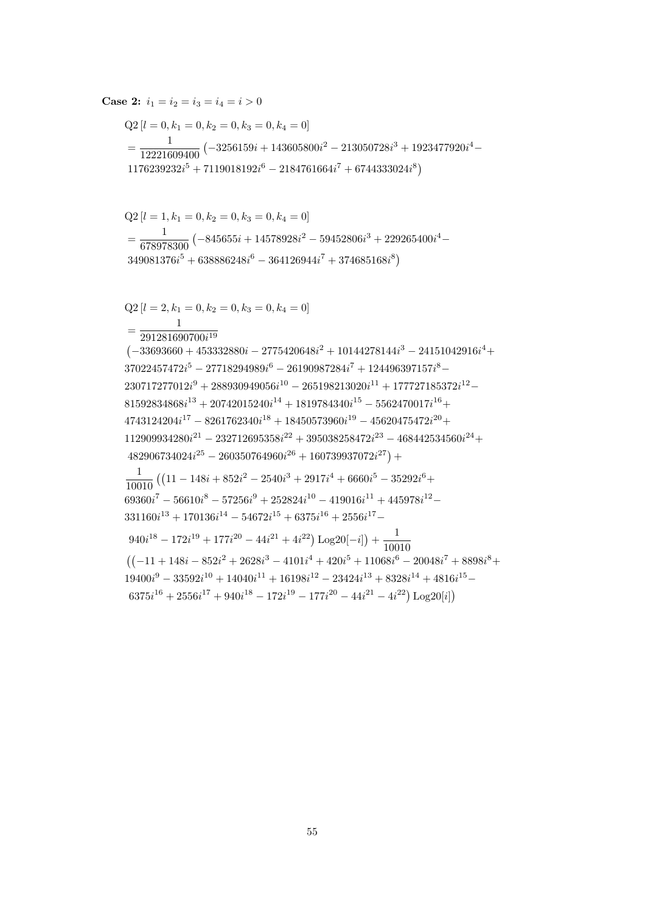$$
Q2 [l = 0, k_1 = 0, k_2 = 0, k_3 = 0, k_4 = 0]
$$
\n
$$
= \frac{1}{12221609400} \left( -3256159i + 143605800i^2 - 213050728i^3 + 1923477920i^4 - 1176239232i^5 + 7119018192i^6 - 2184761664i^7 + 6744333024i^8 \right)
$$
\n
$$
Q2 [l = 1, k_1 = 0, k_2 = 0, k_3 = 0, k_4 = 0]
$$
\n
$$
= \frac{1}{678978300} \left( -845655i + 14578928i^2 - 59452806i^3 + 229265400i^4 - 349081376i^5 + 638886248i^6 - 364126944i^7 + 374685168i^8 \right)
$$
\n
$$
Q2 [l = 2, k_1 = 0, k_2 = 0, k_3 = 0, k_4 = 0]
$$
\n
$$
= \frac{1}{291281690700i^{19}}
$$
\n
$$
\left( -33693660 + 453332880i - 2775420648i^2 + 10144278144i^3 - 24151042916i^4 + 37022457472i^5 - 27718294989i^6 - 26190987284i^7 + 124496397157i^8 - 230717277012i^9 + 288930949056i^{10} - 265198213020i^{11} + 177727185372i^{12} - 81592834868i^{13} + 20742015240i^{14} + 181978430i^{15} - 5562470017i^{16} + 4743124204i^{17} - 8261762340i^{18}
$$

**Case 2:**  $i_1 = i_2 = i_3 = i_4 = i > 0$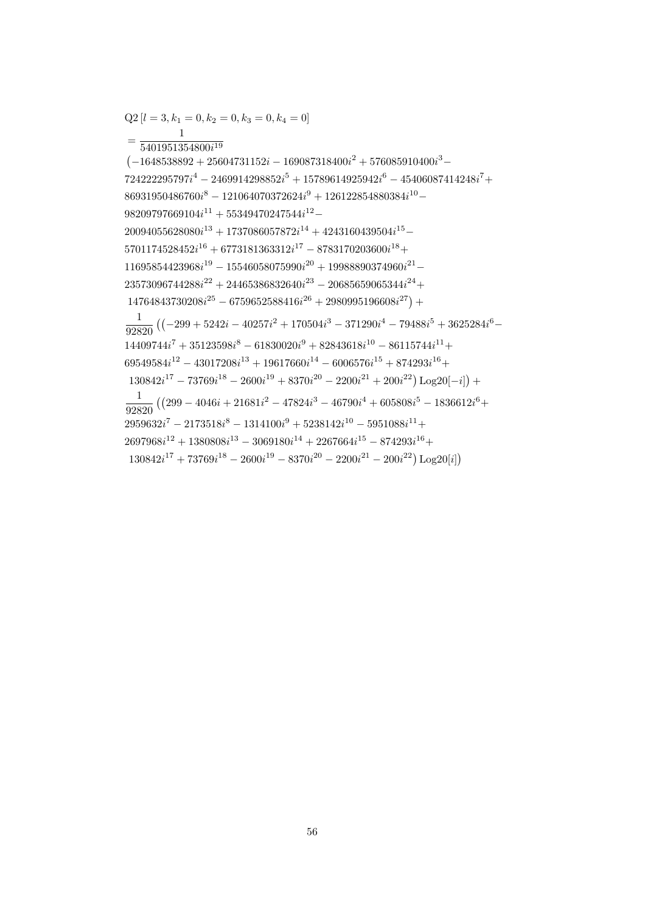$Q2[l = 3, k_1 = 0, k_2 = 0, k_3 = 0, k_4 = 0]$  $=\frac{1}{5401951354800i^{19}}$  $(-1648538892+25604731152i-169087318400i^2+576085910400i^3 724222295797i^4 - 2469914298852i^5 + 15789614925942i^6 - 45406087414248i^7 +$  $86931950486760i^{8} - 121064070372624i^{9} + 126122854880384i^{10} 98209797669104i^{11} + 55349470247544i^{12} 20094055628080i^{13} + 1737086057872i^{14} + 4243160439504i^{15} 5701174528452i^{16} + 6773181363312i^{17} - 8783170203600i^{18} +$  $11695854423968i^{19} - 15546058075990i^{20} + 19988890374960i^{21} 23573096744288i^{22} + 24465386832640i^{23} - 20685659065344i^{24} +$  $14764843730208i^{25} - 6759652588416i^{26} + 2980995196608i^{27}) +$  $\frac{1}{92820} \left( (-299 + 5242i - 40257i^2 + 170504i^3 - 371290i^4 - 79488i^5 + 3625284i^6 - \right.$  $14409744i^{7} + 35123598i^{8} - 61830020i^{9} + 82843618i^{10} - 86115744i^{11} +$  $69549584i^{12} - 43017208i^{13} + 19617660i^{14} - 6006576i^{15} + 874293i^{16} +$  $130842i^{17} - 73769i^{18} - 2600i^{19} + 8370i^{20} - 2200i^{21} + 200i^{22})\text{ Log }20[-i]) +$  $\frac{1}{92820} \left( \left( 299 - 4046i + 21681i^2 - 47824i^3 - 46790i^4 + 605808i^5 - 1836612i^6 + \right. \right.$  $2959632i<sup>7</sup> - 2173518i<sup>8</sup> - 1314100i<sup>9</sup> + 5238142i<sup>10</sup> - 5951088i<sup>11</sup> +$  $2697968i^{12} + 1380808i^{13} - 3069180i^{14} + 2267664i^{15} - 874293i^{16} +$  $130842i^{17} + 73769i^{18} - 2600i^{19} - 8370i^{20} - 2200i^{21} - 200i^{22}) \text{Log }20[i]$ 

56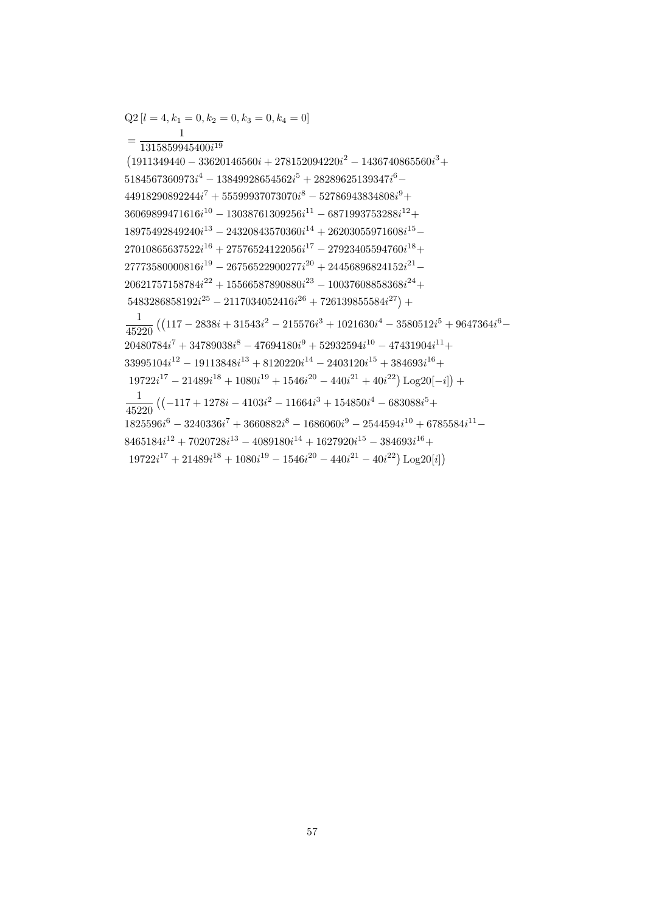$Q2[l = 4, k_1 = 0, k_2 = 0, k_3 = 0, k_4 = 0]$ 

 $(1911349440 - 33620146560i + 278152094220i^2 - 1436740865560i^3 +$ 

 $\frac{1}{45220} \left( \left( 117 - 2838i + 31543i^2 - 215576i^3 + 1021630i^4 - 3580512i^5 + 9647364i^6 - \right. \right.$ 

 $20480784i^{7} + 34789038i^{8} - 47694180i^{9} + 52932594i^{10} - 47431904i^{11} +$  $33995104i^{12} - 19113848i^{13} + 8120220i^{14} - 2403120i^{15} + 384693i^{16} +$  $19722i^{17} - 21489i^{18} + 1080i^{19} + 1546i^{20} - 440i^{21} + 40i^{22})\text{Log }20[-i]) +$ 

 $\frac{1}{45220} \left( (-117 + 1278i - 4103i^2 - 11664i^3 + 154850i^4 - 683088i^5 + \right.$ 

 $8465184i^{12} + 7020728i^{13} - 4089180i^{14} + 1627920i^{15} - 384693i^{16} +$  $19722i^{17} + 21489i^{18} + 1080i^{19} - 1546i^{20} - 440i^{21} - 40i^{22}) \text{Log }20[i]$ 

 $1825596i^{6} - 3240336i^{7} + 3660882i^{8} - 1686060i^{9} - 2544594i^{10} + 6785584i^{11} -$ 

 $5184567360973i^4 - 13849928654562i^5 + 28289625139347i^6 44918290892244i^{7} + 55599937073070i^{8} - 52786943834808i^{9} +$  $36069899471616i^{10} - 13038761309256i^{11} - 6871993753288i^{12} +$  $18975492849240i^{13} - 24320843570360i^{14} + 26203055971608i^{15} 27010865637522i^{16} + 27576524122056i^{17} - 27923405594760i^{18} +$  $27773580000816i^{19} - 26756522900277i^{20} + 24456896824152i^{21} 20621757158784i^{22} + 15566587890880i^{23} - 10037608858368i^{24} +$  $5483286858192i^{25} - 2117034052416i^{26} + 726139855584i^{27}) +$ 

 $=\frac{}{1315859945400i^{19}}$ 

57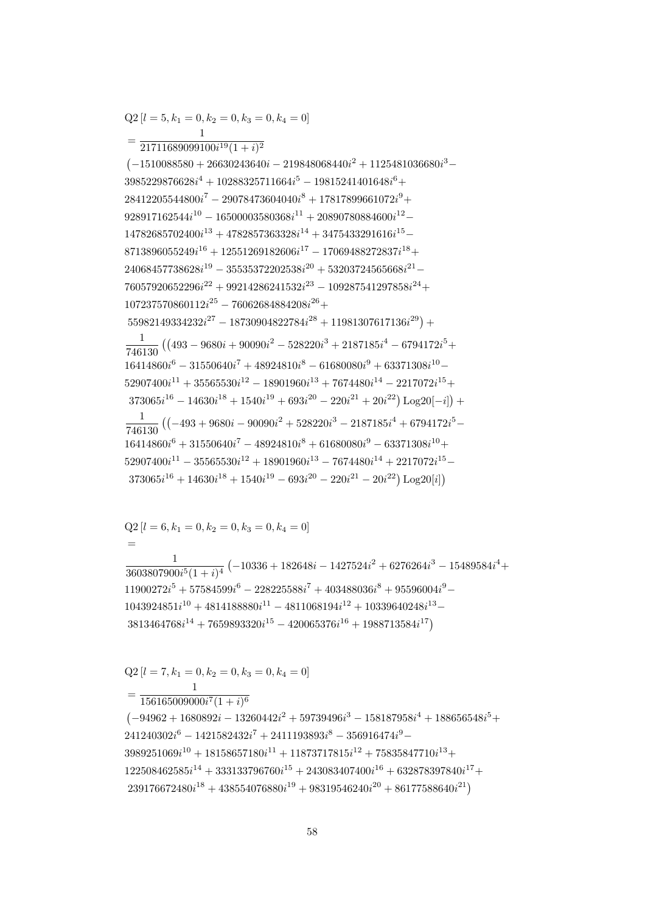$$
Q2 [l = 7, k_1 = 0, k_2 = 0, k_3 = 0, k_4 = 0]
$$
  
= 
$$
\frac{1}{156165009000i^7 (1 + i)^6}
$$
  

$$
(-94962 + 1680892i - 13260442i^2 + 59739496i^3 - 158187958i^4 + 188656548i^5 + 241240302i^6 - 1421582432i^7 + 2411193893i^8 - 356916474i^9 - 3989251069i^{10} + 18158657180i^{11} + 11873717815i^{12} + 75835847710i^{13} + 122508462585i^{14} + 333133796760i^{15} + 243083407400i^{16} + 632878397840i^{17} + 239176672480i^{18} + 438554076880i^{19} + 98319546240i^{20} + 86177588640i^{21})
$$

 $Q2[l = 6, k_1 = 0, k_2 = 0, k_3 = 0, k_4 = 0]$  $\equiv$  $\frac{1}{3603807900i^{5}(1+i)^{4}}\left(-10336+182648i-1427524i^{2}+6276264i^{3}-15489584i^{4}+\right.$  $11900272i^5 + 57584599i^6 - 228225588i^7 + 403488036i^8 + 95596004i^9 1043924851i^{10} + 4814188880i^{11} - 4811068194i^{12} + 10339640248i^{13} 3813464768i^{14} + 7659893320i^{15} - 420065376i^{16} + 1988713584i^{17}$ 

$$
=\frac{1}{21711689099100i^{19}(1+i)^2}\left(-1510088580+26630243640i-219848068440i^2+1125481036680i^3-3985229876628i^4+10288325711664i^5-19815241401648i^6+\right.\newline 28412205544800i^7-29078473604040i^8+17817899661072i^9+\right.\newline 928917162544i^{10}-16500003580368i^{11}+20890780884600i^{12}-\right.\newline 14782685702400i^{13}+4782857363328i^{14}+3475433291616i^{15}-\right.\newline 8713896055249i^{16}+12551269182606i^{17}-17069488272837i^{18}+\right.\newline 24068457738628i^{19}-35535372202538i^{20}+53203724565668i^{21}-\right.\newline 76057920652296i^{22}+99214286241532i^{23}-109287541297858i^{24}+\right.\newline 107237570860112i^{25}-76062684884208i^{26}+\right.\newline \frac{1}{746130}\left((493-9680i+90090i^2-528220i^3+2187185i^4-6794172i^5+\right.\newline 16414860i^6-31550640i^7+48924810i^8-61680080i^9+63371308i^{10}-\right.\newline 52907400i^{11}+35565530i^{12}-18901960i^{13}+7674480i^{14}-2217072i^{15}+\
$$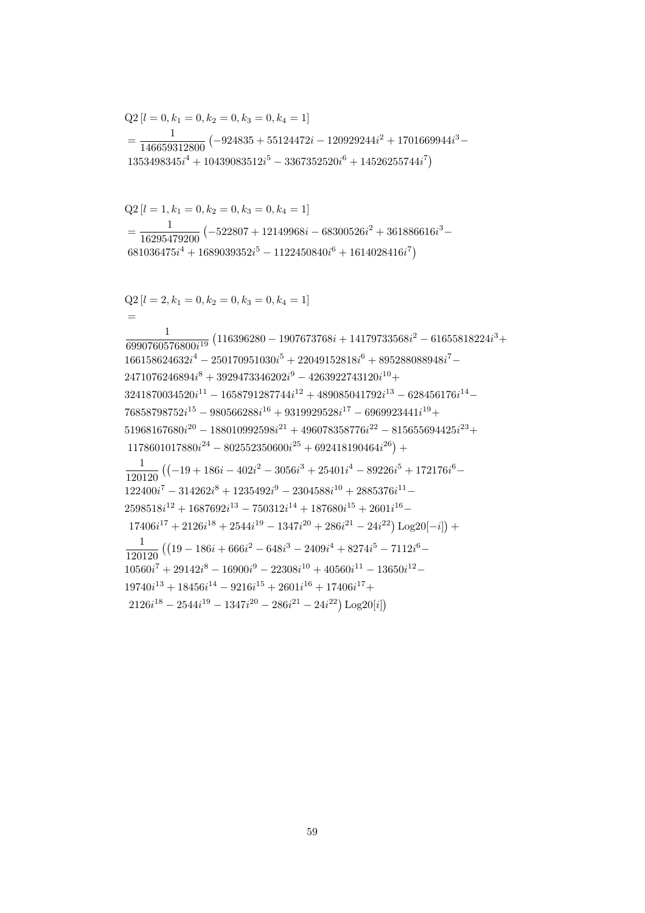$Q2[l = 2, k_1 = 0, k_2 = 0, k_3 = 0, k_4 = 1]$  $=$  $\frac{1}{6990760576800i^{19}}\left(116396280 - 1907673768i + 14179733568i^2 - 61655818224i^3 + \right.$  $\mathbf{1}$  $166158624632i^4 - 250170951030i^5 + 22049152818i^6 + 895288088948i^7 2471076246894i^8 + 3929473346202i^9 - 4263922743120i^{10} +$  $3241870034520i^{11} - 1658791287744i^{12} + 489085041792i^{13} - 628456176i^{14} 76858798752i^{15} - 980566288i^{16} + 9319929528i^{17} - 6969923441i^{19} +$  $51968167680i^{20} - 188010992598i^{21} + 496078358776i^{22} - 815655694425i^{23} +$  $1178601017880i^{24} - 802552350600i^{25} + 692418190464i^{26}) +$  $\frac{1}{120120} \left( (-19 + 186i - 402i^2 - 3056i^3 + 25401i^4 - 89226i^5 + 172176i^6 - \right.$  $122400i^7 - 314262i^8 + 1235492i^9 - 2304588i^{10} + 2885376i^{11} 2598518i^{12} + 1687692i^{13} - 750312i^{14} + 187680i^{15} + 2601i^{16} 17406i^{17} + 2126i^{18} + 2544i^{19} - 1347i^{20} + 286i^{21} - 24i^{22})\log(20[-i]) +$  $\frac{1}{120120} \left( \left( 19 - 186i + 666i^2 - 648i^3 - 2409i^4 + 8274i^5 - 7112i^6 - \right. \right.$  $\overline{1}$  $10560i<sup>7</sup> + 29142i<sup>8</sup> - 16900i<sup>9</sup> - 22308i<sup>10</sup> + 40560i<sup>11</sup> - 13650i<sup>12</sup> 19740i^{13} + 18456i^{14} - 9216i^{15} + 2601i^{16} + 17406i^{17} +$  $2126i^{18} - 2544i^{19} - 1347i^{20} - 286i^{21} - 24i^{22})\text{ Log }20[i]$ 

$$
Q2[l = 1, k_1 = 0, k_2 = 0, k_3 = 0, k_4 = 1]
$$
  
= 
$$
\frac{1}{16295479200} \left( -522807 + 12149968i - 68300526i^2 + 361886616i^3 - 681036475i^4 + 1689039352i^5 - 1122450840i^6 + 1614028416i^7 \right)
$$

$$
Q2 [l = 0, k_1 = 0, k_2 = 0, k_3 = 0, k_4 = 1]
$$
  
= 
$$
\frac{1}{146659312800} (-924835 + 55124472i - 120929244i^2 + 1701669944i^3 - 1353498345i^4 + 10439083512i^5 - 3367352520i^6 + 14526255744i^7)
$$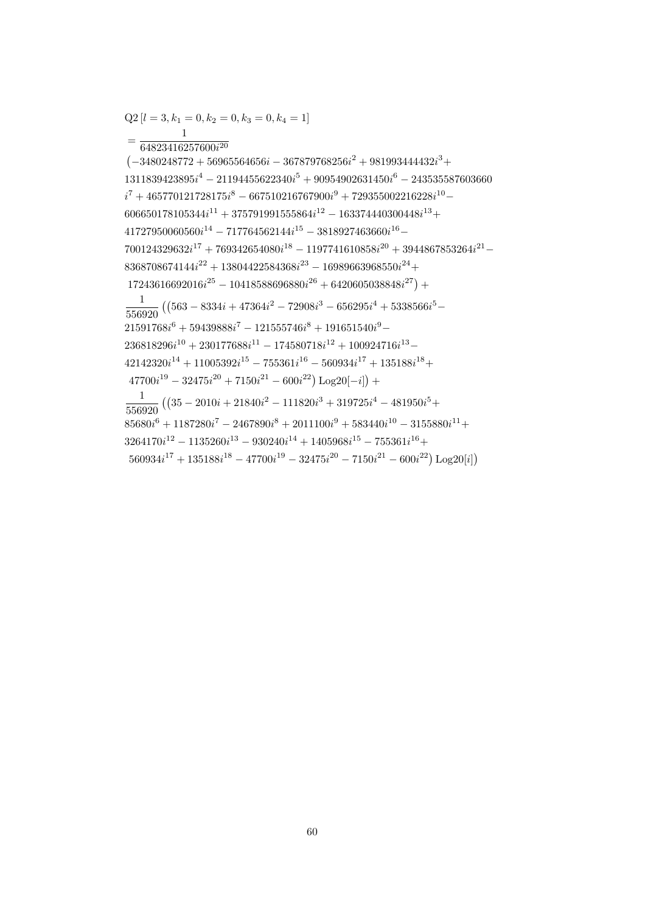$Q2[l = 3, k_1 = 0, k_2 = 0, k_3 = 0, k_4 = 1]$  $=\frac{1}{64823416257600i^{20}}$  $(-3480248772+56965564656i-367879768256i^2+981993444432i^3+$  $1311839423895i^4 - 21194455622340i^5 + 90954902631450i^6 - 243535587603660$  $i^7+465770121728175i^8-667510216767900i^9+729355002216228i^{10} 606650178105344i^{11} + 375791991555864i^{12} - 163374440300448i^{13} +$  $41727950060560i^{14} - 717764562144i^{15} - 3818927463660i^{16} 700124329632i^{17} + 769342654080i^{18} - 1197741610858i^{20} + 3944867853264i^{21} 8368708674144i^{22} + 13804422584368i^{23} - 16989663968550i^{24} +$  $17243616692016i^{25} - 10418588696880i^{26} + 6420605038848i^{27}) +$  $\frac{1}{556920} \left( \left(563 - 8334i + 47364i^2 - 72908i^3 - 656295i^4 + 5338566i^5 - \right) \right)$  $21591768i^6 + 59439888i^7 - 121555746i^8 + 191651540i^9 236818296i^{10} + 230177688i^{11} - 174580718i^{12} + 100924716i^{13} 42142320i^{14} + 11005392i^{15} - 755361i^{16} - 560934i^{17} + 135188i^{18} +$  $47700i^{19} - 32475i^{20} + 7150i^{21} - 600i^{22}) \text{Log }20[-i]$  +  $\frac{1}{556920} \left( \left(35 - 2010i + 21840i^2 - 111820i^3 + 319725i^4 - 481950i^5 + \right. \right.$  $85680i^{6} + 1187280i^{7} - 2467890i^{8} + 2011100i^{9} + 583440i^{10} - 3155880i^{11} +$  $3264170i^{12} - 1135260i^{13} - 930240i^{14} + 1405968i^{15} - 755361i^{16} +$ 

 $560934i^{17} + 135188i^{18} - 47700i^{19} - 32475i^{20} - 7150i^{21} - 600i^{22}$  Log<sub>20[i]</sub>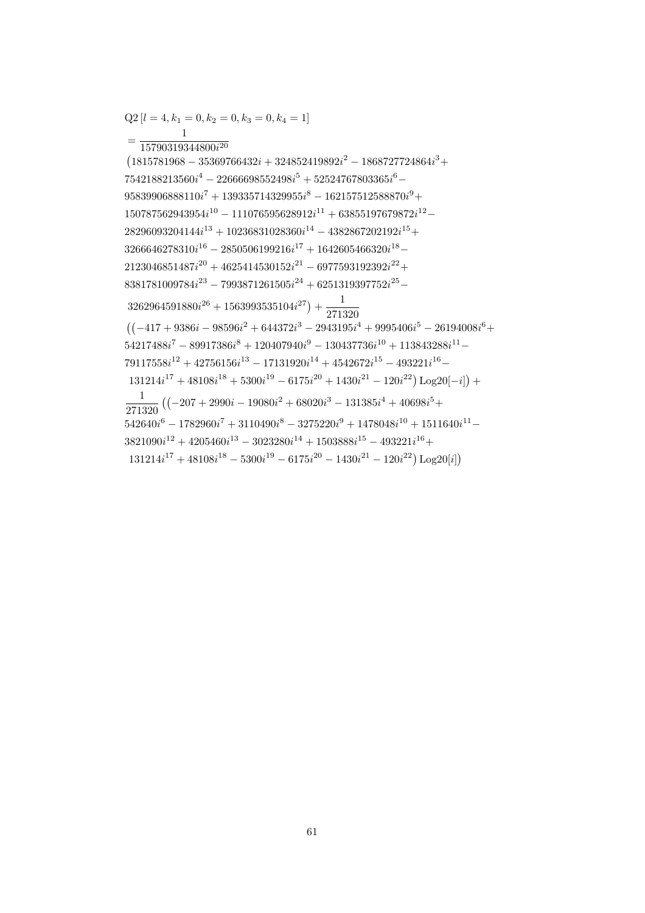$=\frac{}{15790319344800i^{20}}$  $(1815781968 - 35369766432i + 324852419892i^2 - 1868727724864i^3 +$  $7542188213560i<sup>4</sup> - 22666698552498i<sup>5</sup> + 52524767803365i<sup>6</sup> 95839906888110i<sup>7</sup> + 139335714329955i<sup>8</sup> - 162157512588870i<sup>9</sup> +$  $150787562943954i^{10} - 111076595628912i^{11} + 63855197679872i^{12} 28296093204144i^{13} + 10236831028360i^{14} - 4382867202192i^{15} +$  $3266646278310i^{16} - 2850506199216i^{17} + 1642605466320i^{18} 2123046851487i^{20} + 4625414530152i^{21} - 6977593192392i^{22} +$  $8381781009784i^{23} - 7993871261505i^{24} + 6251319397752i^{25} 3262964591880i^{26} + 1563993535104i^{27} + \frac{1}{271320}$  $((-417 + 9386i - 98596i^2 + 644372i^3 - 2943195i^4 + 9995406i^5 - 26194008i^6 +$  $54217488i^7 - 89917386i^8 + 120407940i^9 - 130437736i^{10} + 113843288i^{11} 79117558i^{12} + 42756156i^{13} - 17131920i^{14} + 4542672i^{15} - 493221i^{16} 131214i^{17} + 48108i^{18} + 5300i^{19} - 6175i^{20} + 1430i^{21} - 120i^{22})\text{Log }20[-i]) +$  $\frac{1}{271320} \left( \left( -207 + 2990i - 19080i^2 + 68020i^3 - 131385i^4 + 40698i^5 + \right. \right.$  $542640i^{6} - 1782960i^{7} + 3110490i^{8} - 3275220i^{9} + 1478048i^{10} + 1511640i^{11} 3821090i^{12} + 4205460i^{13} - 3023280i^{14} + 1503888i^{15} - 493221i^{16} +$  $131214i^{17} + 48108i^{18} - 5300i^{19} - 6175i^{20} - 1430i^{21} - 120i^{22}$  Log<sub>20</sub>[i])

 $Q2[l = 4, k_1 = 0, k_2 = 0, k_3 = 0, k_4 = 1]$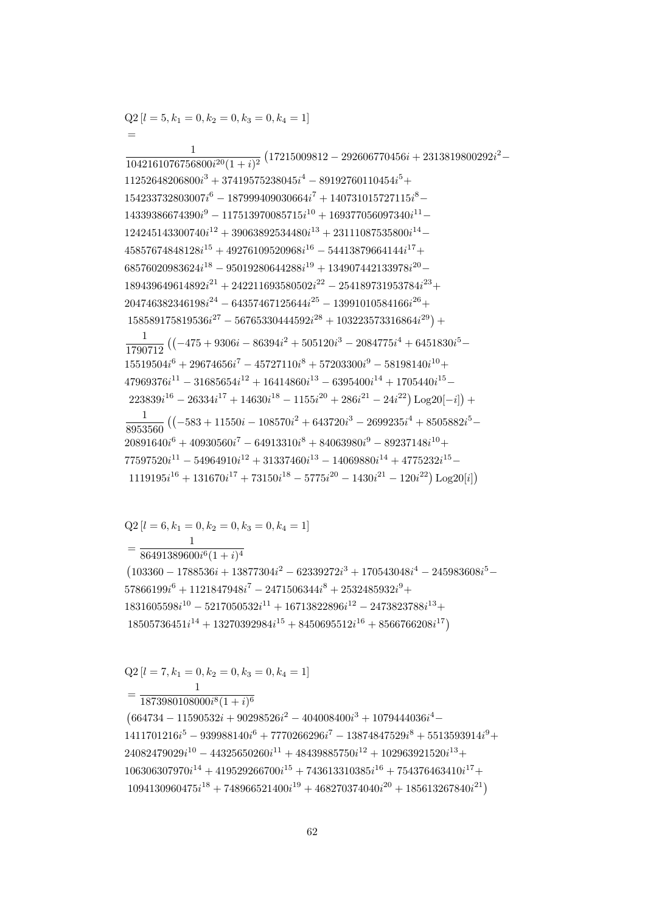$(664734 - 11590532i + 90298526i^2 - 404008400i^3 + 1079444036i^4 1411701216i^5 - 939988140i^6 + 7770266296i^7 - 13874847529i^8 + 5513593914i^9 +$  $24082479029i^{10} - 44325650260i^{11} + 48439885750i^{12} + 102963921520i^{13} +$  $106306307970i^{14} + 419529266700i^{15} + 743613310385i^{16} + 754376463410i^{17} +$  $1094130960475i^{18} + 748966521400i^{19} + 468270374040i^{20} + 185613267840i^{21}$ 

 $=\frac{1}{1873980108000i^8(1+i)^6}$ 

$$
Q2 [l = 7, k_1 = 0, k_2 = 0, k_3 = 0, k_4 = 1]
$$

 $Q2[l = 6, k_1 = 0, k_2 = 0, k_3 = 0, k_4 = 1]$ 

 $=\frac{1}{86491389600i^6(1+i)^4}$  $(103360 - 1788536i + 13877304i^2 - 62339272i^3 + 170543048i^4 - 245983608i^5 57866199i^6 + 1121847948i^7 - 2471506344i^8 + 2532485932i^9 +$  $1831605598i^{10} - 5217050532i^{11} + 16713822896i^{12} - 2473823788i^{13} +$  $18505736451i^{14} + 13270392984i^{15} + 8450695512i^{16} + 8566766208i^{17}$ 

 $\frac{1}{1042161076756800i^{20}(1+i)^2} \left(17215009812 - 292606770456i + 2313819800292i^2 - \right.$  $11252648206800i^3 + 37419575238045i^4 - 89192760110454i^5 +$  $154233732803007i^{6} - 187999409030664i^{7} + 140731015727115i^{8} 14339386674390i<sup>9</sup> - 117513970085715i<sup>10</sup> + 169377056097340i<sup>11</sup> 124245143300740i^{12} + 39063892534480i^{13} + 23111087535800i^{14} 45857674848128i^{15} + 49276109520968i^{16} - 54413879664144i^{17} +$  $68576020983624i^{18} - 95019280644288i^{19} + 134907442133978i^{20} 189439649614892i^{21} + 242211693580502i^{22} - 254189731953784i^{23} +$  $204746382346198i^{24} - 64357467125644i^{25} - 13991010584166i^{26} +$  $158589175819536i^{27} - 56765330444592i^{28} + 103223573316864i^{29}) +$  $\frac{1}{1790712} \left( \left( -475 + 9306i - 86394i^2 + 505120i^3 - 2084775i^4 + 6451830i^5 - \right. \right.$  $15519504i^{6} + 29674656i^{7} - 45727110i^{8} + 57203300i^{9} - 58198140i^{10} +$  $47969376i^{11} - 31685654i^{12} + 16414860i^{13} - 6395400i^{14} + 1705440i^{15} 223839i^{16} - 26334i^{17} + 14630i^{18} - 1155i^{20} + 286i^{21} - 24i^{22})\log(20[-i]) +$  $\frac{1}{8953560} \left( \left(-583 + 11550i - 108570i^2 + 643720i^3 - 2699235i^4 + 8505882i^5 - \right) \right)$  $20891640i^{6} + 40930560i^{7} - 64913310i^{8} + 84063980i^{9} - 89237148i^{10} +$  $77597520i^{11} - 54964910i^{12} + 31337460i^{13} - 14069880i^{14} + 4775232i^{15} 1119195i^{16} + 131670i^{17} + 73150i^{18} - 5775i^{20} - 1430i^{21} - 120i^{22})\text{Log}_20[i]$ 

 $Q2[l = 5, k_1 = 0, k_2 = 0, k_3 = 0, k_4 = 1]$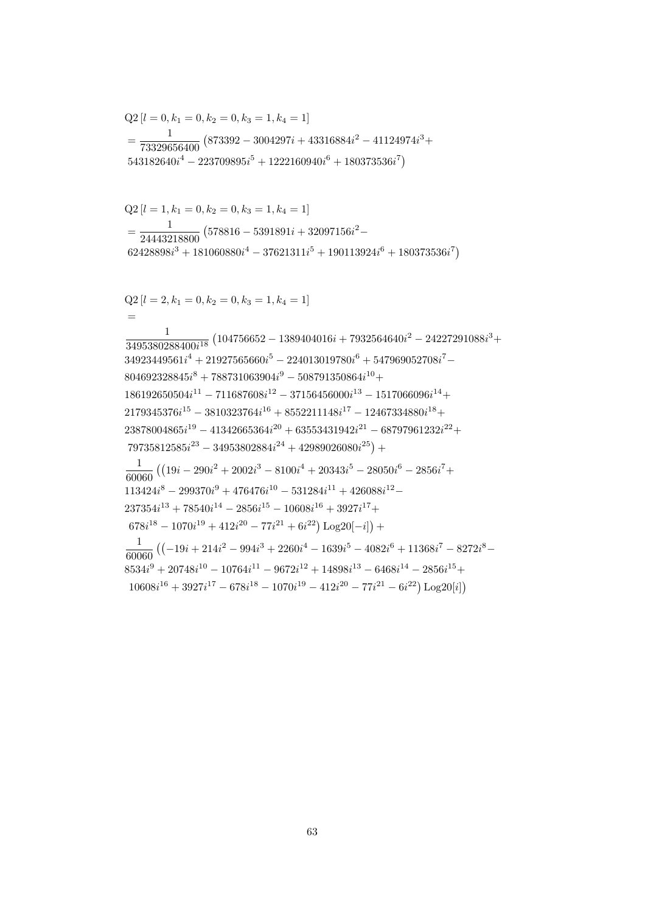$$
=\frac{1}{24443218800}\left(578816-5391891i+32097156i^2-62428898i^3+181060880i^4-37621311i^5+190113924i^6+180373536i^7\right)
$$
  
\nQ2 [ $l = 2, k_1 = 0, k_2 = 0, k_3 = 1, k_4 = 1$ ]  
\n
$$
=\frac{1}{3495380288400i^{18}}\left(104756652-1389404016i+7932564640i^2-24227291088i^3+34923449561i^4+21927565660i^5-224013019780i^6+547969052708i^7-804692328845i^8+788731063904i^9-508791350864i^{10}+
$$
  
\n186192650504i<sup>11</sup> -711687608i<sup>12</sup> - 37156456000i<sup>13</sup> - 1517066096i<sup>14</sup>+2179345376i<sup>15</sup> - 3810323764i^{16} + 8552211148i^{17} - 12467334880i^{18}+  
\n23878004865i<sup>19</sup> - 41342665364i<sup>20</sup> + 63553431942i<sup>21</sup> - 68797961232i<sup>22</sup>+79735812585i<sup>23</sup> - 34953802884i<sup>24</sup> + 42989026080i<sup>25</sup>) +  
\n
$$
\frac{1}{60060} \left( (19i - 290i^2 + 2002i^3 - 8100i^4 + 20343i^5 - 28050i^6 - 2856i^7 + 113
$$

$$
Q2[l = 1, k_1 = 0, k_2 = 0, k_3 = 1, k_4 = 1]
$$
  
= 
$$
\frac{1}{(578816 - 5301801i + 32007156i^2 - 1)}
$$

$$
Q2 [l = 0, k_1 = 0, k_2 = 0, k_3 = 1, k_4 = 1]
$$
  
= 
$$
\frac{1}{73329656400} (873392 - 3004297i + 43316884i^2 - 41124974i^3 + 543182640i^4 - 223709895i^5 + 1222160940i^6 + 180373536i^7)
$$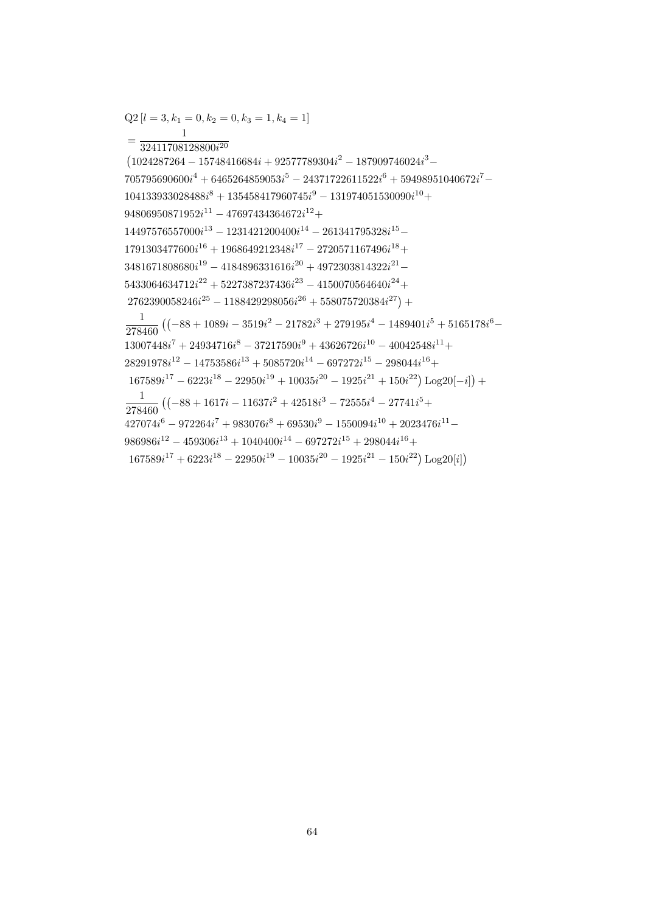$Q2[l = 3, k_1 = 0, k_2 = 0, k_3 = 1, k_4 = 1]$ 

 $94806950871952i^{11} - 47697434364672i^{12} +$ 

 $(1024287264 - 15748416684i + 92577789304i^2 - 187909746024i^3 -$ 

 $104133933028488i^8 + 135458417960745i^9 - 131974051530090i^{10} +$ 

 $14497576557000i^{13} - 1231421200400i^{14} - 261341795328i^{15} 1791303477600i^{16} + 1968649212348i^{17} - 2720571167496i^{18} +$  $3481671808680i^{19} - 4184896331616i^{20} + 4972303814322i^{21} 5433064634712i^{22} + 5227387237436i^{23} - 4150070564640i^{24} +$  $2762390058246i^{25} - 1188429298056i^{26} + 558075720384i^{27}) +$ 

 $705795690600i^4 + 6465264859053i^5 - 24371722611522i^6 + 59498951040672i^7 -$ 

 $\frac{1}{278460} \left( (-88 + 1089i - 3519i^2 - 21782i^3 + 279195i^4 - 1489401i^5 + 5165178i^6 - \right.$ 

 $167589i^{17} - 6223i^{18} - 22950i^{19} + 10035i^{20} - 1925i^{21} + 150i^{22})\text{Log }20[-i] +$ 

 $13007448i^7 + 24934716i^8 - 37217590i^9 + 43626726i^{10} - 40042548i^{11} +$  $28291978i^{12} - 14753586i^{13} + 5085720i^{14} - 697272i^{15} - 298044i^{16} +$ 

 $\frac{1}{278460} \left( \left( -88 + 1617i - 11637i^2 + 42518i^3 - 72555i^4 - 27741i^5 + \right. \right.$ 

 $986986i^{12} - 459306i^{13} + 1040400i^{14} - 697272i^{15} + 298044i^{16} +$ 

 $427074i^{6} - 972264i^{7} + 983076i^{8} + 69530i^{9} - 1550094i^{10} + 2023476i^{11} -$ 

 $167589i^{17} + 6223i^{18} - 22950i^{19} - 10035i^{20} - 1925i^{21} - 150i^{22})\text{Log }20[i]$ 

 $=\frac{1}{32411708128800i^{20}}$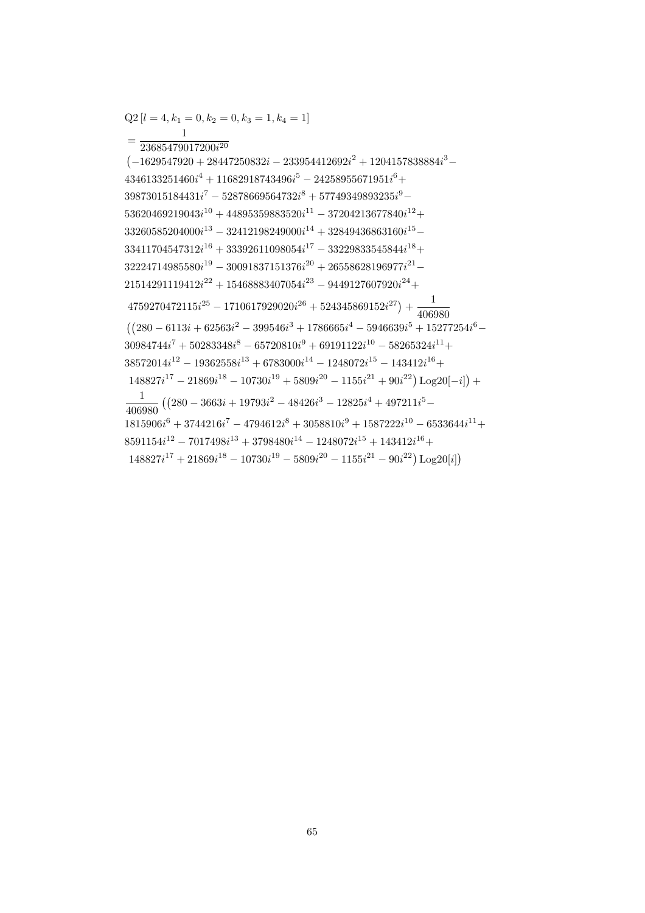$Q2[l = 4, k_1 = 0, k_2 = 0, k_3 = 1, k_4 = 1]$ 

 $=\frac{1}{23685479017200i^{20}}$  $(-1629547920 + 28447250832i - 233954412692i^2 + 1204157838884i^3 4346133251460i^4 + 11682918743496i^5 - 24258955671951i^6 +$  $39873015184431i^{7} - 52878669564732i^{8} + 57749349893235i^{9} 53620469219043i^{10} + 44895359883520i^{11} - 37204213677840i^{12} +$  $33260585204000i^{13} - 32412198249000i^{14} + 32849436863160i^{15} 33411704547312i^{16} + 33392611098054i^{17} - 33229833545844i^{18} +$  $32224714985580i^{19} - 30091837151376i^{20} + 26558628196977i^{21} 21514291119412i^{22} + 15468883407054i^{23} - 9449127607920i^{24} +$  $4759270472115i^{25} - 1710617929020i^{26} + 524345869152i^{27}) + \frac{1}{406980}$  $((280 - 6113i + 62563i<sup>2</sup> - 399546i<sup>3</sup> + 1786665i<sup>4</sup> - 5946639i<sup>5</sup> + 15277254i<sup>6</sup> 30984744i<sup>7</sup> + 50283348i<sup>8</sup> - 65720810i<sup>9</sup> + 69191122i<sup>10</sup> - 58265324i<sup>11</sup> +$  $38572014i^{12} - 19362558i^{13} + 6783000i^{14} - 1248072i^{15} - 143412i^{16} +$  $148827i^{17} - 21869i^{18} - 10730i^{19} + 5809i^{20} - 1155i^{21} + 90i^{22})\text{Log }20[-i] +$  $\frac{1}{406980} \left( \left( 280 - 3663i + 19793i^2 - 48426i^3 - 12825i^4 + 497211i^5 - \right. \right.$  $\mathbf{1}$  $1815906i^6 + 3744216i^7 - 4794612i^8 + 3058810i^9 + 1587222i^{10} - 6533644i^{11} +$  $8591154i^{12} - 7017498i^{13} + 3798480i^{14} - 1248072i^{15} + 143412i^{16} +$  $148827i^{17} + 21869i^{18} - 10730i^{19} - 5809i^{20} - 1155i^{21} - 90i^{22} \text{ Log } 20[i]$ 

65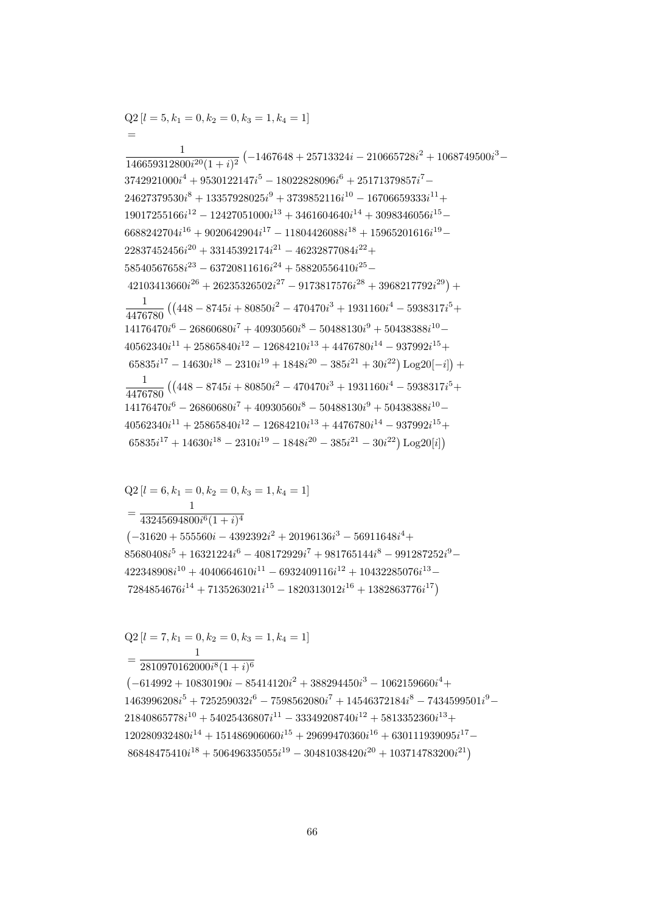$=\frac{1}{2810970162000i^8(1+i)^6}$  $(-614992 + 10830190i - 85414120i^2 + 388294450i^3 - 1062159660i^4 +$  $1463996208i^5 + 725259032i^6 - 7598562080i^7 + 14546372184i^8 - 7434599501i^9 21840865778i<sup>10</sup> + 54025436807i<sup>11</sup> - 33349208740i<sup>12</sup> + 5813352360i<sup>13</sup> +$  $120280932480i^{14} + 151486906060i^{15} + 29699470360i^{16} + 630111939095i^{17} 86848475410i^{18} + 506496335055i^{19} - 30481038420i^{20} + 103714783200i^{21}$ 

 $Q2$  [ $l = 7, k_1 = 0, k_2 = 0, k_3 = 1, k_4 = 1$ ]

 $Q2[l = 6, k_1 = 0, k_2 = 0, k_3 = 1, k_4 = 1]$ 

 $=\frac{1}{43245694800i^6(1+i)^4}$  $(-31620 + 555560i - 4392392i^2 + 20196136i^3 - 56911648i^4 +$  $85680408i^5 + 16321224i^6 - 408172929i^7 + 981765144i^8 - 991287252i^9 422348908i^{10} + 4040664610i^{11} - 6932409116i^{12} + 10432285076i^{13} 7284854676i^{14} + 7135263021i^{15} - 1820313012i^{16} + 1382863776i^{17})$ 

 $\frac{1}{146659312800i^{20}(1+i)^2}\left(-1467648+25713324i-210665728i^2+1068749500i^3-\right.$  $3742921000i<sup>4</sup> + 9530122147i<sup>5</sup> - 18022828096i<sup>6</sup> + 25171379857i<sup>7</sup> 24627379530i^8 + 13357928025i^9 + 3739852116i^{10} - 16706659333i^{11} +$  $19017255166i^{12} - 12427051000i^{13} + 3461604640i^{14} + 3098346056i^{15} 6688242704i^{16} + 9020642904i^{17} - 11804426088i^{18} + 15965201616i^{19} 22837452456i^{20} + 33145392174i^{21} - 46232877084i^{22} +$  $58540567658i^{23} - 63720811616i^{24} + 58820556410i^{25} 42103413660i^{26} + 26235326502i^{27} - 9173817576i^{28} + 3968217792i^{29}) +$  $\frac{1}{4476780} \left( \left( 448 - 8745i + 80850i^2 - 470470i^3 + 1931160i^4 - 5938317i^5 + \right. \right.$  $14176470i^6 - 26860680i^7 + 40930560i^8 - 50488130i^9 + 50438388i^{10} 40562340i^{11} + 25865840i^{12} - 12684210i^{13} + 4476780i^{14} - 937992i^{15} +$  $65835i^{17} - 14630i^{18} - 2310i^{19} + 1848i^{20} - 385i^{21} + 30i^{22})\text{Log }20[-i]$  +  $\frac{1}{4476780} \left( \left( 448 - 8745i + 80850i^2 - 470470i^3 + 1931160i^4 - 5938317i^5 + \right. \right.$  $14176470i^6 - 26860680i^7 + 40930560i^8 - 50488130i^9 + 50438388i^{10} 40562340i^{11} + 25865840i^{12} - 12684210i^{13} + 4476780i^{14} - 937992i^{15} +$  $65835i^{17} + 14630i^{18} - 2310i^{19} - 1848i^{20} - 385i^{21} - 30i^{22})$  Log20[i])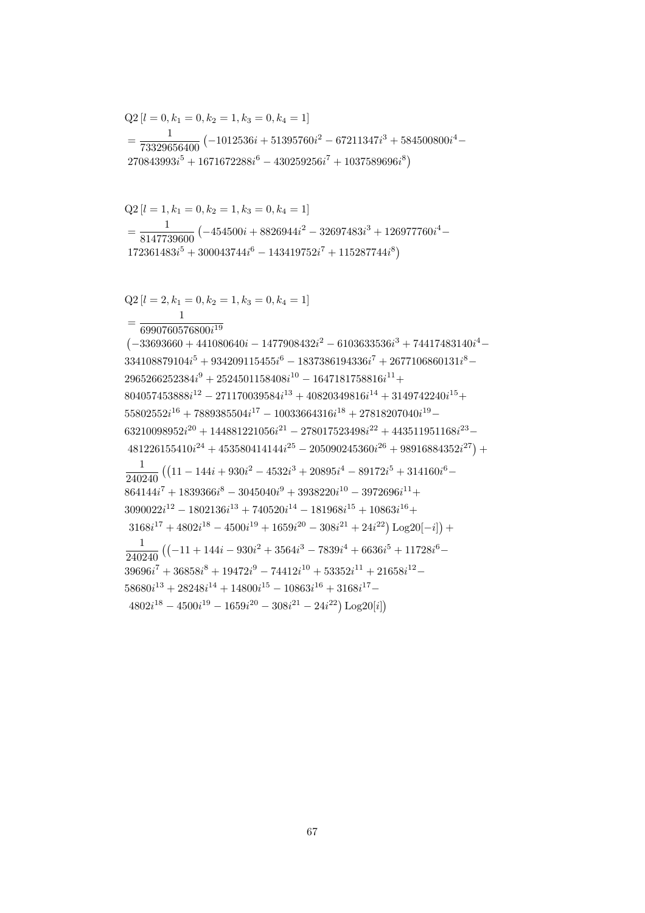$Q2[l = 2, k_1 = 0, k_2 = 1, k_3 = 0, k_4 = 1]$  $=\frac{6990760576800i^{19}}{6990760576800i^{19}}$  $(-33693660 + 441080640i - 1477908432i^2 - 6103633536i^3 + 74417483140i^4 334108879104i^5 + 934209115455i^6 - 1837386194336i^7 + 2677106860131i^8 2965266252384i<sup>9</sup> + 2524501158408i<sup>10</sup> - 1647181758816i<sup>11</sup> +$  $804057453888i^{12} - 271170039584i^{13} + 40820349816i^{14} + 3149742240i^{15} +$  $55802552i^{16} + 7889385504i^{17} - 10033664316i^{18} + 27818207040i^{19} 63210098952i^{20} + 144881221056i^{21} - 278017523498i^{22} + 443511951168i^{23} 481226155410i^{24} + 453580414144i^{25} - 205090245360i^{26} + 98916884352i^{27}) +$  $\frac{1}{240240} \left( \left( 11 - 144i + 930i^2 - 4532i^3 + 20895i^4 - 89172i^5 + 314160i^6 - \right. \right.$  $864144i<sup>7</sup> + 1839366i<sup>8</sup> - 3045040i<sup>9</sup> + 3938220i<sup>10</sup> - 3972696i<sup>11</sup> +$  $3090022i^{12} - 1802136i^{13} + 740520i^{14} - 181968i^{15} + 10863i^{16} +$  $3168i^{17} + 4802i^{18} - 4500i^{19} + 1659i^{20} - 308i^{21} + 24i^{22})\text{Log }20[-i]) +$  $\frac{1}{240240} \left( \left( -11 + 144i - 930i^2 + 3564i^3 - 7839i^4 + 6636i^5 + 11728i^6 - \right. \right.$  $39696i^7 + 36858i^8 + 19472i^9 - 74412i^{10} + 53352i^{11} + 21658i^{12} 58680i^{13} + 28248i^{14} + 14800i^{15} - 10863i^{16} + 3168i^{17} 4802i^{18} - 4500i^{19} - 1659i^{20} - 308i^{21} - 24i^{22})$  Log20[i])

$$
Q2 [l = 1, k_1 = 0, k_2 = 1, k_3 = 0, k_4 = 1]
$$
  
=  $\frac{1}{8147739600} (-454500i + 8826944i^2 - 32697483i^3 + 126977760i^4 - 172361483i^5 + 300043744i^6 - 143419752i^7 + 115287744i^8)$ 

$$
Q2 [l = 0, k_1 = 0, k_2 = 1, k_3 = 0, k_4 = 1]
$$
  
= 
$$
\frac{1}{73329656400} (-1012536i + 51395760i^2 - 67211347i^3 + 584500800i^4 - 270843993i^5 + 1671672288i^6 - 430259256i^7 + 1037589696i^8)
$$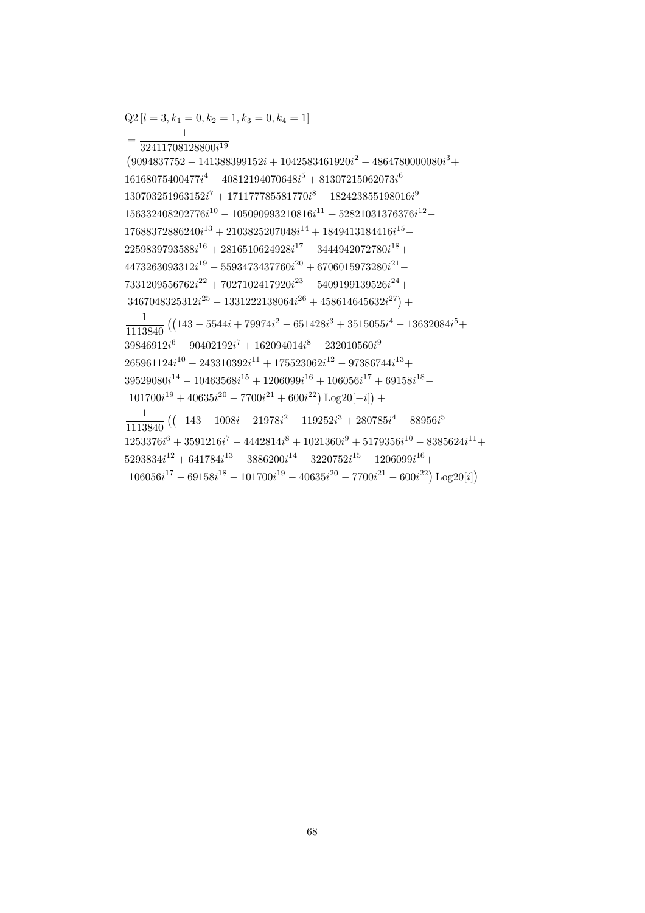$=\frac{1}{32411708128800i^{19}}$  $(9094837752 - 141388399152i + 1042583461920i^2 - 4864780000080i^3 +$  $16168075400477i^4 - 40812194070648i^5 + 81307215062073i^6 130703251963152i<sup>7</sup> + 171177785581770i<sup>8</sup> - 182423855198016i<sup>9</sup> +$  $156332408202776i^{10} - 105090993210816i^{11} + 52821031376376i^{12} 17688372886240i^{13} + 2103825207048i^{14} + 1849413184416i^{15} 2259839793588i^{16} + 2816510624928i^{17} - 3444942072780i^{18} +$  $4473263093312i^{19} - 5593473437760i^{20} + 6706015973280i^{21} 7331209556762i^{22} + 7027102417920i^{23} - 5409199139526i^{24} +$  $3467048325312i^{25} - 1331222138064i^{26} + 458614645632i^{27}) +$  $\frac{1}{1113840}\left(\left(143-5544i+79974i^2-651428i^3+3515055i^4-13632084i^5+\right.\right.$  $39846912i^{6} - 90402192i^{7} + 162094014i^{8} - 232010560i^{9} +$  $265961124i^{10} - 243310392i^{11} + 175523062i^{12} - 97386744i^{13} +$  $39529080i^{14} - 10463568i^{15} + 1206099i^{16} + 106056i^{17} + 69158i^{18} 101700i^{19} + 40635i^{20} - 7700i^{21} + 600i^{22}) \text{Log }20[-i]$  +  $\frac{1}{1113840} \left( \left(-143 - 1008i + 21978i^2 - 119252i^3 + 280785i^4 - 88956i^5 - \right) \right.$  $1253376i^6 + 3591216i^7 - 4442814i^8 + 1021360i^9 + 5179356i^{10} - 8385624i^{11} +$  $5293834i^{12} + 641784i^{13} - 3886200i^{14} + 3220752i^{15} - 1206099i^{16} +$ 

 $106056i^{17} - 69158i^{18} - 101700i^{19} - 40635i^{20} - 7700i^{21} - 600i^{22}) Log20[i]$ 

 $Q2[l = 3, k_1 = 0, k_2 = 1, k_3 = 0, k_4 = 1]$ 

$$
68 \\
$$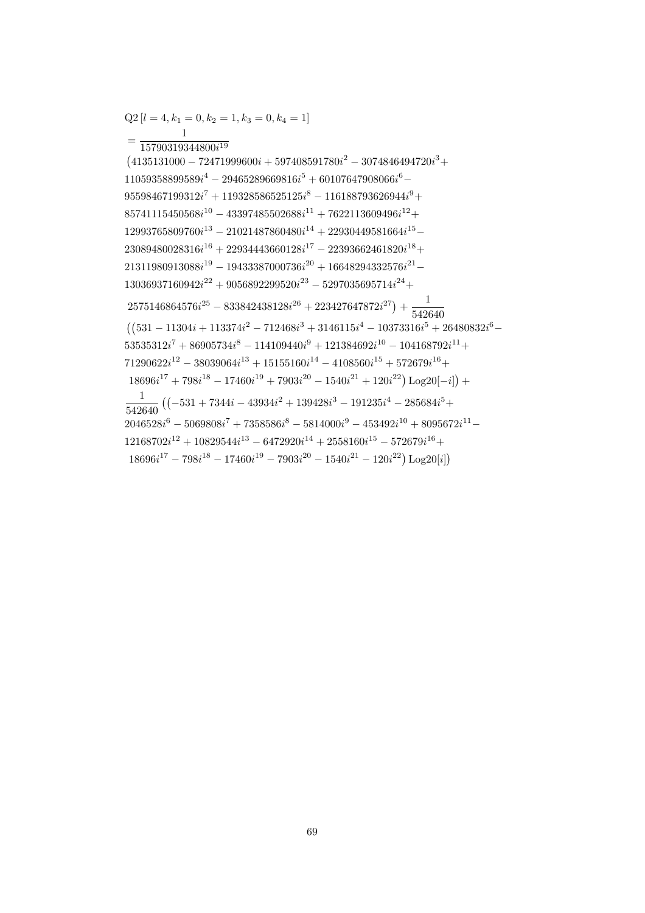$\mathbf{1}$  $=\frac{}{15790319344800i^{19}}$  $(4135131000 - 72471999600i + 597408591780i<sup>2</sup> - 3074846494720i<sup>3</sup> +$  $11059358899589i^{4} - 29465289669816i^{5} + 60107647908066i^{6} 95598467199312i<sup>7</sup> + 119328586525125i<sup>8</sup> - 116188793626944i<sup>9</sup> +$  $85741115450568i^{10} - 43397485502688i^{11} + 7622113609496i^{12} +$  $12993765809760i^{13} - 21021487860480i^{14} + 22930449581664i^{15} 23089480028316i^{16} + 22934443660128i^{17} - 22393662461820i^{18} +$  $21311980913088i^{19} - 19433387000736i^{20} + 16648294332576i^{21} 13036937160942i^{22} + 9056892299520i^{23} - 5297035695714i^{24} +$  $2575146864576i^{25} - 833842438128i^{26} + 223427647872i^{27}) + \frac{1}{542640}$  $((531 - 11304i + 113374i^{2} - 712468i^{3} + 3146115i^{4} - 10373316i^{5} + 26480832i^{6} 53535312i<sup>7</sup> + 86905734i<sup>8</sup> - 114109440i<sup>9</sup> + 121384692i<sup>10</sup> - 104168792i<sup>11</sup> +$  $71290622i^{12} - 38039064i^{13} + 15155160i^{14} - 4108560i^{15} + 572679i^{16} +$  $18696i^{17} + 798i^{18} - 17460i^{19} + 7903i^{20} - 1540i^{21} + 120i^{22})\text{Log }20[-i]) +$  $\frac{1}{542640} \left( \left(-531 + 7344i - 43934i^2 + 139428i^3 - 191235i^4 - 285684i^5 + \right) \right.$  $2046528i^{6} - 5069808i^{7} + 7358586i^{8} - 5814000i^{9} - 453492i^{10} + 8095672i^{11} 12168702i^{12} + 10829544i^{13} - 6472920i^{14} + 2558160i^{15} - 572679i^{16} +$  $18696i^{17} - 798i^{18} - 17460i^{19} - 7903i^{20} - 1540i^{21} - 120i^{22})$  Log20[i])

$$
Q2[l = 4, k_1 = 0, k_2 = 1, k_3 = 0, k_4 = 1]
$$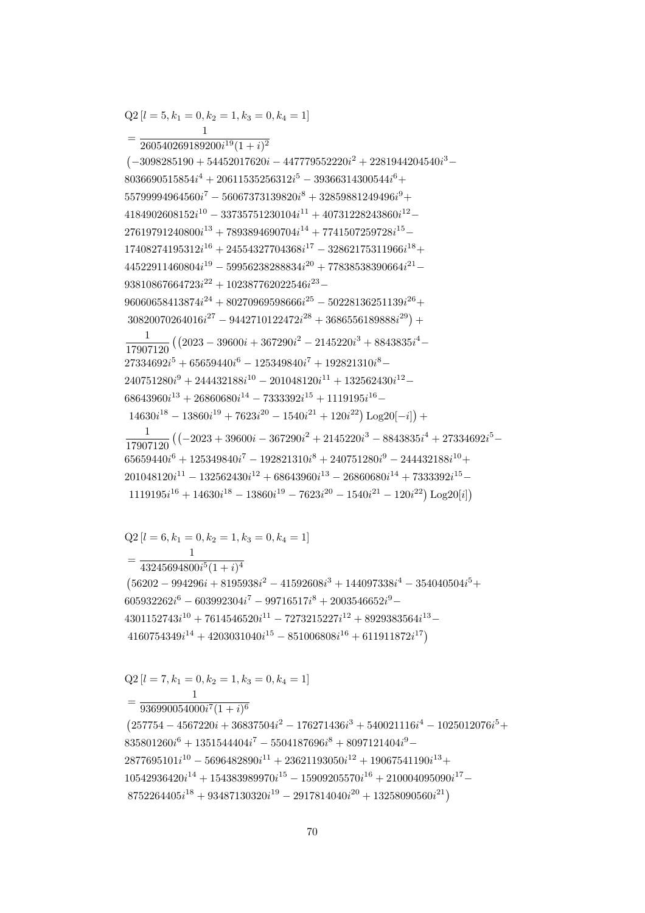$Q2[l = 7, k_1 = 0, k_2 = 1, k_3 = 0, k_4 = 1]$  $=\frac{1}{936990054000i^{7}(1+i)^{6}}$  $(257754 - 4567220i + 36837504i^2 - 176271436i^3 + 540021116i^4 - 1025012076i^5 +$  $835801260i^{6} + 1351544404i^{7} - 5504187696i^{8} + 8097121404i^{9} 2877695101i^{10} - 5696482890i^{11} + 23621193050i^{12} + 19067541190i^{13} +$  $10542936420i^{14} + 154383989970i^{15} - 15909205570i^{16} + 210004095090i^{17} 8752264405i^{18} + 93487130320i^{19} - 2917814040i^{20} + 13258090560i^{21}$ 

 $Q2[l = 6, k_1 = 0, k_2 = 1, k_3 = 0, k_4 = 1]$  $=\frac{1}{43245694800i^5(1+i)^4}$  $(56202 - 994296i + 8195938i^2 - 41592608i^3 + 144097338i^4 - 354040504i^5 +$  $605932262i^6 - 603992304i^7 - 99716517i^8 + 2003546652i^9 4301152743i^{10} + 7614546520i^{11} - 7273215227i^{12} + 8929383564i^{13} 4160754349i^{14} + 4203031040i^{15} - 851006808i^{16} + 611911872i^{17}$ 

 $1119195i^{16} + 14630i^{18} - 13860i^{19} - 7623i^{20} - 1540i^{21} - 120i^{22})$  Log<sub>20</sub>[i])

 $\left(-3098285190 + 54452017620i - 447779552220i^2 + 2281944204540i^3 - \right)$  $8036690515854i<sup>4</sup> + 20611535256312i<sup>5</sup> - 39366314300544i<sup>6</sup> +$  $55799994964560i^7 - 56067373139820i^8 + 32859881249496i^9 +$  $4184902608152i^{10} - 33735751230104i^{11} + 40731228243860i^{12} 27619791240800i^{13} + 7893894690704i^{14} + 7741507259728i^{15} 17408274195312i^{16} + 24554327704368i^{17} - 32862175311966i^{18} +$  $44522911460804i^{19} - 59956238288834i^{20} + 77838538390664i^{21} 93810867664723i^{22} + 102387762022546i^{23} 96060658413874i^{24} + 80270969598666i^{25} - 50228136251139i^{26} +$  $30820070264016i^{27} - 9442710122472i^{28} + 3686556189888i^{29}) +$  $\frac{1}{17907120} \left( \left( 2023 - 39600i + 367290i^2 - 2145220i^3 + 8843835i^4 - \right. \right.$  $27334692i^5 + 65659440i^6 - 125349840i^7 + 192821310i^8 240751280i<sup>9</sup> + 244432188i<sup>10</sup> - 201048120i<sup>11</sup> + 132562430i<sup>12</sup> 68643960i^{13} + 26860680i^{14} - 7333392i^{15} + 1119195i^{16} 14630i^{18} - 13860i^{19} + 7623i^{20} - 1540i^{21} + 120i^{22})$  Log20[-i]) +  $\frac{1}{17907120} \left( \left( -2023 + 39600i - 367290i^2 + 2145220i^3 - 8843835i^4 + 27334692i^5 - \right. \right.$  $65659440i^6 + 125349840i^7 - 192821310i^8 + 240751280i^9 - 244432188i^{10} +$  $201048120i^{11} - 132562430i^{12} + 68643960i^{13} - 26860680i^{14} + 7333392i^{15} -$ 

 $Q2[l = 5, k_1 = 0, k_2 = 1, k_3 = 0, k_4 = 1]$ 

 $=\frac{1}{260540269189200i^{19}(1+i)^2}$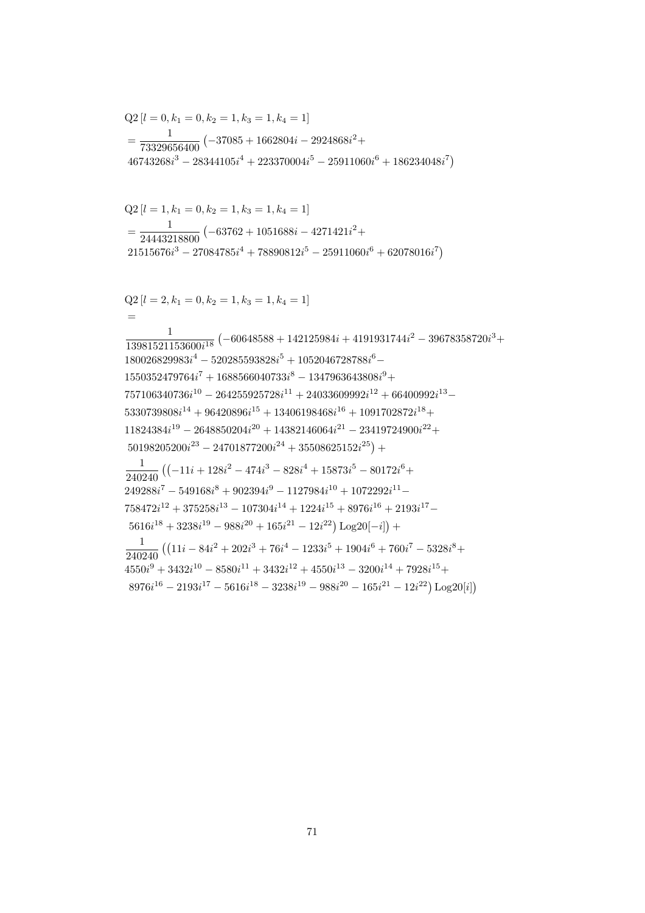$$
=\frac{1}{24443218800}\left(-63762+1051688i-4271421i^2+21515676i^3-27084785i^4+78890812i^5-25911060i^6+62078016i^7\right)
$$
  
\n
$$
Q2\left[l=2,k_1=0,k_2=1,k_3=1,k_4=1\right]
$$
  
\n
$$
=\frac{1}{13981521153600i^{18}}\left(-60648588+142125984i+4191931744i^2-39678358720i^3+180026829983i^4-520285593828i^5+1052046728788i^6-1550352479764i^7+1688566040733i^8-1347963643808i^9+\n757106340736i^{10}-264255925728i^{11}+24033609992i^{12}+66400992i^{13}-5330739808i^{14}+96420896i^{15}+13406198468i^{16}+1091702872i^{18}+\n11824384i^{19}-2648850204i^{20}+14382146064i^{21}-23419724900i^{22}+\n50198205200i^{23}-24701877200i^{24}+35508625152i^{25}\right)+\n\frac{1}{240240}\left((-11i+128i^2-474i^3-828i^4+15873i^5-80172i^6+\n249288i^7-549168i^8+902394i^9-1127984i^{10}+1072292i^{11}-\n758472i^{12}+375258i^{13}-107304i^{14}+1224i^{15}+8976i^{16}+2193i^{17
$$

$$
71\,
$$

$$
46743268i3 - 28344105i4 + 223370004i5 - 25911060i6
$$

 $Q2[l = 1, k_1 = 0, k_2 = 1, k_3 = 1, k_4 = 1]$ 

$$
Q2 [l = 0, k_1 = 0, k_2 = 1, k_3 = 1, k_4 = 1]
$$
  
= 
$$
\frac{1}{73329656400} (-37085 + 1662804i - 2924868i^2 + 46743268i^3 - 28344105i^4 + 223370004i^5 - 25911060i^6 + 186234048i^7)
$$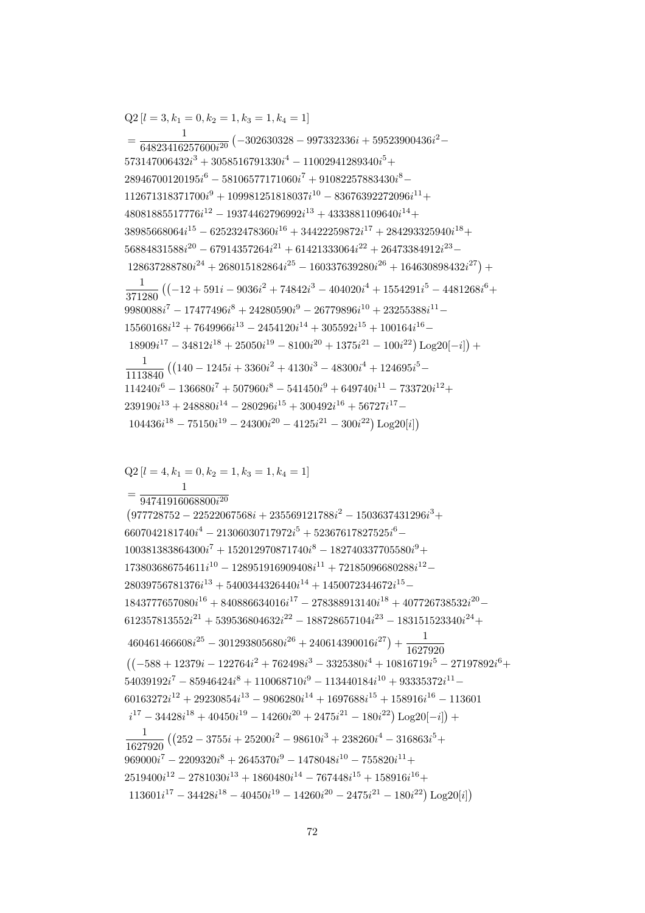$Q2$  [ $l = 4, k_1 = 0, k_2 = 1, k_3 = 1, k_4 = 1$ ]  $=\frac{}{94741916068800i^{20}}$  $(977728752 - 22522067568i + 235569121788i^2 - 1503637431296i^3 +$  $6607042181740i<sup>4</sup> - 21306030717972i<sup>5</sup> + 52367617827525i<sup>6</sup> 100381383864300i^{7} + 152012970871740i^{8} - 182740337705580i^{9} +$  $173803686754611i^{10} - 128951916909408i^{11} + 72185096680288i^{12} 28039756781376i^{13} + 5400344326440i^{14} + 1450072344672i^{15} 1843777657080i^{16} + 840886634016i^{17} - 278388913140i^{18} + 407726738532i^{20} 612357813552i^{21} + 539536804632i^{22} - 188728657104i^{23} - 183151523340i^{24} +$  $460461466608i^{25} - 301293805680i^{26} + 240614390016i^{27}) + \frac{1}{1627920}$  $((-588 + 12379i - 122764i^2 + 762498i^3 - 3325380i^4 + 10816719i^5 - 27197892i^6 +$  $54039192i^7 - 85946424i^8 + 110068710i^9 - 113440184i^{10} + 93335372i^{11} 60163272i^{12} + 29230854i^{13} - 9806280i^{14} + 1697688i^{15} + 158916i^{16} - 113601$  $i^{17} - 34428i^{18} + 40450i^{19} - 14260i^{20} + 2475i^{21} - 180i^{22})\log(20[-i]) +$  $\frac{1}{1627920} \left( \left( 252 - 3755i + 25200i^2 - 98610i^3 + 238260i^4 - 316863i^5 + \right. \right.$  $969000i^7 - 2209320i^8 + 2645370i^9 - 1478048i^{10} - 755820i^{11} +$  $2519400i^{12} - 2781030i^{13} + 1860480i^{14} - 767448i^{15} + 158916i^{16} +$  $113601i^{17} - 34428i^{18} - 40450i^{19} - 14260i^{20} - 2475i^{21} - 180i^{22}) Log20[i]$ 

 $=\frac{1}{64823416257600i^{20}}\left(-302630328-997332336i+59523900436i^2-\right.$  $573147006432i^3 + 3058516791330i^4 - 11002941289340i^5 +$  $28946700120195i^{6} - 58106577171060i^{7} + 91082257883430i^{8} 112671318371700i<sup>9</sup> + 109981251818037i<sup>10</sup> - 83676392272096i<sup>11</sup> +$  $48081885517776i^{12} - 19374462796992i^{13} + 4333881109640i^{14} +$  $38985668064i^{15} - 625232478360i^{16} + 34422259872i^{17} + 284293325940i^{18} +$  $56884831588i^{20} - 67914357264i^{21} + 61421333064i^{22} + 26473384912i^{23} 128637288780i^{24} + 268015182864i^{25} - 160337639280i^{26} + 164630898432i^{27}) +$  $\frac{1}{371280} \left( \left( -12 + 591i - 9036i^2 + 74842i^3 - 404020i^4 + 1554291i^5 - 4481268i^6 + \right. \right.$  $9980088i<sup>7</sup> - 17477496i<sup>8</sup> + 24280590i<sup>9</sup> - 26779896i<sup>10</sup> + 23255388i<sup>11</sup> 15560168i^{12} + 7649966i^{13} - 2454120i^{14} + 305592i^{15} + 100164i^{16} 18909i^{17} - 34812i^{18} + 25050i^{19} - 8100i^{20} + 1375i^{21} - 100i^{22})\text{Log }20[-i] +$  $\frac{1}{1113840} \left( \left( 140 - 1245i + 3360i^2 + 4130i^3 - 48300i^4 + 124695i^5 - \right. \right.$  $114240i^6 - 136680i^7 + 507960i^8 - 541450i^9 + 649740i^{11} - 733720i^{12} +$  $239190i^{13} + 248880i^{14} - 280296i^{15} + 300492i^{16} + 56727i^{17} 104436i^{18} - 75150i^{19} - 24300i^{20} - 4125i^{21} - 300i^{22}) Log20[i]$ 

 $Q2[l = 3, k_1 = 0, k_2 = 1, k_3 = 1, k_4 = 1]$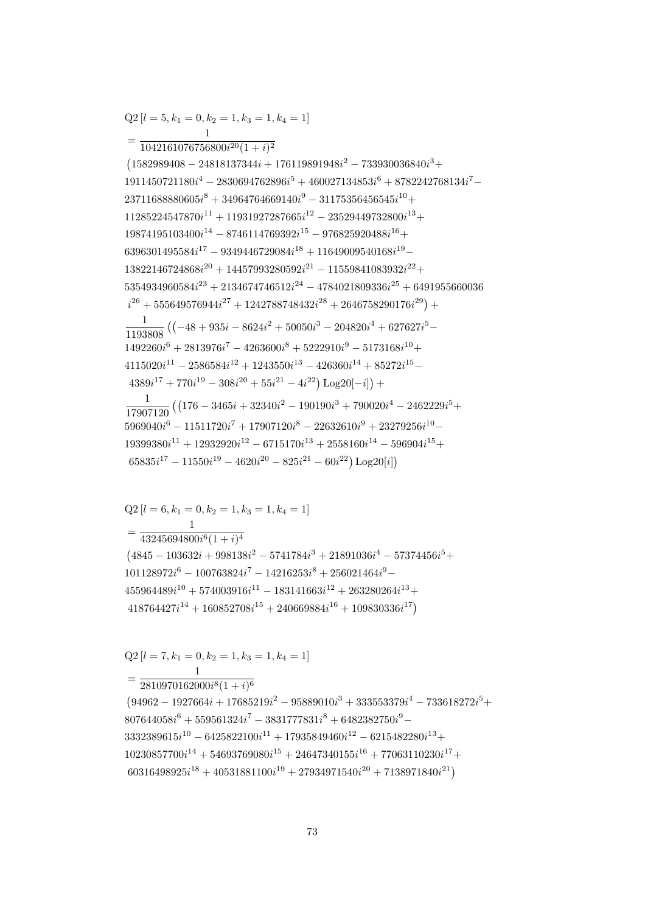$=\frac{1}{2810970162000i^8(1+i)^6}$  $(94962 - 1927664i + 17685219i^2 - 95889010i^3 + 333553379i^4 - 733618272i^5 +$  $807644058i^{6} + 559561324i^{7} - 3831777831i^{8} + 6482382750i^{9} 3332389615i^{10} - 6425822100i^{11} + 17935849460i^{12} - 6215482280i^{13} +$  $10230857700i^{14} + 54693769080i^{15} + 24647340155i^{16} + 77063110230i^{17} +$  $60316498925i^{18} + 40531881100i^{19} + 27934971540i^{20} + 7138971840i^{21}$ 

 $=\frac{1}{43245694800i^6(1+i)^4}$  $(4845 - 103632i + 998138i^2 - 5741784i^3 + 21891036i^4 - 57374456i^5 +$  $101128972i^{6} - 100763824i^{7} - 14216253i^{8} + 256021464i^{9} 455964489i^{10} + 574003916i^{11} - 183141663i^{12} + 263280264i^{13} +$  $418764427i^{14} + 160852708i^{15} + 240669884i^{16} + 109830336i^{17}$ 

 $=\frac{1042161076756800i^{20}(1+i)^2}{1042161076756800i^{20}(1+i)^2}$  $(1582989408 - 24818137344i + 176119891948i^2 - 733930036840i^3 +$  $1911450721180i<sup>4</sup> - 2830694762896i<sup>5</sup> + 460027134853i<sup>6</sup> + 8782242768134i<sup>7</sup> 23711688880605i^8 + 34964764669140i^9 - 31175356456545i^{10} +$  $11285224547870i^{11} + 11931927287665i^{12} - 23529449732800i^{13} +$  $19874195103400i^{14} - 8746114769392i^{15} - 976825920488i^{16} +$  $6396301495584i^{17} - 9349446729084i^{18} + 11649009540168i^{19} 13822146724868i^{20} + 14457993280592i^{21} - 11559841083932i^{22} +$  $5354934960584i^{23} + 2134674746512i^{24} - 4784021809336i^{25} + 6491955660036$  $i^{26} + 555649576944i^{27} + 1242788748432i^{28} + 2646758290176i^{29}) +$  $\frac{1}{1193808} \left( \left( -48 + 935i - 8624i^2 + 50050i^3 - 204820i^4 + 627627i^5 - \right. \right.$  $1492260i^6 + 2813976i^7 - 4263600i^8 + 5222910i^9 - 5173168i^{10} +$  $4115020i^{11} - 2586584i^{12} + 1243550i^{13} - 426360i^{14} + 85272i^{15} 4389i^{17} + 770i^{19} - 308i^{20} + 55i^{21} - 4i^{22}) \log(20[-i]) +$  $\frac{1}{17907120} \left( \left( 176 - 3465i + 32340i^2 - 190190i^3 + 790020i^4 - 2462229i^5 + \right. \right.$  $5969040i^6 - 11511720i^7 + 17907120i^8 - 22632610i^9 + 23279256i^{10} 19399380i^{11} + 12932920i^{12} - 6715170i^{13} + 2558160i^{14} - 596904i^{15} +$  $65835i^{17} - 11550i^{19} - 4620i^{20} - 825i^{21} - 60i^{22}) \text{Log }20[i]$ 

$$
Q2[l = 5, k_1 = 0, k_2 = 1, k_3 = 1, k_4 = 1]
$$

 $Q2[l = 6, k_1 = 0, k_2 = 1, k_3 = 1, k_4 = 1]$ 

 $Q2[l = 7, k_1 = 0, k_2 = 1, k_3 = 1, k_4 = 1]$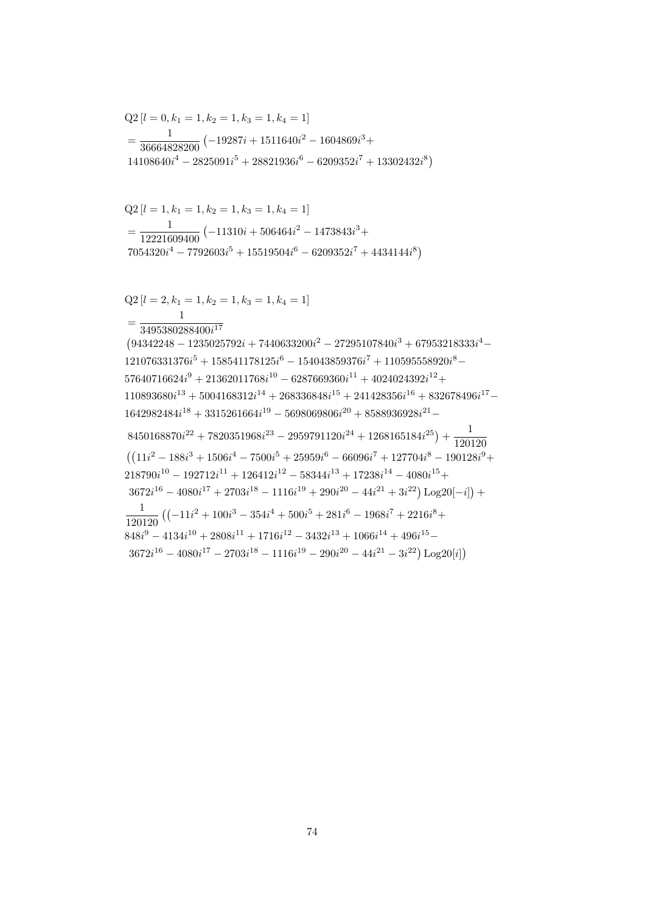$$
=\frac{1}{12221609400}\left(-11310i+506464i^2-1473843i^3+\right.
$$
  
\n7054320i<sup>4</sup> - 7792603i<sup>5</sup> + 15519504i<sup>6</sup> - 6209352i<sup>7</sup> + 4434144i<sup>8</sup>\right)  
\nQ2 [l = 2, k<sub>1</sub> = 1, k<sub>2</sub> = 1, k<sub>3</sub> = 1, k<sub>4</sub> = 1]  
\n
$$
=\frac{1}{3495380288400i^{17}}
$$
  
\n(94342248 - 1235025792i + 7440633200i<sup>2</sup> - 27295107840i<sup>3</sup> + 67953218333i<sup>4</sup> -  
\n121076331376i<sup>5</sup> + 158541178125i<sup>6</sup> - 154043859376i<sup>7</sup> + 110595558920i<sup>8</sup> -  
\n57640716624i<sup>9</sup> + 21362011768i<sup>10</sup> - 6287669360i<sup>11</sup> + 4024024392i<sup>12</sup> +  
\n110893680i<sup>13</sup> + 5004168312i<sup>14</sup> + 268336848i<sup>15</sup> + 241428356i<sup>16</sup> + 832678496i<sup>17</sup> -  
\n1642982484i<sup>18</sup> + 3315261664i<sup>19</sup> - 5698069806i<sup>20</sup> + 8588936928i<sup>21</sup> -  
\n8450168870i<sup>22</sup> + 7820351968i<sup>23</sup> - 2959791120i<sup>24</sup> + 1

$$
=\frac{1}{36664828200}(-19287i+1511640i^2-1604869i^3+14108640i^4-2825091i^5+28821936i^6-6209352i^7+13302432i^8)
$$

 $Q2[l = 0, k_1 = 1, k_2 = 1, k_3 = 1, k_4 = 1]$ 

 $Q2[l = 1, k_1 = 1, k_2 = 1, k_3 = 1, k_4 = 1]$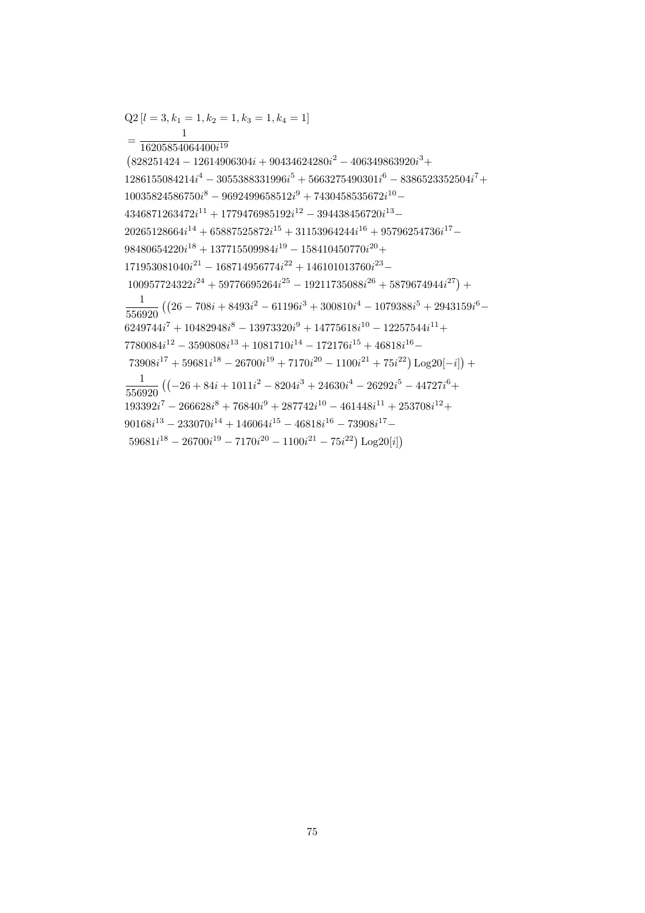$Q2[l = 3, k_1 = 1, k_2 = 1, k_3 = 1, k_4 = 1]$  $=\frac{16205854064400i^{19}}{16205854064400i^{19}}$  $(828251424 - 12614906304i + 90434624280i^2 - 406349863920i^3 +$  $1286155084214i^4 - 3055388331996i^5 + 5663275490301i^6 - 8386523352504i^7 +$  $10035824586750i^8 - 9692499658512i^9 + 7430458535672i^{10} 4346871263472i^{11} + 1779476985192i^{12} - 394438456720i^{13} 20265128664i^{14} + 65887525872i^{15} + 31153964244i^{16} + 95796254736i^{17} 98480654220i^{18} + 137715509984i^{19} - 158410450770i^{20} +$  $171953081040i^{21} - 168714956774i^{22} + 146101013760i^{23} 100957724322i^{24} + 59776695264i^{25} - 19211735088i^{26} + 5879674944i^{27}) +$  $\frac{1}{556920} \left( \left( 26 - 708i + 8493i^2 - 61196i^3 + 300810i^4 - 1079388i^5 + 2943159i^6 - \right. \right.$  $6249744i^7 + 10482948i^8 - 13973320i^9 + 14775618i^{10} - 12257544i^{11} +$  $7780084i^{12} - 3590808i^{13} + 1081710i^{14} - 172176i^{15} + 46818i^{16} 73908i^{17} + 59681i^{18} - 26700i^{19} + 7170i^{20} - 1100i^{21} + 75i^{22})\text{Log }20[-i]) +$  $\frac{1}{556920} \left( \left(-26 + 84i + 1011i^2 - 8204i^3 + 24630i^4 - 26292i^5 - 44727i^6 + \right. \right.$  $193392i^7 - 266628i^8 + 76840i^9 + 287742i^{10} - 461448i^{11} + 253708i^{12} +$  $90168i^{13} - 233070i^{14} + 146064i^{15} - 46818i^{16} - 73908i^{17} 59681i^{18} - 26700i^{19} - 7170i^{20} - 1100i^{21} - 75i^{22}$  Log20[i])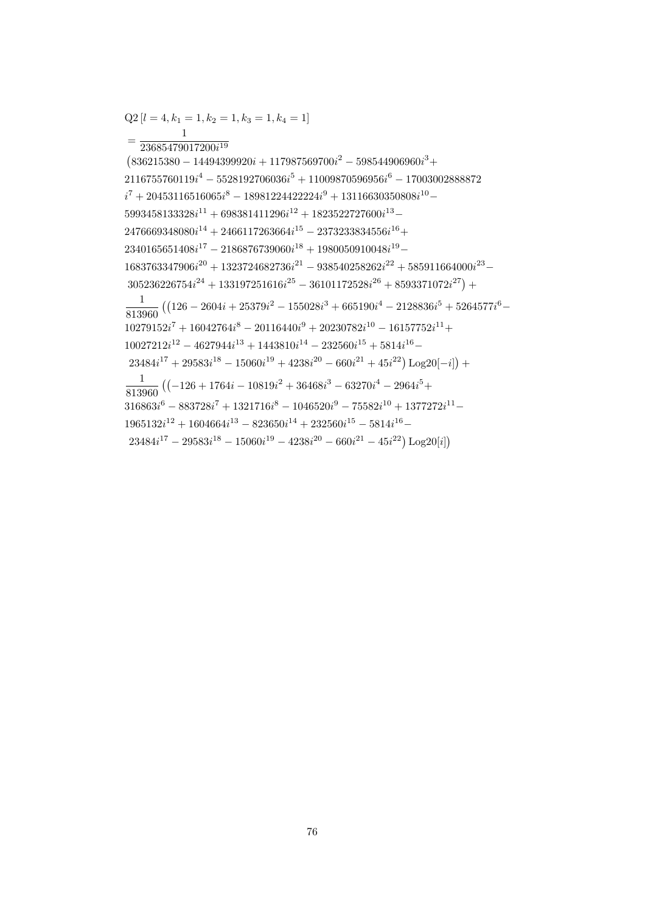$Q2[l = 4, k_1 = 1, k_2 = 1, k_3 = 1, k_4 = 1]$  $=\frac{1}{23685479017200i^{19}}$  $(836215380 - 14494399920i + 117987569700i^2 - 598544906960i^3 +$  $2116755760119i<sup>4</sup> - 5528192706036i<sup>5</sup> + 11009870596956i<sup>6</sup> - 17003002888872$  $i^7 + 20453116516065i^8 - 18981224422224i^9 + 13116630350808i^{10} 5993458133328i^{11} + 698381411296i^{12} + 1823522727600i^{13} 2476669348080i^{14} + 2466117263664i^{15} - 2373233834556i^{16} +$  $2340165651408i^{17} - 2186876739060i^{18} + 1980050910048i^{19} 1683763347906i^{20} + 1323724682736i^{21} - 938540258262i^{22} + 585911664000i^{23} 305236226754i^{24} + 133197251616i^{25} - 36101172528i^{26} + 8593371072i^{27}) +$  $\frac{1}{813960} \left( \left( 126 - 2604i + 25379i^2 - 155028i^3 + 665190i^4 - 2128836i^5 + 5264577i^6 - \right. \right.$  $10279152i^7 + 16042764i^8 - 20116440i^9 + 20230782i^{10} - 16157752i^{11} +$  $10027212i^{12} - 4627944i^{13} + 1443810i^{14} - 232560i^{15} + 5814i^{16} 23484i^{17} + 29583i^{18} - 15060i^{19} + 4238i^{20} - 660i^{21} + 45i^{22})\text{Log}20[-i] +$  $\frac{1}{813960} \left( \left(-126 + 1764i - 10819i^2 + 36468i^3 - 63270i^4 - 2964i^5 + \right. \right.$  $316863i^{6} - 883728i^{7} + 1321716i^{8} - 1046520i^{9} - 75582i^{10} + 1377272i^{11} 1965132i^{12} + 1604664i^{13} - 823650i^{14} + 232560i^{15} - 5814i^{16} 23484i^{17} - 29583i^{18} - 15060i^{19} - 4238i^{20} - 660i^{21} - 45i^{22}) Log20[i]$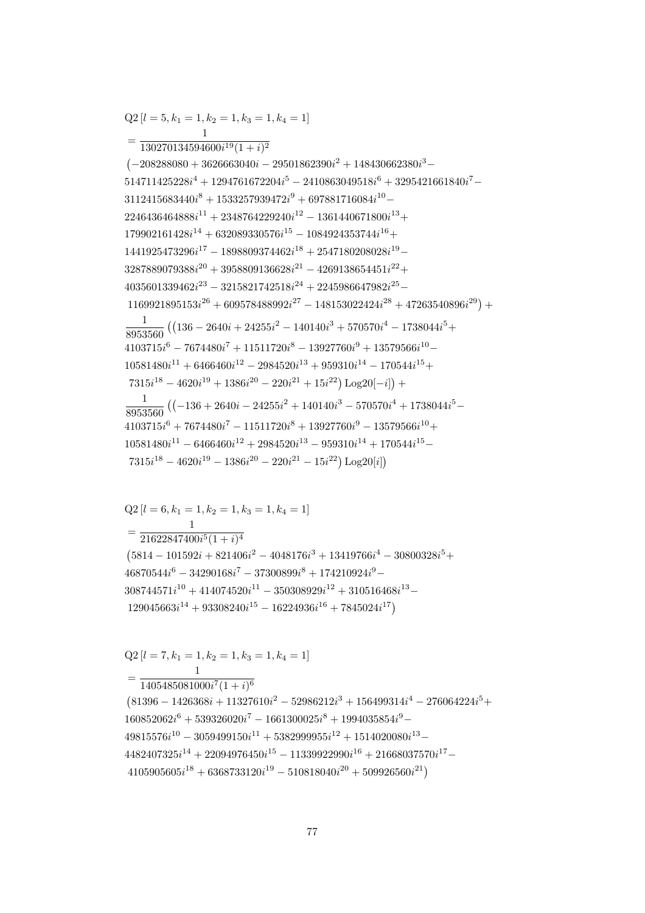$=\frac{1405485081000i^7(1+i)^6}{1405485081000i^7(1+i)^6}$  $(81396 - 1426368i + 11327610i^2 - 52986212i^3 + 156499314i^4 - 276064224i^5 +$  $160852062i^{6} + 539326020i^{7} - 1661300025i^{8} + 1994035854i^{9} 49815576i^{10} - 3059499150i^{11} + 5382999955i^{12} + 1514020080i^{13} 4482407325i^{14} + 22094976450i^{15} - 11339922990i^{16} + 21668037570i^{17} 4105905605i^{18} + 6368733120i^{19} - 510818040i^{20} + 509926560i^{21})$ 

 $46870544i^{6} - 34290168i^{7} - 37300899i^{8} + 174210924i^{9} 308744571i^{10} + 414074520i^{11} - 350308929i^{12} + 310516468i^{13} 129045663i^{14} + 93308240i^{15} - 16224936i^{16} + 7845024i^{17}$ 

 $Q2[l = 6, k_1 = 1, k_2 = 1, k_3 = 1, k_4 = 1]$ 

 $Q2[l = 7, k_1 = 1, k_2 = 1, k_3 = 1, k_4 = 1]$ 

 $=\frac{1}{21622847400i^5(1+i)^4}$  $(5814 - 101592i + 821406i^2 - 4048176i^3 + 13419766i^4 - 30800328i^5 +$ 

 $=\frac{130270134594600i^{19}(1+i)^2}{1}$  $(-208288080 + 3626663040i - 29501862390i^2 + 148430662380i^3 514711425228i^4 + 1294761672204i^5 - 2410863049518i^6 + 3295421661840i^7 3112415683440i^{8} + 1533257939472i^{9} + 697881716084i^{10} 2246436464888i^{11} + 2348764229240i^{12} - 1361440671800i^{13} +$  $179902161428i^{14} + 632089330576i^{15} - 1084924353744i^{16} +$  $1441925473296i^{17} - 1898809374462i^{18} + 2547180208028i^{19} 3287889079388i^{20} + 3958809136628i^{21} - 4269138654451i^{22} +$  $4035601339462i^{23} - 3215821742518i^{24} + 2245986647982i^{25} 1169921895153i^{26} + 609578488992i^{27} - 148153022424i^{28} + 47263540896i^{29}$  $\frac{1}{8953560} \left( \left( 136 - 2640i + 24255i^2 - 140140i^3 + 570570i^4 - 1738044i^5 + \right. \right.$  $4103715i<sup>6</sup> - 7674480i<sup>7</sup> + 11511720i<sup>8</sup> - 13927760i<sup>9</sup> + 13579566i<sup>10</sup> 10581480i^{11} + 6466460i^{12} - 2984520i^{13} + 959310i^{14} - 170544i^{15} +$  $7315i^{18} - 4620i^{19} + 1386i^{20} - 220i^{21} + 15i^{22}) \text{Log }20[-i]) +$  $\frac{1}{8953560} \left( (-136 + 2640i - 24255i^2 + 140140i^3 - 570570i^4 + 1738044i^5 - \right.$  $4103715i^6 + 7674480i^7 - 11511720i^8 + 13927760i^9 - 13579566i^{10} +$  $10581480i^{11} - 6466460i^{12} + 2984520i^{13} - 959310i^{14} + 170544i^{15} 7315i^{18} - 4620i^{19} - 1386i^{20} - 220i^{21} - 15i^{22})$  Log20[i])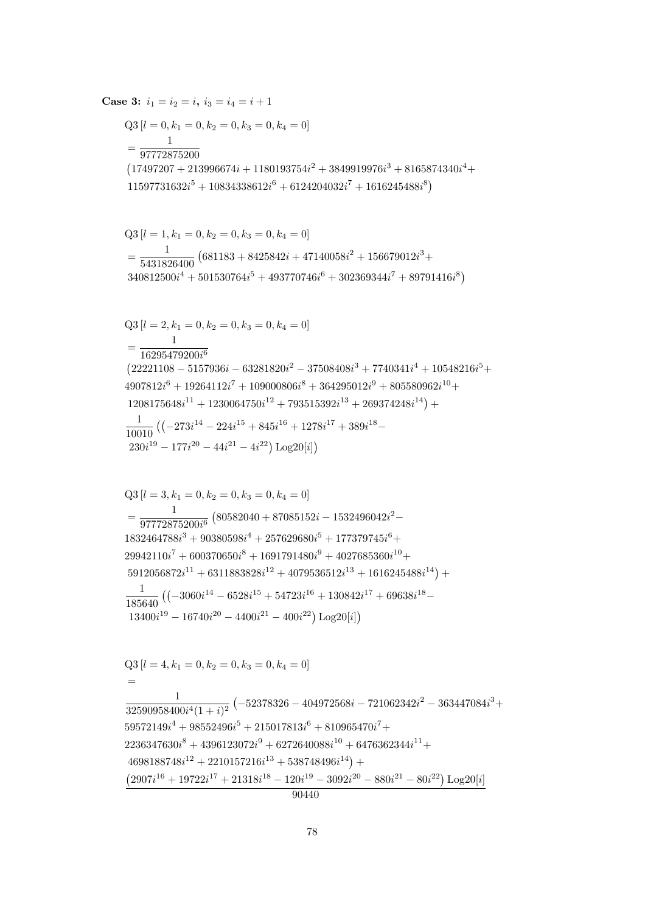$Q3[l = 4, k_1 = 0, k_2 = 0, k_3 = 0, k_4 = 0]$  $=$  $\overline{1}$  $\frac{1}{32590958400i^4(1+i)^2}\left(-52378326-404972568i-721062342i^2-363447084i^3+\right.$  $59572149i^4 + 98552496i^5 + 215017813i^6 + 810965470i^7 +$  $2236347630i^8 + 4396123072i^9 + 6272640088i^{10} + 6476362344i^{11} +$  $4698188748i^{12} + 2210157216i^{13} + 538748496i^{14}) +$  $\left( 2907i^{16} + 19722i^{17} + 21318i^{18} - 120i^{19} - 3092i^{20} - 880i^{21} - 80i^{22} \right) \text{Log}20[i]$  $90440$ 

$$
\begin{aligned} \text{Q3}\left[l=3,k_1=0,k_2=0,k_3=0,k_4=0\right] \\ & = \frac{1}{97772875200i^6}\left(80582040+87085152i-1532496042i^2-\\ 1832464788i^3+90380598i^4+257629680i^5+177379745i^6+\\ 29942110i^7+600370650i^8+1691791480i^9+4027685360i^{10}+\\ 5912056872i^{11}+6311883828i^{12}+4079536512i^{13}+1616245488i^{14}\right)+\\ & \frac{1}{185640}\left(\left(-3060i^{14}-6528i^{15}+54723i^{16}+130842i^{17}+69638i^{18}-13400i^{19}-16740i^{20}-4400i^{21}-400i^{22}\right)\text{Log}20[i]\right) \end{aligned}
$$

$$
Q3 [l = 2, k_1 = 0, k_2 = 0, k_3 = 0, k_4 = 0]
$$
  
= 
$$
\frac{1}{16295479200i^6}
$$
  
(22221108 - 5157936i - 63281820i<sup>2</sup> - 37508408i<sup>3</sup> + 7740341i<sup>4</sup> + 10548216i<sup>5</sup> +  
4907812i<sup>6</sup> + 19264112i<sup>7</sup> + 109000806i<sup>8</sup> + 364295012i<sup>9</sup> + 805580962i<sup>10</sup> +  
1208175648i<sup>11</sup> + 1230064750i<sup>12</sup> + 793515392i<sup>13</sup> + 269374248i<sup>14</sup>) +  

$$
\frac{1}{10010} ((-273i^{14} - 224i^{15} + 845i^{16} + 1278i^{17} + 389i^{18} -230i19 - 177i20 - 44i21 - 4i22) Log20[i])
$$

$$
Q3 [l = 1, k_1 = 0, k_2 = 0, k_3 = 0, k_4 = 0]
$$
  
=  $\frac{1}{5431826400}$  (681183 + 8425842*i* + 47140058*i*<sup>2</sup> + 156679012*i*<sup>3</sup> + 340812500*i*<sup>4</sup> + 501530764*i*<sup>5</sup> + 493770746*i*<sup>6</sup> + 302369344*i*<sup>7</sup> + 89791416*i*<sup>8</sup>)

$$
Q3 [l = 0, k_1 = 0, k_2 = 0, k_3 = 0, k_4 = 0]
$$
  
= 
$$
\frac{1}{97772875200}
$$
  

$$
(17497207 + 213996674i + 1180193754i2 + 3849919976i3 + 8165874340i4 + 11597731632i5 + 10834338612i6 + 6124204032i7 + 1616245488i8)
$$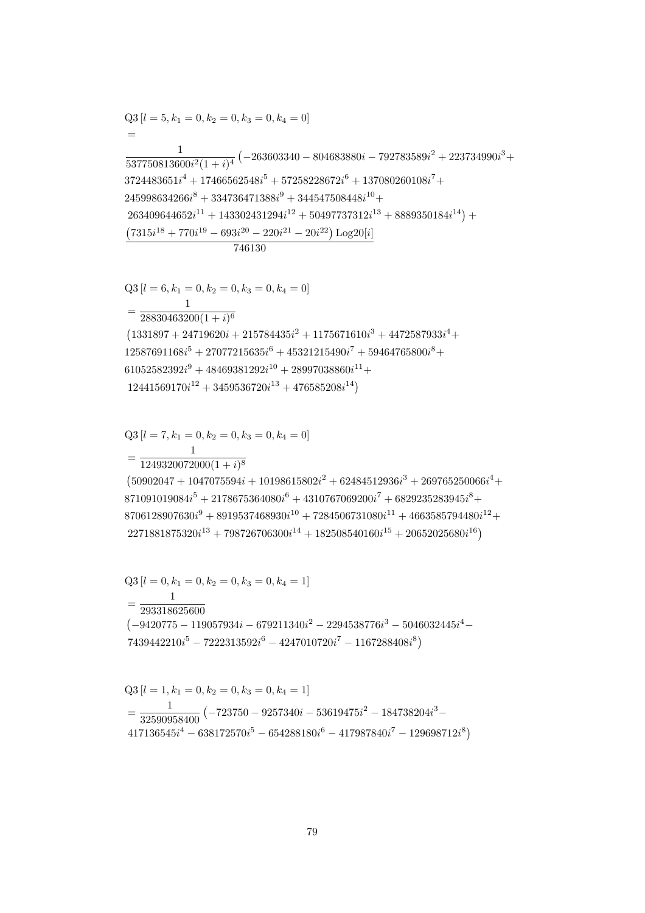$$
Q3 [l = 0, k_1 = 0, k_2 = 0, k_3 = 0, k_4 = 1]
$$
  
= 
$$
\frac{1}{293318625600}
$$
  

$$
(-9420775 - 119057934i - 679211340i^2 - 2294538776i^3 - 5046032445i^4 - 7439442210i^5 - 7222313592i^6 - 4247010720i^7 - 1167288408i^8)
$$

 $=\frac{1}{32590958400}\left(-723750-9257340i-53619475i^2-184738204i^3-\right.\\ \left. +17136545i^4-638172570i^5-654288180i^6-417987840i^7-129698712i^8\right)$ 

$$
Q3 [l = 0, k_1 = 0, k_2 = 0, k_3 = 0, k_4 = 1]
$$
  
= 
$$
\frac{1}{293318625600}
$$
  
(-9420775 - 119057934i - 679211340i<sup>2</sup> - 2294538776i<sup>3</sup> - 5046032445i<sup>4</sup> -

$$
=\frac{1}{1249320072000(1+i)^8}\left(50902047+1047075594i+10198615802i^2+62484512936i^3+269765250066i^4+\\871091019084i^5+2178675364080i^6+4310767069200i^7+6829235283945i^8+\\8706128907630i^9+8919537468930i^{10}+7284506731080i^{11}+4663585794480i^{12}+\\2271881875320i^{13}+798726706300i^{14}+182508540160i^{15}+20652025680i^{16}\right)
$$

$$
=\frac{1}{28830463200(1+i)^6}
$$
\n
$$
(1331897 + 24719620i + 215784435i^2 + 1175671610i^3 + 4472587933i^4 + 12587691168i^5 + 27077215635i^6 + 45321215490i^7 + 59464765800i^8 + 61052582392i^9 + 48469381292i^{10} + 28997038860i^{11} + 12441569170i^{12} + 3459536720i^{13} + 476585208i^{14})
$$

 $Q3[l = 6, k_1 = 0, k_2 = 0, k_3 = 0, k_4 = 0]$ 

 $Q3[l = 7, k_1 = 0, k_2 = 0, k_3 = 0, k_4 = 0]$ 

 $Q3[l = 1, k_1 = 0, k_2 = 0, k_3 = 0, k_4 = 1]$ 

$$
Q3 [l = 5, k_1 = 0, k_2 = 0, k_3 = 0, k_4 = 0]
$$
  
=  

$$
\frac{1}{537750813600i^2(1 + i)^4} (-263603340 - 804683880i - 792783589i^2 + 223734990i^3 +
$$
  
3724483651i<sup>4</sup> + 17466562548i<sup>5</sup> + 57258228672i<sup>6</sup> + 137080260108i<sup>7</sup> +  
245998634266i<sup>8</sup> + 334736471388i<sup>9</sup> + 344547508448i<sup>10</sup> +  
263409644652i<sup>11</sup> + 143302431294i<sup>12</sup> + 50497737312i<sup>13</sup> + 8889350184i<sup>14</sup>) +  

$$
\frac{(7315i^{18} + 770i^{19} - 693i^{20} - 220i^{21} - 20i^{22}) \log 20[i]}{746130}
$$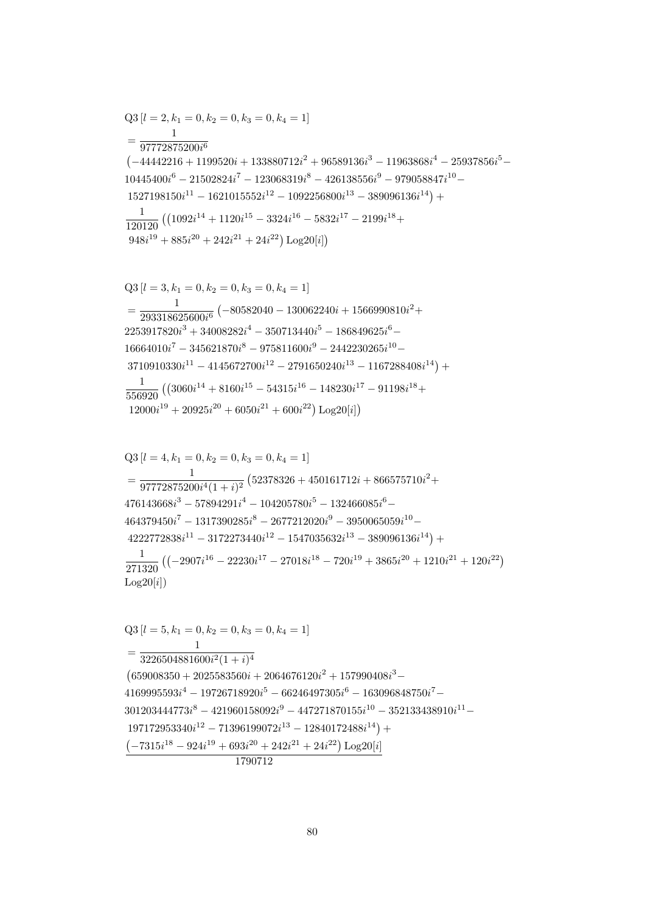$Log20[i]$  ${\rm Q3}\left[l=5,k_1=0,k_2=0,k_3=0,k_4=1\right]$  $\mathbf{1}$  $=\frac{1}{3226504881600i^2(1+i)^4}$  $(659008350 + 2025583560i + 2064676120i^2 + 157990408i^3 4169995593i^4 - 19726718920i^5 - 66246497305i^6 - 163096848750i^7 - \\$  $301203444773i^8 - 421960158092i^9 - 447271870155i^{10} - 352133438910i^{11} 197172953340i^{12} - 71396199072i^{13} - 12840172488i^{14} +$  $\left(-7315 i^{18} - 924 i^{19} + 693 i^{20} + 242 i^{21} + 24 i^{22}\right) \textrm{Log} 20 [i]$ 

$$
Q3 [l = 4, k_1 = 0, k_2 = 0, k_3 = 0, k_4 = 1]
$$
\n
$$
= \frac{1}{97772875200i^4(1 + i)^2} (52378326 + 450161712i + 866575710i^2 + 476143668i^3 - 57894291i^4 - 104205780i^5 - 132466085i^6 - 464379450i^7 - 1317390285i^8 - 2677212020i^9 - 3950065059i^{10} - 4222772838i^{11} - 3172273440i^{12} - 1547035632i^{13} - 389096136i^{14}) + 4710i^2 (1 - 2907i^{16} - 22230i^{17} - 27018i^{18} - 720i^{19} + 3865i^{20} + 1210i^{21} + 120i^{22})
$$
\n
$$
L_{\text{QQ}}[Q(5)]
$$

$$
Q3 [l = 3, k1 = 0, k2 = 0, k3 = 0, k4 = 1]
$$
  
= 
$$
\frac{1}{293318625600i^{6}} (-80582040 - 130062240i + 1566990810i^{2} + 2253917820i^{3} + 34008282i^{4} - 350713440i^{5} - 186849625i^{6} - 16664010i^{7} - 345621870i^{8} - 975811600i^{9} - 2442230265i^{10} - 3710910330i^{11} - 4145672700i^{12} - 2791650240i^{13} - 1167288408i^{14}) +
$$
\frac{1}{556920} ((3060i^{14} + 8160i^{15} - 54315i^{16} - 148230i^{17} - 91198i^{18} + 12000i^{19} + 20925i^{20} + 6050i^{21} + 600i^{22}) Log20[i])
$$
$$

$$
Q3 [l = 2, k_1 = 0, k_2 = 0, k_3 = 0, k_4 = 1]
$$
  
= 
$$
\frac{1}{97772875200i^6}
$$
  

$$
(-44442216 + 1199520i + 133880712i^2 + 96589136i^3 - 11963868i^4 - 25937856i^5 - 10445400i^6 - 21502824i^7 - 123068319i^8 - 426138556i^9 - 979058847i^{10} - 1527198150i^{11} - 1621015552i^{12} - 1092256800i^{13} - 389096136i^{14}) +
$$
\frac{1}{120120} ((1092i^{14} + 1120i^{15} - 3324i^{16} - 5832i^{17} - 2199i^{18} + 948i^{19} + 885i^{20} + 242i^{21} + 24i^{22}) Log20[i])
$$
$$

1790712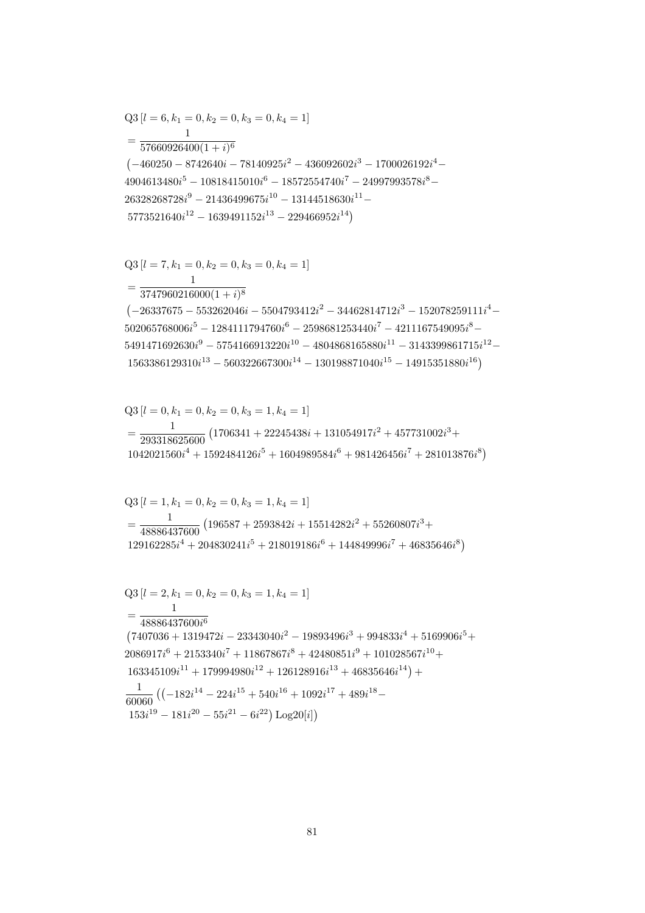$$
\begin{aligned}\n\mathcal{L}_{\mathcal{O}}[i] &= 2, \kappa_1 = 0, \kappa_2 = 0, \kappa_3 = 1, \kappa_4 = 1] \\
&= \frac{1}{48886437600i^6} \\
(7407036 + 1319472i - 23343040i^2 - 19893496i^3 + 994833i^4 + 5169906i^5 + 2086917i^6 + 2153340i^7 + 11867867i^8 + 42480851i^9 + 101028567i^{10} + 163345109i^{11} + 179994980i^{12} + 126128916i^{13} + 46835646i^{14}) + \\
&\frac{1}{60060} \left( \left( -182i^{14} - 224i^{15} + 540i^{16} + 1092i^{17} + 489i^{18} - 153i^{19} - 181i^{20} - 55i^{21} - 6i^{22} \right) \text{Log}20[i] \right)\n\end{aligned}
$$

$$
Q3 [l = 2, k_1 = 0, k_2 = 0, k_3 = 1, k_4 = 1]
$$

$$
Q3 [l = 1, k_1 = 0, k_2 = 0, k_3 = 1, k_4 = 1]
$$
  
= 
$$
\frac{1}{48886437600} (196587 + 2593842i + 15514282i^2 + 55260807i^3 + 129162285i^4 + 204830241i^5 + 218019186i^6 + 144849996i^7 + 46835646i^8)
$$

 $Q3[l = 0, k_1 = 0, k_2 = 0, k_3 = 1, k_4 = 1]$  $=\frac{1}{293318625600}\left(1706341+22245438i+131054917i^2+457731002i^3+\right.$  $1042021560i<sup>4</sup> + 1592484126i<sup>5</sup> + 1604989584i<sup>6</sup> + 981426456i<sup>7</sup> + 281013876i<sup>8</sup>)$ 

 $\mathbf{1}$  $=\frac{1}{3747960216000(1+i)^8}$  $\left(-26337675 - 553262046i - 5504793412i^2 - 34462814712i^3 - 152078259111i^4 - \right.$  $502065768006i^{5} - 1284111794760i^{6} - 2598681253440i^{7} - 4211167549095i^{8} 5491471692630i^9 - 5754166913220i^{10} - 4804868165880i^{11} - 3143399861715i^{12} 1563386129310i^{13} - 560322667300i^{14} - 130198871040i^{15} - 14915351880i^{16})$ 

$$
=\frac{1}{57660926400(1+i)^6} \n\left(-460250-8742640i-78140925i^2-436092602i^3-1700026192i^4 \cdot \right. \\ \left. +4904613480i^5-10818415010i^6-18572554740i^7-24997993578i^8-26328268728i^9-21436499675i^{10}-13144518630i^{11}- \n5773521640i^{12}-1639491152i^{13}-229466952i^{14}\right)
$$

 $Q3[l = 7, k_1 = 0, k_2 = 0, k_3 = 0, k_4 = 1]$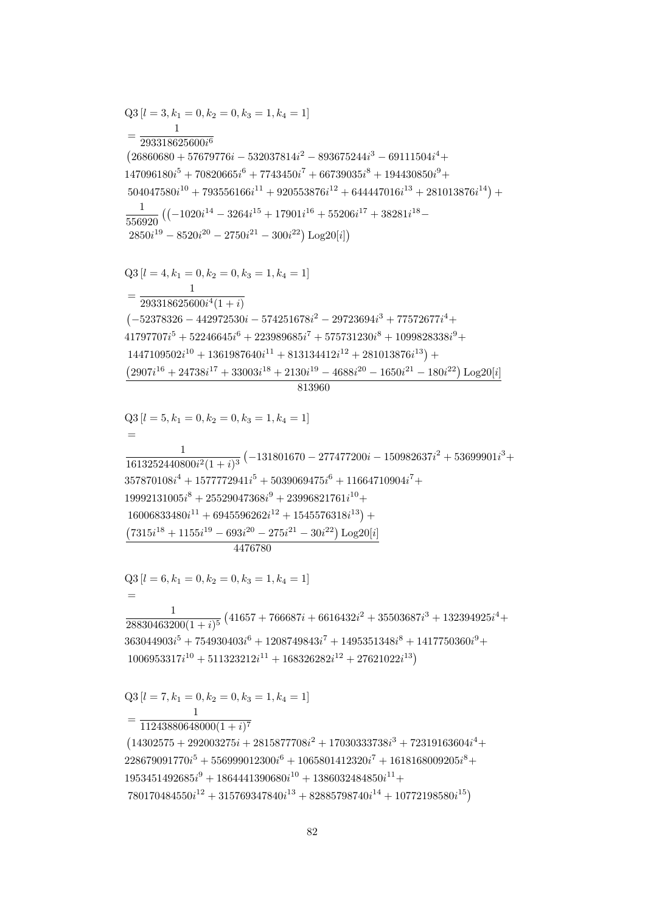$=\frac{1}{11243880648000(1+i)^7}$  $(14302575 + 292003275i + 2815877708i^2 + 17030333738i^3 + 72319163604i^4 +$  $228679091770i^{5} + 556999012300i^{6} + 1065801412320i^{7} + 1618168009205i^{8} +$  $1953451492685i<sup>9</sup> + 1864441390680i<sup>10</sup> + 1386032484850i<sup>11</sup> +$  $780170484550i^{12} + 315769347840i^{13} + 82885798740i^{14} + 10772198580i^{15})$ 

 $Q3[l = 7, k_1 = 0, k_2 = 0, k_3 = 1, k_4 = 1]$ 

 $\left(7315i^{18}+1155i^{19}-693i^{20}-275i^{21}-30i^{22}\right)\textrm{Log}20[i]$  $4476780$  $Q3 [l = 6, k_1 = 0, k_2 = 0, k_3 = 1, k_4 = 1]$  $\frac{1}{28830463200(1+i)^5}\left(41657+766687i+6616432i^2+35503687i^3+132394925i^4+\right.$  $363044903i^{5} + 754930403i^{6} + 1208749843i^{7} + 1495351348i^{8} + 1417750360i^{9} +$  $1006953317i^{10} + 511323212i^{11} + 168326282i^{12} + 27621022i^{13}$ 

 $Q3 [l = 5, k_1 = 0, k_2 = 0, k_3 = 1, k_4 = 1]$  $\frac{1}{1613252440800i^2(1+i)^3}\left(-131801670-277477200i-150982637i^2+53699901i^3+\right.$  $357870108i^4 + 1577772941i^5 + 5039069475i^6 + 11664710904i^7 +$  $19992131005i^8 + 25529047368i^9 + 23996821761i^{10} +$  $16006833480i^{11} + 6945596262i^{12} + 1545576318i^{13}$  +

 $Q3 [l = 4, k_1 = 0, k_2 = 0, k_3 = 1, k_4 = 1]$  $=\frac{1}{293318625600i^4(1+i)}$  $(-52378326 - 442972530i - 574251678i^2 - 29723694i^3 + 77572677i^4 +$  $41797707i^{5} + 52246645i^{6} + 223989685i^{7} + 575731230i^{8} + 1099828338i^{9} +$  $1447109502i^{10} + 1361987640i^{11} + 813134412i^{12} + 281013876i^{13}) +$  $(2907i^{16} + 24738i^{17} + 33003i^{18} + 2130i^{19} - 4688i^{20} - 1650i^{21} - 180i^{22}) \text{Log }20[i]$ 813960

 $Q3[l = 3, k_1 = 0, k_2 = 0, k_3 = 1, k_4 = 1]$  $=\frac{1}{293318625600i^6}$  $(26860680 + 57679776i - 532037814i<sup>2</sup> - 893675244i<sup>3</sup> - 69111504i<sup>4</sup> +$  $147096180i^5 + 70820665i^6 + 7743450i^7 + 66739035i^8 + 194430850i^9 +$  $504047580i^{10} + 793556166i^{11} + 920553876i^{12} + 644447016i^{13} + 281013876i^{14}) +$  $\frac{1}{556920} \left( (-1020i^{14} - 3264i^{15} + 17901i^{16} + 55206i^{17} + 38281i^{18} - \right.$  $2850i^{19} - 8520i^{20} - 2750i^{21} - 300i^{22}) Log20[i]$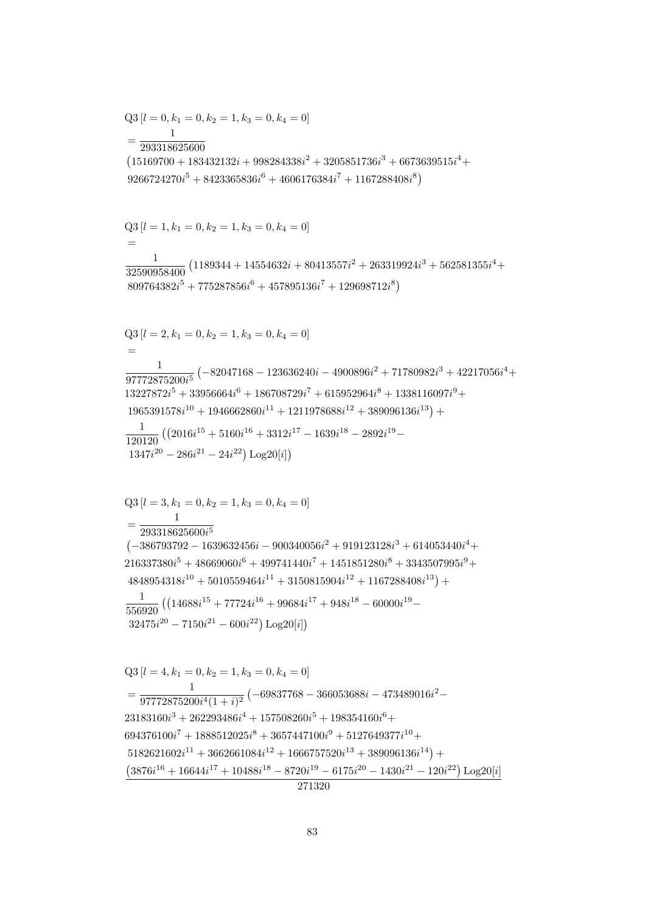$$
\overline{271320}
$$

 $Q3[l = 4, k_1 = 0, k_2 = 1, k_3 = 0, k_4 = 0]$  $=\frac{1}{97772875200i^4(1+i)^2}\left(-69837768-366053688i-473489016i^2-\right.$  $23183160i^3 + 262293486i^4 + 157508260i^5 + 198354160i^6 +$  $694376100i^7 + 1888512025i^8 + 3657447100i^9 + 5127649377i^{10} +$  $5182621602i^{11} + 3662661084i^{12} + 1666757520i^{13} + 389096136i^{14}) +$  $(3876i^{16} + 16644i^{17} + 10488i^{18} - 8720i^{19} - 6175i^{20} - 1430i^{21} - 120i^{22}) \text{Log }20[i]$ 

$$
4848954318i^{10} + 5010559464i^{11} + 3150815904i^{12} + 1167288408i^{13}) + \n\frac{1}{556920} ((14688i^{15} + 77724i^{16} + 99684i^{17} + 948i^{18} - 60000i^{19} - \n32475i^{20} - 7150i^{21} - 600i^{22}) Log20[i])
$$

 ${\rm Q3}\left[l=3,k_1=0,k_2=1,k_3=0,k_4=0\right]$  $=\frac{1}{293318625600i^5}$  $(-386793792 - 1639632456i - 900340056i^2 + 919123128i^3 + 614053440i^4 +$  $216337380i^5 + 48669060i^6 + 499741440i^7 + 1451851280i^8 + 3343507995i^9 +$ 

$$
32590958400
$$
  
\n
$$
809764382i5 + 775287856i6 + 457895136i7 + 129698712i8)
$$
  
\n
$$
Q3 [l = 2, k1 = 0, k2 = 1, k3 = 0, k4 = 0]
$$
  
\n
$$
=
$$
  
\n
$$
\frac{1}{97772875200i5} (-82047168 - 123636240i - 4900896i2 + 71780982i3 + 42217056i4 +
$$
  
\n
$$
13227872i5 + 33956664i6 + 186708729i7 + 615952964i8 + 1338116097i9 +
$$
  
\n
$$
1965391578i10 + 1946662860i11 + 1211978688i12 + 389096136i13) +
$$
  
\n
$$
\frac{1}{120120} ((2016i15 + 5160i16 + 3312i17 - 1639i18 - 2892i19 -
$$
  
\n
$$
1347i20 - 286i21 - 24i22) Log20[i])
$$

 $Q3[l = 1, k_1 = 0, k_2 = 1, k_3 = 0, k_4 = 0]$  $=$ 

$$
Q3 [l = 0, k_1 = 0, k_2 = 1, k_3 = 0, k_4 = 0]
$$
  
= 
$$
\frac{1}{293318625600}
$$
  
(15169700 + 183432132i + 998284338i<sup>2</sup> + 3205851736i<sup>3</sup> + 6673639515i<sup>4</sup> +  
9266724270i<sup>5</sup> + 8423365836i<sup>6</sup> + 4606176384i<sup>7</sup> + 1167288408i<sup>8</sup>)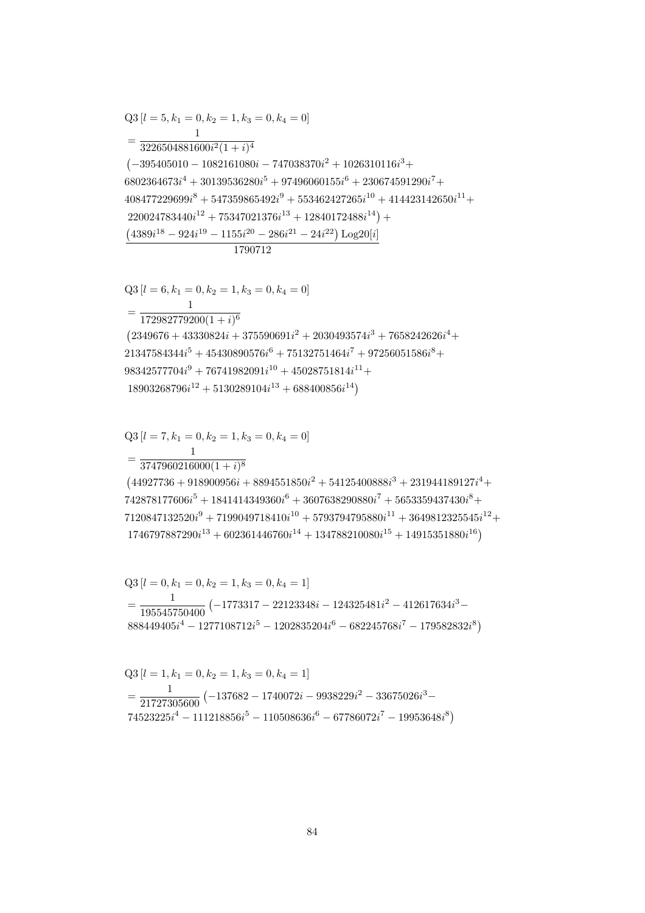$$
21347584344i5 + 45430890576i6 + 75132751464i7 + 97256051586i8 +\n98342577704i9 + 76741982091i10 + 45028751814i11 +\n18903268796i12 + 5130289104i13 + 688400856i14)\nQ3 [l = 7, k1 = 0, k2 = 1, k3 = 0, k4 = 0]\n= 
$$
\frac{1}{1}
$$
$$

$$
408477229699i8 + 547359865492i9 + 553462427265i10 + 414423142650i11 +220024783440i12 + 75347021376i13 + 12840172488i14) +(4389i18 - 924i19 - 1155i20 - 286i21 - 24i22) Log20[i]1790712
$$
  
Q3 [*l* = 6, *k*<sub>1</sub> = 0, *k*<sub>2</sub> = 1, *k*<sub>3</sub> = 0, *k*<sub>4</sub> = 0]  
= 
$$
\frac{1}{172982779200(1+i)^6}
$$
(2349676 + 43330824i + 375590691i<sup>2</sup> + 2030493574i<sup>3</sup> + 7658242626i<sup>4</sup> +

 $\left(-395405010-1082161080i-747038370i^2+1026310116i^3+\right.$ 

 $\frac{1}{6802364673i^4+30139536280i^5+97496060155i^6+230674591290i^7+}$ 

Q3 [ $l = 5, k_1 = 0, k_2 = 1, k_3 = 0, k_4 = 0$ ]

 $=\frac{1}{3226504881600i^2(1+i)^4}$  $\mathbf{1}$ 

$$
Q3 [l = 6, k_1 = 0, k_2 = 1, k_3 = 0, k_4 = 0]
$$
  
= 
$$
\frac{1}{172982779200(1 + i)^6}
$$
  

$$
(2349676 + 43330824i + 375590691i^2 + 2030493574i^3 + 7658242626i^4
$$
  

$$
21347584344i^5 + 45430890576i^6 + 75132751464i^7 + 97256051586i^8 +
$$
  

$$
98342577704i^9 + 76741982091i^{10} + 45028751814i^{11} +
$$
  

$$
18903968796i^{12} + 5130289104i^{13} + 688400856i^{14})
$$

$$
=\frac{1}{3747960216000(1+i)^8}
$$
\n
$$
(44927736+918900956i+8894551850i^2+54125400888i^3+231944189127i^4+
$$
\n
$$
742878177606i^5+1841414349360i^6+3607638290880i^7+5653359437430i^8+
$$
\n
$$
7120847132520i^9+7199049718410i^{10}+5793794795880i^{11}+3649812325545i^{12}+
$$
\n
$$
1746797887290i^{13}+602361446760i^{14}+134788210080i^{15}+14915351880i^{16})
$$

$$
Q3 [l = 0, k_1 = 0, k_2 = 1, k_3 = 0, k_4 = 1]
$$
  
= 
$$
\frac{1}{195545750400} (-1773317 - 22123348i - 124325481i^2 - 412617634i^3 - 888449405i^4 - 1277108712i^5 - 1202835204i^6 - 682245768i^7 - 179582832i^8)
$$

$$
Q3 [l = 1, k_1 = 0, k_2 = 1, k_3 = 0, k_4 = 1]
$$
  
= 
$$
\frac{1}{21727305600} (-137682 - 1740072i - 9938229i^2 - 33675026i^3 - 74523225i^4 - 111218856i^5 - 110508636i^6 - 67786072i^7 - 19953648i^8)
$$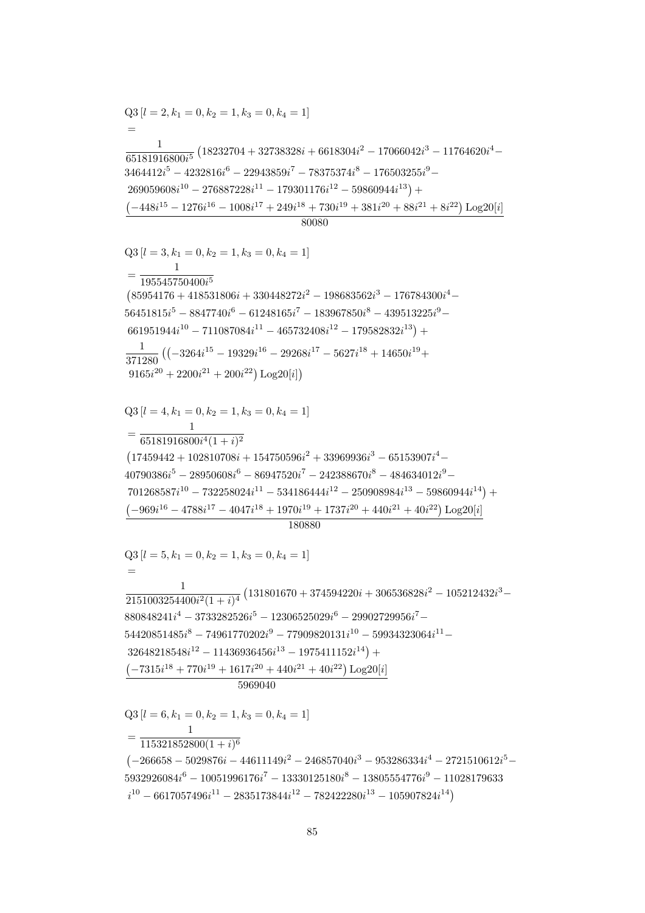$Q3[l = 6, k_1 = 0, k_2 = 1, k_3 = 0, k_4 = 1]$  $\mathbf{1}$  $=\frac{115321852800(1+i)^6}{115321852800(1+i)^6}$  $(-266658 - 5029876i - 44611149i^2 - 246857040i^3 - 953286334i^4 - 2721510612i^5 5932926084i^6 - 10051996176i^7 - 13330125180i^8 - 13805554776i^9 - 11028179633$  $i^{10} - 6617057496i^{11} - 2835173844i^{12} - 782422280i^{13} - 105907824i^{14}$ 

180880  $Q3[l = 5, k_1 = 0, k_2 = 1, k_3 = 0, k_4 = 1]$  $\frac{1}{2151003254400i^2(1+i)^4}\left(131801670+374594220i+306536828i^2-105212432i^3-\right.$  $880848241i<sup>4</sup> - 3733282526i<sup>5</sup> - 12306525029i<sup>6</sup> - 29902729956i<sup>7</sup> 54420851485i<sup>8</sup> - 74961770202i<sup>9</sup> - 77909820131i<sup>10</sup> - 59934323064i<sup>11</sup> 32648218548i^{12} - 11436936456i^{13} - 1975411152i^{14}$  +  $\left(-7315i^{18} + 770i^{19} + 1617i^{20} + 440i^{21} + 40i^{22}\right)$  Log20[i] 5969040

 $\frac{1}{371280} \left( \left( -3264i^{15} - 19329i^{16} - 29268i^{17} - 5627i^{18} + 14650i^{19} + \right. \right.$  $9165i^{20} + 2200i^{21} + 200i^{22})$  Log20[i])  $Q3[l = 4, k_1 = 0, k_2 = 1, k_3 = 0, k_4 = 1]$  $= \frac{1}{65181916800i^4(1+i)^2}$  $\left( 17459442 + 102810708 i + 154750596 i^2 + 33969936 i^3 - 65153907 i^4 - \right.$  $40790386i<sup>5</sup> - 28950608i<sup>6</sup> - 86947520i<sup>7</sup> - 242388670i<sup>8</sup> - 484634012i<sup>9</sup> 701268587i^{10} - 732258024i^{11} - 534186444i^{12} - 250908984i^{13} - 59860944i^{14}) +$  $(-969i^{16} - 4788i^{17} - 4047i^{18} + 1970i^{19} + 1737i^{20} + 440i^{21} + 40i^{22}) Log20[i]$ 

 $Q3$  [ $l = 3, k_1 = 0, k_2 = 1, k_3 = 0, k_4 = 1$ ]  $=\frac{}{195545750400i^5}$  $(85954176 + 418531806i + 330448272i^2 - 198683562i^3 - 176784300i^4 56451815i<sup>5</sup> - 8847740i<sup>6</sup> - 61248165i<sup>7</sup> - 183967850i<sup>8</sup> - 439513225i<sup>9</sup> 661951944i^{10} - 711087084i^{11} - 465732408i^{12} - 179582832i^{13}) +$ 

 $Q3 [l = 2, k_1 = 0, k_2 = 1, k_3 = 0, k_4 = 1]$  $\frac{1}{65181916800i^5} \left(18232704 + 32738328i + 6618304i^2 - 17066042i^3 - 11764620i^4 - \right.$  $3464412i^5 - 4232816i^6 - 22943859i^7 - 78375374i^8 - 176503255i^9 269059608i^{10} - 276887228i^{11} - 179301176i^{12} - 59860944i^{13}$  $\left(-448i^{15}-1276i^{16}-1008i^{17}+249i^{18}+730i^{19}+381i^{20}+88i^{21}+8i^{22}\right)\text{Log}20[i]$ 80080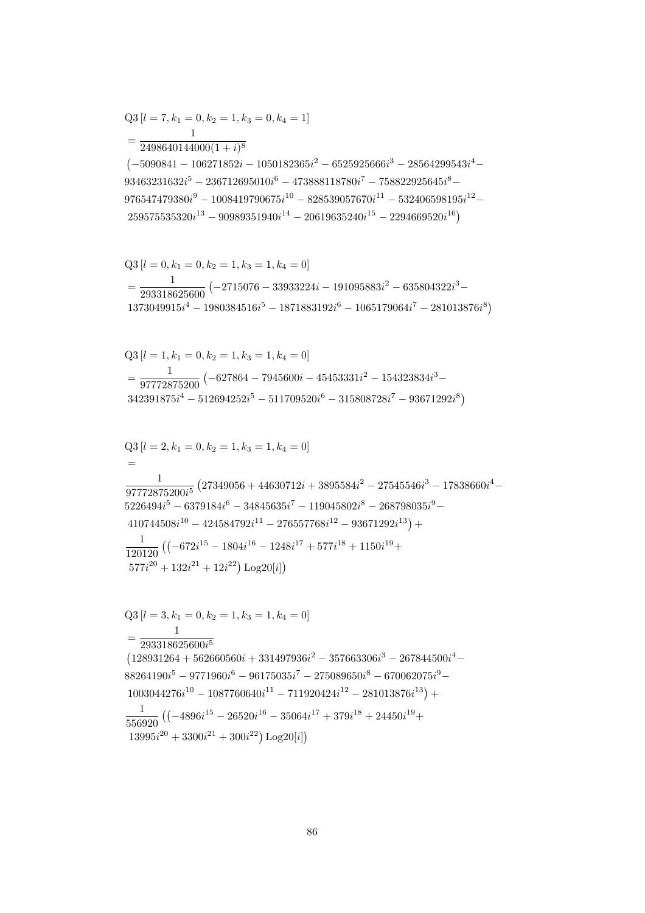$$
Q3 [l = 7, k_1 = 0, k_2 = 1, k_3 = 0, k_4 = 1]
$$
  
= 
$$
\frac{1}{2498640144000(1 + i)^8}
$$

 $\left(-5090841 - 106271852i - 1050182365i^2 - 6525925666i^3 - 28564299543i^4 - \right.$  $93463231632i^5 - 236712695010i^6 - 473888118780i^7 - 758822925645i^8 976547479380i^9 - 1008419790675i^{10} - 828539057670i^{11} - 532406598195i^{12} 259575535320i^{13} - 90989351940i^{14} - 20619635240i^{15} - 2294669520i^{16})$ 

$$
Q3 [l = 0, k_1 = 0, k_2 = 1, k_3 = 1, k_4 = 0]
$$
  
= 
$$
\frac{1}{293318625600} (-2715076 - 33933224i - 191095883i^2 - 635804322i^3 - 1373049915i^4 - 1980384516i^5 - 1871883192i^6 - 1065179064i^7 - 281013876i^8)
$$

$$
Q3 [l = 1, k_1 = 0, k_2 = 1, k_3 = 1, k_4 = 0]
$$
  
=  $\frac{1}{97772875200} (-627864 - 7945600i - 45453331i^2 - 154323834i^3 - 342391875i^4 - 512694252i^5 - 511709520i^6 - 315808728i^7 - 93671292i^8)$ 

$$
Q3 [l = 2, k_1 = 0, k_2 = 1, k_3 = 1, k_4 = 0]
$$
  
=  

$$
\frac{1}{97772875200i^5} (27349056 + 44630712i + 3895584i^2 - 27545546i^3 - 17838660i^4 - 5226494i^5 - 6379184i^6 - 34845635i^7 - 119045802i^8 - 268798035i^9 - 410744508i^{10} - 424584792i^{11} - 276557768i^{12} - 93671292i^{13}) +
$$
\frac{1}{120120} ((-672i^{15} - 1804i^{16} - 1248i^{17} + 577i^{18} + 1150i^{19} + 577i^{20} + 132i^{21} + 12i^{22}) Log20[i])
$$
$$

$$
Q3 [l = 3, k_1 = 0, k_2 = 1, k_3 = 1, k_4 = 0]
$$
  
= 
$$
\frac{1}{293318625600i^5}
$$
  
(128931264 + 562660560i + 331497936i<sup>2</sup> - 357663306i<sup>3</sup> - 267844500i<sup>4</sup> - 88264190i<sup>5</sup> - 9771960i<sup>6</sup> - 96175035i<sup>7</sup> - 275089650i<sup>8</sup> - 670062075i<sup>9</sup> - 1003044276i<sup>10</sup> - 1087760640i<sup>11</sup> - 711920424i<sup>12</sup> - 281013876i<sup>13</sup>) +  

$$
\frac{1}{556920} ((-4896i^{15} - 26520i^{16} - 35064i^{17} + 379i^{18} + 24450i^{19} + 13995i^{20} + 3300i^{21} + 300i^{22}) Log20[i])
$$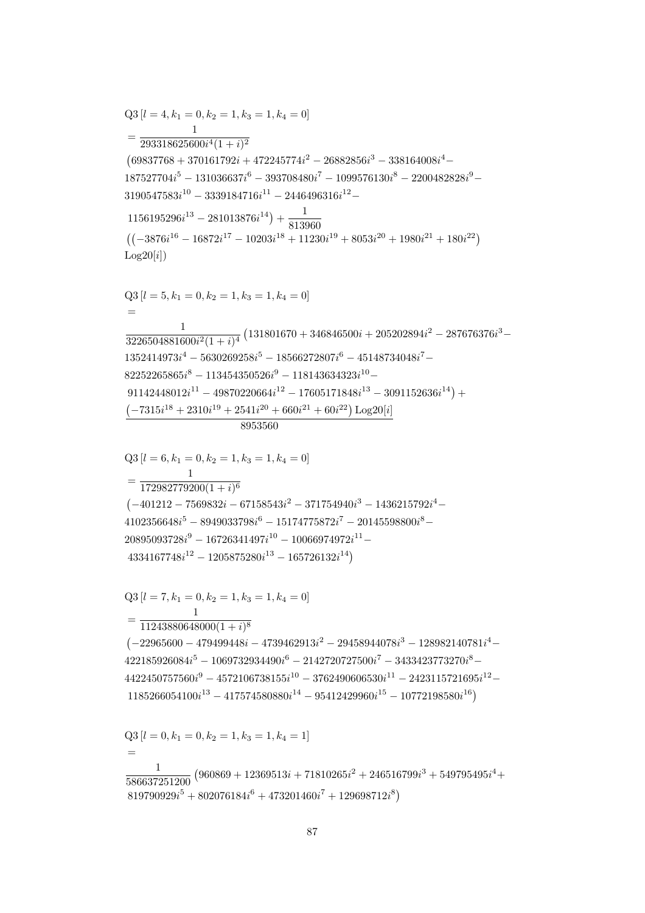$$
Q3 [l = 7, k_1 = 0, k_2 = 1, k_3 = 1, k_4 = 0]
$$
  
= 
$$
\frac{1}{11243880648000(1 + i)^8}
$$
  
(-22965600 - 479499448i - 4739462913i<sup>2</sup> - 29458944078i<sup>3</sup> - 128982140781i<sup>4</sup> -  
422185926084i<sup>5</sup> - 1069732934490i<sup>6</sup> - 2142720727500i<sup>7</sup> - 3433423773270i<sup>8</sup> -  
4422450757560i<sup>9</sup> - 4572106738155i<sup>10</sup> - 3762490606530i<sup>11</sup> - 2423115721695i<sup>12</sup> -  
1185266054100i<sup>13</sup> - 417574580880i<sup>14</sup> - 95412429960i<sup>15</sup> - 10772198580i<sup>16</sup>)  

$$
Q3 [l = 0, k_1 = 0, k_2 = 1, k_3 = 1, k_4 = 1]
$$
  
=  

$$
\frac{1}{586637251200} (960869 + 12369513i + 71810265i2 + 246516799i3 + 549795495i4 +819790929i5 + 802076184i6 + 473201460i7 + 129698712i8)
$$

$$
\frac{1}{8953560}
$$
\nQ3 [l = 6, k<sub>1</sub> = 0, k<sub>2</sub> = 1, k<sub>3</sub> = 1, k<sub>4</sub> = 0]\n  
\n= 
$$
\frac{1}{172982779200(1 + i)^6}
$$
\n(-401212 - 7569832i - 67158543i<sup>2</sup> - 371754940i<sup>3</sup> - 1436215792i<sup>4</sup> - 4102356648i<sup>5</sup> - 8949033798i<sup>6</sup> - 15174775872i<sup>7</sup> - 20145598800i<sup>8</sup> - 20895093728i<sup>9</sup> - 16726341497i<sup>10</sup> - 10066974972i<sup>11</sup> - 4334167748i<sup>12</sup> - 1205875280i<sup>13</sup> - 165726132i<sup>14</sup>)

 $187527704i^{5}-131036637i^{6}-393708480i^{7}-1099576130i^{8}-2200482828i^{9} 3190547583i^{10} - 3339184716i^{11} - 2446496316i^{12} 1156195296i^{13} - 281013876i^{14}) + \frac{1}{813960}$  $((-3876i^{16} - 16872i^{17} - 10203i^{18} + 11230i^{19} + 8053i^{20} + 1980i^{21} + 180i^{22})$  $Log20[i])$  $Q3[l = 5, k_1 = 0, k_2 = 1, k_3 = 1, k_4 = 0]$  $\equiv$  $\frac{1}{3226504881600i^2(1+i)^4}\left(131801670+346846500i+205202894i^2-287676376i^3-\right.$  $1352414973i^4 - 5630269258i^5 - 18566272807i^6 - 45148734048i^7 82252265865i^8 - 113454350526i^9 - 118143634323i^{10} 91142448012i^{11} - 49870220664i^{12} - 17605171848i^{13} - 3091152636i^{14}) +$  $(-7315i^{18} + 2310i^{19} + 2541i^{20} + 660i^{21} + 60i^{22})$  Log20[i]

 $Q3 [l = 4, k_1 = 0, k_2 = 1, k_3 = 1, k_4 = 0]$  $=\frac{1}{293318625600i^4(1+i)^2}$  $(69837768 + 370161792i + 472245774i^2 - 26882856i^3 - 338164008i^4 -$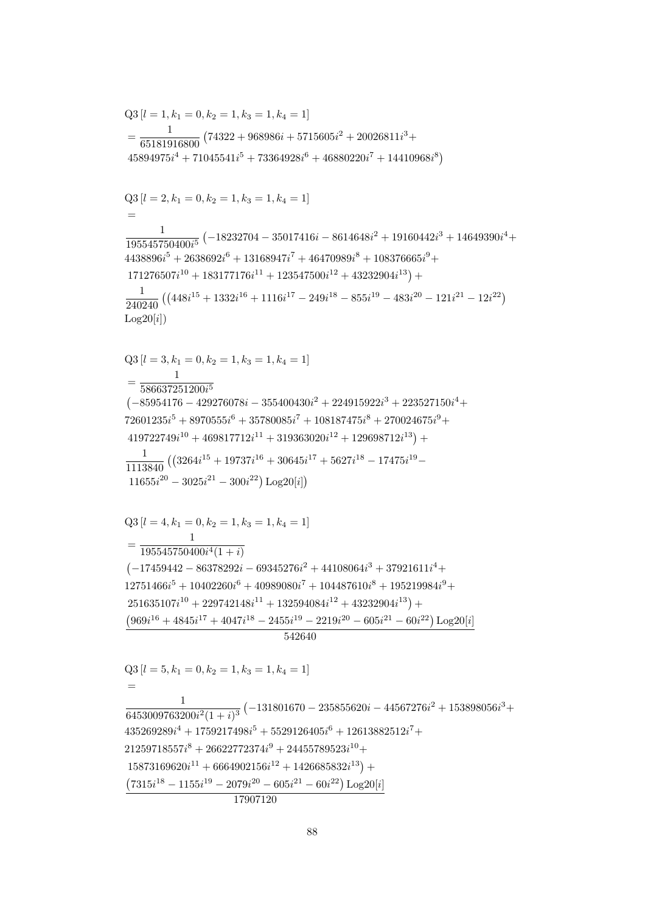$$
542640
$$
\n
$$
Q3 [l = 5, k_1 = 0, k_2 = 1, k_3 = 1, k_4 = 1]
$$
\n
$$
=
$$
\n
$$
\frac{1}{6453009763200i^2(1+i)^3} (-131801670 - 235855620i - 44567276i^2 + 153898056i^3 + 435269289i^4 + 1759217498i^5 + 5529126405i^6 + 12613882512i^7 + 21259718557i^8 + 26622772374i^9 + 24455789523i^{10} + 15873169620i^{11} + 6664902156i^{12} + 1426685832i^{13}) + 2156i^{18} - 1155i^{19} - 2079i^{20} - 605i^{21} - 60i^{22}) Log20[i]
$$
\n
$$
17907120
$$

 $Q3[l = 4, k_1 = 0, k_2 = 1, k_3 = 1, k_4 = 1]$  $=\frac{1}{195545750400i^4(1+i)}$ <sup>1</sup>  $(-17459442 - 86378292i - 69345276i^2 + 44108064i^3 + 37921611i^4 +$  $12751466i^5 + 10402260i^6 + 40989080i^7 + 104487610i^8 + 195219984i^9 +$  $251635107i^{10} + 229742148i^{11} + 132594084i^{12} + 43232904i^{13}) +$  $(969i^{16} + 4845i^{17} + 4047i^{18} - 2455i^{19} - 2219i^{20} - 605i^{21} - 60i^{22}) Log20[i]$ 

$$
=\frac{1}{65181916800}\left(74322+968986i+5715605i^2+20026811i^3+45894975i^4+71045541i^5+73364928i^6+46880220i^7+14410968i^8\right)
$$
  
\nQ3 [ $l = 2$ ,  $k_1 = 0$ ,  $k_2 = 1$ ,  $k_3 = 1$ ,  $k_4 = 1$ ]  
\n
$$
=\frac{1}{195545750400i^5} \left(-18232704-35017416i-8614648i^2+19160442i^3+14649390i^4+4438896i^5+2638692i^6+13168947i^7+46470989i^8+108376665i^9+\right.\n171276507i10 +183177176i11 +123547500i12 +43232904i13) +\n
$$
\frac{1}{240240} \left( \left(448i^{15}+1332i^{16}+1116i^{17}-249i^{18}-855i^{19}-483i^{20}-121i^{21}-12i^{22}\right)
$$
  
\nLog20[i]\right)  
\nQ3 [ $l = 3$ ,  $k_1 = 0$ ,  $k_2 = 1$ ,  $k_3 = 1$ ,  $k_4 = 1$ ]  
\n
$$
= \frac{1}{586637251200i^5}
$$
  
\n
$$
(-85954176-429276078i-355400430i^2+224915922i^3+223527150i^4+
$$
  
\n419722749i<sup>10</sup> +469817712i<sup>11</sup> +319363020i<sup>12</sup> +129698712i<sup>13</sup>) +
$$

 $Q3$  [ $l = 1, k_1 = 0, k_2 = 1, k_3 = 1, k_4 = 1$ ]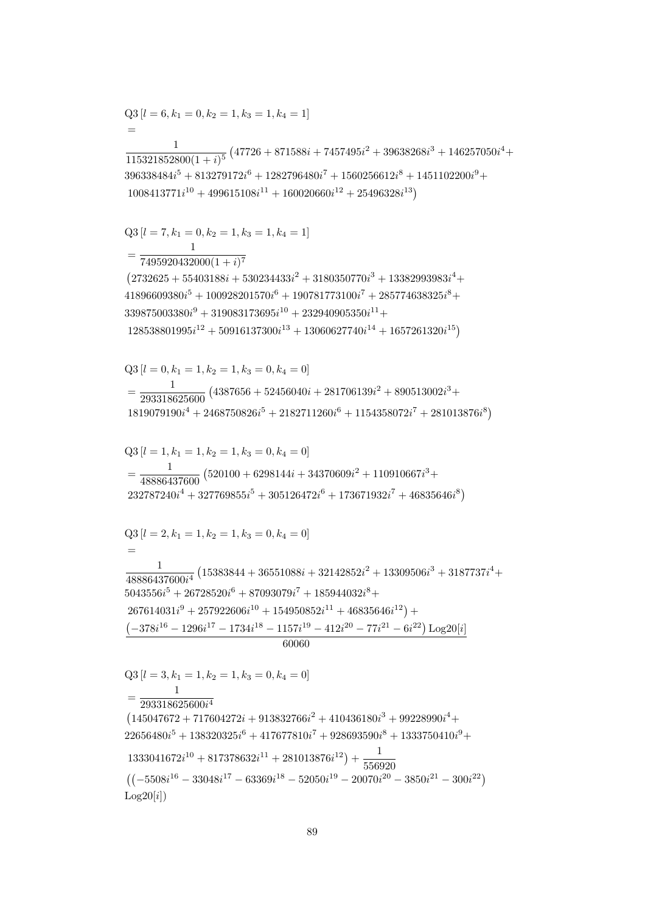$232787240i<sup>4</sup> + 327769855i<sup>5</sup> + 305126472i<sup>6</sup> + 173671932i<sup>7</sup> + 46835646i<sup>8</sup>)$  $Q3 [l = 2, k_1 = 1, k_2 = 1, k_3 = 0, k_4 = 0]$  $\frac{1}{48886437600i^4}\left(15383844 + 36551088i + 32142852i^2 + 13309506i^3 + 3187737i^4 + \right.$  $5043556i^5 + 26728520i^6 + 87093079i^7 + 185944032i^8 +$  $267614031i^9 + 257922606i^{10} + 154950852i^{11} + 46835646i^{12}) +$  $\left(-378i^{16}-1296i^{17}-1734i^{18}-1157i^{19}-412i^{20}-77i^{21}-6i^{22}\right)\text{Log}20[i]$  $60060$  $Q3[l = 3, k_1 = 1, k_2 = 1, k_3 = 0, k_4 = 0]$  $=\frac{1}{293318625600i^4}$  $(145047672+717604272i+913832766i^2+410436180i^3+99228990i^4+$  $22656480i^5 + 138320325i^6 + 417677810i^7 + 928693590i^8 + 1333750410i^9 +$  $1333041672i^{10} + 817378632i^{11} + 281013876i^{12}) + \frac{1}{556920}$  $((-5508i^{16} - 33048i^{17} - 63369i^{18} - 52050i^{19} - 20070i^{20} - 3850i^{21} - 300i^{22})$  $Log20[i])$ 

 $Q3 [l = 0, k_1 = 1, k_2 = 1, k_3 = 0, k_4 = 0]$  $\frac{1}{293318625600}\left(4387656+52456040i+281706139i^2+890513002i^3+\right.$  $1819079190i^4 + 2468750826i^5 + 2182711260i^6 + 1154358072i^7 + 281013876i^8$ 

 $=\frac{1}{48886437600}\left(520100+6298144i+34370609i^2+110910667i^3+\right.$ 

 $=\frac{1}{7495920432000(1+i)^7}$  $(2732625 + 55403188i + 530234433i^2 + 3180350770i^3 + 13382993983i^4 +$  $41896609380i^{5} + 100928201570i^{6} + 190781773100i^{7} + 285774638325i^{8} +$  $339875003380i<sup>9</sup> + 319083173695i<sup>10</sup> + 232940905350i<sup>11</sup> +$  $128538801995i^{12} + 50916137300i^{13} + 13060627740i^{14} + 1657261320i^{15})$ 

 $\frac{1}{115321852800(1+i)^5} \left(47726+871588i+7457495i^2+39638268i^3+146257050i^4+\right.$  $396338484i^{5} + 813279172i^{6} + 1282796480i^{7} + 1560256612i^{8} + 1451102200i^{9} +$  $1008413771i^{10} + 499615108i^{11} + 160020660i^{12} + 25496328i^{13}$ 

 $Q3 [l = 6, k_1 = 0, k_2 = 1, k_3 = 1, k_4 = 1]$ 

 $Q3[l = 7, k_1 = 0, k_2 = 1, k_3 = 1, k_4 = 1]$ 

 $Q3[l = 1, k_1 = 1, k_2 = 1, k_3 = 0, k_4 = 0]$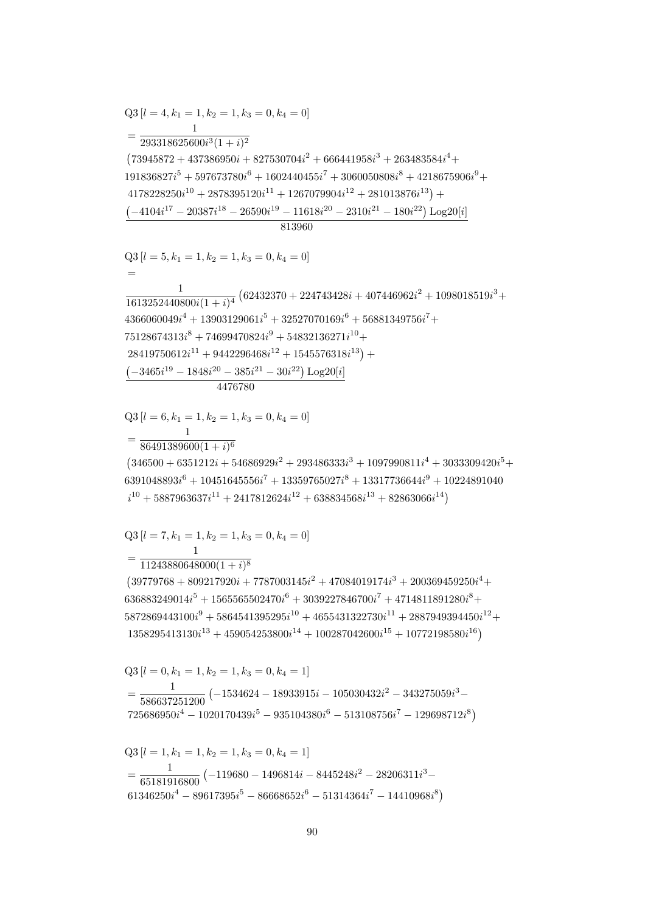$$
Q3 [l = 1, k_1 = 1, k_2 = 1, k_3 = 0, k_4 = 1]
$$
  
= 
$$
\frac{1}{65181916800} (-119680 - 1496814i - 8445248i^2 - 28206311i^3 - 61346250i^4 - 89617395i^5 - 86668652i^6 - 51314364i^7 - 14410968i^8)
$$

$$
Q3 [l = 0, k_1 = 1, k_2 = 1, k_3 = 0, k_4 = 1]
$$
  
= 
$$
\frac{1}{586637251200} (-1534624 - 18933915i - 105030432i^2 - 343275059i^3 - 725686950i^4 - 1020170439i^5 - 935104380i^6 - 513108756i^7 - 129698712i^8)
$$

 $11243880648000(1+i)^8$  $(39779768 + 809217920i + 7787003145i^2 + 47084019174i^3 + 200369459250i^4 +$  $636883249014i^5 + 1565565502470i^6 + 3039227846700i^7 + 4714811891280i^8 +$  $5872869443100i<sup>9</sup> + 5864541395295i<sup>10</sup> + 4655431322730i<sup>11</sup> + 2887949394450i<sup>12</sup> +$  $1358295413130i^{13} + 459054253800i^{14} + 100287042600i^{15} + 10772198580i^{16})$ 

$$
Q3 [l = 7, k_1 = 1, k_2 = 1, k_3 = 0, k_4 = 0]
$$
  
= 
$$
\frac{1}{1124888884888(k_1 + k_2)s}
$$

 $\frac{1}{86491389600(1+i)^6}$  $(346500 + 6351212i + 54686929i^2 + 293486333i^3 + 1097990811i^4 + 3033309420i^5 +$  $6391048893i^6 + 10451645556i^7 + 13359765027i^8 + 13317736644i^9 + 10224891040$  $i^{10}$  + 5887963637 $i^{11}$  + 2417812624 $i^{12}$  + 638834568 $i^{13}$  + 82863066 $i^{14}$ )

$$
Q3[l = 6, k_1 = 1, k_2 = 1, k_3 = 0, k_4 = 0]
$$

 $Q3 [l = 5, k_1 = 1, k_2 = 1, k_3 = 0, k_4 = 0]$  $\frac{1}{1613252440800i(1+i)^4} \left(62432370+224743428i+407446962i^2+1098018519i^3+\right.$  $4366060049i^{4} + 13903129061i^{5} + 32527070169i^{6} + 56881349756i^{7} +$  $75128674313i<sup>8</sup> + 74699470824i<sup>9</sup> + 54832136271i<sup>10</sup> +$  $28419750612i^{11} + 9442296468i^{12} + 1545576318i^{13}$  +  $\left(-3465i^{19} - 1848i^{20} - 385i^{21} - 30i^{22}\right)$ Log20[i] 4476780

 $Q3 [l = 4, k_1 = 1, k_2 = 1, k_3 = 0, k_4 = 0]$  $=\frac{1}{293318625600i^3(1+i)^2}$  $(73945872 + 437386950i + 827530704i^2 + 666441958i^3 + 263483584i^4 +$  $191836827i^5 + 597673780i^6 + 1602440455i^7 + 3060050808i^8 + 4218675906i^9 +$  $4178228250i^{10} + 2878395120i^{11} + 1267079904i^{12} + 281013876i^{13}) +$  $(-4104i^{17} - 20387i^{18} - 26590i^{19} - 11618i^{20} - 2310i^{21} - 180i^{22}) Log20[i]$  $813960$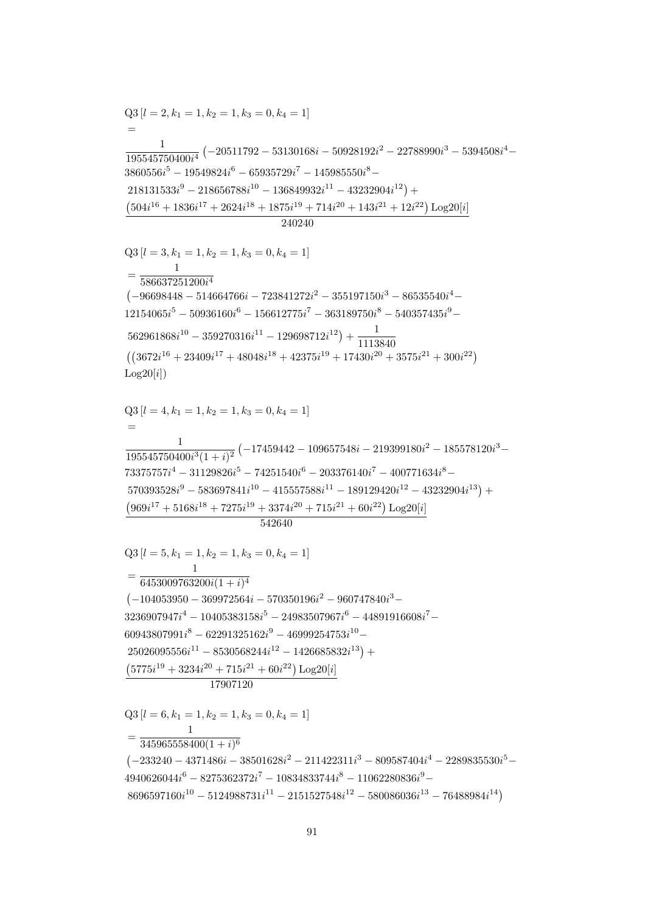542640  $Q3[l = 5, k_1 = 1, k_2 = 1, k_3 = 0, k_4 = 1]$  $=\frac{1}{6453009763200i(1+i)^4}$  $\left(-104053950 - 369972564i - 570350196i^2 - 960747840i^3 - \right)$  $3236907947i^4 - 10405383158i^5 - 24983507967i^6 - 44891916608i^7 60943807991i^8 - 62291325162i^9 - 46999254753i^{10} 25026095556i^{11} - 8530568244i^{12} - 1426685832i^{13}) + \notag$  $(5775i^{19} + 3234i^{20} + 715i^{21} + 60i^{22}) \text{Log}20[i]$ 17907120  $Q3$  [ $l = 6, k_1 = 1, k_2 = 1, k_3 = 0, k_4 = 1$ ]  $=\frac{1}{345965558400(1+i)^6}$  $(-233240 - 4371486i - 38501628i^2 - 211422311i^3 - 809587404i^4 - 2289835530i^5 4940626044i^{6} - 8275362372i^{7} - 10834833744i^{8} - 11062280836i^{9} 8696597160i^{10} - 5124988731i^{11} - 2151527548i^{12} - 580086036i^{13} - 76488984i^{14}$ 

 $562961868i^{10} - 359270316i^{11} - 129698712i^{12}) + \frac{1}{1113840}$  $((3672i^{16} + 23409i^{17} + 48048i^{18} + 42375i^{19} + 17430i^{20} + 3575i^{21} + 300i^{22})$  $Log20[i])$  $Q3 [l = 4, k_1 = 1, k_2 = 1, k_3 = 0, k_4 = 1]$  $\frac{1}{195545750400i^3(1+i)^2}\left(-17459442-109657548i-219399180i^2-185578120i^3-\right.$  $73375757i^4 - 31129826i^5 - 74251540i^6 - 203376140i^7 - 400771634i^8 570393528i^9 - 583697841i^{10} - 415557588i^{11} - 189129420i^{12} - 43232904i^{13}$  $(969i^{17} + 5168i^{18} + 7275i^{19} + 3374i^{20} + 715i^{21} + 60i^{22}) \log_220[i]$ 

240240  $Q3 [l = 3, k_1 = 1, k_2 = 1, k_3 = 0, k_4 = 1]$  $=\frac{1}{586637251200i^4}$  $(-96698448 - 514664766i - 723841272i^2 - 355197150i^3 - 86535540i^4 12154065i<sup>5</sup> - 50936160i<sup>6</sup> - 156612775i<sup>7</sup> - 363189750i<sup>8</sup> - 540357435i<sup>9</sup> -$ 

 $Q3 [l = 2, k_1 = 1, k_2 = 1, k_3 = 0, k_4 = 1]$  $\frac{1}{195545750400i^4} \left(-20511792 - 53130168i - 50928192i^2 - 22788990i^3 - 5394508i^4 - \right)$  $3860556i^5 - 19549824i^6 - 65935729i^7 - 145985550i^8 218131533i^9 - 218656788i^{10} - 136849932i^{11} - 43232904i^{12}$  $\left(504i^{16} + 1836i^{17} + 2624i^{18} + 1875i^{19} + 714i^{20} + 143i^{21} + 12i^{22}\right) \text{Log}20[i]$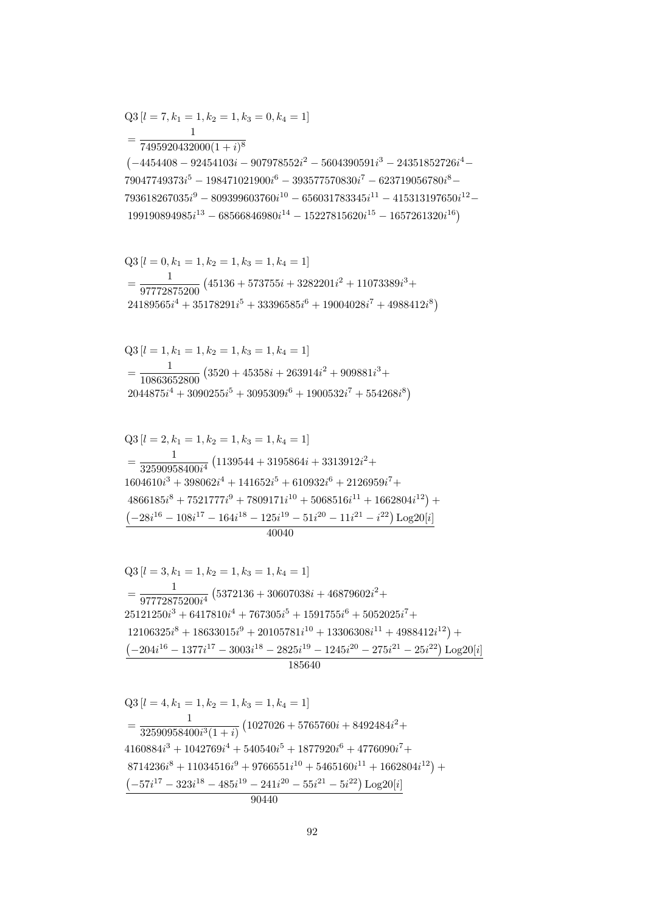$$
Q3 [l = 4, k_1 = 1, k_2 = 1, k_3 = 1, k_4 = 1]
$$
  
= 
$$
\frac{1}{32590958400i^3(1+i)} (1027026 + 5765760i + 8492484i^2 +
$$
  

$$
4160884i^3 + 1042769i^4 + 540540i^5 + 1877920i^6 + 4776090i^7 +
$$
  

$$
8714236i^8 + 11034516i^9 + 9766551i^{10} + 5465160i^{11} + 1662804i^{12}) +
$$
  

$$
(-57i^{17} - 323i^{18} - 485i^{19} - 241i^{20} - 55i^{21} - 5i^{22}) Log20[i]
$$
  

$$
90440
$$

 $Q3[l = 3, k_1 = 1, k_2 = 1, k_3 = 1, k_4 = 1]$  $=\frac{1}{97772875200i^4}\left(5372136+30607038i+46879602i^2+\right.$  $25121250i^3 + 6417810i^4 + 767305i^5 + 1591755i^6 + 5052025i^7 +$  $12106325i<sup>8</sup> + 18633015i<sup>9</sup> + 20105781i<sup>10</sup> + 13306308i<sup>11</sup> + 4988412i<sup>12</sup>) +$  $\left(-204i^{16}-1377i^{17}-3003i^{18}-2825i^{19}-1245i^{20}-275i^{21}-25i^{22}\right)\text{Log}20[i]$ 185640

 $Q3[l = 2, k_1 = 1, k_2 = 1, k_3 = 1, k_4 = 1]$  $=\frac{1}{32590958400i^4}\left(1139544+3195864i+3313912i^2+\right.$  $1604610i^3 + 398062i^4 + 141652i^5 + 610932i^6 + 2126959i^7 +$  $4866185i<sup>8</sup> + 7521777i<sup>9</sup> + 7809171i<sup>10</sup> + 5068516i<sup>11</sup> + 1662804i<sup>12</sup>) +$  $\left(-28i^{16}-108i^{17}-164i^{18}-125i^{19}-51i^{20}-11i^{21}-i^{22}\right)\text{Log}20[i]$  $40040$ 

 $Q3 [l = 1, k_1 = 1, k_2 = 1, k_3 = 1, k_4 = 1]$  $=\frac{1}{10863652800}\left(3520+45358i+263914i^2+909881i^3+\right.$  $2044875i^4 + 3090255i^5 + 3095309i^6 + 1900532i^7 + 554268i^8$ 

 $Q3[l = 0, k_1 = 1, k_2 = 1, k_3 = 1, k_4 = 1]$  $=\frac{1}{97772875200}\left(45136+573755i+3282201i^2+11073389i^3+\right.$  $24189565i^4 + 35178291i^5 + 33396585i^6 + 19004028i^7 + 4988412i^8$ 

 $=\frac{1}{7495920432000(1+i)^8}$  $\left(-4454408 - 92454103i - 907978552i^2 - 5604390591i^3 - 24351852726i^4 - \right)$  $79047749373i<sup>5</sup> - 198471021900i<sup>6</sup> - 393577570830i<sup>7</sup> - 623719056780i<sup>8</sup> 793618267035i^9 - 809399603760i^{10} - 656031783345i^{11} - 415313197650i^{12} 199190894985i^{13} - 68566846980i^{14} - 15227815620i^{15} - 1657261320i^{16}$ 

 $Q3[l = 7, k_1 = 1, k_2 = 1, k_3 = 0, k_4 = 1]$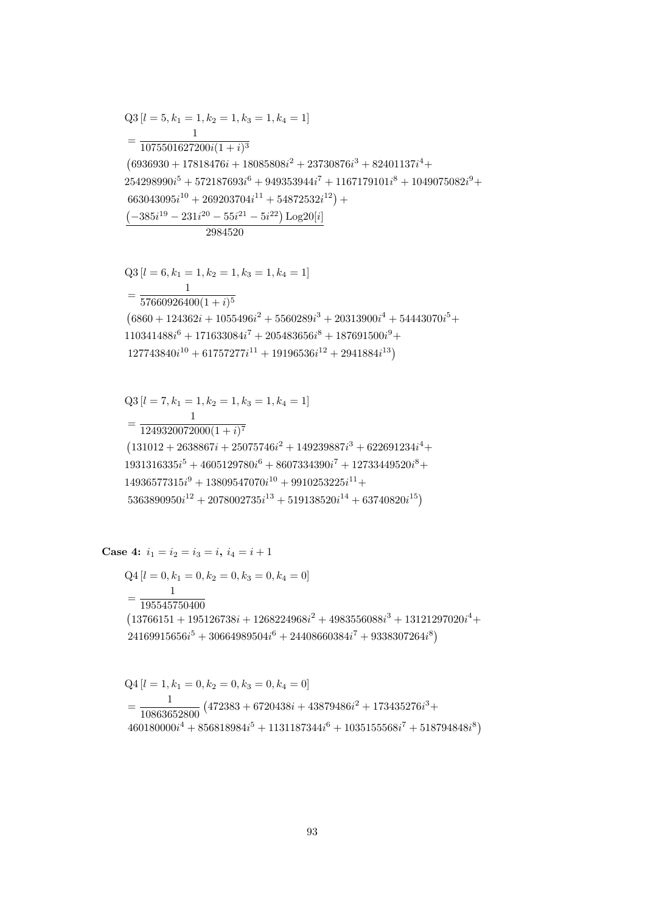$$
Q4[l = 1, k_1 = 0, k_2 = 0, k_3 = 0, k_4 = 0]
$$
  
= 
$$
\frac{1}{10863652800} (472383 + 6720438i + 43879486i^2 + 173435276i^3 + 460180000i^4 + 856818984i^5 + 1131187344i^6 + 1035155568i^7 + 518794848i^8)
$$

$$
Q4 [l = 0, k_1 = 0, k_2 = 0, k_3 = 0, k_4 = 0]
$$
  
= 
$$
\frac{1}{195545750400}
$$
  

$$
(13766151 + 195126738i + 1268224968i^2 + 4983556088i^3 + 13121297020i^4 + 24169915656i^5 + 30664989504i^6 + 24408660384i^7 + 9338307264i^8)
$$

$$
Q3 [l = 7, k_1 = 1, k_2 = 1, k_3 = 1, k_4 = 1]
$$
  
= 
$$
\frac{1}{1249320072000(1 + i)^7}
$$
  
(131012 + 2638867i + 25075746i<sup>2</sup> + 149239887i<sup>3</sup> + 622691234i<sup>4</sup> +  
1931316335i<sup>5</sup> + 4605129780i<sup>6</sup> + 8607334390i<sup>7</sup> + 12733449520i<sup>8</sup> +  
14936577315i<sup>9</sup> + 13809547070i<sup>10</sup> + 9910253225i<sup>11</sup> +  
5363890950i<sup>12</sup> + 2078002735i<sup>13</sup> + 519138520i<sup>14</sup> + 63740820i<sup>15</sup>)

Case 4:  $i_1 = i_2 = i_3 = i$ ,  $i_4 = i + 1$ 

$$
=\frac{1}{57660926400(1+i)^5}
$$
\n
$$
(6860 + 124362i + 1055496i^2 + 5560289i^3 + 20313900i^4 + 54443070i^5 + 110341488i^6 + 171633084i^7 + 205483656i^8 + 187691500i^9 + 127743840i^{10} + 61757277i^{11} + 19196536i^{12} + 2941884i^{13})
$$

$$
\begin{aligned} &254298990i^5+572187693i^6+949353944i^7+1167179101i^8+1049075082i^9+\\ &663043095i^{10}+269203704i^{11}+54872532i^{12}\big)+\\ &\frac{\left(-385i^{19}-231i^{20}-55i^{21}-5i^{22}\right)\text{Log}20[i]}{2984520} \\ &Q3\left[l=6,k_1=1,k_2=1,k_3=1,k_4=1\right] \end{aligned}
$$

 $(6936930 + 17818476i + 18085808i<sup>2</sup> + 23730876i<sup>3</sup> + 82401137i<sup>4</sup> +$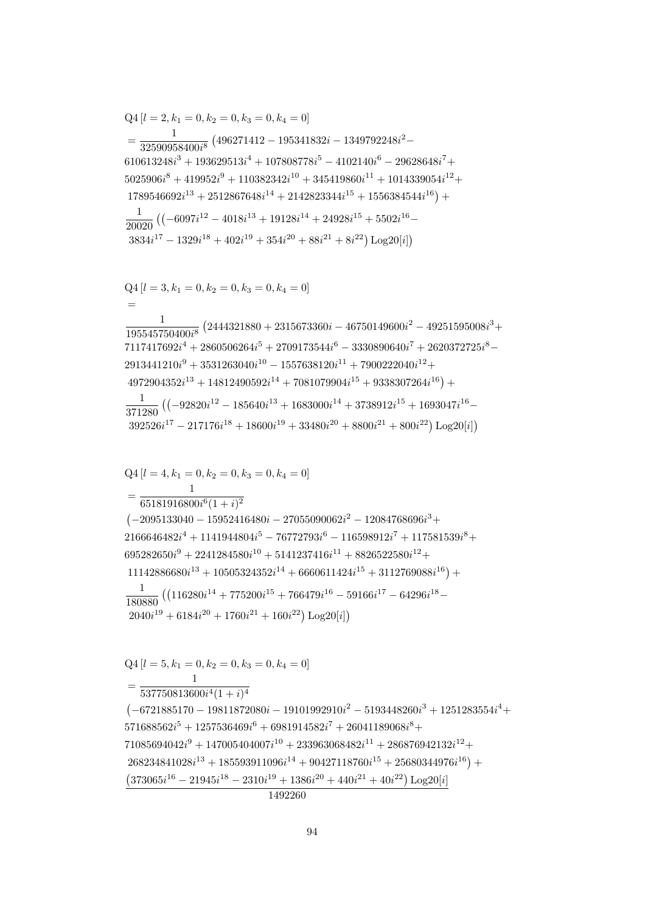$Q4[l = 5, k_1 = 0, k_2 = 0, k_3 = 0, k_4 = 0]$  $\overline{1}$  $= \frac{1}{537750813600i^4(1+i)^4}$  $(-6721885170 - 19811872080i - 19101992910i^2 - 5193448260i^3 + 1251283554i^4 +$  $571688562i^5 + 1257536469i^6 + 6981914582i^7 + 26041189068i^8 +$  $71085694042i^9 + 147005404007i^{10} + 233963068482i^{11} + 286876942132i^{12} +$  $268234841028i^{13} + 185593911096i^{14} + 90427118760i^{15} + 25680344976i^{16}) +$  $\left(373065i^{16}-21945i^{18}-2310i^{19}+1386i^{20}+440i^{21}+40i^{22}\right)\textrm{Log}20[i]$ 1492260

$$
Q4 [l = 4, k_1 = 0, k_2 = 0, k_3 = 0, k_4 = 0]
$$
  
= 
$$
\frac{1}{65181916800i^6(1 + i)^2}
$$
  
(-2095133040 - 15952416480i - 27055090062i<sup>2</sup> - 12084768696i<sup>3</sup> +  
2166646482i<sup>4</sup> + 1141944804i<sup>5</sup> - 76772793i<sup>6</sup> - 116598912i<sup>7</sup> + 117581539i<sup>8</sup> +  
695282650i<sup>9</sup> + 2241284580i<sup>10</sup> + 5141237416i<sup>11</sup> + 8826522580i<sup>12</sup> +  
11142886680i<sup>13</sup> + 10505324352i<sup>14</sup> + 6660611424i<sup>15</sup> + 3112769088i<sup>16</sup>) +  

$$
\frac{1}{180880} ((116280i14 + 775200i15 + 766479i16 - 59166i17 - 64296i18 -2040i19 + 6184i20 + 1760i21 + 160i22) Log20[i])
$$

$$
Q4 [l = 3, k_1 = 0, k_2 = 0, k_3 = 0, k_4 = 0]
$$
  
=  

$$
\frac{1}{195545750400i^8} (2444321880 + 2315673360i - 46750149600i^2 - 49251595008i^3 + 7117417692i^4 + 2860506264i^5 + 2709173544i^6 - 3330890640i^7 + 2620372725i^8 - 2913441210i^9 + 3531263040i^{10} - 1557638120i^{11} + 7900222040i^{12} + 4972904352i^{13} + 14812490592i^{14} + 7081079904i^{15} + 9338307264i^{16}) +
$$
\frac{1}{371280} ((-92820i^{12} - 185640i^{13} + 1683000i^{14} + 3738912i^{15} + 1693047i^{16} - 392526i^{17} - 217176i^{18} + 18600i^{19} + 33480i^{20} + 8800i^{21} + 800i^{22}) Log20[i])
$$
$$

$$
Q4 [l = 2, k_1 = 0, k_2 = 0, k_3 = 0, k_4 = 0]
$$
  
= 
$$
\frac{1}{32590958400i^8} (496271412 - 195341832i - 1349792248i^2 - 610613248i^3 + 193629513i^4 + 107808778i^5 - 4102140i^6 - 29628648i^7 + 5025906i^8 + 419952i^9 + 110382342i^{10} + 345419860i^{11} + 1014339054i^{12} + 1789546692i^{13} + 2512867648i^{14} + 2142823344i^{15} + 1556384544i^{16}) +
$$
\frac{1}{20020} ((-6097i^{12} - 4018i^{13} + 19128i^{14} + 24928i^{15} + 5502i^{16} - 3834i^{17} - 1329i^{18} + 402i^{19} + 354i^{20} + 88i^{21} + 8i^{22}) Log20[i])
$$
$$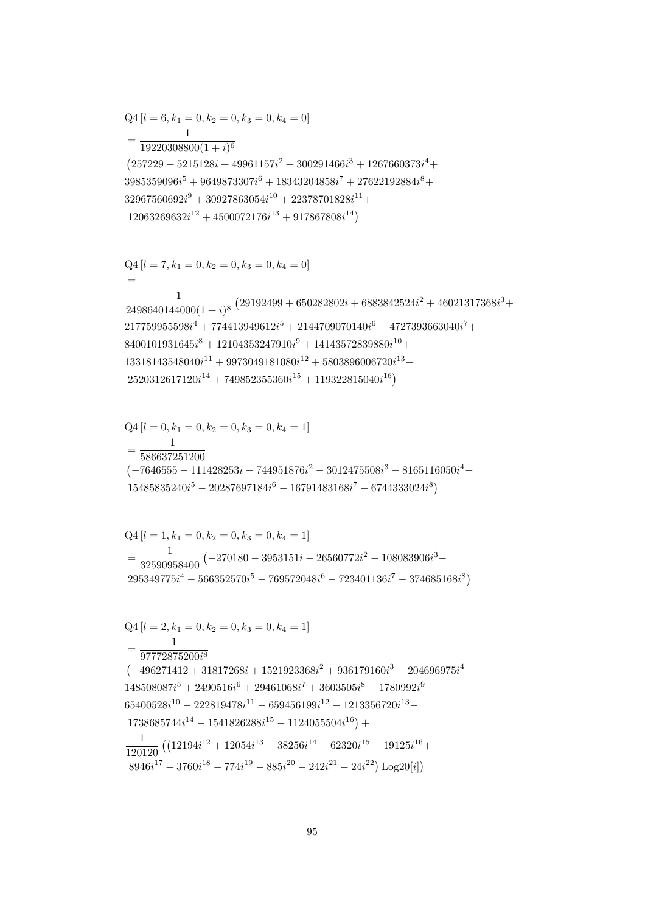$$
Q4 [l = 1, k_1 = 0, k_2 = 0, k_3 = 0, k_4 = 1]
$$
\n
$$
= \frac{1}{32590958400} (-270180 - 3953151i - 26560772i^2 - 108083906i^3 - 295349775i^4 - 566352570i^5 - 769572048i^6 - 723401136i^7 - 374685168i^8)
$$
\n
$$
Q4 [l = 2, k_1 = 0, k_2 = 0, k_3 = 0, k_4 = 1]
$$
\n
$$
= \frac{1}{97772875200i^8}
$$
\n
$$
(-496271412 + 31817268i + 1521923368i^2 + 936179160i^3 - 204696975i^4 - 148508087i^5 + 2490516i^6 + 29461068i^7 + 3603505i^8 - 1780992i^9 - 65400528i^{10} - 222819478i^{11} - 659456199i^{12} - 1213356720i^{13} - 1738685744i^{14} - 1541826288i^{15} - 1124055504i^{16}) +
$$
\n
$$
\frac{1}{120120} ((12194i^{12} + 12054i^{13} - 38256i^{14} - 62320i^{15} - 19125i^{16} + 8946i^{17} + 3760i^{18} - 774i^{19} - 885i^{20} - 242i^{21} - 24i^{22}) Log20[i])
$$

$$
Q4 [l = 0, k_1 = 0, k_2 = 0, k_3 = 0, k_4 = 1]
$$
  
= 
$$
\frac{1}{586637251200}
$$
  
(-7646555 - 111428253i - 744951876i<sup>2</sup> - 3012475508i<sup>3</sup> - 8165116050i<sup>4</sup> - 15485835240i<sup>5</sup> - 20287697184i<sup>6</sup> - 16791483168i<sup>7</sup> - 6744333024i<sup>8</sup>)

$$
Q4 [l = 7, k_1 = 0, k_2 = 0, k_3 = 0, k_4 = 0]
$$
  
=  

$$
\frac{1}{2498640144000(1+i)^8} (29192499 + 650282802i + 6883842524i^2 + 46021317368i^3 +
$$
  

$$
217759955598i^4 + 774413949612i^5 + 2144709070140i^6 + 4727393663040i^7 +
$$
  

$$
8400101931645i^8 + 12104353247910i^9 + 14143572839880i^{10} +
$$
  

$$
13318143548040i^{11} + 9973049181080i^{12} + 5803896006720i^{13} +
$$
  

$$
2520312617120i^{14} + 749852355360i^{15} + 119322815040i^{16})
$$

$$
32967560692i9 + 30927863054i10 + 22378701828i11 + 12063269632i12 + 4500072176i13 + 917867808i14)
$$

$$
=\frac{1}{19220308800(1+i)^6}
$$
\n
$$
(257229 + 5215128i + 49961157i^2 + 300291466i^3 + 1267660373i^4 + 3985359096i^5 + 9649873307i^6 + 18343204858i^7 + 27622192884i^8 + 32967560692i^9 + 30927863054i^{10} + 22378701828i^{11} + 12063260632i^{12} + 4500072176i^{13} + 917867808i^{14})
$$

$$
Q4 [l = 6, k_1 = 0, k_2 = 0, k_3 = 0, k_4 = 0]
$$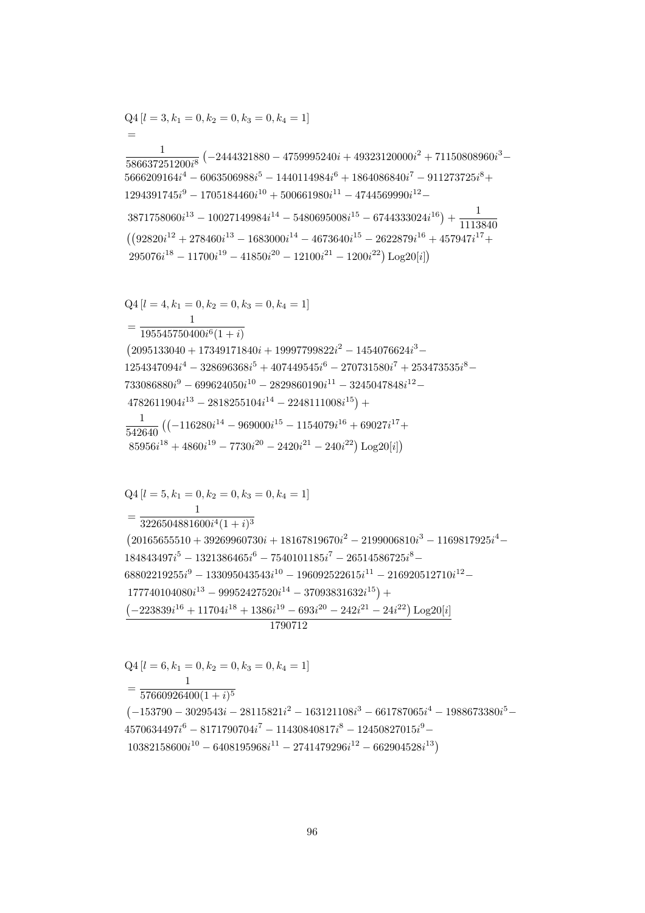$Q4[l = 6, k_1 = 0, k_2 = 0, k_3 = 0, k_4 = 1]$  $\overline{1}$  $=\frac{1}{57660926400(1+i)^5}$  $(-153790 - 3029543i - 28115821i^2 - 163121108i^3 - 661787065i^4 - 1988673380i^5 4570634497i^6 - 8171790704i^7 - 11430840817i^8 - 12450827015i^9 10382158600i^{10} - 6408195968i^{11} - 2741479296i^{12} - 662904528i^{13})$ 

 $Q4 [l = 5, k_1 = 0, k_2 = 0, k_3 = 0, k_4 = 1]$  $\overline{1}$  $=\frac{1}{3226504881600i^4(1+i)^3}$  $(20165655510 + 39269960730i + 18167819670i^2 - 2199006810i^3 - 1169817925i^4 184843497i^5 - 1321386465i^6 - 7540101185i^7 - 26514586725i^8 68802219255i^9 - 133095043543i^{10} - 196092522615i^{11} - 216920512710i^{12} 177740104080i^{13} - 99952427520i^{14} - 37093831632i^{15}) +$  $\left(-223839i^{16} + 11704i^{18} + 1386i^{19} - 693i^{20} - 242i^{21} - 24i^{22}\right) \text{Log}20[i]$ 1790712

$$
Q4 [l = 4, k_1 = 0, k_2 = 0, k_3 = 0, k_4 = 1]
$$
\n
$$
= \frac{1}{195545750400i^6(1+i)}
$$
\n
$$
(2095133040 + 17349171840i + 19997799822i^2 - 1454076624i^3 - 1254347094i^4 - 328696368i^5 + 407449545i^6 - 270731580i^7 + 253473535i^8 - 733086880i^9 - 699624050i^{10} - 2829860190i^{11} - 3245047848i^{12} - 4782611904i^{13} - 2818255104i^{14} - 2248111008i^{15}) +
$$
\n
$$
\frac{1}{542640} \left( (-116280i^{14} - 969000i^{15} - 1154079i^{16} + 69027i^{17} + 85956i^{18} + 4860i^{19} - 7730i^{20} - 2420i^{21} - 240i^{22} \right) \text{Log}20[i] \right)
$$

$$
= \frac{1}{586637251200i^8} \left(-2444321880 - 4759995240i + 49323120000i^2 + 71150808960i^3 - 5666209164i^4 - 6063506988i^5 - 1440114984i^6 + 1864086840i^7 - 911273725i^8 + 1294391745i^9 - 1705184460i^{10} + 500661980i^{11} - 4744569990i^{12} - 3871758060i^{13} - 10027149984i^{14} - 5480695008i^{15} - 6744333024i^{16} \right) + \frac{1}{1113840}
$$
  
\n
$$
\left( (92820i^{12} + 278460i^{13} - 1683000i^{14} - 4673640i^{15} - 2622879i^{16} + 457947i^{17} + 295076i^{18} - 11700i^{19} - 41850i^{20} - 12100i^{21} - 1200i^{22}) \text{ Log } 20[i] \right)
$$

 $Q4 [l = 3, k_1 = 0, k_2 = 0, k_3 = 0, k_4 = 1]$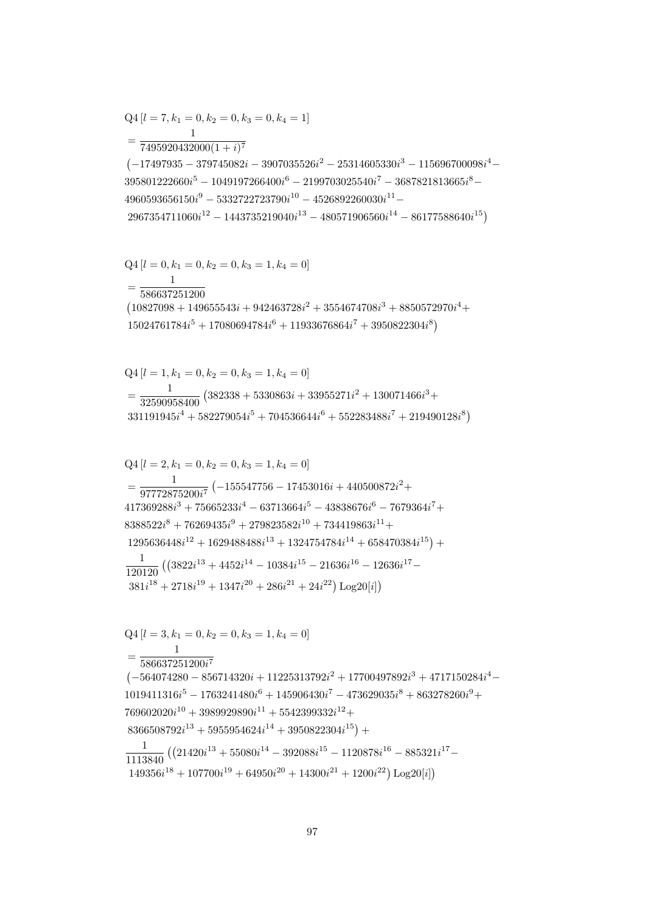$$
Q4 [l = 3, k_1 = 0, k_2 = 0, k_3 = 1, k_4 = 0]
$$
  
= 
$$
\frac{1}{586637251200i^7}
$$
  

$$
(-564074280 - 856714320i + 11225313792i^2 + 17700497892i^3 + 4717150284i^4 - 1019411316i^5 - 1763241480i^6 + 145906430i^7 - 473629035i^8 + 863278260i^9 + 769602020i^{10} + 3989929890i^{11} + 5542399332i^{12} + 8366508792i^{13} + 5955954624i^{14} + 3950822304i^{15}) + 1113840 ((21420i^{13} + 55080i^{14} - 392088i^{15} - 1120878i^{16} - 885321i^{17} - 149356i^{18} + 107700i^{19} + 64950i^{20} + 14300i^{21} + 1200i^{22}) Log20[i])
$$

$$
Q4 [l = 2, k_1 = 0, k_2 = 0, k_3 = 1, k_4 = 0]
$$
\n
$$
= \frac{1}{97772875200i^7} (-155547756 - 17453016i + 440500872i^2 + 417369288i^3 + 75665233i^4 - 63713664i^5 - 43838676i^6 - 7679364i^7 + 8388522i^8 + 76269435i^9 + 279823582i^{10} + 734419863i^{11} + 1295636448i^{12} + 1629488488i^{13} + 1324754784i^{14} + 658470384i^{15}) + 120120 ((3822i^{13} + 4452i^{14} - 10384i^{15} - 21636i^{16} - 12636i^{17} - 381i^{18} + 2718i^{19} + 1347i^{20} + 286i^{21} + 24i^{22}) Log20[i])
$$

$$
Q4 [l = 1, k_1 = 0, k_2 = 0, k_3 = 1, k_4 = 0]
$$
  
= 
$$
\frac{1}{32590958400} (382338 + 5330863i + 33955271i^2 + 130071466i^3 + 331191945i^4 + 582279054i^5 + 704536644i^6 + 552283488i^7 + 219490128i^8)
$$

$$
\begin{aligned}\n&\xi_4[\ell - 0, \ell_1] = 0, \ell_2 = 0, \ell_3 = 1, \ell_4 = 0] \\
&= \frac{1}{586637251200} \\
(10827098 + 149655543i + 942463728i^2 + 3554674708i^3 + 8850572970i^4 + 15024761784i^5 + 17080694784i^6 + 11933676864i^7 + 3950822304i^8\n\end{aligned}
$$

$$
Q4 [l = 0, k_1 = 0, k_2 = 0, k_3 = 1, k_4 = 0]
$$

$$
= \frac{1}{7495920432000(1 + i)^7}
$$
\n
$$
(-17497935 - 379745082i - 3907035526i^2 - 25314605330i^3 - 115696700098i^4 - 395801222660i^5 - 1049197266400i^6 - 2199703025540i^7 - 3687821813665i^8 - 4960593656150i^9 - 5332722723790i^{10} - 4526892260030i^{11} - 2967354711060i^{12} - 1443735219040i^{13} - 480571906560i^{14} - 86177588640i^{15})
$$

$$
Q4 [l = 7, k_1 = 0, k_2 = 0, k_3 = 0, k_4 = 1]
$$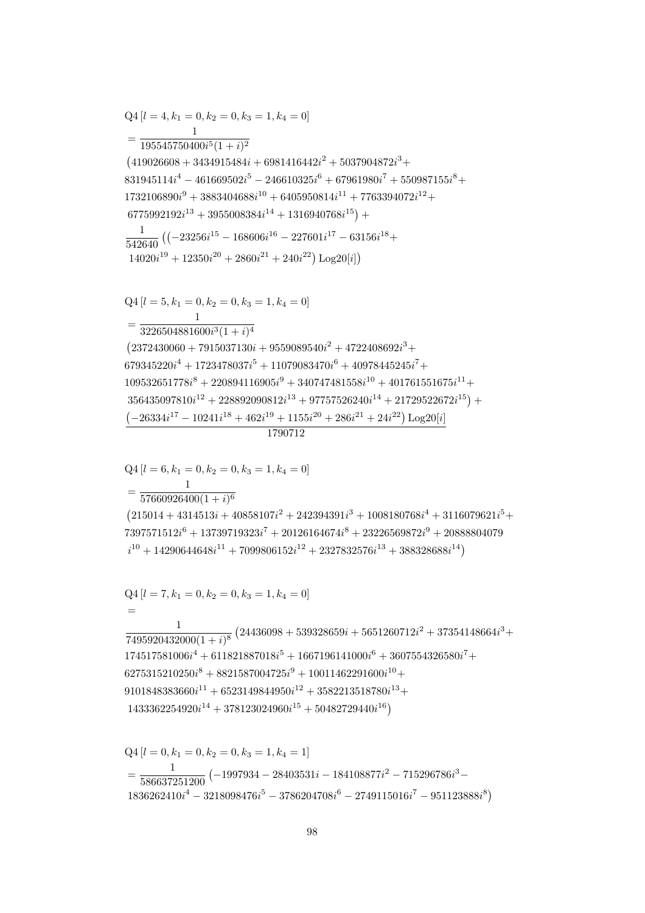$$
Q4 [l = 0, k_1 = 0, k_2 = 0, k_3 = 1, k_4 = 1]
$$
  
= 
$$
\frac{1}{586637251200} (-1997934 - 28403531i - 184108877i^2 - 715296786i^3 - 1836262410i^4 - 3218098476i^5 - 3786204708i^6 - 2749115016i^7 - 951123888i^8)
$$

$$
Q4 [l = 7, k_1 = 0, k_2 = 0, k_3 = 1, k_4 = 0]
$$
  
=  

$$
\frac{1}{7495920432000(1+i)^8} (24436098 + 539328659i + 5651260712i^2 + 37354148664i^3 + 174517581006i^4 + 611821887018i^5 + 1667196141000i^6 + 3607554326580i^7 + 6275315210250i^8 + 8821587004725i^9 + 10011462291600i^{10} + 9101848383660i^{11} + 6523149844950i^{12} + 3582213518780i^{13} + 1433362254920i^{14} + 378123024960i^{15} + 50482729440i^{16})
$$

 $\mathbf{1}$  $= \frac{1}{57660926400(1+i)^6}$  $(215014 + 4314513i + 40858107i^2 + 242394391i^3 + 1008180768i^4 + 3116079621i^5 +$  $7397571512i^6 + 13739719323i^7 + 20126164674i^8 + 23226569872i^9 + 20888804079$  $i^{10} + 14290644648i^{11} + 7099806152i^{12} + 2327832576i^{13} + 388328688i^{14}$ 

$$
Q4 [l = 6, k_1 = 0, k_2 = 0, k_3 = 1, k_4 = 0]
$$

## 1790712

 $Q4[l = 5, k_1 = 0, k_2 = 0, k_3 = 1, k_4 = 0]$  $=\frac{1}{3226504881600i^3(1+i)^4}$  $(2372430060+7915037130i+9559089540i^2+4722408692i^3+$  $679345220i^4 + 1723478037i^5 + 11079083470i^6 + 40978445245i^7 +$  $109532651778i^8 + 220894116905i^9 + 340747481558i^{10} + 401761551675i^{11} +$  $356435097810i^{12} + 228892090812i^{13} + 97757526240i^{14} + 21729522672i^{15}) +$  $(-26334i^{17} - 10241i^{18} + 462i^{19} + 1155i^{20} + 286i^{21} + 24i^{22})$  Log20[i]

$$
Q4 [l = 4, k_1 = 0, k_2 = 0, k_3 = 1, k_4 = 0]
$$
\n
$$
= \frac{1}{195545750400i^5(1+i)^2}
$$
\n
$$
(419026608 + 3434915484i + 6981416442i^2 + 5037904872i^3 + 831945114i^4 - 461669502i^5 - 246610325i^6 + 67961980i^7 + 550987155i^8 + 1732106890i^9 + 3883404688i^{10} + 6405950814i^{11} + 7763394072i^{12} + 6775992192i^{13} + 3955008384i^{14} + 1316940768i^{15}) + 1
$$
\n
$$
\frac{1}{542640} ((-23256i^{15} - 168606i^{16} - 227601i^{17} - 63156i^{18} + 14020i^{19} + 12350i^{20} + 2860i^{21} + 240i^{22}) Log20[i])
$$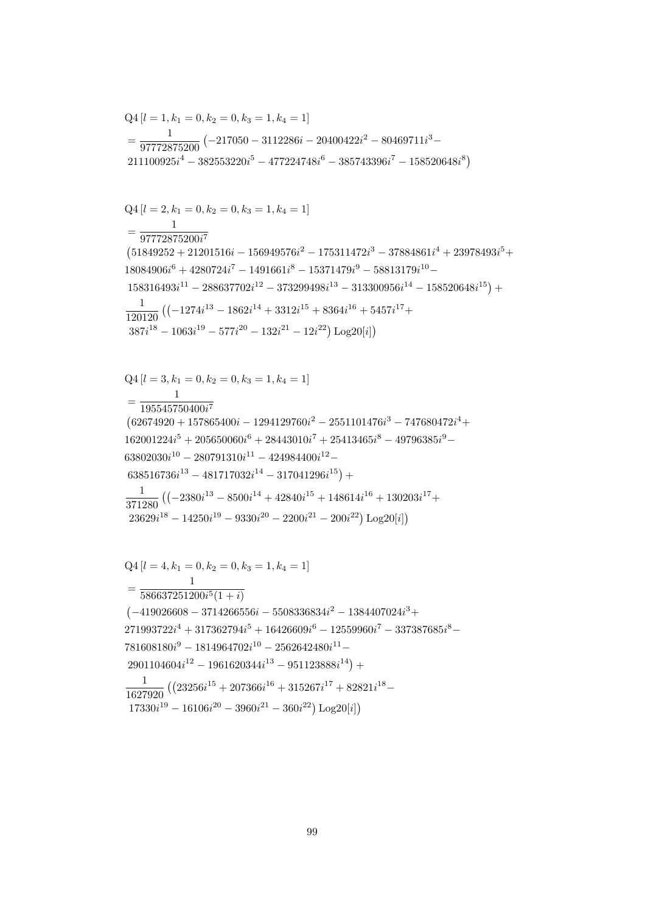$$
= \frac{1}{97772875200} \left(-217050 - 3112286i - 20400422i^2 - 80469711i^3 - 211100925i^4 - 382553220i^5 - 477224748i^6 - 385743396i^7 - 158520648i^8\right)
$$
  
\n
$$
Q4\left[l = 2, k_1 = 0, k_2 = 0, k_3 = 1, k_4 = 1\right]
$$
  
\n
$$
= \frac{1}{97772875200i^7}
$$
  
\n
$$
(51849252 + 21201516i - 156949576i^2 - 175311472i^3 - 37884861i^4 + 23978493i^5 + 18084906i^6 + 4280724i^7 - 1491661i^8 - 15371479i^9 - 58813179i^{10} - 158316493i^{11} - 288637702i^{12} - 373299498i^{13} - 313300956i^{14} - 158520648i^{15}\right) + 120120 \left((-1274i^{13} - 1862i^{14} + 3312i^{15} + 8364i^{16} + 5457i^{17} + 387i^{18} - 1063i^{19} - 577i^{20} - 132i^{21} - 12i^{22}\right) Log20[i]\right)
$$
  
\n
$$
Q4\left[l = 3, k_1 = 0, k_2 = 0, k_3 = 1, k_4 = 1\right]
$$
  
\n
$$
= \frac{1}{195545750400i^7}
$$
  
\n
$$
(62674920 + 157865400i - 1294129760i^2 - 2551101476i^3 - 747680472i^4 + 162001224i^5 + 205650060i^6 +
$$

 $Q4[l = 1, k_1 = 0, k_2 = 0, k_3 = 1, k_4 = 1]$ 

$$
Q4 [l = 4, k_1 = 0, k_2 = 0, k_3 = 1, k_4 = 1]
$$
  
= 
$$
\frac{1}{586637251200i^5(1 + i)}
$$
  

$$
(-419026608 - 3714266556i - 5508336834i^2 - 1384407024i^3 + 271993722i^4 + 317362794i^5 + 16426609i^6 - 12559960i^7 - 337387685i^8 - 781608180i^9 - 1814964702i^{10} - 2562642480i^{11} - 2901104604i^{12} - 1961620344i^{13} - 951123888i^{14}) +
$$
\frac{1}{1627920} ((23256i^{15} + 207366i^{16} + 315267i^{17} + 82821i^{18} - 17330i^{19} - 16106i^{20} - 3960i^{21} - 360i^{22}) Log20[i])
$$
$$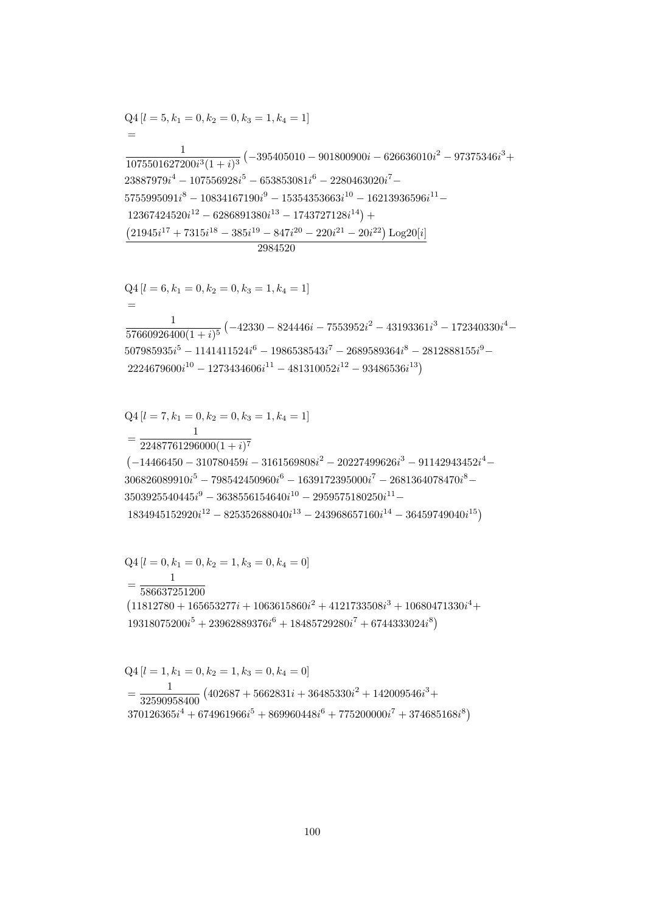$$
Q4 [l = 1, k_1 = 0, k_2 = 1, k_3 = 0, k_4 = 0]
$$
  
= 
$$
\frac{1}{32590958400} (402687 + 5662831i + 36485330i^2 + 142009546i^3 + 370126365i^4 + 674961966i^5 + 869960448i^6 + 775200000i^7 + 374685168i^8)
$$

 $Q4[l = 0, k_1 = 0, k_2 = 1, k_3 = 0, k_4 = 0]$  $\overline{1}$  $=\frac{1}{586637251200}$  $\left(11812780 + 165653277i + 1063615860i^2 + 4121733508i^3 + 10680471330i^4 + \right.$  $19318075200i^5 + 23962889376i^6 + 18485729280i^7 + 6744333024i^8$ 

$$
Q4 [l = 7, k_1 = 0, k_2 = 0, k_3 = 1, k_4 = 1]
$$
  
= 
$$
\frac{1}{22487761296000(1 + i)^7}
$$
  
(-14466450 - 310780459*i* - 3161569808*i*<sup>2</sup> - 20227499626*i*<sup>3</sup> - 91142943452*i*<sup>4</sup> -  
306826089910*i*<sup>5</sup> - 798542450960*i*<sup>6</sup> - 1639172395000*i*<sup>7</sup> - 2681364078470*i*<sup>8</sup> -  
3503925540445*i*<sup>9</sup> - 3638556154640*i*<sup>10</sup> - 2959575180250*i*<sup>11</sup> -  
1834945152920*i*<sup>12</sup> - 825352688040*i*<sup>13</sup> - 243968657160*i*<sup>14</sup> - 36459749040*i*<sup>15</sup>)

 $Q4[l = 6, k_1 = 0, k_2 = 0, k_3 = 1, k_4 = 1]$  $\frac{1}{57660926400(1+i)^5}\left(-42330-824446i-7553952i^2-43193361i^3-172340330i^4-\right.$  $507985935i^5 - 1141411524i^6 - 1986538543i^7 - 2689589364i^8 - 2812888155i^9 2224679600i^{10} - 1273434606i^{11} - 481310052i^{12} - 93486536i^{13})$ 

$$
Q4 [l = 5, k_1 = 0, k_2 = 0, k_3 = 1, k_4 = 1]
$$
\n
$$
=
$$
\n
$$
\frac{1}{1075501627200i^3(1 + i)^3} (-395405010 - 901800900i - 626636010i^2 - 97375346i^3 + 23887979i^4 - 107556928i^5 - 653853081i^6 - 2280463020i^7 - 5755995091i^8 - 10834167190i^9 - 15354353663i^{10} - 16213936596i^{11} - 12367424520i^{12} - 6286891380i^{13} - 1743727128i^{14}) +
$$
\n
$$
\frac{(21945i^{17} + 7315i^{18} - 385i^{19} - 847i^{20} - 220i^{21} - 20i^{22}) \text{Log}20[i]}{2984520}
$$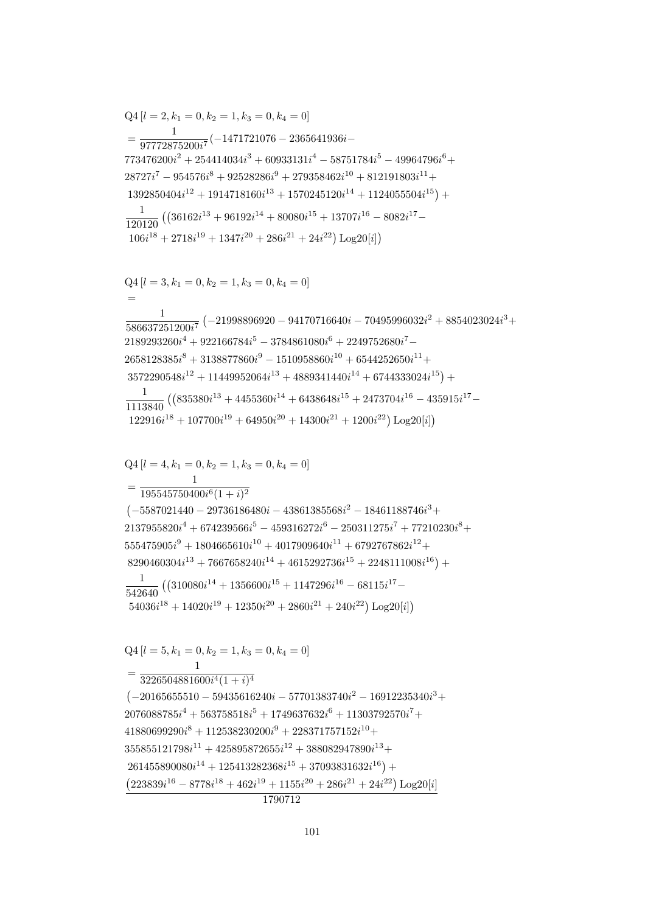$Q4[l = 4, k_1 = 0, k_2 = 1, k_3 = 0, k_4 = 0]$  $=\frac{195545750400i^{6}(1+i)^{2}}{195545750400i^{6}(1+i)^{2}}$  $(-5587021440 - 29736186480i - 43861385568i^2 - 18461188746i^3 +$  $2137955820i<sup>4</sup> + 674239566i<sup>5</sup> - 459316272i<sup>6</sup> - 250311275i<sup>7</sup> + 77210230i<sup>8</sup> +$  $555475905i<sup>9</sup> + 1804665610i<sup>10</sup> + 4017909640i<sup>11</sup> + 6792767862i<sup>12</sup> +$  $8290460304i^{13} + 7667658240i^{14} + 4615292736i^{15} + 2248111008i^{16}) +$  $\frac{1}{542640} \left( \left(310080 i^{14} + 1356600 i^{15} + 1147296 i^{16} - 68115 i^{17} - \right. \right.$  $54036i^{18} + 14020i^{19} + 12350i^{20} + 2860i^{21} + 240i^{22})$  Log20[i])  $Q4[l = 5, k_1 = 0, k_2 = 1, k_3 = 0, k_4 = 0]$  $=\frac{1}{3226504881600i^4(1+i)^4}$  $(-20165655510 - 59435616240i - 57701383740i^2 - 16912235340i^3 +$  $2076088785i<sup>4</sup> + 563758518i<sup>5</sup> + 1749637632i<sup>6</sup> + 11303792570i<sup>7</sup> +$  $41880699290i^{8} + 112538230200i^{9} + 228371757152i^{10} +$  $355855121798i^{11} + 425895872655i^{12} + 388082947890i^{13} +$  $261455890080i^{14} + 125413282368i^{15} + 37093831632i^{16}) +$  $(223839i^{16} - 8778i^{18} + 462i^{19} + 1155i^{20} + 286i^{21} + 24i^{22}) Log20[i]$ 1790712

 $Q4 [l = 3, k_1 = 0, k_2 = 1, k_3 = 0, k_4 = 0]$  $\frac{1}{586637251200i^7} \left(-21998896920 - 94170716640i - 70495996032i^2 + 8854023024i^3 + \right.$  $2189293260i^4 + 922166784i^5 - 3784861080i^6 + 2249752680i^7 2658128385i<sup>8</sup> + 3138877860i<sup>9</sup> - 1510958860i<sup>10</sup> + 6544252650i<sup>11</sup> +$  $3572290548i^{12} + 11449952064i^{13} + 4889341440i^{14} + 6744333024i^{15}) +$  $\frac{1}{1113840} \left( \left( 835380 i^{13} + 4455360 i^{14} + 6438648 i^{15} + 2473704 i^{16} - 435915 i^{17} - \right. \right.$  $122916i^{18} + 107700i^{19} + 64950i^{20} + 14300i^{21} + 1200i^{22}) \text{Log }20[i]$ 

$$
\begin{split} &\text{Q4}\left[l=2,k_1=0,k_2=1,k_3=0,k_4=0\right]\\ &=\frac{1}{97772875200i^7}(-1471721076-2365641936i-\\ &773476200i^2+254414034i^3+60933131i^4-58751784i^5-49964796i^6+\\ &28727i^7-954576i^8+92528286i^9+279358462i^{10}+812191803i^{11}+\\ &1392850404i^{12}+1914718160i^{13}+1570245120i^{14}+1124055504i^{15}\big)+\\ &\frac{1}{120120}\left(\left(36162i^{13}+96192i^{14}+80080i^{15}+13707i^{16}-8082i^{17}-\\ &106i^{18}+2718i^{19}+1347i^{20}+286i^{21}+24i^{22}\right)\text{Log}20[i]\right) \end{split}
$$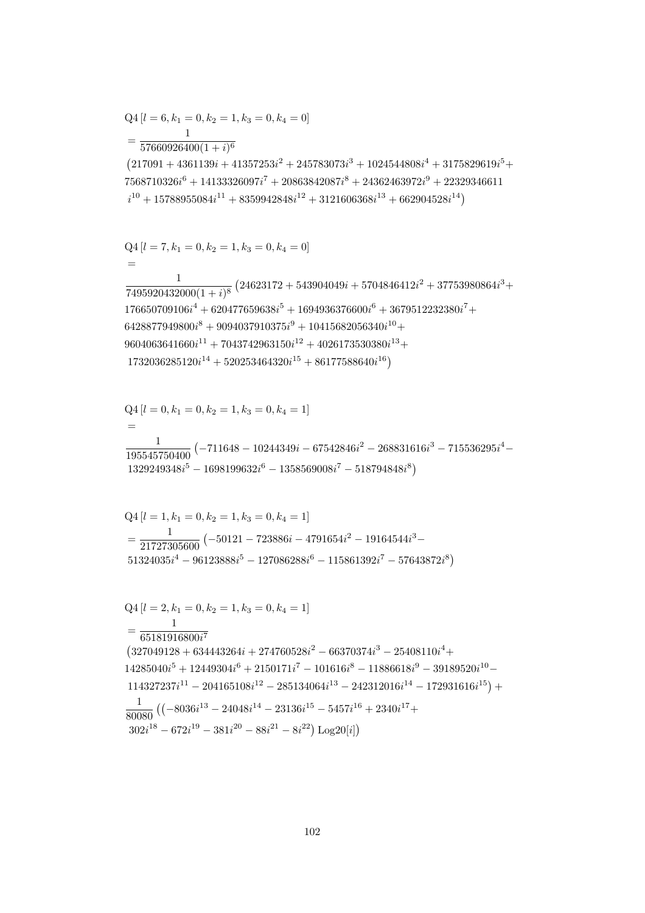$$
Q4[l = 6, k_1 = 0, k_2 = 1, k_3 = 0, k_4 = 0]
$$

 $=\frac{1}{57660926400(1+i)^6}$  $(217091 + 4361139i + 41357253i^2 + 245783073i^3 + 1024544808i^4 + 3175829619i^5 +$  $7568710326i^6 + 14133326097i^7 + 20863842087i^8 + 24362463972i^9 + 22329346611$  $i^{10} + 15788955084i^{11} + 8359942848i^{12} + 3121606368i^{13} + 662904528i^{14})$ 

$$
Q4[l = 7, k_1 = 0, k_2 = 1, k_3 = 0, k_4 = 0]
$$
  
=

 $\frac{1}{7495920432000(1+i)^8} \left(24623172 + 543904049i + 5704846412i^2 + 37753980864i^3 + \right.$  $176650709106i^4 + 620477659638i^5 + 1694936376600i^6 + 3679512232380i^7 +$  $6428877949800i^{8} + 9094037910375i^{9} + 10415682056340i^{10} +$  $9604063641660i^{11} + 7043742963150i^{12} + 4026173530380i^{13} +$  $1732036285120i^{14} + 520253464320i^{15} + 86177588640i^{16})$ 

$$
Q4 [l = 0, k_1 = 0, k_2 = 1, k_3 = 0, k_4 = 1]
$$
  
=  

$$
\frac{1}{195545750400} (-711648 - 10244349i - 67542846i^2 - 268831616i^3 - 715536295i^4 - 1329249348i^5 - 1698199632i^6 - 1358569008i^7 - 518794848i^8)
$$

$$
Q4 [l = 1, k_1 = 0, k_2 = 1, k_3 = 0, k_4 = 1]
$$
  
= 
$$
\frac{1}{21727305600} (-50121 - 723886i - 4791654i^2 - 19164544i^3 - 51324035i^4 - 96123888i^5 - 127086288i^6 - 115861392i^7 - 57643872i^8)
$$

$$
Q4 [l = 2, k_1 = 0, k_2 = 1, k_3 = 0, k_4 = 1]
$$
  
= 
$$
\frac{1}{65181916800i^7}
$$
  

$$
(327049128 + 634443264i + 274760528i^2 - 66370374i^3 - 25408110i^4 +
$$
  

$$
14285040i^5 + 12449304i^6 + 2150171i^7 - 101616i^8 - 11886618i^9 - 39189520i^{10} -
$$
  

$$
114327237i^{11} - 204165108i^{12} - 285134064i^{13} - 242312016i^{14} - 172931616i^{15}) +
$$
  

$$
\frac{1}{80080} ((-8036i^{13} - 24048i^{14} - 23136i^{15} - 5457i^{16} + 2340i^{17} +
$$
  

$$
302i^{18} - 672i^{19} - 381i^{20} - 88i^{21} - 8i^{22}) Log20[i])
$$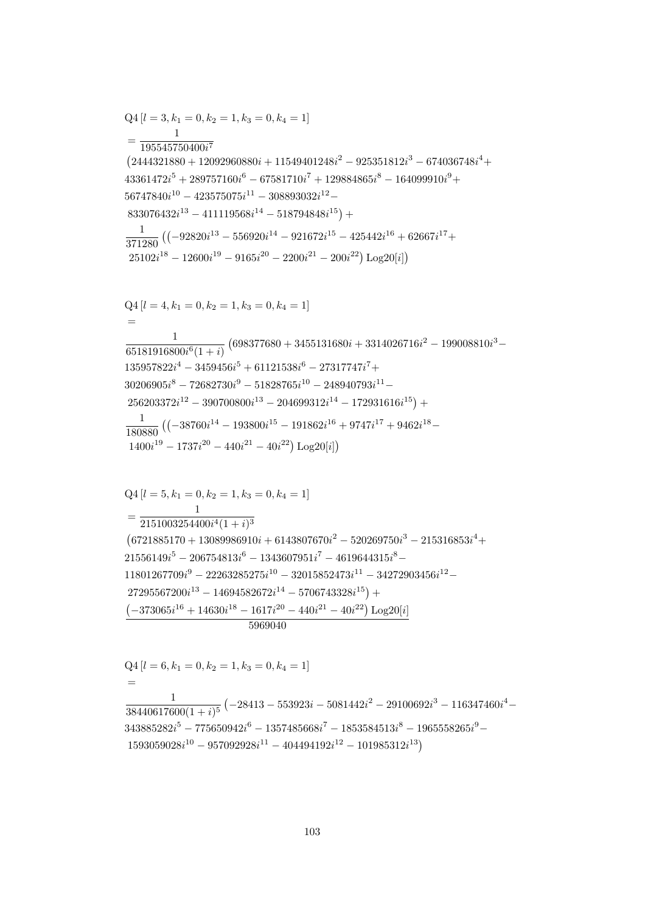$Q4[l = 6, k_1 = 0, k_2 = 1, k_3 = 0, k_4 = 1]$  $=$  $\frac{1}{38440617600(1+i)^5}\left(-28413-553923i-5081442i^2-29100692i^3-116347460i^4-\right.$  $343885282i^5 - 775650942i^6 - 1357485668i^7 - 1853584513i^8 - 1965558265i^9 - \nonumber$  $1593059028i^{10} - 957092928i^{11} - 404494192i^{12} - 101985312i^{13})$ 

$$
Q4 [l = 5, k_1 = 0, k_2 = 1, k_3 = 0, k_4 = 1]
$$
  
= 
$$
\frac{1}{2151003254400i^4(1 + i)^3}
$$
  
(6721885170 + 13089986910i + 6143807670i<sup>2</sup> - 520269750i<sup>3</sup> - 215316853i<sup>4</sup> +  
21556149i<sup>5</sup> - 206754813i<sup>6</sup> - 1343607951i<sup>7</sup> - 4619644315i<sup>8</sup> -  
11801267709i<sup>9</sup> - 22263285275i<sup>10</sup> - 32015852473i<sup>11</sup> - 34272903456i<sup>12</sup> -  
27295567200i<sup>13</sup> - 14694582672i<sup>14</sup> - 5706743328i<sup>15</sup>) +  
(-373065i<sup>16</sup> + 14630i<sup>18</sup> - 1617i<sup>20</sup> - 440i<sup>21</sup> - 40i<sup>22</sup>) Log20[i]  
5969040

$$
25102i^{18} - 12600i^{19} - 9165i^{20} - 2200i^{21} - 200i^{22}) \text{Log}20[i]
$$
\n
$$
Q4 [l = 4, k_1 = 0, k_2 = 1, k_3 = 0, k_4 = 1]
$$
\n
$$
=
$$
\n
$$
\frac{1}{65181916800i^6 (1 + i)} (698377680 + 3455131680i + 3314026716i^2 - 199008810i^3 - 135957822i^4 - 3459456i^5 + 61121538i^6 - 27317747i^7 + 30206905i^8 - 72682730i^9 - 51828765i^{10} - 248940793i^{11} - 256203372i^{12} - 390700800i^{13} - 204699312i^{14} - 172931616i^{15}) + 180880 ((-38760i^{14} - 193800i^{15} - 191862i^{16} + 9747i^{17} + 9462i^{18} - 1400i^{19} - 1737i^{20} - 440i^{21} - 40i^{22}) \text{Log}20[i])
$$

$$
Q4 [l = 3, k_1 = 0, k_2 = 1, k_3 = 0, k_4 = 1]
$$
\n
$$
= \frac{1}{195545750400i^7}
$$
\n
$$
(2444321880 + 12092960880i + 11549401248i^2 - 925351812i^3 - 674036748i^4 + 43361472i^5 + 289757160i^6 - 67581710i^7 + 129884865i^8 - 164099910i^9 + 56747840i^{10} - 423575075i^{11} - 308893032i^{12} - 833076432i^{13} - 411119568i^{14} - 518794848i^{15}) + 42000i^{19} - 429540i^{10} - 42956920i^{14} - 921672i^{15} - 425442i^{16} + 62667i^{17} + 25102i^{18} - 12600i^{19} - 9165i^{20} - 2200i^{21} - 200i^{22}) Log20[i]
$$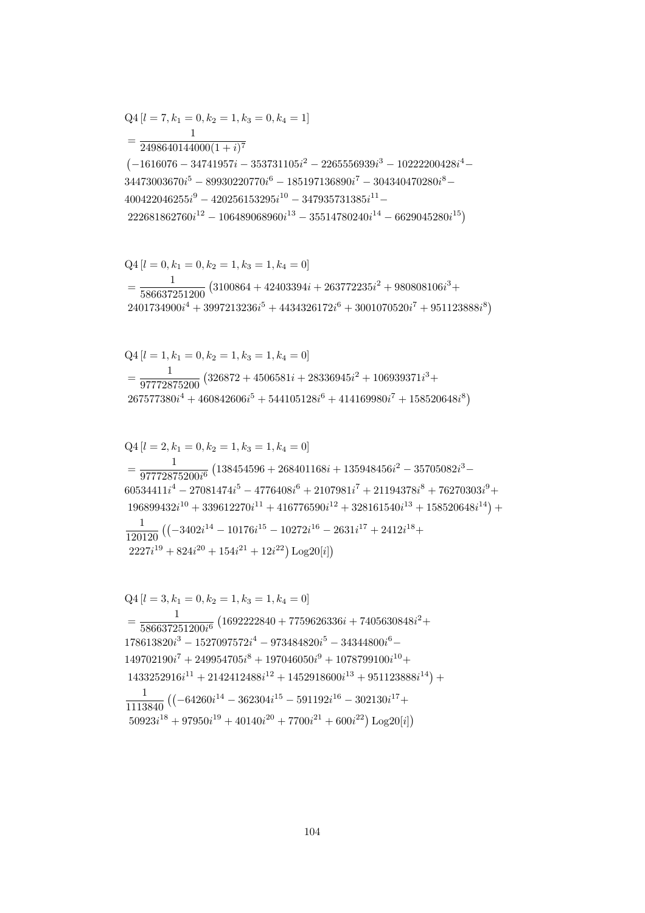$$
Q4 [l = 3, k_1 = 0, k_2 = 1, k_3 = 1, k_4 = 0]
$$
\n
$$
= \frac{1}{586637251200i^6} (1692222840 + 7759626336i + 7405630848i^2 + 178613820i^3 - 1527097572i^4 - 973484820i^5 - 34344800i^6 - 149702190i^7 + 249954705i^8 + 197046050i^9 + 1078799100i^{10} + 1433252916i^{11} + 2142412488i^{12} + 1452918600i^{13} + 951123888i^{14}) + 1113840 ((-64260i^{14} - 362304i^{15} - 591192i^{16} - 302130i^{17} + 50923i^{18} + 97950i^{19} + 40140i^{20} + 7700i^{21} + 600i^{22}) Log20[i])
$$

$$
\begin{aligned} &\text{Q4}\left[l=2,k_1=0,k_2=1,k_3=1,k_4=0\right]\\ &=\frac{1}{97772875200i^6}\left(138454596+268401168i+135948456i^2-35705082i^3-\\ &60534411i^4-27081474i^5-4776408i^6+2107981i^7+21194378i^8+76270303i^9+\\ &196899432i^{10}+339612270i^{11}+416776590i^{12}+328161540i^{13}+158520648i^{14}\right)+\\ &\frac{1}{120120}\left(\left(-3402i^{14}-10176i^{15}-10272i^{16}-2631i^{17}+2412i^{18}+\right.\\ &\left.2227i^{19}+824i^{20}+154i^{21}+12i^{22}\right)\text{Log}20[i]\right) \end{aligned}
$$

$$
Q4 [l = 1, k_1 = 0, k_2 = 1, k_3 = 1, k_4 = 0]
$$
  
= 
$$
\frac{1}{97772875200} (326872 + 4506581i + 28336945i^2 + 106939371i^3 + 267577380i^4 + 460842606i^5 + 544105128i^6 + 414169980i^7 + 158520648i^8)
$$

$$
Q4 [l = 0, k_1 = 0, k_2 = 1, k_3 = 1, k_4 = 0]
$$
  
= 
$$
\frac{1}{586637251200} (3100864 + 42403394i + 263772235i^2 + 980808106i^3 + 2401734900i^4 + 3997213236i^5 + 4434326172i^6 + 3001070520i^7 + 951123888i^8)
$$

$$
Q4 [l = 7, k_1 = 0, k_2 = 1, k_3 = 0, k_4 = 1]
$$
  
= 
$$
\frac{1}{2498640144000(1 + i)^7}
$$
  

$$
(-1616076 - 34741957i - 353731105i^2 - 2265556939i^3 - 10222200428i^4 - 34473003670i^5 - 89930220770i^6 - 185197136890i^7 - 304340470280i^8 - 400422046255i^9 - 420256153295i^{10} - 347935731385i^{11} - 222681862760i^{12} - 106489068960i^{13} - 35514780240i^{14} - 6629045280i^{15})
$$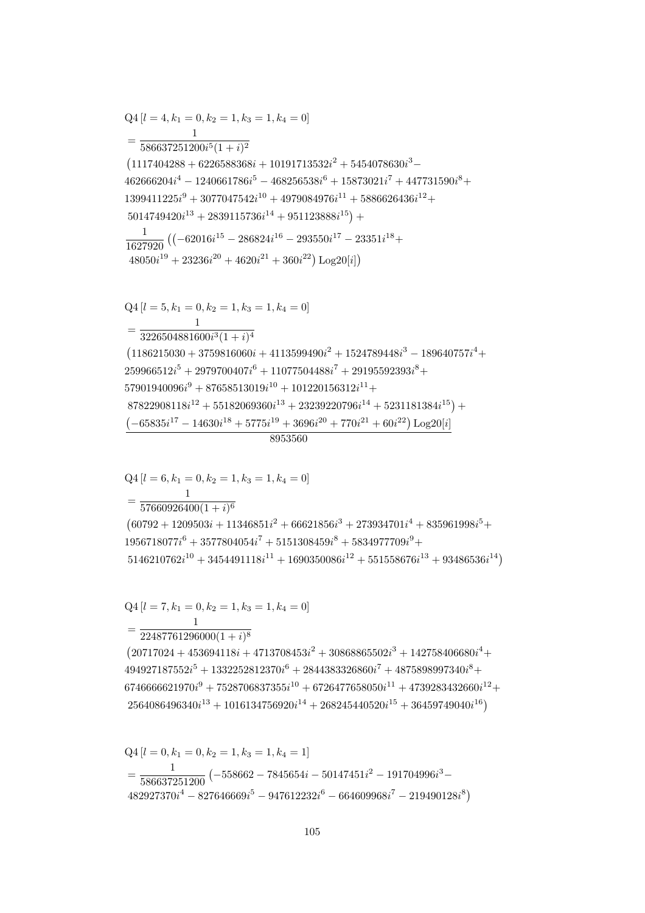$$
Q4 [l = 0, k_1 = 0, k_2 = 1, k_3 = 1, k_4 = 1]
$$
  
= 
$$
\frac{1}{586637251200} (-558662 - 7845654i - 50147451i^2 - 191704996i^3 - 482927370i^4 - 827646669i^5 - 947612232i^6 - 664609968i^7 - 219490128i^8)
$$

 $Q4[l = 7, k_1 = 0, k_2 = 1, k_3 = 1, k_4 = 0]$  $=\frac{1}{22487761296000(1+i)^8}$  $(20717024 + 453694118i + 4713708453i^2 + 30868865502i^3 + 142758406680i^4 +$  $494927187552i^5 + 1332252812370i^6 + 2844383326860i^7 + 4875898997340i^8 +$  $6746666621970i^9 + 7528706837355i^{10} + 6726477658050i^{11} + 4739283432660i^{12} +$  $2564086496340i^{13} + 1016134756920i^{14} + 268245440520i^{15} + 36459749040i^{16})$ 

 $= \frac{1}{57660926400(1+i)^6}$  $(60792 + 1209503i + 11346851i^2 + 66621856i^3 + 273934701i^4 + 835961998i^5 +$  $1956718077i^{6} + 3577804054i^{7} + 5151308459i^{8} + 5834977709i^{9} +$  $5146210762i^{10} + 3454491118i^{11} + 1690350086i^{12} + 551558676i^{13} + 93486536i^{14})$ 

 $Q4 [l = 6, k_1 = 0, k_2 = 1, k_3 = 1, k_4 = 0]$ 

8953560

 $\frac{1}{1627920} \left( (-62016i^{15} - 286824i^{16} - 293550i^{17} - 23351i^{18} + \right.$  $48050i^{19} + 23236i^{20} + 4620i^{21} + 360i^{22})$  Log20[i])  $Q4 [l = 5, k_1 = 0, k_2 = 1, k_3 = 1, k_4 = 0]$  $= \frac{1}{3226504881600i^3(1+i)^4}$  $(1186215030 + 3759816060i + 4113599490i^2 + 1524789448i^3 - 189640757i^4 +$  $259966512i^5 + 2979700407i^6 + 11077504488i^7 + 29195592393i^8 +$  $57901940096i^9 + 87658513019i^{10} + 101220156312i^{11} +$  $87822908118i^{12} + 55182069360i^{13} + 23239220796i^{14} + 5231181384i^{15}) +$  $\left(-65835i^{17}-14630i^{18}+5775i^{19}+3696i^{20}+770i^{21}+60i^{22}\right)\textrm{Log}20[i]$ 

 $Q4 [l = 4, k_1 = 0, k_2 = 1, k_3 = 1, k_4 = 0]$  $=\frac{1}{586637251200i^5(1+i)^2}$  $(1117404288 + 6226588368i + 10191713532i^2 + 5454078630i^3 462666204i^4 - 1240661786i^5 - 468256538i^6 + 15873021i^7 + 447731590i^8 +$  $1399411225i^9 + 3077047542i^{10} + 4979084976i^{11} + 5886626436i^{12} +$  $5014749420i^{13} + 2839115736i^{14} + 951123888i^{15}$  +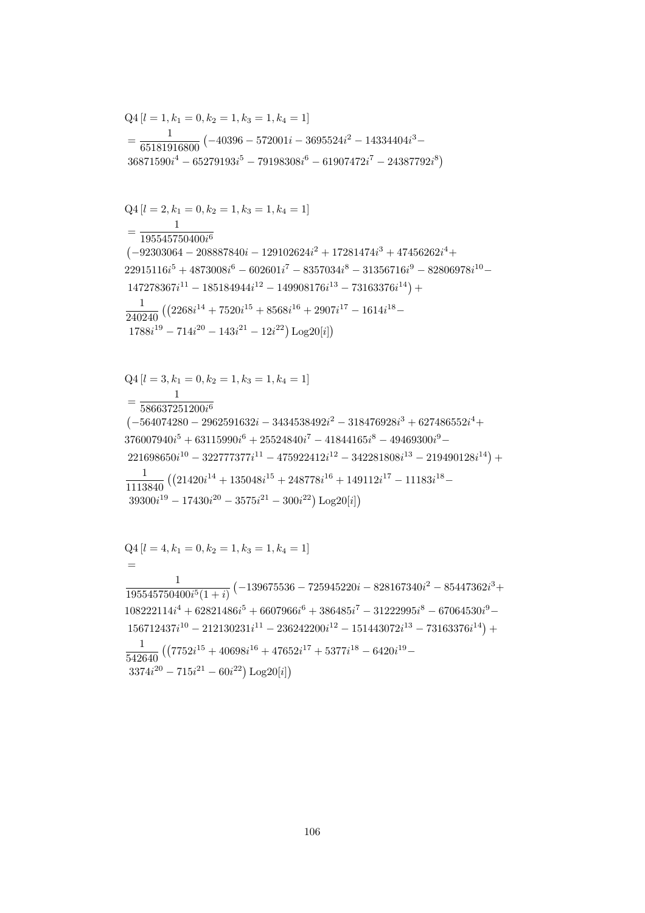$$
Q4 [l = 4, k_1 = 0, k_2 = 1, k_3 = 1, k_4 = 1]
$$
  
=  

$$
\frac{1}{195545750400i^5(1 + i)} \left(-139675536 - 725945220i - 828167340i^2 - 85447362i^3 + 108222114i^4 + 62821486i^5 + 6607966i^6 + 386485i^7 - 31222995i^8 - 67064530i^9 - 156712437i^{10} - 212130231i^{11} - 236242200i^{12} - 151443072i^{13} - 73163376i^{14}\right) +
$$
\frac{1}{542640} \left( (7752i^{15} + 40698i^{16} + 47652i^{17} + 5377i^{18} - 6420i^{19} - 3374i^{20} - 715i^{21} - 60i^{22} \right) \text{Log}20[i] \right)
$$
$$

$$
Q4 [l = 3, k_1 = 0, k_2 = 1, k_3 = 1, k_4 = 1]
$$
  
= 
$$
\frac{1}{586637251200i^6}
$$
  

$$
(-564074280 - 2962591632i - 3434538492i^2 - 318476928i^3 + 627486552i^4 + 376007940i^5 + 63115990i^6 + 25524840i^7 - 41844165i^8 - 49469300i^9 - 221698650i^{10} - 322777377i^{11} - 475922412i^{12} - 342281808i^{13} - 219490128i^{14}) +
$$
\frac{1}{1113840} ((21420i^{14} + 135048i^{15} + 248778i^{16} + 149112i^{17} - 11183i^{18} - 39300i^{19} - 17430i^{20} - 3575i^{21} - 300i^{22}) Log20[i])
$$
$$

$$
\begin{aligned} &\text{Q4}\left[l=2,k_1=0,k_2=1,k_3=1,k_4=1\right]\\ &=\frac{1}{195545750400i^6}\\ &\left(-92303064-208887840i-129102624i^2+17281474i^3+47456262i^4+\right.\\ &\left.22915116i^5+4873008i^6-602601i^7-8357034i^8-31356716i^9-82806978i^{10}-\\ &\left.147278367i^{11}-185184944i^{12}-149908176i^{13}-73163376i^{14}\right)+\\ &\frac{1}{240240}\left(\left(2268i^{14}+7520i^{15}+8568i^{16}+2907i^{17}-1614i^{18}-\\ &\left.1788i^{19}-714i^{20}-143i^{21}-12i^{22}\right)\text{Log}20[i]\right)\right. \end{aligned}
$$

$$
Q4 [l = 1, k_1 = 0, k_2 = 1, k_3 = 1, k_4 = 1]
$$
  
= 
$$
\frac{1}{65181916800} (-40396 - 572001i - 3695524i^2 - 14334404i^3 - 36871590i^4 - 65279193i^5 - 79198308i^6 - 61907472i^7 - 24387792i^8)
$$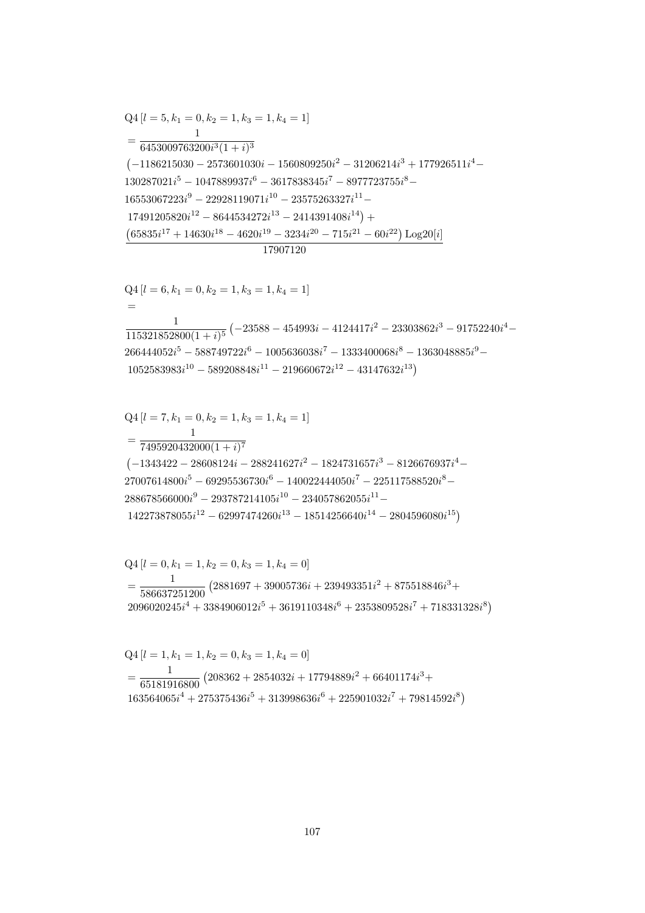$$
Q4 [l = 5, k_1 = 0, k_2 = 1, k_3 = 1, k_4 = 1]
$$
  
= 
$$
\frac{1}{6453009763200i^3(1 + i)^3}
$$
  
(-1186215030 - 2573601030i - 1560809250i<sup>2</sup> - 31206214i<sup>3</sup> + 177926511i<sup>4</sup> -  
130287021i<sup>5</sup> - 1047889937i<sup>6</sup> - 3617838345i<sup>7</sup> - 8977723755i<sup>8</sup> -  
16553067223i<sup>9</sup> - 22928119071i<sup>10</sup> - 23575263327i<sup>11</sup> -  
17491205820i<sup>12</sup> - 8644534272i<sup>13</sup> - 2414391408i<sup>14</sup>) +  
(65835i<sup>17</sup> + 14630i<sup>18</sup> - 4620i<sup>19</sup> - 3234i<sup>20</sup> - 715i<sup>21</sup> - 60i<sup>22</sup>) Log20[i]   
17907120

$$
Q4 [l = 6, k_1 = 0, k_2 = 1, k_3 = 1, k_4 = 1]
$$
  
=  

$$
\frac{1}{115321852800(1+i)^5} (-23588 - 454993i - 4124417i^2 - 23303862i^3 - 91752240i^4 - 266444052i^5 - 588749722i^6 - 1005636038i^7 - 1333400068i^8 - 1363048885i^9 - 1052583983i^{10} - 589208848i^{11} - 219660672i^{12} - 43147632i^{13})
$$

$$
Q4 [l = 7, k_1 = 0, k_2 = 1, k_3 = 1, k_4 = 1]
$$
  
= 
$$
\frac{1}{7495920432000(1 + i)^7}
$$
  

$$
(-1343422 - 28608124i - 288241627i^2 - 1824731657i^3 - 8126676937i^4 - 27007614800i^5 - 69295536730i^6 - 140022444050i^7 - 225117588520i^8 - 288678566000i^9 - 293787214105i^{10} - 234057862055i^{11} - 142273878055i^{12} - 62997474260i^{13} - 18514256640i^{14} - 2804596080i^{15})
$$

$$
Q4 [l = 0, k_1 = 1, k_2 = 0, k_3 = 1, k_4 = 0]
$$
  
= 
$$
\frac{1}{586637251200} (2881697 + 39005736i + 239493351i^2 + 875518846i^3 + 2096020245i^4 + 3384906012i^5 + 3619110348i^6 + 2353809528i^7 + 718331328i^8)
$$

$$
Q4 [l = 1, k_1 = 1, k_2 = 0, k_3 = 1, k_4 = 0]
$$
  
= 
$$
\frac{1}{65181916800} (208362 + 2854032i + 17794889i^2 + 66401174i^3 + 163564065i^4 + 275375436i^5 + 313998636i^6 + 225901032i^7 + 79814592i^8)
$$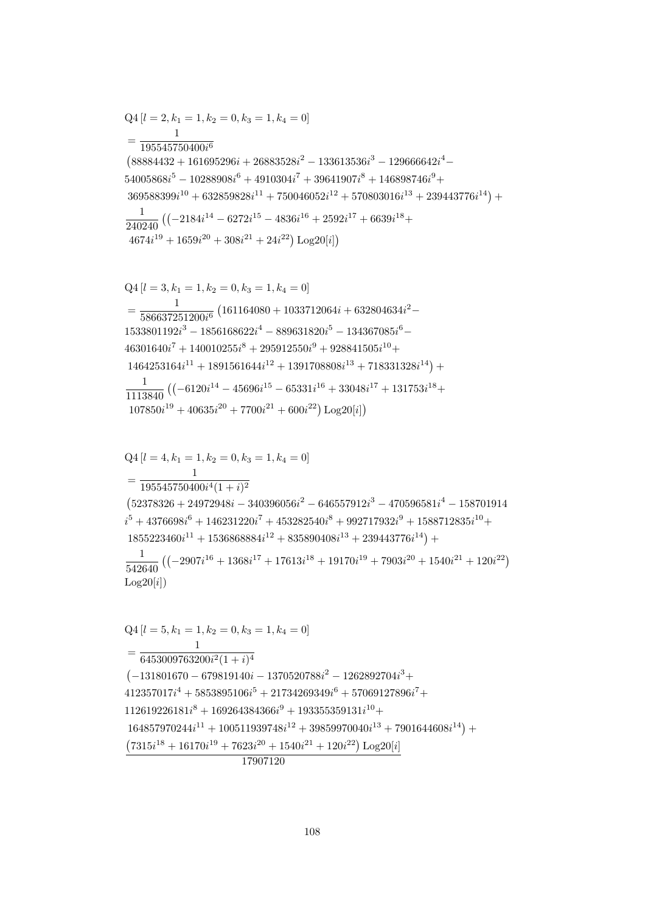17907120

 $107850i^{19} + 40635i^{20} + 7700i^{21} + 600i^{22}) \text{Log }20[i]$  $Q4[l = 4, k_1 = 1, k_2 = 0, k_3 = 1, k_4 = 0]$  $=\frac{1}{195545750400i^4(1+i)^2}$  $(52378326 + 24972948i - 340396056i^2 - 646557912i^3 - 470596581i^4 - 158701914$  $i^5 + 4376698i^6 + 146231220i^7 + 453282540i^8 + 992717932i^9 + 1588712835i^{10} +$  $1855223460i^{11} + 1536868884i^{12} + 835890408i^{13} + 239443776i^{14}) +$  $\frac{1}{542640} \left( \left(-2907i^{16} + 1368i^{17} + 17613i^{18} + 19170i^{19} + 7903i^{20} + 1540i^{21} + 120i^{22} \right) \right.$  $Log20[i])$  $Q4[l = 5, k_1 = 1, k_2 = 0, k_3 = 1, k_4 = 0]$  $=\frac{1}{6453009763200i^2(1+i)^4}$  $\left(-131801670 - 679819140i - 1370520788i^2 - 1262892704i^3 + \right)$  $412357017i^4 + 5853895106i^5 + 21734269349i^6 + 57069127896i^7 +$  $112619226181i^8 + 169264384366i^9 + 193355359131i^{10} +$  $164857970244i^{11} + 100511939748i^{12} + 39859970040i^{13} + 7901644608i^{14}) +$  $\left(7315i^{18}+16170i^{19}+7623i^{20}+1540i^{21}+120i^{22}\right)\textrm{Log}20[i]$ 

 $Q4[l = 3, k_1 = 1, k_2 = 0, k_3 = 1, k_4 = 0]$  $=\frac{1}{586637251200i^6}\left(161164080+1033712064i+632804634i^2-\right.$  $1533801192i^3 - 1856168622i^4 - 889631820i^5 - 134367085i^6 46301640i^7 + 140010255i^8 + 295912550i^9 + 928841505i^{10} +$  $1464253164i^{11} + 1891561644i^{12} + 1391708808i^{13} + 718331328i^{14}) +$  $\frac{1}{1113840} \left( \left(-6120 i^{14} - 45696 i^{15} - 65331 i^{16} + 33048 i^{17} + 131753 i^{18} + \right.\right.$ 

$$
Q4 [l = 2, k_1 = 1, k_2 = 0, k_3 = 1, k_4 = 0]
$$
  
= 
$$
\frac{1}{195545750400i^6}
$$
  
(88884432 + 161695296i + 26883528i^2 - 133613536i^3 - 129666642i^4 - 54005868i^5 - 10288908i^6 + 4910304i^7 + 39641907i^8 + 146898746i^9 + 369588399i^{10} + 632859828i^{11} + 750046052i^{12} + 570803016i^{13} + 239443776i^{14}) +  

$$
\frac{1}{240240} ((-2184i^{14} - 6272i^{15} - 4836i^{16} + 2592i^{17} + 6639i^{18} + 4674i^{19} + 1659i^{20} + 308i^{21} + 24i^{22}) Log20[i])
$$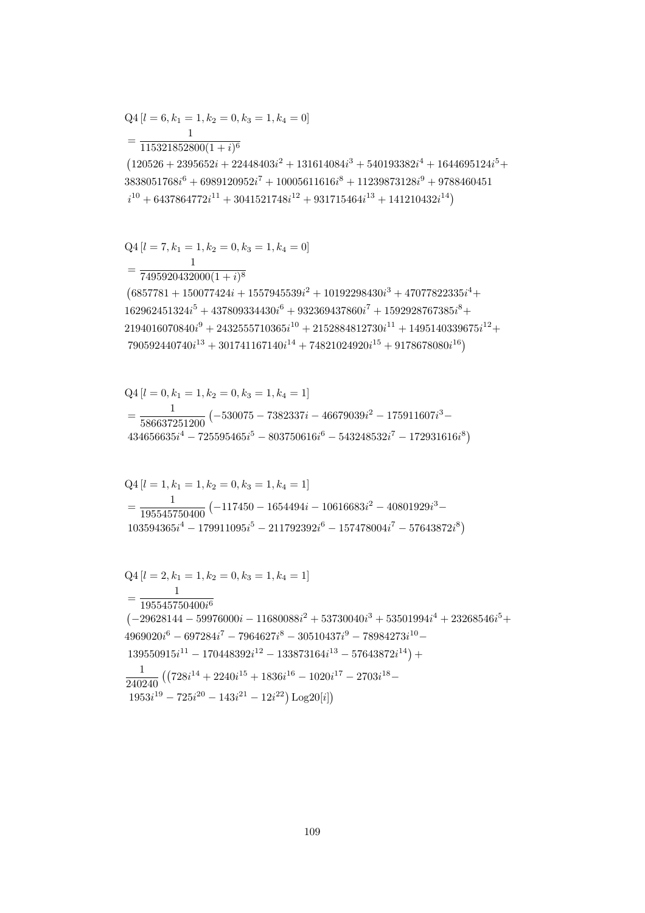$$
Q4 [l = 2, k_1 = 1, k_2 = 0, k_3 = 1, k_4 = 1]
$$
  
= 
$$
\frac{1}{195545750400i^6}
$$
  

$$
(-29628144 - 59976000i - 11680088i^2 + 53730040i^3 + 53501994i^4 + 23268546i^5 + 4969020i^6 - 697284i^7 - 7964627i^8 - 30510437i^9 - 78984273i^{10} - 139550915i^{11} - 170448392i^{12} - 133873164i^{13} - 57643872i^{14}) +
$$
\frac{1}{240240} ((728i^{14} + 2240i^{15} + 1836i^{16} - 1020i^{17} - 2703i^{18} - 1953i^{19} - 725i^{20} - 143i^{21} - 12i^{22}) Log20[i])
$$
$$

$$
Q4 [l = 1, k_1 = 1, k_2 = 0, k_3 = 1, k_4 = 1]
$$
  
= 
$$
\frac{1}{195545750400} (-117450 - 1654494i - 10616683i^2 - 40801929i^3 - 103594365i^4 - 179911095i^5 - 211792392i^6 - 157478004i^7 - 57643872i^8)
$$

$$
Q4 [l = 0, k_1 = 1, k_2 = 0, k_3 = 1, k_4 = 1]
$$
  
=  $\frac{1}{586637251200} (-530075 - 7382337i - 46679039i^2 - 175911607i^3 - 434656635i^4 - 725595465i^5 - 803750616i^6 - 543248532i^7 - 172931616i^8)$ 

 $= \frac{1}{7495920432000(1+i)^8}$  $(6857781 + 150077424i + 1557945539i^2 + 10192298430i^3 + 47077822335i^4 +$  $162962451324i<sup>5</sup> + 437809334430i<sup>6</sup> + 932369437860i<sup>7</sup> + 1592928767385i<sup>8</sup> +$  $2194016070840i<sup>9</sup> + 2432555710365i<sup>10</sup> + 2152884812730i<sup>11</sup> + 1495140339675i<sup>12</sup> +$  $790592440740i^{13} + 301741167140i^{14} + 74821024920i^{15} + 9178678080i^{16})$ 

$$
Q4[l = 7, k_1 = 1, k_2 = 0, k_3 = 1, k_4 = 0]
$$

 $Q4[l = 6, k_1 = 1, k_2 = 0, k_3 = 1, k_4 = 0]$ 

 $\mathbf{1}$ 

 $=\frac{1}{115321852800(1+i)^6}$  $\left(120526 + 2395652i + 22448403i^2 + 131614084i^3 + 540193382i^4 + 1644695124i^5 + \right.$  $3838051768i^6 + 6989120952i^7 + 10005611616i^8 + 11239873128i^9 + 9788460451$  $i^{10} + 6437864772i^{11} + 3041521748i^{12} + 931715464i^{13} + 141210432i^{14})$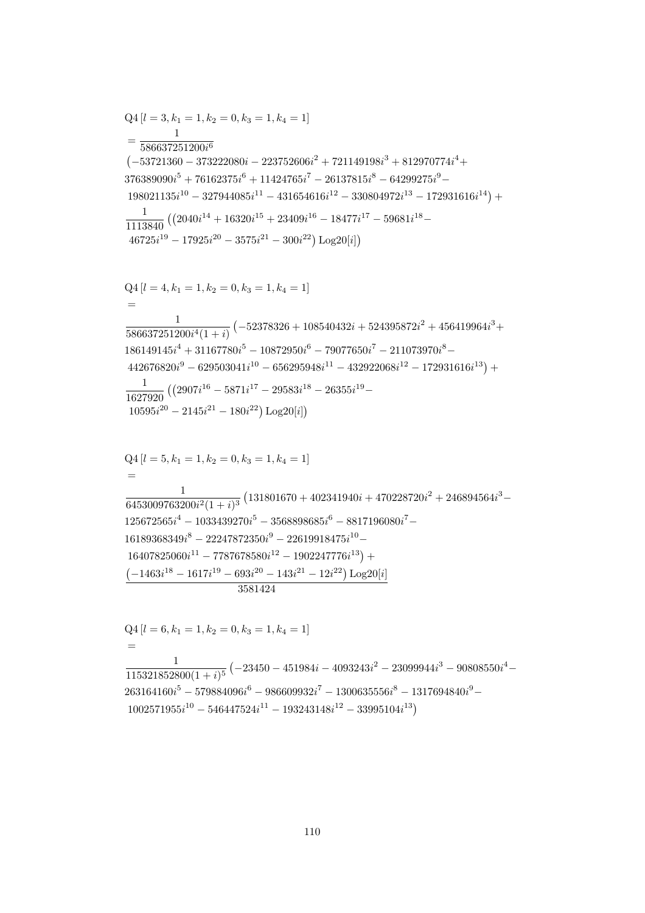$$
Q4 [l = 6, k_1 = 1, k_2 = 0, k_3 = 1, k_4 = 1]
$$
  
=  

$$
\frac{1}{115321852800(1 + i)^5} (-23450 - 451984i - 4093243i^2 - 23099944i^3 - 90808550i^4 - 263164160i^5 - 579884096i^6 - 986609932i^7 - 1300635556i^8 - 1317694840i^9 - 1002571955i^{10} - 546447524i^{11} - 193243148i^{12} - 33995104i^{13})
$$

$$
442676820i^{9} - 629503041i^{10} - 656295948i^{11} - 432922068i^{12} - 172931616i^{13}) +\n\frac{1}{1627920} ((2907i^{16} - 5871i^{17} - 29583i^{18} - 26355i^{19} -\n10595i^{20} - 2145i^{21} - 180i^{22}) Log20[i])\nQ4 [l = 5, k1 = 1, k2 = 0, k3 = 1, k4 = 1]\n=\frac{1}{6453009763200i^{2}(1 + i)^{3}} (131801670 + 402341940i + 470228720i^{2} + 246894564i^{3} -\n125672565i^{4} - 1033439270i^{5} - 3568898685i^{6} - 8817196080i^{7} -\n16189368349i^{8} - 22247872350i^{9} - 22619918475i^{10} -\n16407825060i^{11} - 7787678580i^{12} - 1902247776i^{13}) +\n(-1463i^{18} - 1617i^{19} - 693i^{20} - 143i^{21} - 12i^{22}) Log20[i]
$$

$$
Q4 [l = 3, k_1 = 1, k_2 = 0, k_3 = 1, k_4 = 1]
$$
\n
$$
= \frac{1}{586637251200i^6}
$$
\n
$$
(-53721360 - 373222080i - 223752606i^2 + 721149198i^3 + 812970774i^4 + 376389090i^5 + 76162375i^6 + 11424765i^7 - 26137815i^8 - 64299275i^9 - 198021135i^{10} - 327944085i^{11} - 431654616i^{12} - 330804972i^{13} - 172931616i^{14}) + \frac{1}{1113840} ((2040i^{14} + 16320i^{15} + 23409i^{16} - 18477i^{17} - 59681i^{18} - 46725i^{19} - 17925i^{20} - 3575i^{21} - 300i^{22}) Log20[i])
$$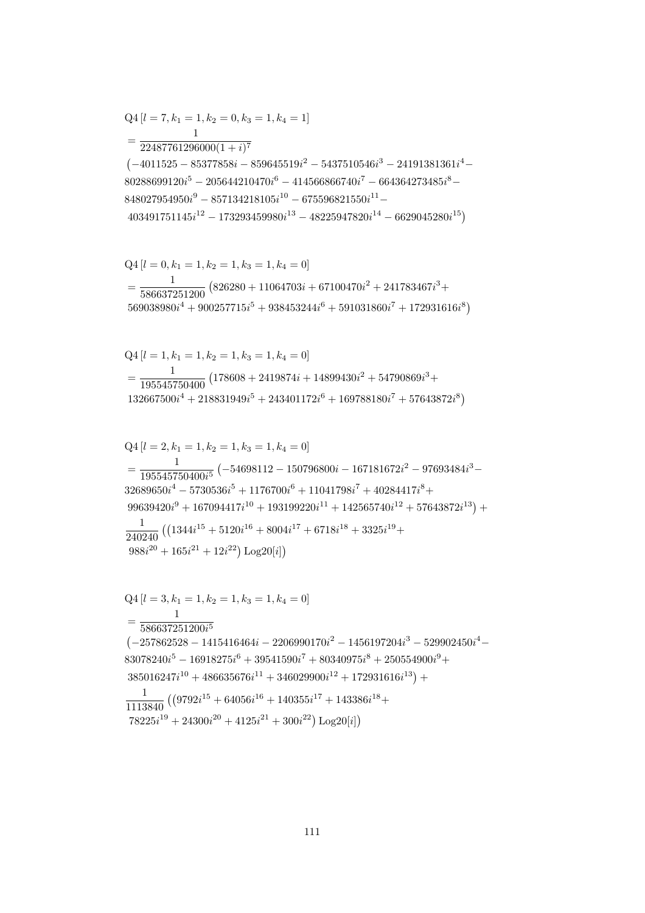$$
Q4 [l = 3, k_1 = 1, k_2 = 1, k_3 = 1, k_4 = 0]
$$
  
= 
$$
\frac{1}{586637251200i^5}
$$
  
(-257862528 - 1415416464i - 2206990170i<sup>2</sup> - 1456197204i<sup>3</sup> - 529902450i<sup>4</sup> -  
83078240i<sup>5</sup> - 16918275i<sup>6</sup> + 39541590i<sup>7</sup> + 80340975i<sup>8</sup> + 250554900i<sup>9</sup> +  
385016247i<sup>10</sup> + 486635676i<sup>11</sup> + 346029900i<sup>12</sup> + 172931616i<sup>13</sup>) +  

$$
\frac{1}{1113840} ((9792i^{15} + 64056i^{16} + 140355i^{17} + 143386i^{18} +78225i19 + 24300i20 + 4125i21 + 300i22) Log20[i])
$$

$$
Q4 [l = 2, k_1 = 1, k_2 = 1, k_3 = 1, k_4 = 0]
$$
  
= 
$$
\frac{1}{195545750400i^5} (-54698112 - 150796800i - 167181672i^2 - 97693484i^3 - 32689650i^4 - 5730536i^5 + 1176700i^6 + 11041798i^7 + 40284417i^8 + 99639420i^9 + 167094417i^{10} + 193199220i^{11} + 142565740i^{12} + 57643872i^{13}) +
$$
\frac{1}{240240} ((1344i^{15} + 5120i^{16} + 8004i^{17} + 6718i^{18} + 3325i^{19} + 988i^{20} + 165i^{21} + 12i^{22}) Log20[i])
$$
$$

$$
Q4 [l = 1, k_1 = 1, k_2 = 1, k_3 = 1, k_4 = 0]
$$
  
= 
$$
\frac{1}{195545750400} (178608 + 2419874i + 14899430i^2 + 54790869i^3 + 132667500i^4 + 218831949i^5 + 243401172i^6 + 169788180i^7 + 57643872i^8)
$$

$$
Q4 [l = 0, k_1 = 1, k_2 = 1, k_3 = 1, k_4 = 0]
$$
  
= 
$$
\frac{1}{586637251200} (826280 + 11064703i + 67100470i^2 + 241783467i^3 + 569038980i^4 + 900257715i^5 + 938453244i^6 + 591031860i^7 + 172931616i^8)
$$

 $Q4[l = 7, k_1 = 1, k_2 = 0, k_3 = 1, k_4 = 1]$  $\mathbf{1}$  $=\frac{1}{22487761296000(1+i)^7}$  $\left(-4011525 - 85377858i - 859645519i^2 - 5437510546i^3 - 24191381361i^4 - \right)$  $80288699120i^5 - 205644210470i^6 - 414566866740i^7 - 664364273485i^8 848027954950i^9 - 857134218105i^{10} - 675596821550i^{11} 403491751145i^{12} - 173293459980i^{13} - 48225947820i^{14} - 6629045280i^{15})$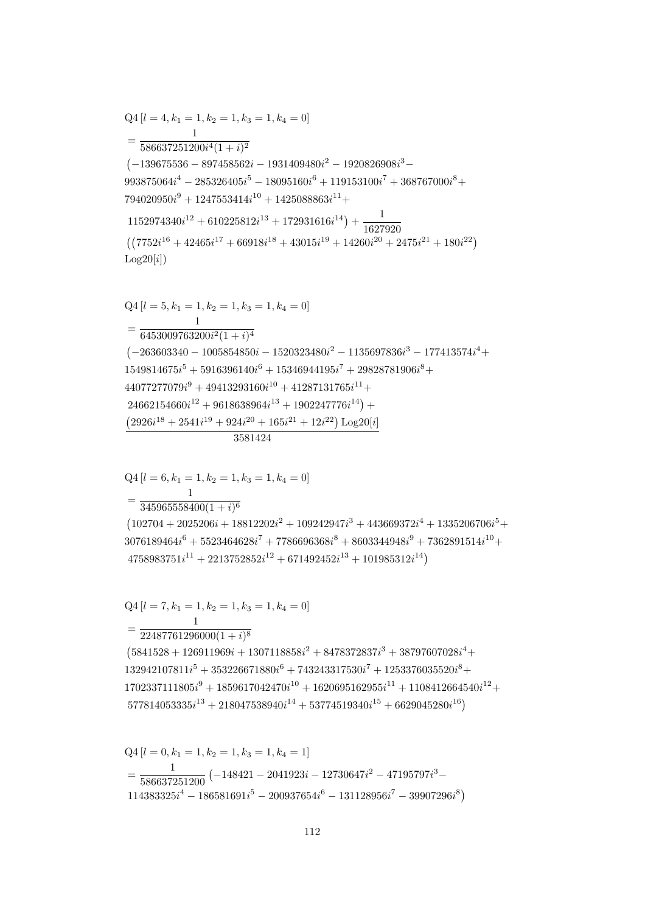$$
Q4 [l = 0, k_1 = 1, k_2 = 1, k_3 = 1, k_4 = 1]
$$
  
= 
$$
\frac{1}{586637251200} (-148421 - 2041923i - 12730647i^2 - 47195797i^3 - 114383325i^4 - 186581691i^5 - 200937654i^6 - 131128956i^7 - 39907296i^8)
$$

 $Q4 [l = 7, k_1 = 1, k_2 = 1, k_3 = 1, k_4 = 0]$  $=\frac{1}{22487761296000(1+i)^8}$  $(5841528 + 126911969i + 1307118858i^2 + 8478372837i^3 + 38797607028i^4 +$  $132942107811i^{5} + 353226671880i^{6} + 743243317530i^{7} + 1253376035520i^{8} +$  $1702337111805i<sup>9</sup> + 1859617042470i<sup>10</sup> + 1620695162955i<sup>11</sup> + 1108412664540i<sup>12</sup> +$  $577814053335i^{13} + 218047538940i^{14} + 53774519340i^{15} + 6629045280i^{16})$ 

 $=\frac{1}{345965558400(1+i)^6}$  $(102704 + 2025206i + 18812202i^2 + 109242947i^3 + 443669372i^4 + 1335206706i^5 +$  $3076189464i^{6} + 5523464628i^{7} + 7786696368i^{8} + 8603344948i^{9} + 7362891514i^{10} +$  $4758983751i^{11} + 2213752852i^{12} + 671492452i^{13} + 101985312i^{14}$ 

 $Q4[l = 6, k_1 = 1, k_2 = 1, k_3 = 1, k_4 = 0]$ 

 $Log20[i])$  $Q4 [l = 5, k_1 = 1, k_2 = 1, k_3 = 1, k_4 = 0]$  $=\frac{1}{6453009763200i^2(1+i)^4}$  $(-263603340 - 1005854850i - 1520323480i^2 - 1135697836i^3 - 177413574i^4 +$  $1549814675i^5 + 5916396140i^6 + 15346944195i^7 + 29828781906i^8 +$  $44077277079i<sup>9</sup> + 49413293160i<sup>10</sup> + 41287131765i<sup>11</sup> +$  $24662154660i^{12} + 9618638964i^{13} + 1902247776i^{14}) +$  $(2926i^{18} + 2541i^{19} + 924i^{20} + 165i^{21} + 12i^{22})$  Log20[i] 3581424

 $Q4 [l = 4, k_1 = 1, k_2 = 1, k_3 = 1, k_4 = 0]$  $=\frac{1}{586637251200i^4(1+i)^2}$  $(-139675536 - 897458562i - 1931409480i^2 - 1920826908i^3 993875064i^{4} - 285326405i^{5} - 18095160i^{6} + 119153100i^{7} + 368767000i^{8} +$  $794020950i^9 + 1247553414i^{10} + 1425088863i^{11} +$  $1152974340i^{12} + 610225812i^{13} + 172931616i^{14}) + \frac{1}{1627920}$  $((7752i^{16} + 42465i^{17} + 66918i^{18} + 43015i^{19} + 14260i^{20} + 2475i^{21} + 180i^{22})$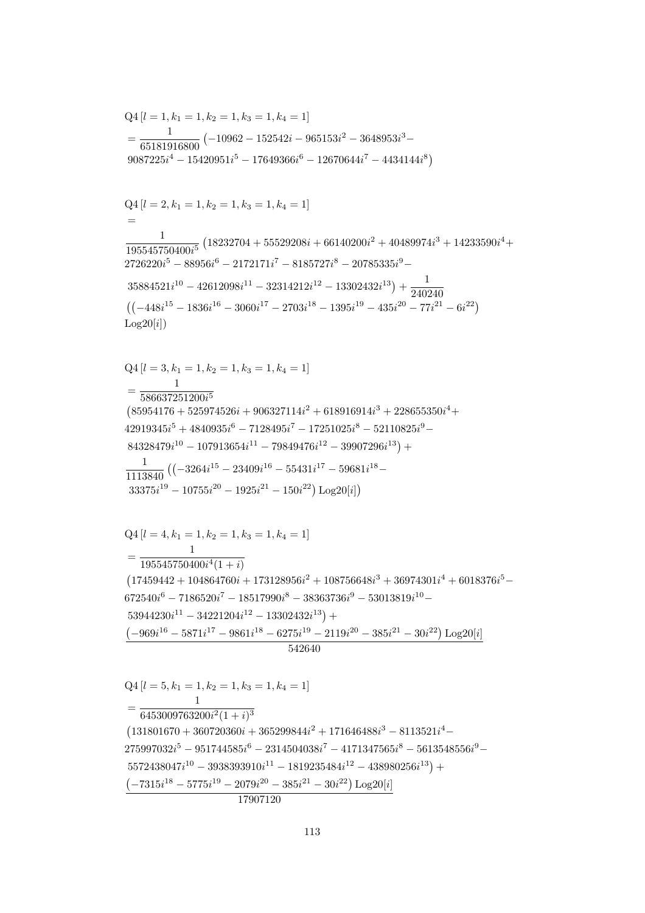542640  $Q4 [l = 5, k_1 = 1, k_2 = 1, k_3 = 1, k_4 = 1]$  $=\frac{6453009763200i^2(1+i)^3}{6453009763200i^2(1+i)^3}$  $(131801670 + 360720360i + 365299844i^2 + 171646488i^3 - 8113521i^4 275997032i^5 - 951744585i^6 - 2314504038i^7 - 4171347565i^8 - 5613548556i^9 5572438047i^{10} - 3938393910i^{11} - 1819235484i^{12} - 438980256i^{13}) +$  $(-7315i^{18} - 5775i^{19} - 2079i^{20} - 385i^{21} - 30i^{22})$  Log20[i] 17907120

 $Q4 [l = 4, k_1 = 1, k_2 = 1, k_3 = 1, k_4 = 1]$  $= \frac{195545750400i^4(1+i)}{195545750400i^4(1+i)}$  $(17459442 + 104864760i + 173128956i^2 + 108756648i^3 + 36974301i^4 + 6018376i^5 672540i^6 - 7186520i^7 - 18517990i^8 - 38363736i^9 - 53013819i^{10} 53944230i^{11} - 34221204i^{12} - 13302432i^{13}$  +  $\left(-969i^{16}-5871i^{17}-9861i^{18}-6275i^{19}-2119i^{20}-385i^{21}-30i^{22}\right)\textrm{Log}20[i]$ 

 $Q4 [l = 3, k_1 = 1, k_2 = 1, k_3 = 1, k_4 = 1]$  $=\frac{}{586637251200i^5}$  $(85954176 + 525974526i + 906327114i^2 + 618916914i^3 + 228655350i^4 +$  $42919345i^5 + 4840935i^6 - 7128495i^7 - 17251025i^8 - 52110825i^9 84328479i^{10} - 107913654i^{11} - 79849476i^{12} - 39907296i^{13}) +$  $\frac{1}{1113840} \left( \left( -3264i^{15} - 23409i^{16} - 55431i^{17} - 59681i^{18} - \right. \right.$  $33375i^{19} - 10755i^{20} - 1925i^{21} - 150i^{22})\ \mathrm{Log}20[i])$ 

 $=\frac{1}{65181916800}(-10962-152542i-965153i^2-3648953i^3 9087225i^4 - 15420951i^5 - 17649366i^6 - 12670644i^7 - 4434144i^8$  $Q4[l = 2, k_1 = 1, k_2 = 1, k_3 = 1, k_4 = 1]$  $=$  $\frac{1}{195545750400i^5}\left(18232704+55529208i+66140200i^2+40489974i^3+14233590i^4+\right.$  $2726220i^5 - 88956i^6 - 2172171i^7 - 8185727i^8 - 20785335i^9 35884521i^{10} - 42612098i^{11} - 32314212i^{12} - 13302432i^{13}) + \frac{1}{240240}$  $((-448i^{15} - 1836i^{16} - 3060i^{17} - 2703i^{18} - 1395i^{19} - 435i^{20} - 77i^{21} - 6i^{22})$  $Log20[i])$ 

 $Q4[l = 1, k_1 = 1, k_2 = 1, k_3 = 1, k_4 = 1]$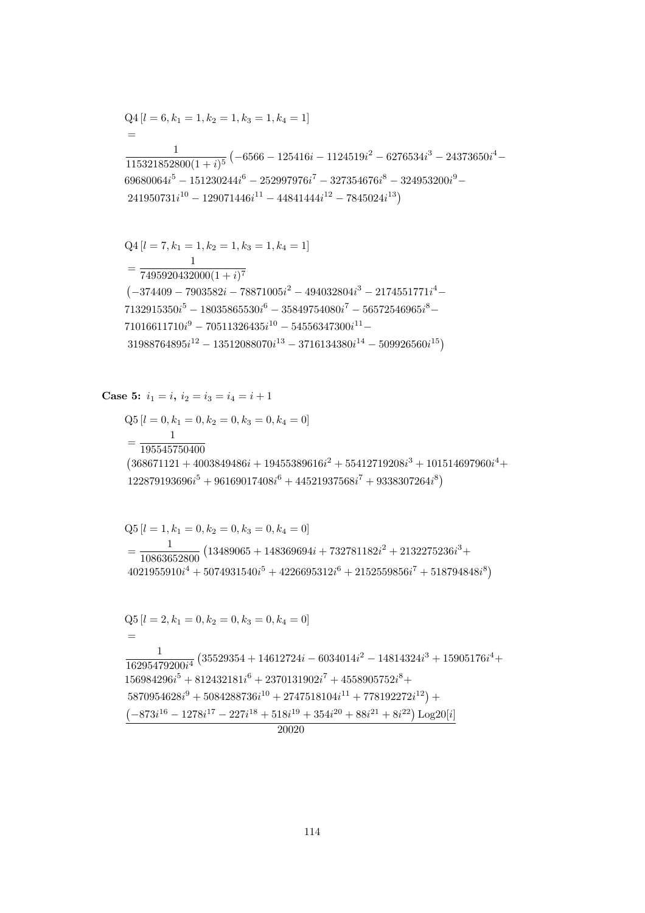$$
Q4 [l = 6, k_1 = 1, k_2 = 1, k_3 = 1, k_4 = 1]
$$
  
=  

$$
\frac{1}{115321852800(1+i)^5} (-6566 - 125416i - 1124519i^2 - 6276534i^3 - 24373650i^4 - 69680064i^5 - 151230244i^6 - 252997976i^7 - 327354676i^8 - 324953200i^9 - 241950731i^{10} - 129071446i^{11} - 4484144i^{12} - 7845024i^{13})
$$

$$
Q4 [l = 7, k_1 = 1, k_2 = 1, k_3 = 1, k_4 = 1]
$$
  
= 
$$
\frac{1}{7495920432000(1 + i)^7}
$$
  
(-374409 - 7903582i - 78871005i<sup>2</sup> - 494032804i<sup>3</sup> - 2174551771i<sup>4</sup> -  
7132915350i<sup>5</sup> - 18035865530i<sup>6</sup> - 35849754080i<sup>7</sup> - 56572546965i<sup>8</sup> -  
71016611710i<sup>9</sup> - 70511326435i<sup>10</sup> - 54556347300i<sup>11</sup> -  
31988764895i<sup>12</sup> - 13512088070i<sup>13</sup> - 3716134380i<sup>14</sup> - 509926560i<sup>15</sup>)

Case 5: 
$$
i_1 = i
$$
,  $i_2 = i_3 = i_4 = i + 1$ 

 $= 0, k_2 = 0, k_3 = 0, k_4 = 0$  $Q5[l = 0, k_1]$  $\mathbf{1}$  $=\frac{}{195545750400}$  $\left(368671121+4003849486 i + 19455389616 i^2 + 55412719208 i^3 + 101514697960 i^4 + \right.$  $122879193696i^{5} + 96169017408i^{6} + 44521937568i^{7} + 9338307264i^{8})$ 

 $=\frac{1}{10863652800}\left(13489065+148369694i+732781182i^2+2132275236i^3+\right.$ 

 $4021955910i<sup>4</sup> + 5074931540i<sup>5</sup> + 4226695312i<sup>6</sup> + 2152559856i<sup>7</sup> + 518794848i<sup>8</sup>)$ 

 $\frac{1}{16295479200i^4} \left(35529354 + 14612724i - 6034014i^2 - 14814324i^3 + 15905176i^4 + \right.$ 

 $156984296i^5 + 812432181i^6 + 2370131902i^7 + 4558905752i^8 +$ 

 $5870954628i<sup>9</sup> + 5084288736i<sup>10</sup> + 2747518104i<sup>11</sup> + 778192272i<sup>12</sup>) +$  $\left(-873i^{16}-1278i^{17}-227i^{18}+518i^{19}+354i^{20}+88i^{21}+8i^{22}\right)\text{Log}20[i]$  $\frac{1}{20020}$ 

$$
Q5 [l = 0, k_1 = 0, k_2 = 0, k_3 = 0, k_4 = 0
$$

 $Q5[l = 1, k_1 = 0, k_2 = 0, k_3 = 0, k_4 = 0]$ 

 $Q5[l = 2, k_1 = 0, k_2 = 0, k_3 = 0, k_4 = 0]$ 

 $=$ 

 $\mathbf{1}$ 

$$
0.5 l = 0 k_1 = 0 k_2 = 0 k_3 = 0 k_4 = 0
$$

$$
114 \\
$$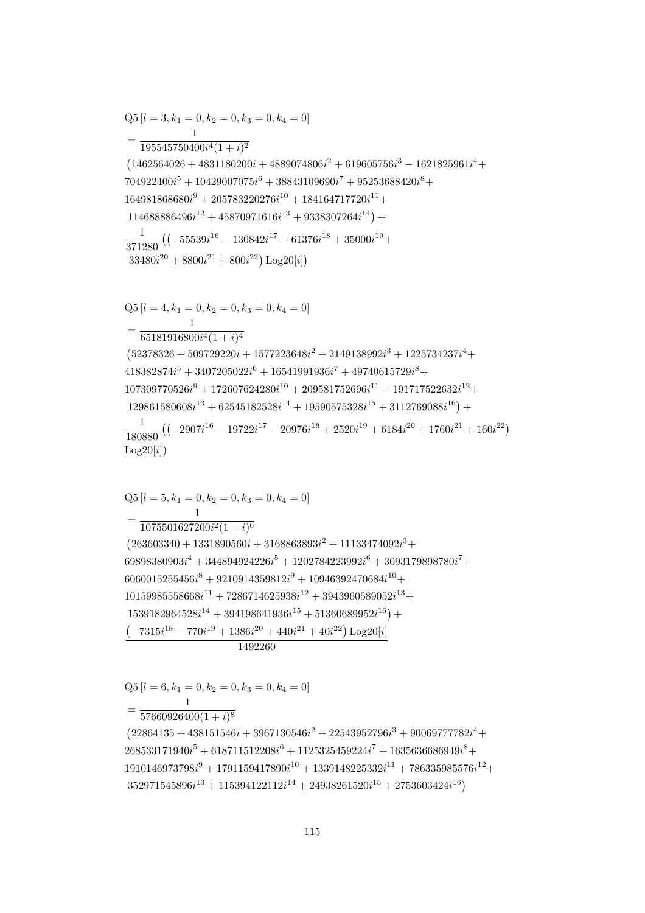$(22864135 + 438151546i + 3967130546i^2 + 22543952796i^3 + 90069777782i^4 +$  $268533171940i^5 + 618711512208i^6 + 1125325459224i^7 + 1635636686949i^8 +$  $1910146973798i<sup>9</sup> + 1791159417890i<sup>10</sup> + 1339148225332i<sup>11</sup> + 786335985576i<sup>12</sup> +$  $352971545896i^{13} + 115394122112i^{14} + 24938261520i^{15} + 2753603424i^{16})$ 

 $\mathbf{1}$  $=\frac{1}{57660926400(1+i)^8}$ 

$$
Q5 [l = 6, k_1 = 0, k_2 = 0, k_3 = 0, k_4 = 0]
$$

 $=\frac{1}{1075501627200i^2(1+i)^6}$  $(263603340 + 1331890560i + 3168863893i^2 + 11133474092i^3 +$  $69898380903i^4 + 344894924226i^5 + 1202784223992i^6 + 3093179898780i^7 +$  $6060015255456i^{8} + 9210914359812i^{9} + 10946392470684i^{10} +$  $10159985558668i^{11} + 7286714625938i^{12} + 3943960589052i^{13} +$  $1539182964528i^{14} + 394198641936i^{15} + 51360689952i^{16}) +$  $\left(-7315i^{18} - 770i^{19} + 1386i^{20} + 440i^{21} + 40i^{22}\right) \text{Log}20[i]$ 1492260

 $Q5[l = 5, k_1 = 0, k_2 = 0, k_3 = 0, k_4 = 0]$ 

 $33480i^{20} + 8800i^{22} + 800i^{21}$  Log20[i])  $Q5[l = 4, k_1 = 0, k_2 = 0, k_3 = 0, k_4 = 0]$  $= \frac{1}{65181916800i^4(1+i)^4}$  $(52378326 + 509729220i + 1577223648i^2 + 2149138992i^3 + 1225734237i^4 +$  $418382874i<sup>5</sup> + 3407205022i<sup>6</sup> + 16541991936i<sup>7</sup> + 49740615729i<sup>8</sup> +$  $107309770526i<sup>9</sup> + 172607624280i<sup>10</sup> + 209581752696i<sup>11</sup> + 191717522632i<sup>12</sup> +$  $129861580608i^{13} + 62545182528i^{14} + 19590575328i^{15} + 3112769088i^{16}) +$  $\frac{1}{180880}\left(\left(-2907i^{16}-19722i^{17}-20976i^{18}+2520i^{19}+6184i^{20}+1760i^{21}+160i^{22}\right)\right.$  $Log20[i])$ 

$$
Q5 [l = 3, k_1 = 0, k_2 = 0, k_3 = 0, k_4 = 0]
$$
\n
$$
= \frac{1}{195545750400i^4(1 + i)^2}
$$
\n
$$
(1462564026 + 4831180200i + 4889074806i^2 + 619605756i^3 - 1621825961i^4 + 704922400i^5 + 10429007075i^6 + 38843109690i^7 + 95253688420i^8 + 164981868680i^9 + 205783220276i^{10} + 184164717720i^{11} + 114688886496i^{12} + 45870971616i^{13} + 9338307264i^{14}) + \frac{1}{371280} \left( (-55539i^{16} - 130842i^{17} - 61376i^{18} + 35000i^{19} + 33480i^{20} + 8800i^{21} + 800i^{22}) \text{Log}20[i] \right)
$$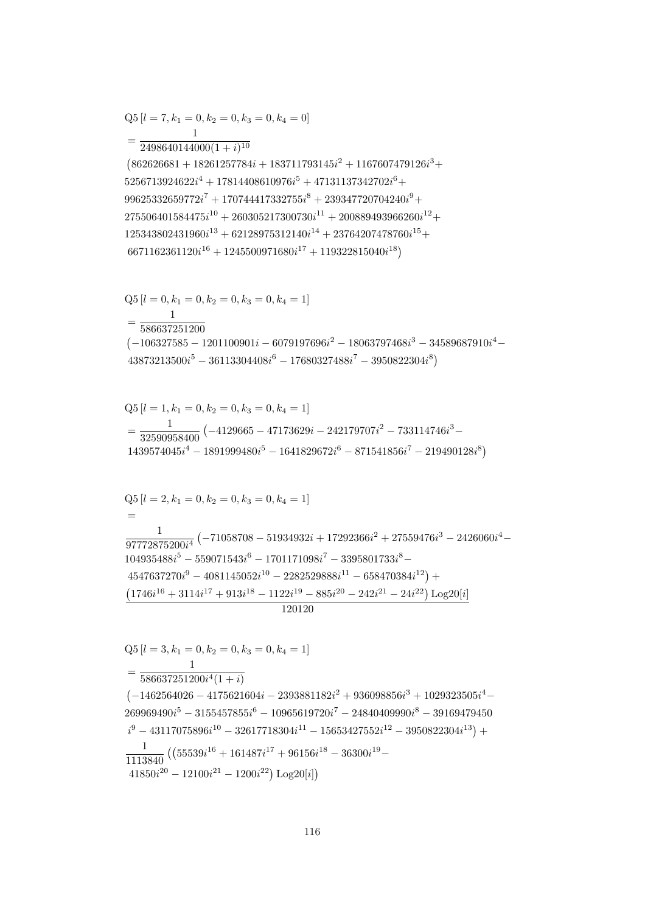$$
Q5 [l = 3, k_1 = 0, k_2 = 0, k_3 = 0, k_4 = 1]
$$
  
= 
$$
\frac{1}{586637251200i^4(1 + i)}
$$
  
(-1462564026 - 4175621604i - 2393881182i<sup>2</sup> + 936098856i<sup>3</sup> + 1029323505i<sup>4</sup> - 269969490i<sup>5</sup> - 3155457855i<sup>6</sup> - 10965619720i<sup>7</sup> - 24840409990i<sup>8</sup> - 39169479450  
i<sup>9</sup> - 43117075896i<sup>10</sup> - 32617718304i<sup>11</sup> - 15653427552i<sup>12</sup> - 3950822304i<sup>13</sup>) +  

$$
\frac{1}{1113840} ((55539i16 + 161487i17 + 96156i18 - 36300i19 - 41850i20 - 12100i21 - 1200i22) Log20[i])
$$

$$
Q5 [l = 2, k_1 = 0, k_2 = 0, k_3 = 0, k_4 = 1]
$$
  
=  

$$
\frac{1}{97772875200i^4} (-71058708 - 51934932i + 17292366i^2 + 27559476i^3 - 2426060i^4 - 104935488i^5 - 559071543i^6 - 1701171098i^7 - 3395801733i^8 - 4547637270i^9 - 4081145052i^{10} - 2282529888i^{11} - 658470384i^{12}) +
$$
\frac{(1746i^{16} + 3114i^{17} + 913i^{18} - 1122i^{19} - 885i^{20} - 242i^{21} - 24i^{22}) \text{Log}20[i]}{120120}
$$
$$

$$
Q5 [l = 1, k_1 = 0, k_2 = 0, k_3 = 0, k_4 = 1]
$$
  
= 
$$
\frac{1}{32590958400} (-4129665 - 47173629i - 242179707i^2 - 733114746i^3 - 1439574045i^4 - 1891999480i^5 - 1641829672i^6 - 871541856i^7 - 219490128i^8)
$$

$$
Q5 [l = 0, k_1 = 0, k_2 = 0, k_3 = 0, k_4 = 1]
$$
  
= 
$$
\frac{1}{586637251200}
$$
  

$$
(-106327585 - 1201100901i - 6079197696i^2 - 18063797468i^3 - 34589687910i^4 - 43873213500i^5 - 36113304408i^6 - 17680327488i^7 - 3950822304i^8)
$$

$$
=\frac{1}{2498640144000(1+i)^{10}}\left(862626681+18261257784i+183711793145i^2+1167607479126i^3+ \\5256713924622i^4+17814408610976i^5+47131137342702i^6+\right.\\ \left.99625332659772i^7+170744417332755i^8+239347720704240i^9+\right.\\ \left.275506401584475i^{10}+260305217300730i^{11}+200889493966260i^{12}+\right.\\ \left.125343802431960i^{13}+62128975312140i^{14}+23764207478760i^{15}+\right.\\ \left.6671162361120i^{16}+1245500971680i^{17}+119322815040i^{18}\right)
$$

$$
Q5 [l = 7, k_1 = 0, k_2 = 0, k_3 = 0, k_4 = 0]
$$

$$
= \frac{1}{2408640144000(1 + 100)}
$$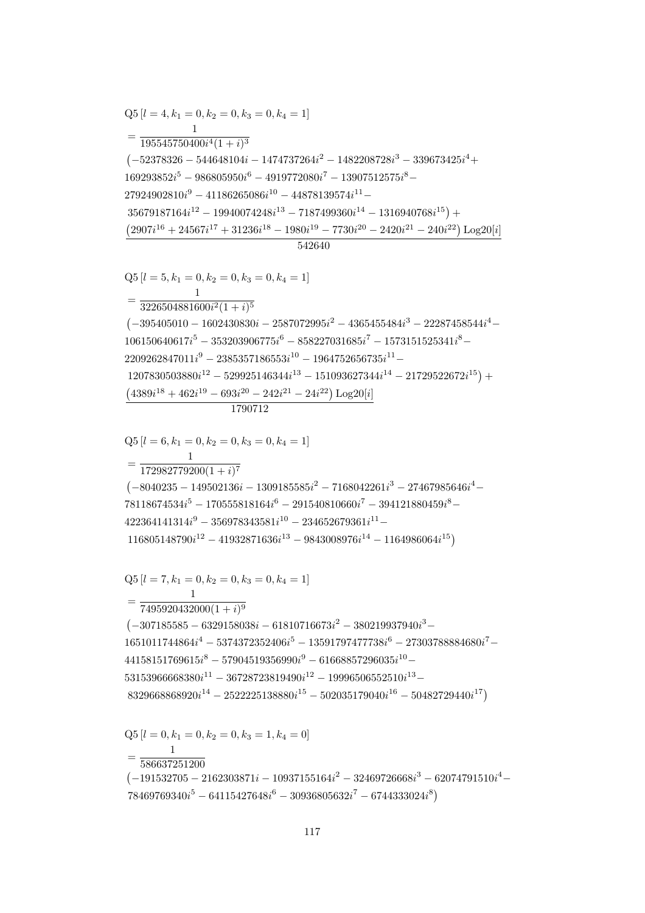$$
1651011744864i4 - 5374372352406i5 - 13591797477738i6 - 27303788884680i7 -\n44158151769615i8 - 57904519356990i9 - 61668857296035i10 -\n53153966668380i11 - 36728723819490i12 - 19996506552510i13 -\n8329668868920i14 - 2522225138880i15 - 502035179040i16 - 50482729440i17)\nQ5 [l = 0, k1 = 0, k2 = 0, k3 = 1, k4 = 0]\n=
$$
\frac{1}{586637251200}
$$
\n(-191532705 - 2162303871i - 10937155164i<sup>2</sup> - 32469726668i<sup>3</sup> - 62074791510i<sup>4</sup> -  
\n78469769340i<sup>5</sup> - 64115427648i<sup>6</sup> - 30936805632i<sup>7</sup> - 6744333024i<sup>8</sup>)
$$

$$
Q5 [l = 6, k_1 = 0, k_2 = 0, k_3 = 0, k_4 = 1]
$$
  
=  $\frac{1}{172982779200(1 + i)^7}$   
(-8040235 - 149502136i - 1309185585i<sup>2</sup> - 7168042261i<sup>3</sup> - 27467985646i<sup>4</sup> -  
78118674534i<sup>5</sup> - 170555818164i<sup>6</sup> - 291540810660i<sup>7</sup> - 394121880459i<sup>8</sup> -  
422364141314i<sup>9</sup> - 356978343581i<sup>10</sup> - 234652679361i<sup>11</sup> -  
116805148790i<sup>12</sup> - 41932871636i<sup>13</sup> - 9843008976i<sup>14</sup> - 1164986064i<sup>15</sup>)  

$$
Q5 [l = 7, k_1 = 0, k_2 = 0, k_3 = 0, k_4 = 1]
$$
  
=  $\frac{1}{7495920432000(1 + i)^9}$ 

 $\left(-307185585 - 6329158038i - 61810716673i^2 - 380219937940i^3 - \right.$ 

$$
Q5 [l = 5, k_1 = 0, k_2 = 0, k_3 = 0, k_4 = 1]
$$
  
= 
$$
\frac{1}{3226504881600i^2(1 + i)^5}
$$
  

$$
(-395405010 - 1602430830i - 2587072995i^2 - 4365455484i^3 - 22287458544i^4 - 106150640617i^5 - 353203906775i^6 - 858227031685i^7 - 1573151525341i^8 - 2209262847011i^9 - 2385357186553i^{10} - 1964752656735i^{11} - 1207830503880i^{12} - 529925146344i^{13} - 151093627344i^{14} - 21729522672i^{15}) + 4389i^{18} + 462i^{19} - 693i^{20} - 242i^{21} - 24i^{22}) Log20[i]
$$

1790712

 $Q5 [l = 4, k_1 = 0, k_2 = 0, k_3 = 0, k_4 = 1]$  $=\frac{1}{195545750400i^4(1+i)^3}$  $\left(-52378326-544648104i-1474737264i^2-1482208728i^3-339673425i^4+\right.$  $169293852i^5 - 986805950i^6 - 4919772080i^7 - 13907512575i^8 27924902810i<sup>9</sup> - 41186265086i<sup>10</sup> - 44878139574i<sup>11</sup> 35679187164i^{12} - 19940074248i^{13} - 7187499360i^{14} - 1316940768i^{15}) +$  $(2907i^{16} + 24567i^{17} + 31236i^{18} - 1980i^{19} - 7730i^{20} - 2420i^{21} - 240i^{22}) Log20[i]$ 542640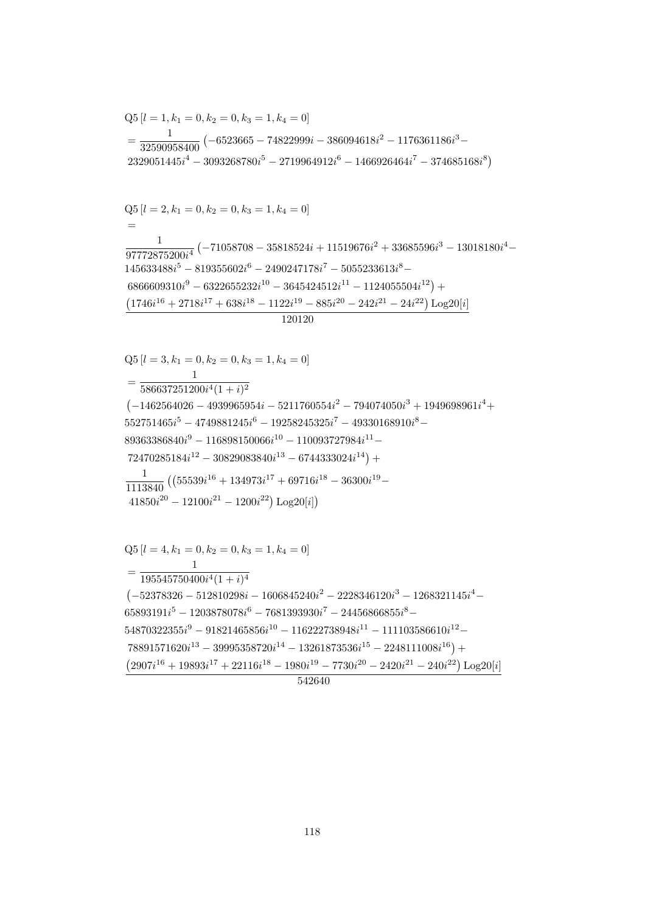$Q5[l = 4, k_1 = 0, k_2 = 0, k_3 = 1, k_4 = 0]$  $=\frac{1}{195545750400i^4(1+i)^4}$  $\left(-52378326-512810298i-1606845240i^2-2228346120i^3-1268321145i^4-\right.$  $65893191i^5 - 1203878078i^6 - 7681393930i^7 - 24456866855i^8 54870322355i^9 - 91821465856i^{10} - 116222738948i^{11} - 111103586610i^{12} 78891571620i^{13} - 39995358720i^{14} - 13261873536i^{15} - 2248111008i^{16}) +$  $(2907i^{16} + 19893i^{17} + 22116i^{18} - 1980i^{19} - 7730i^{20} - 2420i^{21} - 240i^{22})\text{Log}20[i]$ 542640

$$
Q5 [l = 3, k_1 = 0, k_2 = 0, k_3 = 1, k_4 = 0]
$$
  
= 
$$
\frac{1}{586637251200i^4(1+i)^2}
$$
  

$$
(-1462564026 - 4939965954i - 5211760554i^2 - 794074050i^3 + 1949698961i^4 + 552751465i^5 - 4749881245i^6 - 19258245325i^7 - 49330168910i^8 - 89363386840i^9 - 116898150066i^{10} - 110093727984i^{11} - 72470285184i^{12} - 30829083840i^{13} - 6744333024i^{14}) +
$$
\frac{1}{1113840} ((55539i^{16} + 134973i^{17} + 69716i^{18} - 36300i^{19} - 41850i^{20} - 12100i^{21} - 1200i^{22}) Log20[i])
$$
$$

 $Q5[l = 2, k_1 = 0, k_2 = 0, k_3 = 1, k_4 = 0]$  $\frac{1}{97772875200i^4} \left(-71058708 - 35818524i + 11519676i^2 + 33685596i^3 - 13018180i^4 - \right.$  $145633488i^5 - 819355602i^6 - 2490247178i^7 - 5055233613i^8 6866609310i^9 - 6322655232i^{10} - 3645424512i^{11} - 1124055504i^{12}) +$  $(1746i^{16} + 2718i^{17} + 638i^{18} - 1122i^{19} - 885i^{20} - 242i^{21} - 24i^{22}) \text{ Log }20[i]$  $120120$ 

$$
Q5 [l = 1, k_1 = 0, k_2 = 0, k_3 = 1, k_4 = 0]
$$
  
=  $\frac{1}{32590958400} (-6523665 - 74822999i - 386094618i^2 - 1176361186i^3 - 2329051445i^4 - 3093268780i^5 - 2719964912i^6 - 1466926464i^7 - 374685168i^8)$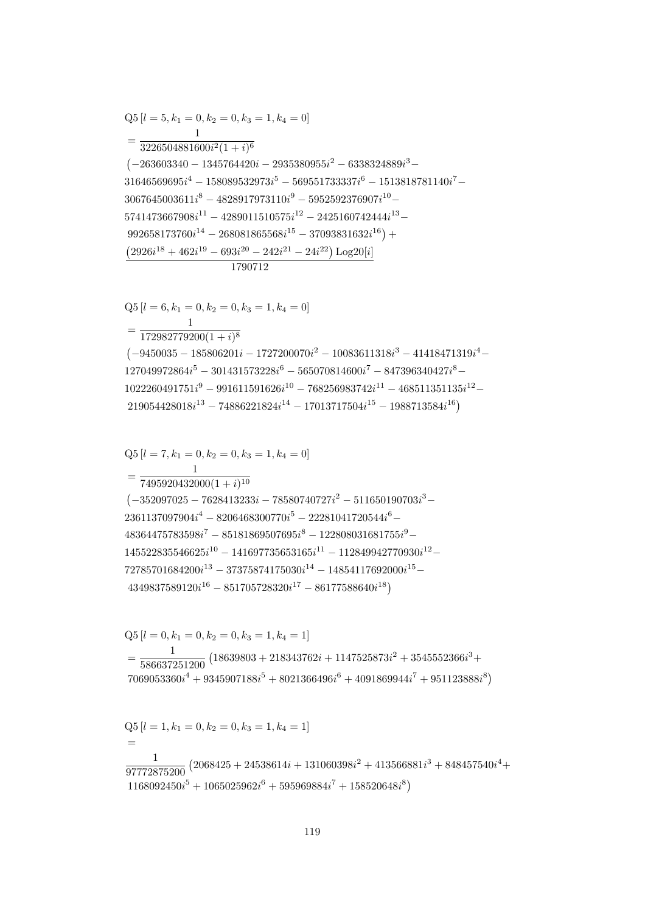$$
Q5 [l = 1, k_1 = 0, k_2 = 0, k_3 = 1, k_4 = 1]
$$
  
=  

$$
\frac{1}{97772875200} (2068425 + 24538614i + 131060398i^2 + 413566881i^3 + 848457540i^4 + 1168092450i^5 + 1065025962i^6 + 595969884i^7 + 158520648i^8)
$$

 $Q5 [l = 0, k_1 = 0, k_2 = 0, k_3 = 1, k_4 = 1]$  $=\frac{1}{586637251200}\left(18639803+218343762i+1147525873i^2+3545552366i^3+\right.$  $7069053360i^4 + 9345907188i^5 + 8021366496i^6 + 4091869944i^7 + 951123888i^8$ 

 $=\frac{}{7495920432000(1+i)^{10}}$  $(-352097025 - 7628413233i - 78580740727i^2 - 511650190703i^3 2361137097904i^4 - 8206468300770i^5 - 22281041720544i^6 48364475783598i<sup>7</sup> - 85181869507695i<sup>8</sup> - 122808031681755i<sup>9</sup> 145522835546625i^{10} - 141697735653165i^{11} - 112849942770930i^{12} 72785701684200i^{13} - 37375874175030i^{14} - 14854117692000i^{15} 4349837589120i^{16} - 851705728320i^{17} - 86177588640i^{18}$ 

 $= \frac{1}{172982779200(1+i)^8}$  $\left(-9450035-185806201i-1727200070i^2-10083611318i^3-41418471319i^4-\right.$  $127049972864i^{5} - 301431573228i^{6} - 565070814600i^{7} - 847396340427i^{8} 1022260491751i<sup>9</sup> - 991611591626i<sup>10</sup> - 768256983742i<sup>11</sup> - 468511351135i<sup>12</sup> 219054428018i^{13} - 74886221824i^{14} - 17013717504i^{15} - 1988713584i^{16}$ 

1790712  $Q5[l = 6, k_1 = 0, k_2 = 0, k_3 = 1, k_4 = 0]$ 

 $Q5[l = 7, k_1 = 0, k_2 = 0, k_3 = 1, k_4 = 0]$ 

 $Q5[l = 5, k_1 = 0, k_2 = 0, k_3 = 1, k_4 = 0]$  $=\frac{1}{3226504881600i^2(1+i)^6}$  $\left(-263603340 - 1345764420i - 2935380955i^2 - 6338324889i^3 - \right)$  $31646569695i^4 - 158089532973i^5 - 569551733337i^6 - 1513818781140i^7 3067645003611i^8 - 4828917973110i^9 - 5952592376907i^{10} 5741473667908i^{11} - 4289011510575i^{12} - 2425160742444i^{13} 992658173760i^{14} - 268081865568i^{15} - 37093831632i^{16}$  +  $(2926i^{18} + 462i^{19} - 693i^{20} - 242i^{21} - 24i^{22}) Log20[i]$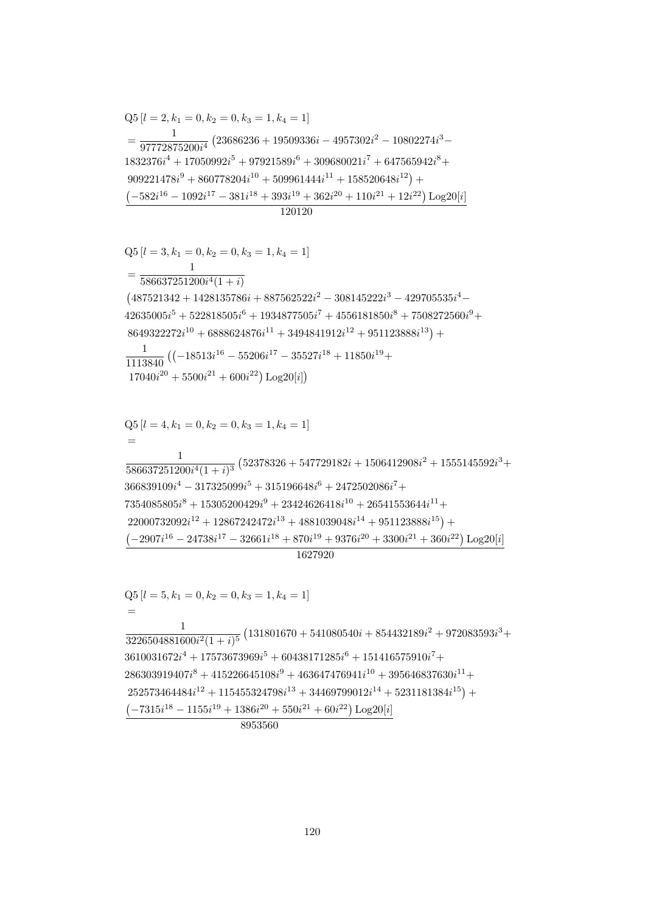1627920  $Q5[l = 5, k_1 = 0, k_2 = 0, k_3 = 1, k_4 = 1]$  $=$  $\frac{1}{3226504881600i^2(1+i)^5}\left(131801670+541080540i+854432189i^2+972083593i^3+\right.$  $3610031672i^4 + 17573673969i^5 + 60438171285i^6 + 151416575910i^7 +$  $286303919407i^8 + 415226645108i^9 + 463647476941i^{10} + 395646837630i^{11} +$  $252573464484i^{12} + 115455324798i^{13} + 34469799012i^{14} + 5231181384i^{15}) +$  $-7315i^{18} - 1155i^{19} + 1386i^{20} + 550i^{21} + 60i^{22})$  Log20[i] 8953560

 $Q5 [l = 4, k_1 = 0, k_2 = 0, k_3 = 1, k_4 = 1]$  $\frac{1}{586637251200i^4(1+i)^3}\left(52378326+547729182i+1506412908i^2+1555145592i^3+\right.$  $366839109i^4 - 317325099i^5 + 315196648i^6 + 2472502086i^7 +$  $7354085805i<sup>8</sup> + 15305200429i<sup>9</sup> + 23424626418i<sup>10</sup> + 26541553644i<sup>11</sup> +$  $22000732092i^{12} + 12867242472i^{13} + 4881039048i^{14} + 951123888i^{15}) +$  $(-2907i^{16} - 24738i^{17} - 32661i^{18} + 870i^{19} + 9376i^{20} + 3300i^{21} + 360i^{22})$  Log20[i]

$$
Q5 [l = 3, k_1 = 0, k_2 = 0, k_3 = 1, k_4 = 1]
$$
  
= 
$$
\frac{1}{586637251200i^4(1 + i)}
$$
  
(487521342 + 1428135786i + 887562522i^2 - 308145222i^3 - 429705535i^4 - 42635005i^5 + 522818505i^6 + 1934877505i^7 + 4556181850i^8 + 7508272560i^9 + 8649322272i^{10} + 6888624876i^{11} + 3494841912i^{12} + 951123888i^{13}) +  

$$
\frac{1}{1113840} ((-18513i^{16} - 55206i^{17} - 35527i^{18} + 11850i^{19} + 17040i^{20} + 5500i^{21} + 600i^{22}) Log20[i])
$$

 $Q5[l = 2, k_1 = 0, k_2 = 0, k_3 = 1, k_4 = 1]$  $=\frac{1}{97772875200i^4}\left(23686236+19509336i-4957302i^2-10802274i^3-\right.$  $1832376i^4 + 17050992i^5 + 97921589i^6 + 309680021i^7 + 647565942i^8 +$  $909221478i<sup>9</sup> + 860778204i<sup>10</sup> + 509961444i<sup>11</sup> + 158520648i<sup>12</sup>) +$  $(-582i^{16} - 1092i^{17} - 381i^{18} + 393i^{19} + 362i^{20} + 110i^{21} + 12i^{22}) \text{ Log }20[i]$ 120120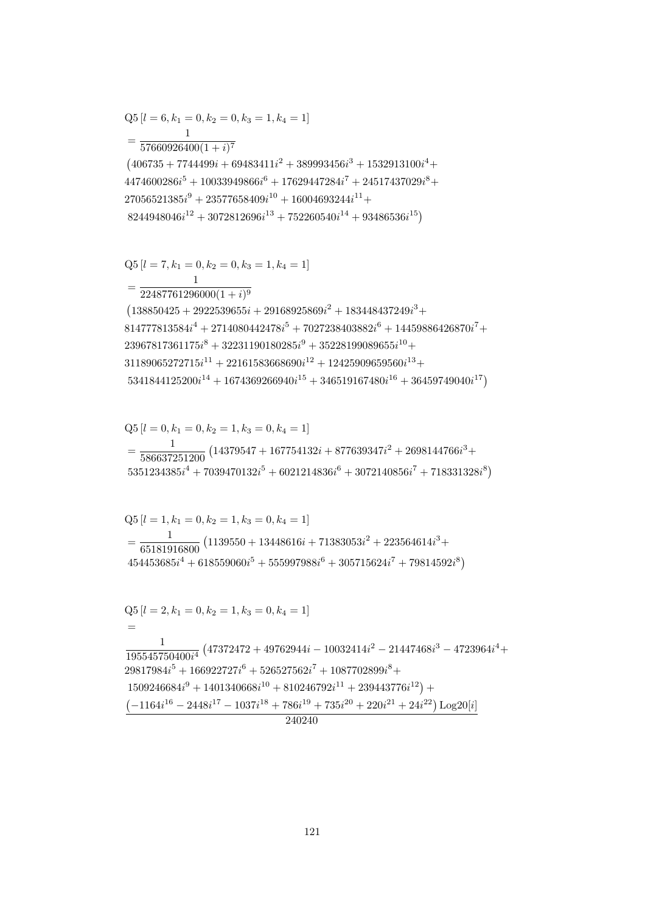$$
454453685i4 + 618559060i5 + 555997988i6 + 305715624i7 + 79814592i8)
$$
  
\nQ5 [*l* = 2, *k*<sub>1</sub> = 0, *k*<sub>2</sub> = 1, *k*<sub>3</sub> = 0, *k*<sub>4</sub> = 1]  
\n=  
\n
$$
\frac{1}{195545750400i4} \frac{(47372472 + 49762944i - 10032414i2 - 21447468i3 - 4723964i4 + 29817984i5 + 166922727i6 + 526527562i7 + 1087702899i8 + 1509246684i9 + 1401340668i10 + 810246792i11 + 239443776i12) +\n(-1164i16 - 2448i17 - 1037i18 + 786i19 + 735i20 + 220i21 + 24i22) Log20[i]\n240240
$$

$$
Q5 [l = 1, k_1 = 0, k_2 = 1, k_3 = 0, k_4 = 1]
$$
  
= 
$$
\frac{1}{65181916800} (1139550 + 13448616i + 71383053i^2 + 223564614i^3 +
$$

 $Q5[l = 0, k_1 = 0, k_2 = 1, k_3 = 0, k_4 = 1]$  $=\frac{1}{586637251200}\left(14379547+167754132i+877639347i^2+2698144766i^3+\right.$  $5351234385i<sup>4</sup> + 7039470132i<sup>5</sup> + 6021214836i<sup>6</sup> + 3072140856i<sup>7</sup> + 718331328i<sup>8</sup>)$ 

$$
\begin{split} &\text{Q5}\left[l=7,k_1=0,k_2=0,k_3=1,k_4=1\right]\\ &=\frac{1}{22487761296000(1+i)^9}\\ &\left(138850425+2922539655i+29168925869i^2+183448437249i^3+\right.\\ &\left.814777813584i^4+2714080442478i^5+7027238403882i^6+14459886426870i^7+\right.\\ &\left.23967817361175i^8+32231190180285i^9+35228199089655i^{10}+\right.\\ &\left.31189065272715i^{11}+22161583668690i^{12}+12425909659560i^{13}+\right.\\ &\left.5341844125200i^{14}+1674369266940i^{15}+346519167480i^{16}+36459749040i^{17}\right) \end{split}
$$

 $= \frac{1}{57660926400(1+i)^7}$  $\mathbf{1}$  $\left(406735+7744499i+69483411i^2+389993456i^3+1532913100i^4+\right.$  $4474600286i<sup>5</sup> + 10033949866i<sup>6</sup> + 17629447284i<sup>7</sup> + 24517437029i<sup>8</sup> +$  $27056521385i<sup>9</sup> + 23577658409i<sup>10</sup> + 16004693244i<sup>11</sup> +$  $8244948046i^{12} + 3072812696i^{13} + 752260540i^{14} + 93486536i^{15})$ 

 ${\rm Q5}\left[l=6,k_1=0,k_2=0,k_3=1,k_4=1\right]$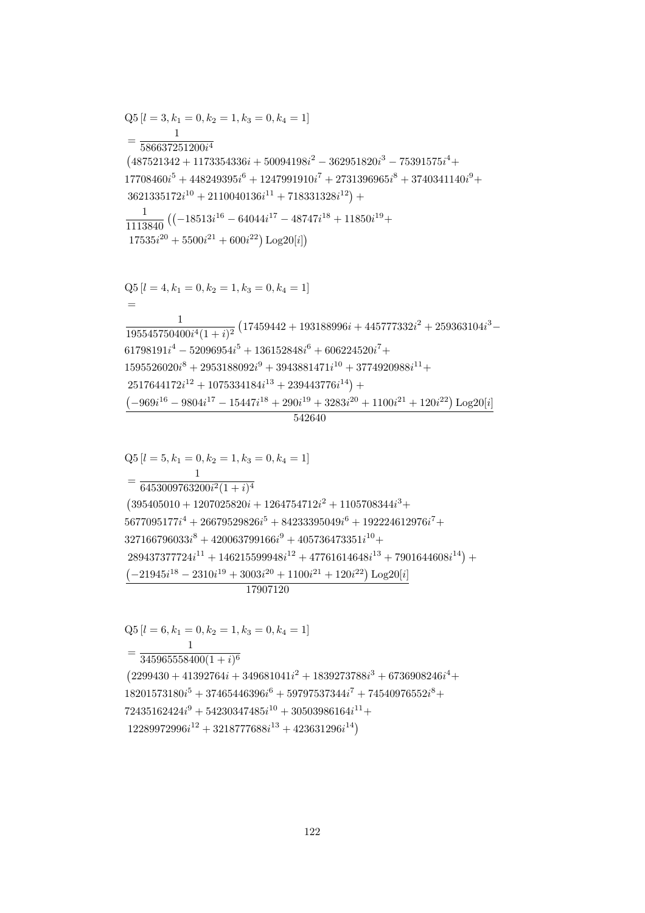$$
Q5 [l = 6, k_1 = 0, k_2 = 1, k_3 = 0, k_4 = 1]
$$
  
= 
$$
\frac{1}{345965558400(1 + i)^6}
$$
  
(2299430 + 41392764i + 349681041i<sup>2</sup> + 1839273788i<sup>3</sup> + 6736908246i<sup>4</sup> +  
18201573180i<sup>5</sup> + 37465446396i<sup>6</sup> + 59797537344i<sup>7</sup> + 74540976552i<sup>8</sup> +  
72435162424i<sup>9</sup> + 54230347485i<sup>10</sup> + 30503986164i<sup>11</sup> +  
12289972996i<sup>12</sup> + 3218777688i<sup>13</sup> + 423631296i<sup>14</sup>)

 $Q5[l = 5, k_1 = 0, k_2 = 1, k_3 = 0, k_4 = 1]$  $\mathbf{1}$  $=\frac{1}{6453009763200i^2(1+i)^4}$  $(395405010 + 1207025820i + 1264754712i^2 + 1105708344i^3 +$  $5677095177i^4 + 26679529826i^5 + 84233395049i^6 + 192224612976i^7 +$  $327166796033i^8 + 420063799166i^9 + 405736473351i^{10} +$  $289437377724i^{11} + 146215599948i^{12} + 47761614648i^{13} + 7901644608i^{14}) +$  $\left(-21945 i^{18} - 2310 i^{19} + 3003 i^{20} + 1100 i^{21} + 120 i^{22}\right) \textrm{Log} 20[i]$  $\frac{17907120}{ }$ 

 $17535i^{20} + 5500i^{21} + 600i^{22}$ ) Log20[*i*])  $Q5[l = 4, k_1 = 0, k_2 = 1, k_3 = 0, k_4 = 1]$  $\frac{1}{195545750400i^4(1+i)^2}\left(17459442+193188996i+445777332i^2+259363104i^3-\right.\\$  $61798191i<sup>4</sup> - 52096954i<sup>5</sup> + 136152848i<sup>6</sup> + 606224520i<sup>7</sup> +$  $1595526020i^8 + 2953188092i^9 + 3943881471i^{10} + 3774920988i^{11} +$  $2517644172i^{12} + 1075334184i^{13} + 239443776i^{14}) +$  $\left(-969i^{16}-9804i^{17}-15447i^{18}+290i^{19}+3283i^{20}+1100i^{21}+120i^{22}\right)\text{Log}20[i]$ 

542640

$$
Q5 [l = 3, k_1 = 0, k_2 = 1, k_3 = 0, k_4 = 1]
$$
\n
$$
= \frac{1}{586637251200i^4}
$$
\n
$$
(487521342 + 1173354336i + 50094198i^2 - 362951820i^3 - 75391575i^4 + 17708460i^5 + 448249395i^6 + 1247991910i^7 + 2731396965i^8 + 3740341140i^9 + 3621335172i^{10} + 2110040136i^{11} + 718331328i^{12}) + \frac{1}{1113840} \left( (-18513i^{16} - 64044i^{17} - 48747i^{18} + 11850i^{19} + 17595i^2 - 15500i^2 - 15500i^2 - 15500i^2 - 15500i^2 - 15500i^2 - 15500i^2 - 15500i^2 - 15500i^2 - 15500i^2 - 15500i^2 - 15500i^2 - 15500i^2 - 15500i^2 - 15500i^2 - 15500i^2 - 15500i^2 - 15500i^2 - 15500i^2 - 15500i^2 - 15500i^2 - 15500i^2 - 15500i^2 - 15500i^2 - 15500i^2 - 15500i^2 - 15500i^2 - 15500i^2 - 15500i^2 - 15500i^2 - 15500i^2 - 15500i^2 - 15500i^2 - 15500i^2 - 15500i^2 - 15500i^2 - 15500i^2 - 15500i^2 - 15500i^2 - 15500i^2 - 15500i^2 - 15500i^2 - 15500i^2 - 155
$$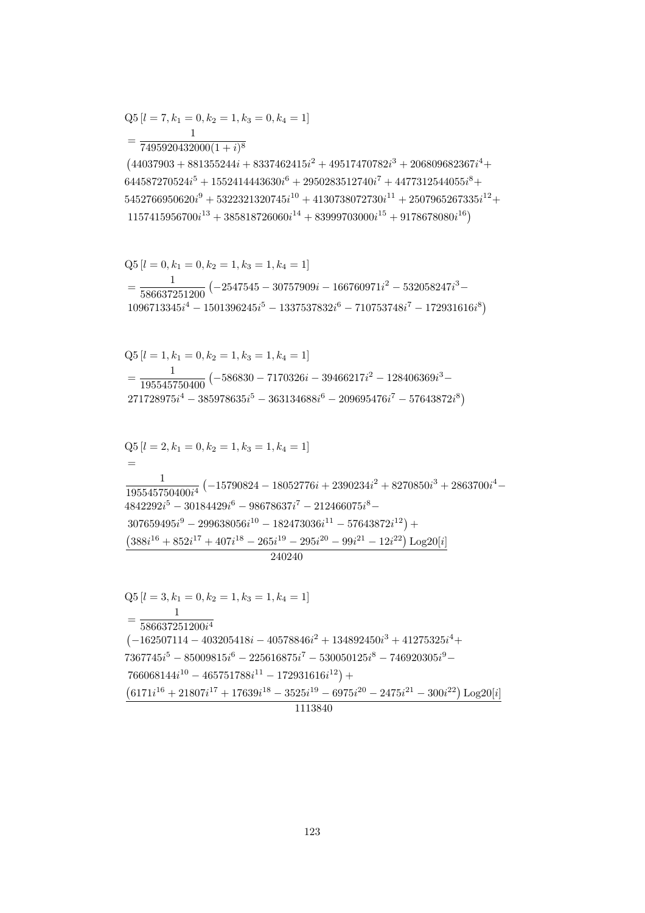$$
Q5 [l = 3, k_1 = 0, k_2 = 1, k_3 = 1, k_4 = 1]
$$
  
= 
$$
\frac{1}{586637251200i^4}
$$
  
(-162507114 - 403205418i - 40578846i<sup>2</sup> + 134892450i<sup>3</sup> + 41275325i<sup>4</sup> +  
7367745i<sup>5</sup> - 85009815i<sup>6</sup> - 225616875i<sup>7</sup> - 530050125i<sup>8</sup> - 746920305i<sup>9</sup> -  
766068144i<sup>10</sup> - 465751788i<sup>11</sup> - 172931616i<sup>12</sup>) +  

$$
\frac{(6171i^{16} + 21807i^{17} + 17639i^{18} - 3525i^{19} - 6975i^{20} - 2475i^{21} - 300i^{22}) \log 20[i]}{1113840}
$$

$$
Q5 [l = 2, k_1 = 0, k_2 = 1, k_3 = 1, k_4 = 1]
$$
  
=  

$$
\frac{1}{195545750400i^4} (-15790824 - 18052776i + 2390234i^2 + 8270850i^3 + 2863700i^4
$$
  

$$
4842292i^5 - 30184429i^6 - 98678637i^7 - 212466075i^8 -
$$
  

$$
307659495i^9 - 299638056i^{10} - 182473036i^{11} - 57643872i^{12}) +
$$
  

$$
(388i^{16} + 852i^{17} + 407i^{18} - 265i^{19} - 295i^{20} - 99i^{21} - 12i^{22}) Log20[i]
$$
  

$$
240240
$$

$$
Q5 [l = 1, k_1 = 0, k_2 = 1, k_3 = 1, k_4 = 1]
$$
  
= 
$$
\frac{1}{195545750400} (-586830 - 7170326i - 39466217i^2 - 128406369i^3 - 271728975i^4 - 385978635i^5 - 363134688i^6 - 209695476i^7 - 57643872i^8)
$$

$$
Q5 [l = 0, k_1 = 0, k_2 = 1, k_3 = 1, k_4 = 1]
$$
  
= 
$$
\frac{1}{586637251200} (-2547545 - 30757909i - 166760971i^2 - 532058247i^3 - 1096713345i^4 - 1501396245i^5 - 1337537832i^6 - 710753748i^7 - 172931616i^8)
$$

 $7495920432000(1+i)^8$  $(44037903 + 881355244i + 8337462415i^2 + 49517470782i^3 + 206809682367i^4 +$  $644587270524i^5 + 1552414443630i^6 + 2950283512740i^7 + 4477312544055i^8 +$  $5452766950620i^9 + 5322321320745i^{10} + 4130738072730i^{11} + 2507965267335i^{12} +$  $1157415956700i^{13} + 385818726060i^{14} + 83999703000i^{15} + 9178678080i^{16})$ 

$$
Q5 [l = 7, k_1 = 0, k_2 = 1, k_3 = 0, k_4 = 1]
$$
  
= 
$$
\frac{1}{7405020422000(1 + \delta)^8}
$$

 $\sim$   $\sim$   $\sim$   $\sim$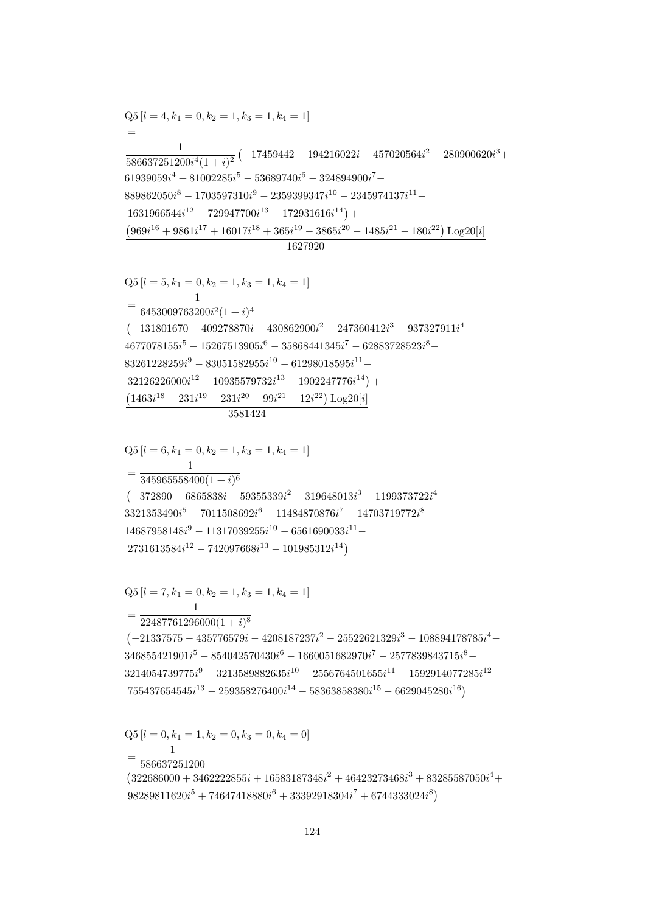$Q5 [l = 0, k_1 = 1, k_2 = 0, k_3 = 0, k_4 = 0]$  $\mathbf{1}$  $=\frac{1}{586637251200}$  $(322686000 + 3462222855i + 16583187348i<sup>2</sup> + 46423273468i<sup>3</sup> + 83285587050i<sup>4</sup> +$ 98289811620 $i^5 + 74647418880i^6 + 33392918304i^7 + 6744333024i^8$ 

$$
=\frac{1}{22487761296000(1+i)^8}\left(-21337575-435776579i-4208187237i^2-25522621329i^3-108894178785i^4-346855421901i^5-854042570430i^6-1660051682970i^7-2577839843715i^8-3214054739775i^9-3213589882635i^{10}-2556764501655i^{11}-1592914077285i^{12}-755437654545i^{13}-259358276400i^{14}-58363858380i^{15}-6629045280i^{16}\right)
$$

$$
=\frac{1}{345965558400(1+i)^6}
$$
\n
$$
(-372890 - 6865838i - 59355339i^2 - 319648013i^3 - 1199373722i^4 - 3321353490i^5 - 7011508692i^6 - 11484870876i^7 - 14703719772i^8 - 14687958148i^9 - 11317039255i^{10} - 6561690033i^{11} - 2731613584i^{12} - 742097668i^{13} - 101985312i^{14})
$$

 $Q5 [l = 7, k_1 = 0, k_2 = 1, k_3 = 1, k_4 = 1]$ 

$$
32126226000i^{12} - 10935579732i^{13} - 1902247776i^{14}) +
$$
  
\n
$$
\frac{(1463i^{18} + 231i^{19} - 231i^{20} - 99i^{21} - 12i^{22}) \text{Log }20[i]}{3581424}
$$
  
\n
$$
Q5 [l = 6, k_1 = 0, k_2 = 1, k_3 = 1, k_4 = 1]
$$
  
\n
$$
= \frac{1}{345965558400(1 + i)^6}
$$

$$
Q5 [l = 5, k_1 = 0, k_2 = 1, k_3 = 1, k_4 = 1]
$$
  
= 
$$
\frac{1}{6453009763200i^2(1 + i)^4}
$$
  
(-131801670 - 409278870i - 430862900i<sup>2</sup> - 247360412i<sup>3</sup> - 937327911i<sup>4</sup> -  
4677078155i<sup>5</sup> - 15267513905i<sup>6</sup> - 35868441345i<sup>7</sup> - 62883728523i<sup>8</sup> -  
83261228259i<sup>9</sup> - 83051582955i<sup>10</sup> - 61298018595i<sup>11</sup> -  
32126226000i<sup>12</sup> - 10935579732i<sup>13</sup> - 1902247776i<sup>14</sup>) +  
(1463i<sup>18</sup> + 231i<sup>19</sup> - 231i<sup>20</sup> - 99i<sup>21</sup> - 12i<sup>22</sup>) Log20[i]

$$
1631966544i^{12} - 729947700i^{13} - 172931616i^{14}) +
$$
  
\n
$$
\frac{(969i^{16} + 9861i^{17} + 16017i^{18} + 365i^{19} - 3865i^{20} - 1485i^{21} - 180i^{22}) \log 20[i]}{1627920}
$$
  
\nQ5 [l = 5, k<sub>1</sub> = 0, k<sub>2</sub> = 1, k<sub>3</sub> = 1, k<sub>4</sub> = 1]  
\n=
$$
\frac{1}{6453009763200i^{2}(1 + i)^{4}}
$$
  
\n(-131801670 - 409278870i - 430862900i^{2} - 247360412i^{3} - 937327911i^{4} -

 $Q5[l = 4, k_1 = 0, k_2 = 1, k_3 = 1, k_4 = 1]$  $\frac{1}{586637251200i^4(1+i)^2}\left(-17459442-194216022i-457020564i^2-280900620i^3+\right.$  $61939059i^4 + 81002285i^5 - 53689740i^6 - 324894900i^7 889862050i^8-1703597310i^9-2359399347i^{10}-2345974137i^{11}- \nonumber$  $14i^{12}$  790047700<sup>13</sup> 179091616<sup>14</sup>)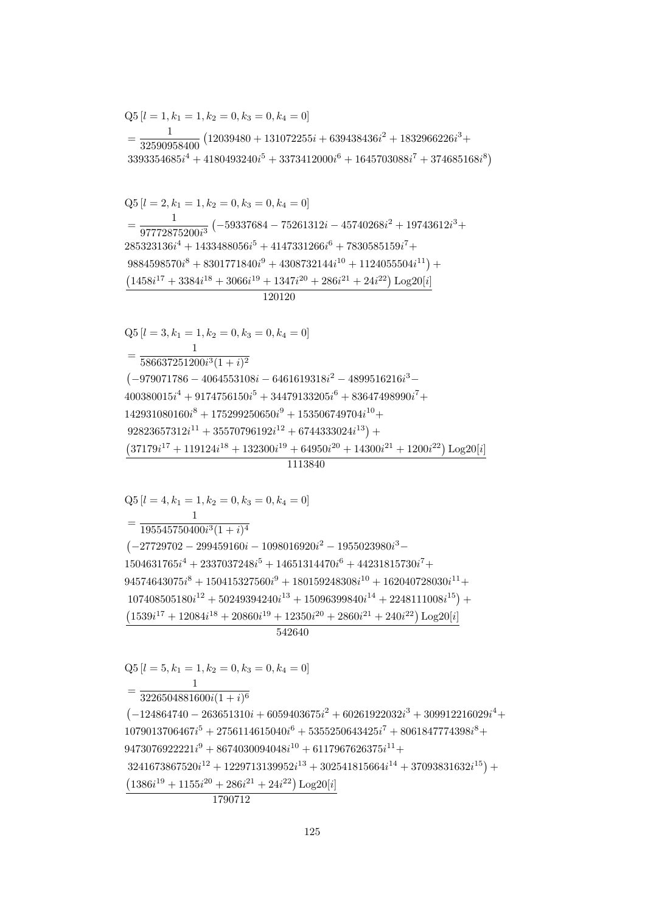$Q5 [l = 5, k_1 = 1, k_2 = 0, k_3 = 0, k_4 = 0]$  $=\frac{1}{3226504881600i(1+i)^6}$  $(-124864740 - 263651310i + 6059403675i^2 + 60261922032i^3 + 309912216029i^4 +$  $1079013706467i^{5} + 2756114615040i^{6} + 5355250643425i^{7} + 8061847774398i^{8} +$  $9473076922221i^9 + 8674030094048i^{10} + 6117967626375i^{11} +$  $3241673867520i^{12} + 1229713139952i^{13} + 302541815664i^{14} + 37093831632i^{15}) +$  $(1386i^{19} + 1155i^{20} + 286i^{21} + 24i^{22})$  Log20[i] 1790712

542640

 $=\frac{1}{195545750400i^3(1+i)^4}$  $(-27729702 - 299459160i - 1098016920i^2 - 1955023980i^3 1504631765i^4 + 2337037248i^5 + 14651314470i^6 + 44231815730i^7 +$  $94574643075i<sup>8</sup> + 150415327560i<sup>9</sup> + 180159248308i<sup>10</sup> + 162040728030i<sup>11</sup> +$  $107408505180i^{12} + 50249394240i^{13} + 15096399840i^{14} + 2248111008i^{15}) +$  $(1539i^{17} + 12084i^{18} + 20860i^{19} + 12350i^{20} + 2860i^{21} + 240i^{22}) \text{Log }20[i]$ 

## 1113840

 $Q5[l = 4, k_1 = 1, k_2 = 0, k_3 = 0, k_4 = 0]$ 

 $Q5[l = 3, k_1 = 1, k_2 = 0, k_3 = 0, k_4 = 0]$  $= \frac{1}{586637251200i^3(1+i)^2}$  $(-979071786 - 4064553108i - 6461619318i^2 - 4899516216i^3 400380015i^4 + 9174756150i^5 + 34479133205i^6 + 83647498990i^7 +$  $142931080160i^8 + 175299250650i^9 + 153506749704i^{10} +$  $92823657312i^{11} + 35570796192i^{12} + 6744333024i^{13}$  +  $(37179i^{17} + 119124i^{18} + 132300i^{19} + 64950i^{20} + 14300i^{21} + 1200i^{22})$  Log20[i]

120120

 $Q5 [l = 2, k_1 = 1, k_2 = 0, k_3 = 0, k_4 = 0]$  $=\frac{1}{97772875200i^3}\left(-59337684-75261312i-45740268i^2+19743612i^3+\right.$  $285323136i^4 + 1433488056i^5 + 4147331266i^6 + 7830585159i^7 +$  $9884598570i^{8} + 8301771840i^{9} + 4308732144i^{10} + 1124055504i^{11}) +$  $(1458i^{17} + 3384i^{18} + 3066i^{19} + 1347i^{20} + 286i^{21} + 24i^{22})$  Log20[i]

 $Q5 [l = 1, k_1 = 1, k_2 = 0, k_3 = 0, k_4 = 0]$  $=\frac{1}{32590958400}\left(12039480+131072255i+639438436i^2+1832966226i^3+\right.$  $3393354685i^4 + 4180493240i^5 + 3373412000i^6 + 1645703088i^7 + 374685168i^8$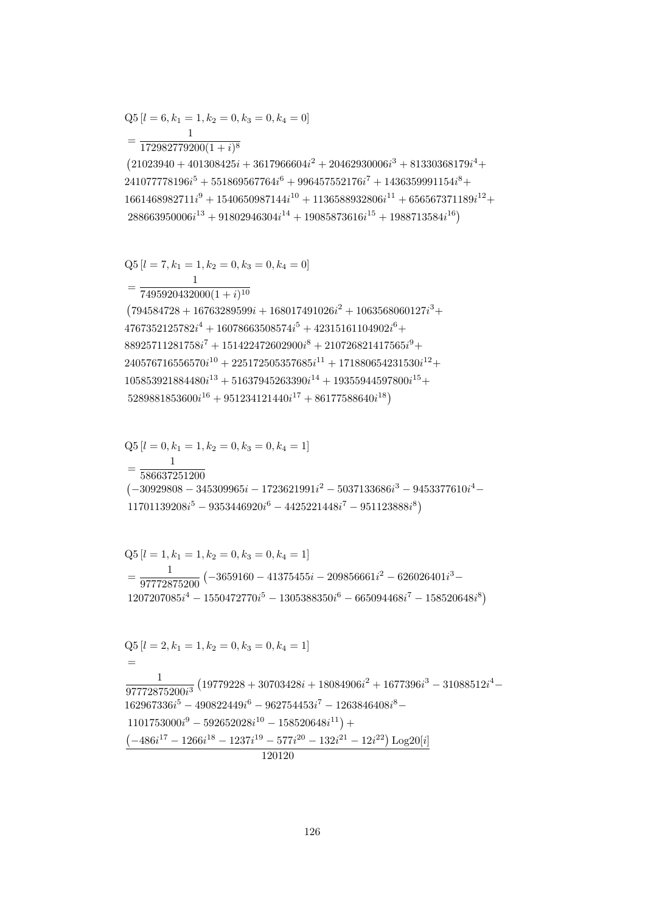$$
Q5 [l = 6, k_1 = 1, k_2 = 0, k_3 = 0, k_4 = 0]
$$
  
= 
$$
\frac{1}{172982779200(1+i)^8}
$$

 $(21023940 + 401308425i + 3617966604i<sup>2</sup> + 20462930006i<sup>3</sup> + 81330368179i<sup>4</sup> +$  $241077778196i^5 + 551869567764i^6 + 996457552176i^7 + 1436359991154i^8 +$  $1661468982711i^9 + 1540650987144i^{10} + 1136588932806i^{11} + 656567371189i^{12} +$  $288663950006i^{13} + 91802946304i^{14} + 19085873616i^{15} + 1988713584i^{16})$ 

$$
\begin{split} &\text{Q5}\left[l=7,k_1=1,k_2=0,k_3=0,k_4=0\right]\\ &=\frac{1}{7495920432000(1+i)^{10}}\\ &\text{(794584728+16763289599i+168017491026i^2+1063568060127i^3+\\ &\text{4767352125782i^4+16078663508574i^5+42315161104902i^6+\\ &88925711281758i^7+151422472602900i^8+210726821417565i^9+\\ &240576716556570i^{10}+225172505357685i^{11}+171880654231530i^{12}+\\ &105853921884480i^{13}+51637945263390i^{14}+19355944597800i^{15}+\\ &5289881853600i^{16}+951234121440i^{17}+86177588640i^{18})\\ \end{split}
$$

$$
Q5 [l = 0, k_1 = 1, k_2 = 0, k_3 = 0, k_4 = 1]
$$
  
= 
$$
\frac{1}{586637251200}
$$
  
(-30929808 - 345309965*i* - 1723621991*i*<sup>2</sup> - 5037133686*i*<sup>3</sup> - 9453377610*i*<sup>4</sup> - 11701139208*i*<sup>5</sup> - 9353446920*i*<sup>6</sup> - 4425221448*i*<sup>7</sup> - 951123888*i*<sup>8</sup>)

$$
Q5 [l = 1, k_1 = 1, k_2 = 0, k_3 = 0, k_4 = 1]
$$
  
= 
$$
\frac{1}{97772875200} (-3659160 - 41375455i - 209856661i^2 - 626026401i^3 - 1207207085i^4 - 1550472770i^5 - 1305388350i^6 - 665094468i^7 - 158520648i^8)
$$

$$
Q5 [l = 2, k_1 = 1, k_2 = 0, k_3 = 0, k_4 = 1]
$$
  
=  

$$
\frac{1}{97772875200i^3} (19779228 + 30703428i + 18084906i^2 + 1677396i^3 - 31088512i^4 - 162967336i^5 - 490822449i^6 - 962754453i^7 - 1263846408i^8 - 1101753000i^9 - 592652028i^{10} - 158520648i^{11}) +\n(-486i^{17} - 1266i^{18} - 1237i^{19} - 577i^{20} - 132i^{21} - 12i^{22}) Log20[i] \n120120
$$

$$
f_{\rm{max}}
$$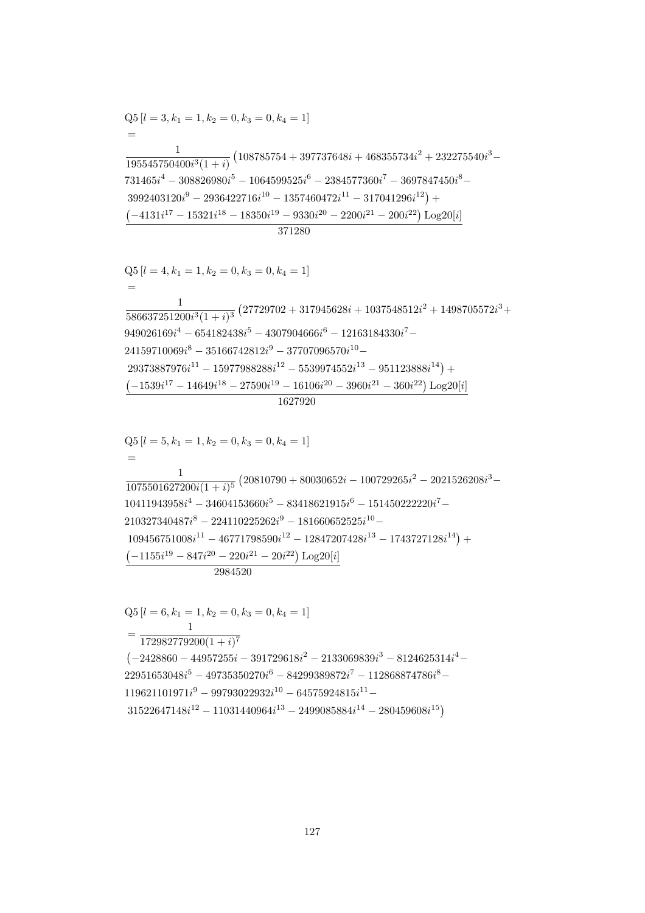$$
Q5 [l = 6, k_1 = 1, k_2 = 0, k_3 = 0, k_4 = 1]
$$
  
= 
$$
\frac{1}{172982779200(1 + i)^7}
$$
  

$$
(-2428860 - 44957255i - 391729618i^2 - 2133069839i^3 - 8124625314i^4 - 22951653048i^5 - 49735350270i^6 - 84299389872i^7 - 112868874786i^8 - 119621101971i^9 - 99793022932i^{10} - 64575924815i^{11} - 31522647148i^{12} - 11031440964i^{13} - 2499085884i^{14} - 280459608i^{15})
$$

$$
Q5 [l = 5, k_1 = 1, k_2 = 0, k_3 = 0, k_4 = 1]
$$
  
=  

$$
\frac{1}{1075501627200i(1 + i)^5} (20810790 + 80030652i - 100729265i^2 - 2021526208i^3 - 10411943958i^4 - 34604153660i^5 - 83418621915i^6 - 151450222220i^7 - 210327340487i^8 - 224110225262i^9 - 181660652525i^{10} - 109456751008i^{11} - 46771798590i^{12} - 12847207428i^{13} - 1743727128i^{14}) +\n\underline{(-1155i^{19} - 847i^{20} - 220i^{21} - 20i^{22}) Log20[i]} 2984520
$$

$$
\begin{aligned} \text{Q5}\left[l=4,k_1=1,k_2=0,k_3=0,k_4=1\right] \\ = \\ \frac{1}{586637251200i^3(1+i)^3}\left(27729702+317945628i+1037548512i^2+1498705572i^3+\right. \\ \left.949026169i^4-654182438i^5-4307904666i^6-12163184330i^7-\right. \\ \left.24159710069i^8-35166742812i^9-37707096570i^{10}- \\ \left.29373887976i^{11}-15977988288i^{12}-5539974552i^{13}-951123888i^{14}\right)+ \\ \left(-1539i^{17}-14649i^{18}-27590i^{19}-16106i^{20}-3960i^{21}-360i^{22}\right)\text{Log}20[i] \\ \end{aligned}
$$

 $\equiv$  $\frac{1}{195545750400i^3(1+i)} \left( 108785754 + 397737648i + 468355734i^2 + 232275540i^3 - \right.$  $731465i^4 - 308826980i^5 - 1064599525i^6 - 2384577360i^7 - 3697847450i^8 3992403120i^9 - 2936422716i^{10} - 1357460472i^{11} - 317041296i^{12}) +$  $\left(-4131i^{17} - 15321i^{18} - 18350i^{19} - 9330i^{20} - 2200i^{21} - 200i^{22}\right)\text{Log}20[i]$ 371280

$$
Q5[l = 3, k_1 = 1, k_2 = 0, k_3 = 0, k_4 = 1]
$$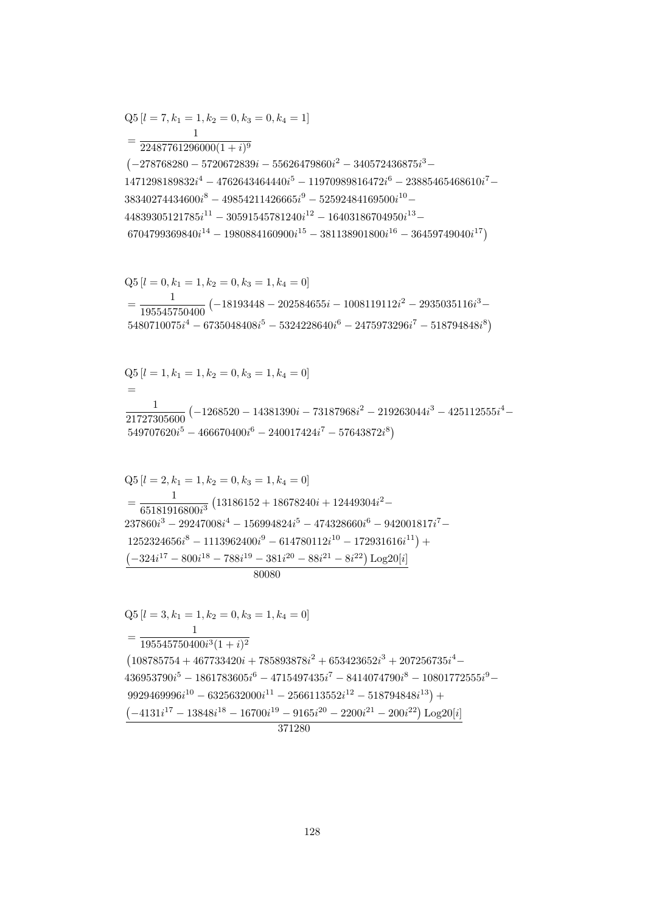80080  $Q5[l = 3, k_1 = 1, k_2 = 0, k_3 = 1, k_4 = 0]$  $=\frac{1}{195545750400i^3(1+i)^2}$  $\left(108785754 + 467733420i + 785893878i^2 + 653423652i^3 + 207256735i^4 - \right.$  $436953790i^5 - 1861783605i^6 - 4715497435i^7 - 8414074790i^8 - 10801772555i^9 9929469996i^{10} - 6325632000i^{11} - 2566113552i^{12} - 518794848i^{13}) +$  $\left(-4131i^{17}-13848i^{18}-16700i^{19}-9165i^{20}-2200i^{21}-200i^{22}\right)\text{Log}20[i]$ 371280

$$
Q5 [l = 2, k_1 = 1, k_2 = 0, k_3 = 1, k_4 = 0]
$$
  
= 
$$
\frac{1}{65181916800i^3} (13186152 + 18678240i + 12449304i^2 - 237860i^3 - 29247008i^4 - 156994824i^5 - 474328660i^6 - 942001817i^7 - 1252324656i^8 - 1113962400i^9 - 614780112i^{10} - 172931616i^{11}) + 2424i^{17} - 800i^{18} - 788i^{19} - 381i^{20} - 88i^{21} - 8i^{22}) Log20[i]
$$

$$
Q5 [l = 1, k_1 = 1, k_2 = 0, k_3 = 1, k_4 = 0]
$$
  
=  

$$
\frac{1}{21727305600} (-1268520 - 14381390i - 73187968i^2 - 219263044i^3 - 425112555i^4 - 549707620i^5 - 466670400i^6 - 240017424i^7 - 57643872i^8)
$$

$$
Q5 [l = 0, k_1 = 1, k_2 = 0, k_3 = 1, k_4 = 0]
$$
  
= 
$$
\frac{1}{195545750400} (-18193448 - 202584655i - 1008119112i^2 - 2935035116i^3 - 5480710075i^4 - 6735048408i^5 - 5324228640i^6 - 2475973296i^7 - 518794848i^8)
$$

$$
Q5 [l = 7, k_1 = 1, k_2 = 0, k_3 = 0, k_4 = 1]
$$
  
= 
$$
\frac{1}{22487761296000(1 + i)^9}
$$
  
(-278768280 - 5720672839i - 55626479860i<sup>2</sup> - 340572436875i<sup>3</sup> -  
1471298189832i<sup>4</sup> - 4762643464440i<sup>5</sup> - 11970989816472i<sup>6</sup> - 23885465468610i<sup>7</sup> -  
38340274434600i<sup>8</sup> - 49854211426665i<sup>9</sup> - 52592484169500i<sup>10</sup> -  
44839305121785i<sup>11</sup> - 30591545781240i<sup>12</sup> - 16403186704950i<sup>13</sup> -  
6704799369840i<sup>14</sup> - 1980884160900i<sup>15</sup> - 381138901800i<sup>16</sup> - 36459749040i<sup>17</sup>)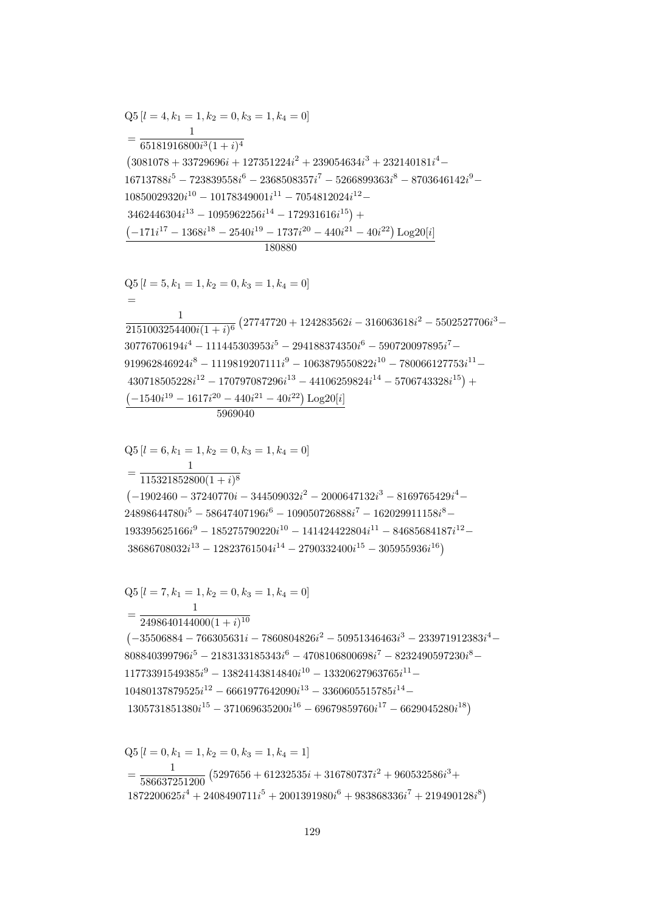$$
Q5 [l = 0, k_1 = 1, k_2 = 0, k_3 = 1, k_4 = 1]
$$
  
= 
$$
\frac{1}{586637251200} (5297656 + 61232535i + 316780737i^2 + 960532586i^3 + 1872200625i^4 + 2408490711i^5 + 2001391980i^6 + 983868336i^7 + 219490128i^8)
$$

$$
=\frac{1}{2498640144000(1+i)^{10}}\n\left(-35506884-766305631i-7860804826i^2-50951346463i^3-233971912383i^4-808840399796i^5-2183133185343i^6-4708106800698i^7-8232490597230i^8-11773391549385i^9-13824143814840i^{10}-13320627963765i^{11}-\n10480137879525i^{12}-6661977642090i^{13}-3360605515785i^{14}-\n1305731851380i^{15}-371069635200i^{16}-69679859760i^{17}-6629045280i^{18}\right)
$$

 $Q5[l = 7, k_1 = 1, k_2 = 0, k_3 = 1, k_4 = 0]$ 

$$
f_{\rm{max}}
$$

 $Q5[l = 6, k_1 = 1, k_2 = 0, k_3 = 1, k_4 = 0]$  $=\frac{1}{115321852800(1+i)^8}$  $(-1902460 - 37240770i - 344509032i^2 - 2000647132i^3 - 8169765429i^4 24898644780i^5 - 58647407196i^6 - 109050726888i^7 - 162029911158i^8 193395625166i<sup>9</sup> - 185275790220i<sup>10</sup> - 141424422804i<sup>11</sup> - 84685684187i<sup>12</sup> 38686708032i^{13} - 12823761504i^{14} - 2790332400i^{15} - 305955936i^{16})$ 

$$
Q5 [l = 5, k_1 = 1, k_2 = 0, k_3 = 1, k_4 = 0]
$$
\n
$$
=
$$
\n
$$
\frac{1}{2151003254400i(1 + i)^6} (27747720 + 124283562i - 316063618i^2 - 5502527706i^3 - 30776706194i^4 - 111445303953i^5 - 294188374350i^6 - 590720097895i^7 - 919962846924i^8 - 1119819207111i^9 - 1063879550822i^{10} - 780066127753i^{11} - 430718505228i^{12} - 170797087296i^{13} - 44106259824i^{14} - 5706743328i^{15}) + (-1540i^{19} - 1617i^{20} - 440i^{21} - 40i^{22}) Log20[i]
$$
\n
$$
5969040
$$

 $Q5[l = 4, k_1 = 1, k_2 = 0, k_3 = 1, k_4 = 0]$  $= \frac{1}{65181916800i^3(1+i)^4}$  $\left(3081078+33729696i+127351224i^2+239054634i^3+232140181i^4-\right.$  $16713788i^5 - 723839558i^6 - 2368508357i^7 - 5266899363i^8 - 8703646142i^9 10850029320i^{10} - 10178349001i^{11} - 7054812024i^{12} 3462446304i^{13} - 1095962256i^{14} - 172931616i^{15}$  +  $\left(-171i^{17}-1368i^{18}-2540i^{19}-1737i^{20}-440i^{21}-40i^{22}\right)\text{Log}20[i]$ 180880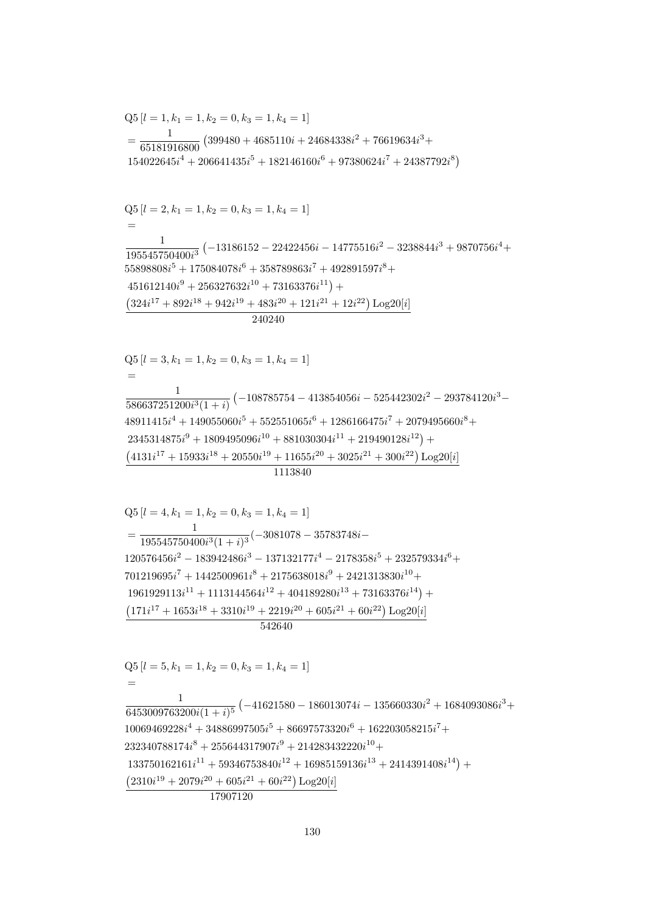$Q5[l = 5, k_1 = 1, k_2 = 0, k_3 = 1, k_4 = 1]$  $=$  $\frac{1}{6453009763200i(1+i)^5}\left(-41621580 - 186013074i - 135660330i^2 + 1684093086i^3 + \right.$  $10069469228i^4 + 34886997505i^5 + 86697573320i^6 + 162203058215i^7 +$  $232340788174i^8 + 255644317907i^9 + 214283432220i^{10} +$  $133750162161i^{11} + 59346753840i^{12} + 16985159136i^{13} + 2414391408i^{14}) +$  $(2310i^{19} + 2079i^{20} + 605i^{21} + 60i^{22})$  Log<sub>20</sub>[i] 17907120

 $Q5$  [ $l = 4, k_1 = 1, k_2 = 0, k_3 = 1, k_4 = 1$ ]  $=\frac{1}{195545750400i^3(1+i)^3}(-3081078-35783748i 120576456i^2 - 183942486i^3 - 137132177i^4 - 2178358i^5 + 232579334i^6 +$  $701219695i<sup>7</sup> + 1442500961i<sup>8</sup> + 2175638018i<sup>9</sup> + 2421313830i<sup>10</sup> +$  $1961929113i^{11} + 1113144564i^{12} + 404189280i^{13} + 73163376i^{14}) +$  $(171i^{17} + 1653i^{18} + 3310i^{19} + 2219i^{20} + 605i^{21} + 60i^{22}) \text{Log }20[i]$ 542640

 $(4131i^{17} + 15933i^{18} + 20550i^{19} + 11655i^{20} + 3025i^{21} + 300i^{22})$  Log20[i]

 $Q5 [l = 3, k_1 = 1, k_2 = 0, k_3 = 1, k_4 = 1]$  $\frac{1}{586637251200i^3(1+i)}\left(-108785754 - 413854056i - 525442302i^2 - 293784120i^3 - \right.$  $48911415i<sup>4</sup> + 149055060i<sup>5</sup> + 552551065i<sup>6</sup> + 1286166475i<sup>7</sup> + 2079495660i<sup>8</sup> +$  $2345314875i<sup>9</sup> + 1809495096i<sup>10</sup> + 881030304i<sup>11</sup> + 219490128i<sup>12</sup>) +$ 

 $Q5[l = 2, k_1 = 1, k_2 = 0, k_3 = 1, k_4 = 1]$  $\frac{1}{195545750400i^3} \left(-13186152 - 22422456i - 14775516i^2 - 3238844i^3 + 9870756i^4 + \right.$  $55898808i<sup>5</sup> + 175084078i<sup>6</sup> + 358789863i<sup>7</sup> + 492891597i<sup>8</sup> +$  $451612140i<sup>9</sup> + 256327632i<sup>10</sup> + 73163376i<sup>11</sup>) +$  $\left(324i^{17} + 892i^{18} + 942i^{19} + 483i^{20} + 121i^{21} + 12i^{22}\right) \text{Log} 20[i]$  $\frac{240240}{ }$ 

 $Q5[l = 1, k_1 = 1, k_2 = 0, k_3 = 1, k_4 = 1]$  $=\frac{1}{65181916800}(399480+4685110i+24684338i^2+76619634i^3+$  $154022645i^4 + 206641435i^5 + 182146160i^6 + 97380624i^7 + 24387792i^8$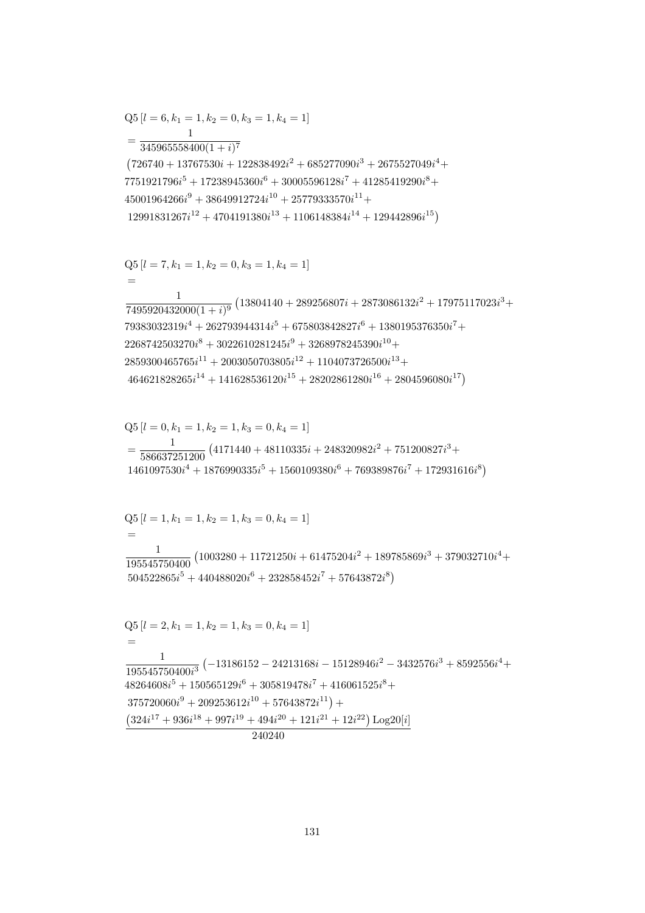$$
Q5 [l = 1, k_1 = 1, k_2 = 1, k_3 = 0, k_4 = 1]
$$
  
=  

$$
\frac{1}{195545750400} (1003280 + 11721250i + 61475204i^2 + 189785869i^3 + 379032710i^4 + 504522865i^5 + 440488020i^6 + 232858452i^7 + 57643872i^8)
$$
  

$$
Q5 [l = 2, k_1 = 1, k_2 = 1, k_3 = 0, k_4 = 1]
$$
  
=  

$$
\frac{1}{195545750400i^3} (-13186152 - 24213168i - 15128946i^2 - 3432576i^3 + 8592556i^4 + 48264608i^5 + 150565129i^6 + 305819478i^7 + 416061525i^8 + 375720060i^9 + 209253612i^{10} + 57643872i^{11}) +(324i^{17} + 936i^{18} + 997i^{19} + 494i^{20} + 121i^{21} + 12i^{22}) Log20[i]
$$
  
= 240240

 ${\rm Q5}\left[l=0,k_{1}=1,k_{2}=1,k_{3}=0,k_{4}=1\right]$  $=\frac{1}{586637251200}\left(4171440+48110335i+248320982i^2+751200827i^3+\right.\\ \left.1461097530i^4+1876990335i^5+1560109380i^6+769389876i^7+172931616i^8\right)$ 

$$
\frac{1}{7495920432000(1+i)^9} \left(13804140 + 289256807i + 2873086132i^2 + 17975117023i^3 + 79383032319i^4 + 262793944314i^5 + 675803842827i^6 + 1380195376350i^7 + 2268742503270i^8 + 3022610281245i^9 + 3268978245390i^{10} + 2859300465765i^{11} + 2003050703805i^{12} + 1104073726500i^{13} + 464621828265i^{14} + 141628536120i^{15} + 28202861280i^{16} + 2804596080i^{17}\right)
$$

$$
Q5[l = 7, k_1 = 1, k_2 = 0, k_3 = 1, k_4 = 1]
$$

$$
=\frac{1}{345965558400(1+i)^7}
$$
\n
$$
(726740+13767530i+122838492i^2+685277090i^3+2675527049i^4+
$$
\n
$$
7751921796i^5+17238945360i^6+30005596128i^7+41285419290i^8+
$$
\n
$$
45001964266i^9+38649912724i^{10}+25779333570i^{11}+
$$
\n
$$
12991831267i^{12}+4704191380i^{13}+1106148384i^{14}+129442896i^{15})
$$

 $Q5[l = 6, k_1 = 1, k_2 = 0, k_3 = 1, k_4 = 1]$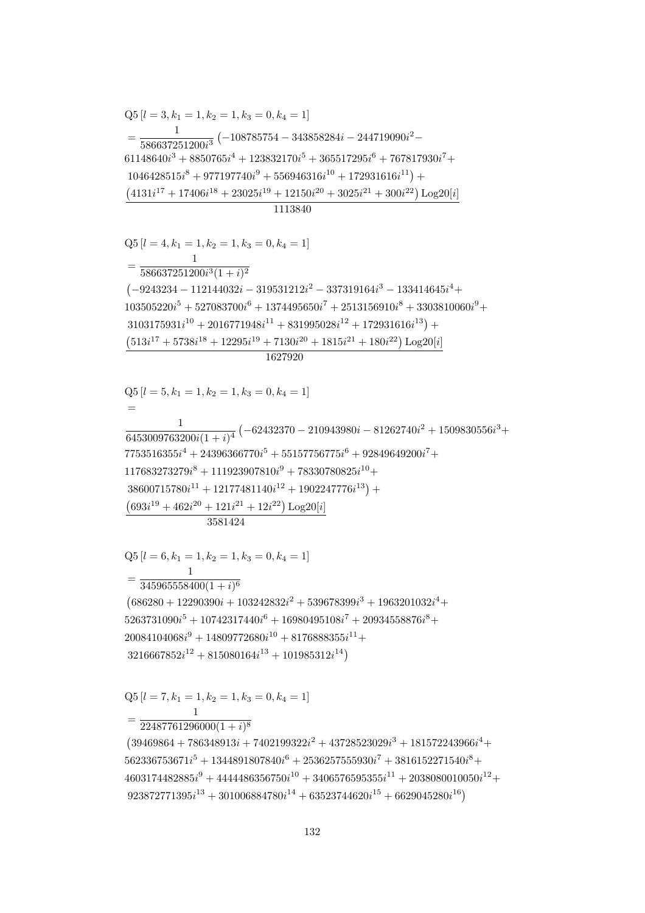$=\frac{1}{22487761296000(1+i)^8}$  $(39469864+786348913i+7402199322i^2+43728523029i^3+181572243966i^4+$  $562336753671i^5 + 1344891807840i^6 + 2536257555930i^7 + 3816152271540i^8 +$  $4603174482885i<sup>9</sup> + 4444486356750i<sup>10</sup> + 3406576595355i<sup>11</sup> + 2038080010050i<sup>12</sup> +$  $923872771395i^{13} + 301006884780i^{14} + 63523744620i^{15} + 6629045280i^{16})$ 

 $Q5[l = 7, k_1 = 1, k_2 = 1, k_3 = 0, k_4 = 1]$ 

 $Q5[l = 6, k_1 = 1, k_2 = 1, k_3 = 0, k_4 = 1]$  $=\frac{1}{345965558400(1+i)^6}$  $(686280 + 12290390i + 103242832i^2 + 539678399i^3 + 1963201032i^4 +$  $5263731090i^5 + 10742317440i^6 + 16980495108i^7 + 20934558876i^8 +$  $20084104068i^9 + 14809772680i^{10} + 8176888355i^{11} +$  $3216667852i^{12} + 815080164i^{13} + 101985312i^{14}$ 

 $Q5[l = 5, k_1 = 1, k_2 = 1, k_3 = 0, k_4 = 1]$  $\frac{1}{6453009763200i(1+i)^4} \left(-62432370 - 210943980i - 81262740i^2 + 1509830556i^3 + \right.$  $7753516355i^4 + 24396366770i^5 + 55157756775i^6 + 92849649200i^7 +$  $117683273279i^8 + 111923907810i^9 + 78330780825i^{10} +$  $38600715780i^{11} + 12177481140i^{12} + 1902247776i^{13} +$  $(693i^{19} + 462i^{20} + 121i^{21} + 12i^{22})$  Log20[i]  $358149$ 

 $=\frac{1}{586637251200i^3(1+i)^2}$  $\left(-9243234 - 112144032i - 319531212i^2 - 337319164i^3 - 133414645i^4 + \right)$  $103505220i^5 + 527083700i^6 + 1374495650i^7 + 2513156910i^8 + 3303810060i^9 +$  $3103175931i^{10} + 2016771948i^{11} + 831995028i^{12} + 172931616i^{13}$  +  $(513i^{17} + 5738i^{18} + 12295i^{19} + 7130i^{20} + 1815i^{21} + 180i^{22}) Log20[i]$ 1627920

 $Q5[l = 3, k_1 = 1, k_2 = 1, k_3 = 0, k_4 = 1]$  $=\frac{1}{586637251200i^3}\left(-108785754-343858284i-244719090i^2-\right.$  $61148640i^3 + 8850765i^4 + 123832170i^5 + 365517295i^6 + 767817930i^7 +$  $1046428515i<sup>8</sup> + 977197740i<sup>9</sup> + 556946316i<sup>10</sup> + 172931616i<sup>11</sup>) +$  $\left(4131i^{17}+17406i^{18}+23025i^{19}+12150i^{20}+3025i^{21}+300i^{22}\right)\textrm{Log}20[i]$ 1113840

 $Q5[l = 4, k_1 = 1, k_2 = 1, k_3 = 0, k_4 = 1]$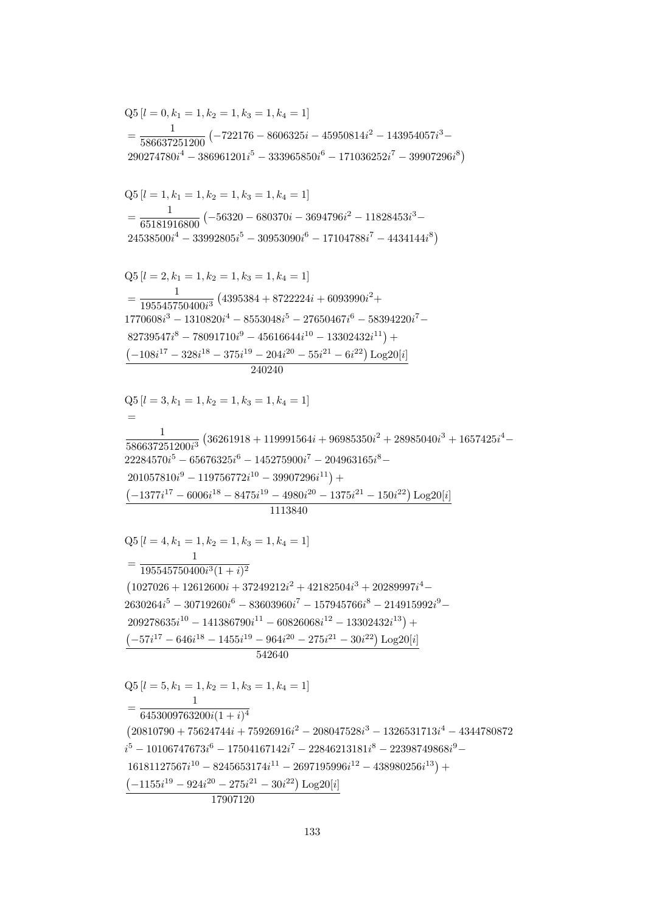$=\frac{195545750400i^3(1+i)^2}{195545750400i^3(1+i)^2}$  $(1027026 + 12612600i + 37249212i^2 + 42182504i^3 + 20289997i^4 2630264i^{5} - 30719260i^{6} - 83603960i^{7} - 157945766i^{8} - 214915992i^{9} 209278635i^{10} - 141386790i^{11} - 60826068i^{12} - 13302432i^{13}) +$  $\left(-57i^{17}-646i^{18}-1455i^{19}-964i^{20}-275i^{21}-30i^{22}\right)\text{Log}20[i]$ 542640  $Q5[l = 5, k_1 = 1, k_2 = 1, k_3 = 1, k_4 = 1]$  $\mathbf{1}$  $=\frac{1}{6453009763200i(1+i)^4}$  $(20810790 + 75624744i + 75926916i<sup>2</sup> - 208047528i<sup>3</sup> - 1326531713i<sup>4</sup> - 4344780872$  $i^5 - 10106747673i^6 - 17504167142i^7 - 22846213181i^8 - 22398749868i^9 16181127567i^{10} - 8245653174i^{11} - 2697195996i^{12} - 438980256i^{13} +$  $\left(-1155i^{19} - 924i^{20} - 275i^{21} - 30i^{22}\right)$  Log20[i] 17907120

 $Q5 [l = 3, k_1 = 1, k_2 = 1, k_3 = 1, k_4 = 1]$  $=$  $\frac{1}{586637251200i^3}\left(36261918+119991564i+96985350i^2+28985040i^3+1657425i^4-\right.$  $22284570i^5 - 65676325i^6 - 145275900i^7 - 204963165i^8 201057810i^9 - 119756772i^{10} - 39907296i^{11}$  $(-1377i^{17} - 6006i^{18} - 8475i^{19} - 4980i^{20} - 1375i^{21} - 150i^{22}) \text{ Log }20[i]$ 1113840

 $Q5[l = 4, k_1 = 1, k_2 = 1, k_3 = 1, k_4 = 1]$ 

 $\mathbf{1}$ 

 $Q5$  [ $l = 2, k_1 = 1, k_2 = 1, k_3 = 1, k_4 = 1$ ]  $\frac{1}{195545750400i^3}\left(4395384 + 8722224i + 6093990i^2 + \right.$  $1770608i^3 - 1310820i^4 - 8553048i^5 - 27650467i^6 - 58394220i^7 82739547i^8 - 78091710i^9 - 45616644i^{10} - 13302432i^{11}) +$  $\left(-108i^{17} - 328i^{18} - 375i^{19} - 204i^{20} - 55i^{21} - 6i^{22}\right)$  Log20[i] 240240

 $Q5[l = 1, k_1 = 1, k_2 = 1, k_3 = 1, k_4 = 1]$  $=\frac{1}{65181916800} \left(-56320 - 680370i - 3694796i^2 - 11828453i^3 - \right)$  $24538500i^4 - 33992805i^5 - 30953090i^6 - 17104788i^7 - 4434144i^8)$ 

 $Q5 [l = 0, k_1 = 1, k_2 = 1, k_3 = 1, k_4 = 1]$  $=\frac{1}{586637251200}\left(-722176-8606325i-45950814i^2-143954057i^3-\right.$  $290274780i^4 - 386961201i^5 - 333965850i^6 - 171036252i^7 - 39907296i^8$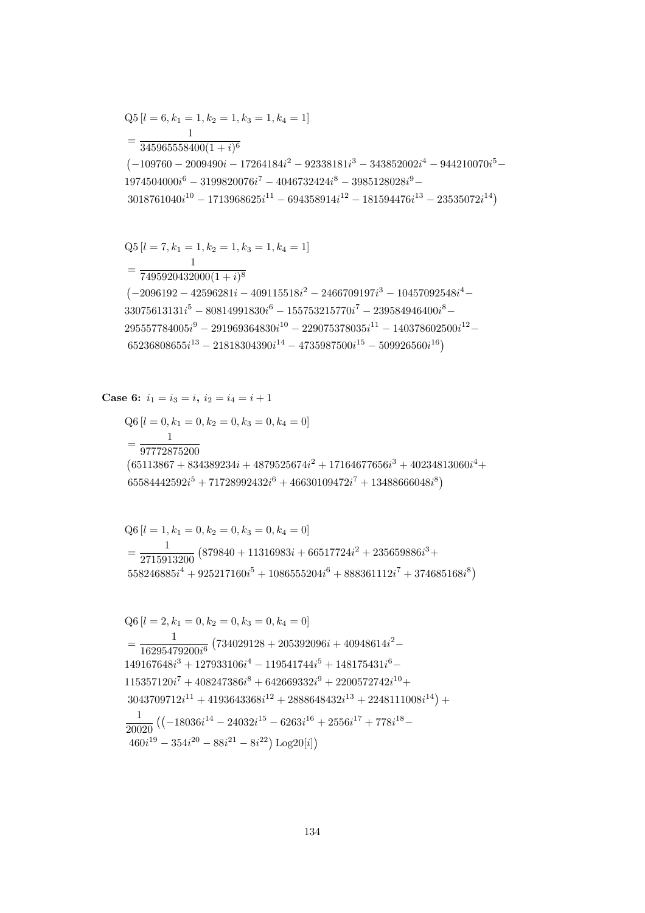$$
Q5 [l = 6, k_1 = 1, k_2 = 1, k_3 = 1, k_4 = 1]
$$
  
= 
$$
\frac{1}{345965558400(1 + i)^6}
$$
  

$$
(-109760 - 2009490i - 17264184i^2 - 92338181i^3 - 343852002i^4 - 944210070i^5 - 1974504000i^6 - 3199820076i^7 - 4046732424i^8 - 3985128028i^9 - 3018761040i^{10} - 1713968625i^{11} - 694358914i^{12} - 181594476i^{13} - 23535072i^{14})
$$

$$
Q5 [l = 7, k_1 = 1, k_2 = 1, k_3 = 1, k_4 = 1]
$$
  
= 
$$
\frac{1}{7495920432000(1 + i)^8}
$$
  
(-2096192 - 42596281i - 409115518i<sup>2</sup> - 2466709197i<sup>3</sup> - 10457092548i<sup>4</sup> -  
33075613131i<sup>5</sup> - 80814991830i<sup>6</sup> - 155753215770i<sup>7</sup> - 239584946400i<sup>8</sup> -  
295557784005i<sup>9</sup> - 291969364830i<sup>10</sup> - 229075378035i<sup>11</sup> - 140378602500i<sup>12</sup> -  
65236808655i<sup>13</sup> - 21818304390i<sup>14</sup> - 4735987500i<sup>15</sup> - 509926560i<sup>16</sup>)

**Case 6:**  $i_1 = i_3 = i$ ,  $i_2 = i_4 = i + 1$ 

$$
Q6 [l = 0, k_1 = 0, k_2 = 0, k_3 = 0, k_4 = 0]
$$
  
= 
$$
\frac{1}{97772875200}
$$
  
(65113867 + 834389234i + 4879525674i<sup>2</sup> + 17164677656i<sup>3</sup> + 40234813060i<sup>4</sup> +  
65584442592i<sup>5</sup> + 71728992432i<sup>6</sup> + 46630109472i<sup>7</sup> + 13488666048i<sup>8</sup>)

$$
Q6 [l = 1, k_1 = 0, k_2 = 0, k_3 = 0, k_4 = 0]
$$
  
=  $\frac{1}{2715913200} (879840 + 11316983i + 66517724i^2 + 235659886i^3 + 558246885i^4 + 925217160i^5 + 1086555204i^6 + 888361112i^7 + 374685168i^8)$ 

$$
Q6 [l = 2, k_1 = 0, k_2 = 0, k_3 = 0, k_4 = 0]
$$
  
= 
$$
\frac{1}{16295479200i^6} (734029128 + 205392096i + 40948614i^2 - 149167648i^3 + 127933106i^4 - 119541744i^5 + 148175431i^6 - 115357120i^7 + 408247386i^8 + 642669332i^9 + 2200572742i^{10} + 3043709712i^{11} + 4193643368i^{12} + 2888648432i^{13} + 2248111008i^{14}) +
$$
\frac{1}{20020} ((-18036i^{14} - 24032i^{15} - 6263i^{16} + 2556i^{17} + 778i^{18} - 460i^{19} - 354i^{20} - 88i^{21} - 8i^{22}) Log20[i])
$$
$$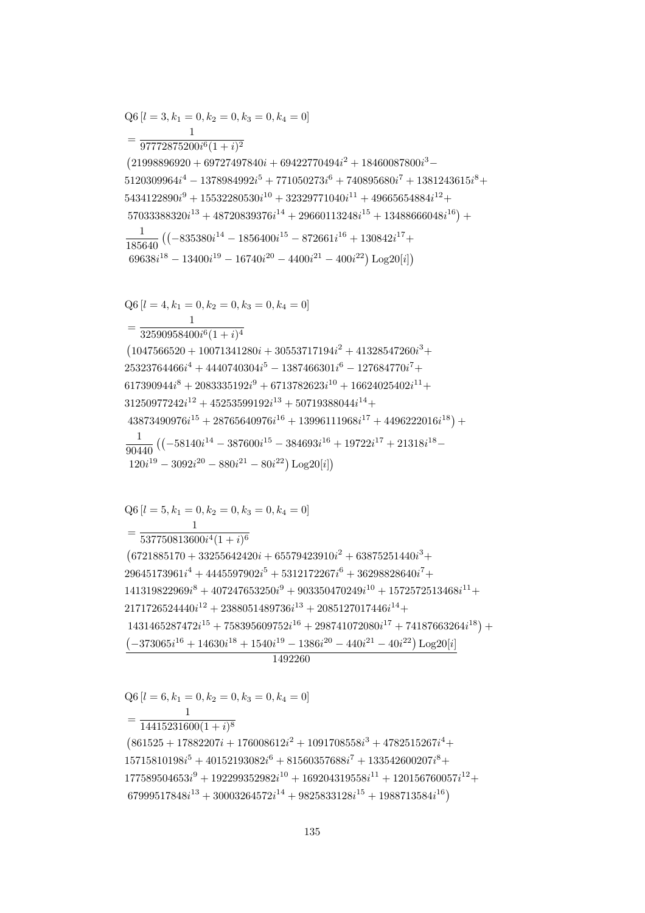$=\frac{1}{14415231600(1+i)^8}$  $(861525 + 17882207i + 176008612i^2 + 1091708558i^3 + 4782515267i^4 +$  $15715810198i^5 + 40152193082i^6 + 81560357688i^7 + 133542600207i^8 +$  $177589504653i^9 + 192299352982i^{10} + 169204319558i^{11} + 120156760057i^{12} +$  $67999517848i^{13} + 30003264572i^{14} + 9825833128i^{15} + 1988713584i^{16}$ 

 $Q6[l = 6, k_1 = 0, k_2 = 0, k_3 = 0, k_4 = 0]$ 

 $Q6[l = 5, k_1 = 0, k_2 = 0, k_3 = 0, k_4 = 0]$ 

1492260

 $= \frac{1}{537750813600i^4(1+i)^6}$  $(6721885170 + 33255642420i + 65579423910i^2 + 63875251440i^3 +$  $29645173961i^4 + 4445597902i^5 + 5312172267i^6 + 36298828640i^7 +$  $141319822969i^8 + 407247653250i^9 + 903350470249i^{10} + 1572572513468i^{11} +$  $2171726524440i^{12} + 2388051489736i^{13} + 2085127017446i^{14} +$  $1431465287472i^{15} + 758395609752i^{16} + 298741072080i^{17} + 74187663264i^{18}) +$  $\left(-373065 i^{16}+14630 i^{18}+1540 i^{19}-1386 i^{20}-440 i^{21}-40 i^{22}\right) \mbox{Log} 20[i]$ 

 $Q6 [l = 4, k_1 = 0, k_2 = 0, k_3 = 0, k_4 = 0]$  $=\frac{1}{32590958400i^6(1+i)^4}$  $(1047566520 + 10071341280i + 30553717194i^2 + 41328547260i^3 +$  $25323764466i^4 + 4440740304i^5 - 1387466301i^6 - 127684770i^7 +$  $617390944i^8 + 2083335192i^9 + 6713782623i^{10} + 16624025402i^{11} +$  $31250977242i^{12} + 45253599192i^{13} + 50719388044i^{14} +$  $43873490976i^{15} + 28765640976i^{16} + 13996111968i^{17} + 4496222016i^{18}$  $\frac{1}{90440} \left( \left(-58140i^{14} - 387600i^{15} - 384693i^{16} + 19722i^{17} + 21318i^{18} - \right) \right.$  $120i^{19} - 3092i^{20} - 880i^{21} - 80i^{22}) \text{Log}20[i]$ 

 $Q6 [l = 3, k_1 = 0, k_2 = 0, k_3 = 0, k_4 = 0]$  $=\frac{1}{97772875200i^6(1+i)^2}$  $(21998896920 + 69727497840i + 69422770494i^2 + 18460087800i^3 5120309964i^4 - 1378984992i^5 + 771050273i^6 + 740895680i^7 + 1381243615i^8 +$  $5434122890i^9 + 15532280530i^{10} + 32329771040i^{11} + 49665654884i^{12} +$  $57033388320i^{13} + 48720839376i^{14} + 29660113248i^{15} + 13488666048i^{16}$  $\frac{1}{185640} \left( \left( -835380i^{14} - 1856400i^{15} - 872661i^{16} + 130842i^{17} + \right. \right.$  $69638i^{18} - 13400i^{19} - 16740i^{20} - 4400i^{21} - 400i^{22})$  Log20[i])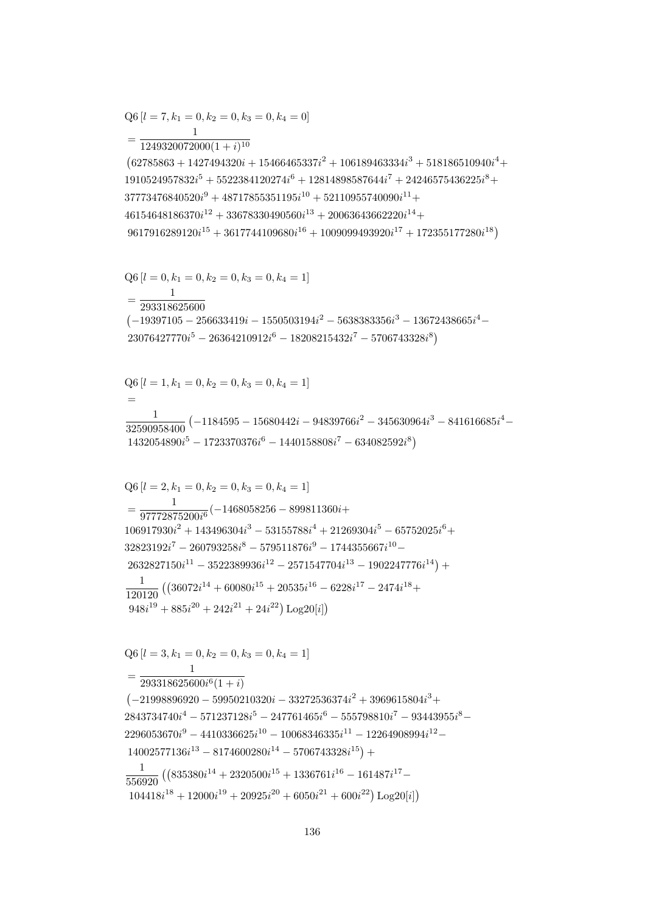$$
Q6 [l = 3, k_1 = 0, k_2 = 0, k_3 = 0, k_4 = 1]
$$
  
= 
$$
\frac{1}{293318625600i^6(1+i)}
$$
  

$$
(-21998896920 - 59950210320i - 33272536374i^2 + 3969615804i^3 + 2843734740i^4 - 571237128i^5 - 247761465i^6 - 555798810i^7 - 93443955i^8 - 2296053670i^9 - 4410336625i^{10} - 10068346335i^{11} - 12264908994i^{12} - 14002577136i^{13} - 8174600280i^{14} - 5706743328i^{15}) +
$$
\frac{1}{556920} ((835380i^{14} + 2320500i^{15} + 1336761i^{16} - 161487i^{17} - 104418i^{18} + 12000i^{19} + 20925i^{20} + 6050i^{21} + 600i^{22}) Log20[i])
$$
$$

$$
Q6 [l = 2, k_1 = 0, k_2 = 0, k_3 = 0, k_4 = 1]
$$
\n
$$
= \frac{1}{97772875200i^6} (-1468058256 - 899811360i +
$$
\n
$$
106917930i^2 + 143496304i^3 - 53155788i^4 + 21269304i^5 - 65752025i^6 +
$$
\n
$$
32823192i^7 - 260793258i^8 - 579511876i^9 - 1744355667i^{10} -
$$
\n
$$
2632827150i^{11} - 3522389936i^{12} - 2571547704i^{13} - 1902247776i^{14}) +
$$
\n
$$
\frac{1}{120120} ((36072i^{14} + 60080i^{15} + 20535i^{16} - 6228i^{17} - 2474i^{18} +
$$
\n
$$
948i^{19} + 885i^{20} + 242i^{21} + 24i^{22}) Log20[i])
$$

$$
Q6 [l = 1, k_1 = 0, k_2 = 0, k_3 = 0, k_4 = 1]
$$
  
=  

$$
\frac{1}{32590958400} (-1184595 - 15680442i - 94839766i^2 - 345630964i^3 - 841616685i^4 - 1432054890i^5 - 1723370376i^6 - 1440158808i^7 - 634082592i^8)
$$

$$
Q6 [l = 0, k_1 = 0, k_2 = 0, k_3 = 0, k_4 = 1]
$$
  
= 
$$
\frac{1}{293318625600}
$$
  
(-19397105 - 256633419i - 1550503194i<sup>2</sup> - 5638383356i<sup>3</sup> - 13672438665i<sup>4</sup> - 23076427770i<sup>5</sup> - 26364210912i<sup>6</sup> - 18208215432i<sup>7</sup> - 5706743328i<sup>8</sup>)

 $=\frac{1249320072000(1+i)^{10}}{1249320072000(1+i)^{10}}$  $(62785863 + 1427494320i + 15466465337i^2 + 106189463334i^3 + 518186510940i^4 +$  $1910524957832i^5 + 5522384120274i^6 + 12814898587644i^7 + 24246575436225i^8 +$  $37773476840520i<sup>9</sup> + 48717855351195i<sup>10</sup> + 52110955740090i<sup>11</sup> +$  $46154648186370i^{12} + 33678330490560i^{13} + 20063643662220i^{14} +$  $9617916289120i^{15} + 3617744109680i^{16} + 1009099493920i^{17} + 172355177280i^{18})$ 

$$
Q6 [l = 7, k_1 = 0, k_2 = 0, k_3 = 0, k_4 = 0]
$$
  
- 1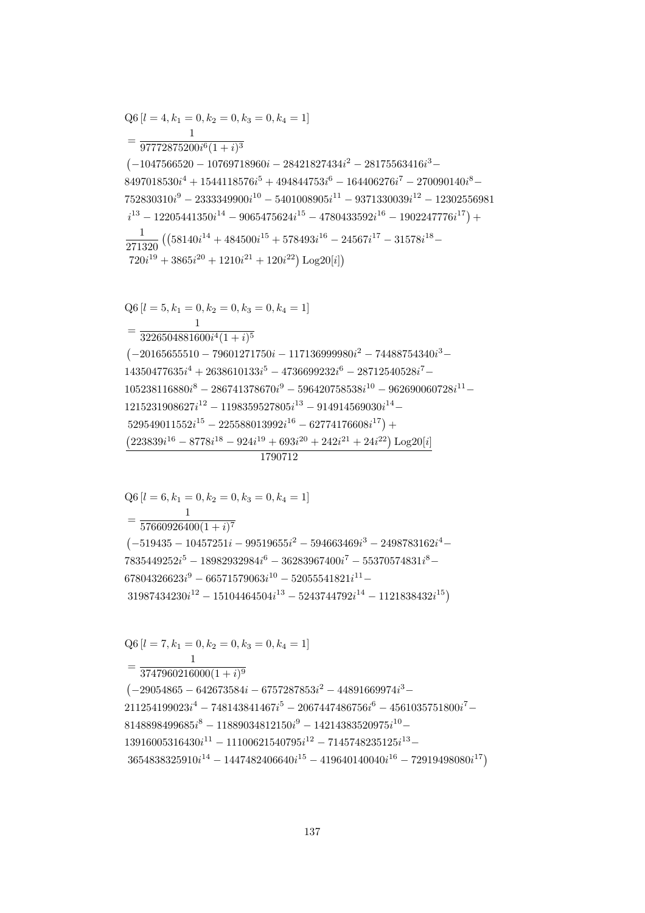$$
Q6 [l = 7, k_1 = 0, k_2 = 0, k_3 = 0, k_4 = 1]
$$
  
= 
$$
\frac{1}{3747960216000(1 + i)^9}
$$
  
(-29054865 - 642673584i - 6757287853i<sup>2</sup> - 44891669974i<sup>3</sup> -  
211254199023i<sup>4</sup> - 748143841467i<sup>5</sup> - 2067447486756i<sup>6</sup> - 4561035751800i<sup>7</sup> -  
8148898499685i<sup>8</sup> - 11889034812150i<sup>9</sup> - 14214383520975i<sup>10</sup> -  
13916005316430i<sup>11</sup> - 11100621540795i<sup>12</sup> - 7145748235125i<sup>13</sup> -  
3654838325910i<sup>14</sup> - 1447482406640i<sup>15</sup> - 419640140040i<sup>16</sup> - 72919498080i<sup>17</sup>)

 $= \frac{1}{57660926400(1+i)^7}$  $(-519435 - 10457251i - 99519655i^2 - 594663469i^3 - 2498783162i^4 7835449252i^5 - 18982932984i^6 - 36283967400i^7 - 55370574831i^8 67804326623i^9 - 66571579063i^{10} - 52055541821i^{11} 31987434230i^{12} - 15104464504i^{13} - 5243744792i^{14} - 1121838432i^{15})$ 

 $Q6 [l = 6, k_1 = 0, k_2 = 0, k_3 = 0, k_4 = 1]$ 

1790712

 $Q6[l = 5, k_1 = 0, k_2 = 0, k_3 = 0, k_4 = 1]$  $=\frac{1}{3226504881600i^4(1+i)^5}$  $(-20165655510 - 79601271750i - 117136999980i^2 - 74488754340i^3 14350477635i^4 + 2638610133i^5 - 4736699232i^6 - 28712540528i^7 105238116880i^8 - 286741378670i^9 - 596420758538i^{10} - 962690060728i^{11} 1215231908627i^{12} - 1198359527805i^{13} - 914914569030i^{14} 529549011552i^{15} - 225588013992i^{16} - 62774176608i^{17}$  +  $(223839i^{16} - 8778i^{18} - 924i^{19} + 693i^{20} + 242i^{21} + 24i^{22}) Log20[i]$ 

$$
\begin{aligned} & \text{Q6}\left[l=4,k_1=0,k_2=0,k_3=0,k_4=1\right] \\ & = \frac{1}{97772875200i^6(1+i)^3} \\ & \text{(-1047566520 - 10769718960i - 28421827434i^2 - 28175563416i^3 - 8497018530i^4 + 1544118576i^5 + 494844753i^6 - 164406276i^7 - 270090140i^8 - 752830310i^9 - 2333349900i^{10} - 5401008905i^{11} - 9371330039i^{12} - 12302556981 \\ & \hspace{1.5em} i^{13} - 12205441350i^{14} - 9065475624i^{15} - 4780433592i^{16} - 1902247776i^{17} \text{)} + \\ & \frac{1}{271320} \left( \left( 58140i^{14} + 484500i^{15} + 578493i^{16} - 24567i^{17} - 31578i^{18} - 720i^{19} + 3865i^{20} + 1210i^{21} + 120i^{22} \right) \text{Log} 20[i] \right) \end{aligned}
$$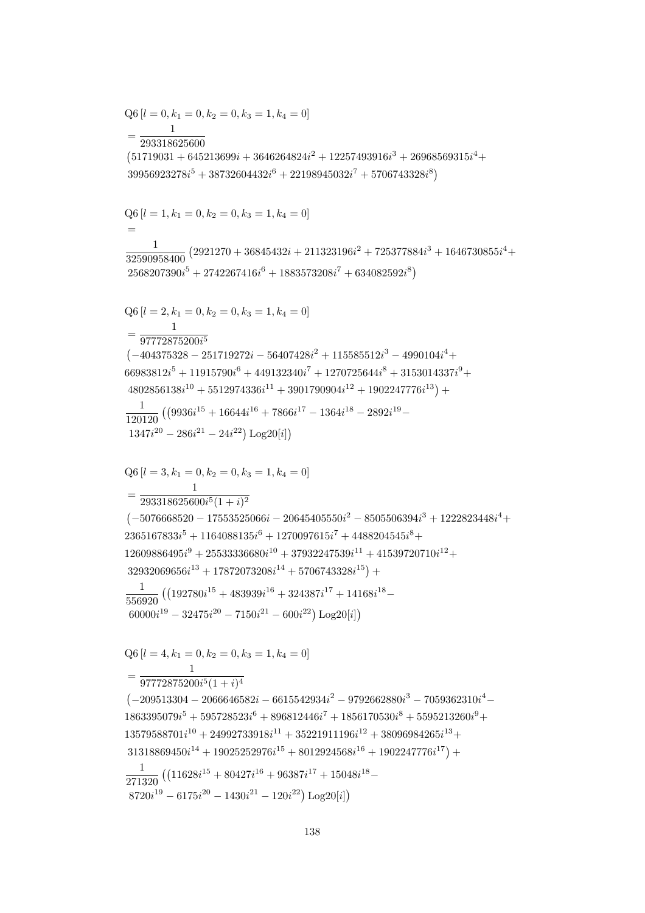$$
\begin{split} \text{Q6} \left[l=0,k_{1}=0,k_{2}=0,k_{3}=1,k_{4}=0\right] \\ & = \frac{1}{293318625600} \\ & = \frac{1}{293318625600} \\ \left(51719031+645213699i+3646264824i^2+12257493916i^3+26968569315i^4+39956923278i^5+38732604432i^6+22198945032i^7+5706743328i^8\right) \\ \text{Q6} \left[l=1,k_{1}=0,k_{2}=0,k_{3}=1,k_{4}=0\right] \\ & = \frac{1}{32590958400} \left(2921270+36845432i+211323196i^2+725377884i^3+1646730855i^4+2568207390i^5+2742267416i^6+1883573208i^7+634082592i^8\right) \\ \text{Q6} \left[l=2,k_{1}=0,k_{2}=0,k_{3}=1,k_{4}=0\right] \\ & = \frac{1}{977728752006^5} \\ & \left(-404375328-251719272i-56407428i^2+115585512i^3-4990104i^4+46083812i^5+11915790i^6+449132340i^7+1270725644i^8+3153014337i^9+4802856138i^{10}+5512974336i^{11}+3901790904i^{12}+1902247776i^{13}\right)+ \\ & \frac{1}{121120} \left(\left(9936i^{15}+16644i^{16}+7866i^{17}-1364i^{18}-2892i^{19}-1346i^{18}-2892i^{19}-1347i^{29}-286i^{21}-24i^{22}\right)\text{Log}20[i]\right) \\ & = \frac{
$$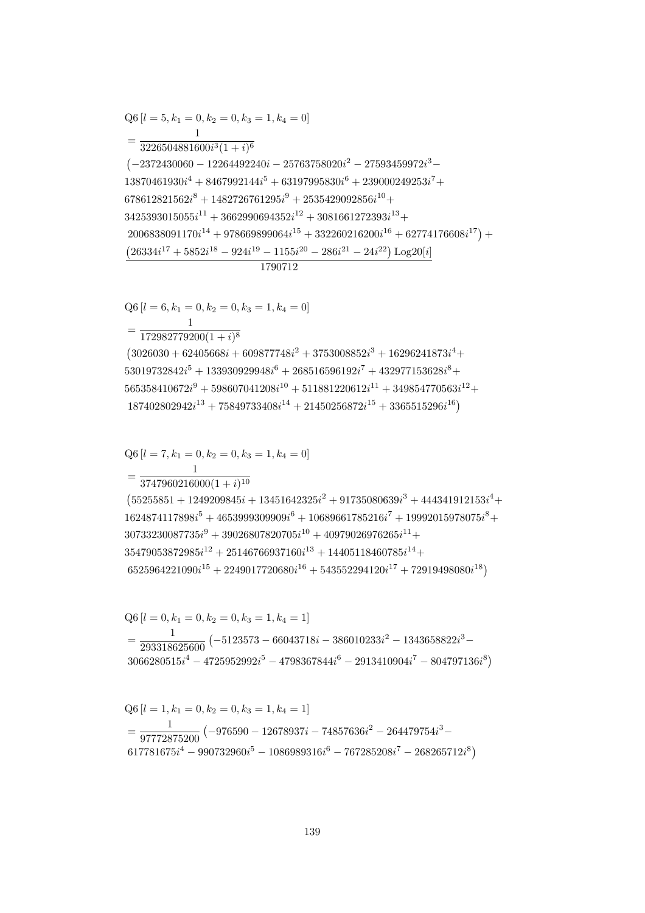$$
Q6 [l = 1, k_1 = 0, k_2 = 0, k_3 = 1, k_4 = 1]
$$
  
= 
$$
\frac{1}{97772875200} (-976590 - 12678937i - 74857636i^2 - 264479754i^3 - 617781675i^4 - 990732960i^5 - 1086989316i^6 - 767285208i^7 - 268265712i^8)
$$

$$
Q6 [l = 0, k_1 = 0, k_2 = 0, k_3 = 1, k_4 = 1]
$$
  
= 
$$
\frac{1}{293318625600} (-5123573 - 66043718i - 386010233i^2 - 1343658822i^3 - 3066280515i^4 - 4725952992i^5 - 4798367844i^6 - 2913410904i^7 - 804797136i^8)
$$

$$
\begin{split} & \text{Q6}\left[l=7, k_1=0, k_2=0, k_3=1, k_4=0\right] \\ & = \frac{1}{3747960216000(1+i)^{10}} \\ & \text{(55255851 + 1249209845i + 13451642325i^2 + 91735080639i^3 + 444341912153i^4 + 1624874117898i^5 + 4653999309909i^6 + 10689661785216i^7 + 19992015978075i^8 + 30733230087735i^9 + 39026807820705i^{10} + 40979026976265i^{11} + 35479053872985i^{12} + 25146766937160i^{13} + 14405118460785i^{14} + 6525964221090i^{15} + 2249017720680i^{16} + 543552294120i^{17} + 72919498080i^{18} \end{split}
$$

 $Q6 [l = 6, k_1 = 0, k_2 = 0, k_3 = 1, k_4 = 0]$  $= \frac{1}{172982779200(1+i)^8}$  $(3026030 + 62405668i + 609877748i^2 + 3753008852i^3 + 16296241873i^4 +$  $53019732842i^5 + 133930929948i^6 + 268516596192i^7 + 432977153628i^8 +$  $565358410672i^9 + 598607041208i^{10} + 511881220612i^{11} + 349854770563i^{12} +$  $187402802942i^{13} + 75849733408i^{14} + 21450256872i^{15} + 3365515296i^{16}$ 

## 1790712

 $Q6[l = 5, k_1 = 0, k_2 = 0, k_3 = 1, k_4 = 0]$  $=\frac{1}{3226504881600i^3(1+i)^6}$  $(-2372430060 - 12264492240i - 25763758020i^2 - 27593459972i^3 13870461930i^{4} + 8467992144i^{5} + 63197995830i^{6} + 239000249253i^{7} +$  $678612821562i^8 + 1482726761295i^9 + 2535429092856i^{10} +$  $3425393015055i^{11} + 3662990694352i^{12} + 3081661272393i^{13} +$  $2006838091170i^{14} + 978669899064i^{15} + 332260216200i^{16} + 62774176608i^{17}) +$  $(26334i^{17} + 5852i^{18} - 924i^{19} - 1155i^{20} - 286i^{21} - 24i^{22}) \text{Log }20[i]$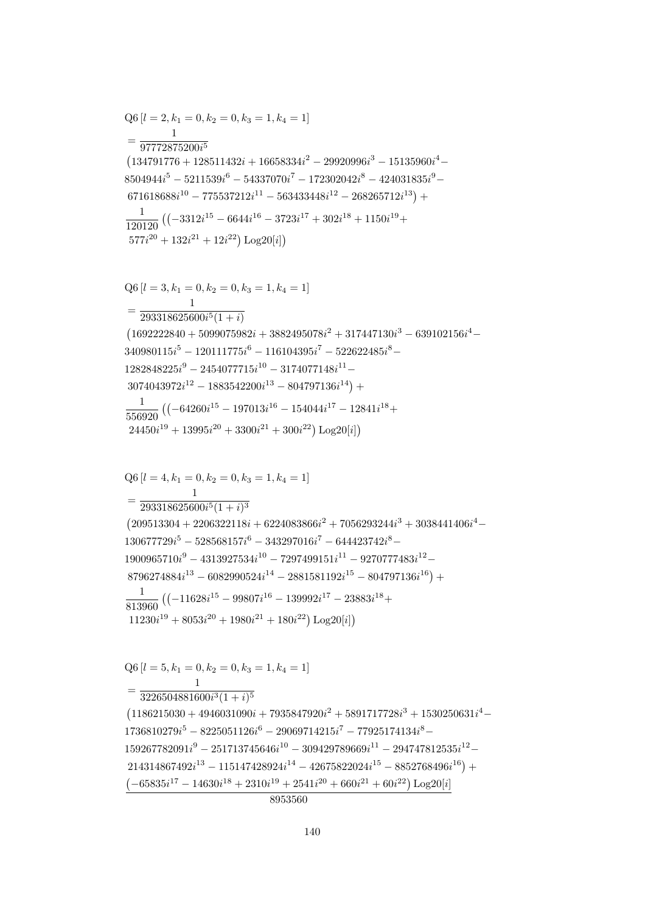$\mathbf{1}$  $=\frac{1}{3226504881600i^3(1+i)^5}$  $(1186215030 + 4946031090i + 7935847920i^2 + 5891717728i^3 + 1530250631i^4 1736810279i^5 - 8225051126i^6 - 29069714215i^7 - 77925174134i^8 159267782091i^9 - 251713745646i^{10} - 309429789669i^{11} - 294747812535i^{12} 214314867492i^{13} - 115147428924i^{14} - 42675822024i^{15} - 8852768496i^{16}) +$  $\left(-65835 i^{17} - 14630 i^{18} + 2310 i^{19} + 2541 i^{20} + 660 i^{21} + 60 i^{22}\right) \text{Log}20[\boldsymbol{i}]$  $\overline{8953560}$ 

$$
Q6 [l = 5, k_1 = 0, k_2 = 0, k_3 = 1, k_4 = 1]
$$

$$
\begin{aligned} & \text{Q6}\left[l=4,k_1=0,k_2=0,k_3=1,k_4=1\right] \\ & = \frac{1}{293318625600i^5(1+i)^3} \\ & \text{(209513304+2206322118i+6224083866i^2+7056293244i^3+3038441406i^4-130677729i^5-528568157i^6-343297016i^7-644423742i^8-1900965710i^9-4313927534i^{10}-7297499151i^{11}-9270777483i^{12}-\\ & 8796274884i^{13}-6082990524i^{14}-2881581192i^{15}-804797136i^{16}\big) +\\ & \frac{1}{813960}\left((-11628i^{15}-99807i^{16}-139992i^{17}-23883i^{18}+\\ & 11230i^{19}+8053i^{20}+1980i^{21}+180i^{22}\right)\text{Log}20[i]\right) \end{aligned}
$$

$$
Q6 [l = 3, k_1 = 0, k_2 = 0, k_3 = 1, k_4 = 1]
$$
\n
$$
= \frac{1}{293318625600i^5(1+i)}
$$
\n
$$
(1692222840 + 5099075982i + 3882495078i^2 + 317447130i^3 - 639102156i^4 - 340980115i^5 - 120111775i^6 - 116104395i^7 - 522622485i^8 - 1282848225i^9 - 2454077715i^{10} - 3174077148i^{11} - 3074043972i^{12} - 1883542200i^{13} - 804797136i^{14}) + 107043972i^{12} - 197013i^{16} - 154044i^{17} - 12841i^{18} + 24450i^{19} + 13995i^{20} + 3300i^{21} + 300i^{22}) Log20[i]
$$

$$
Q6 [l = 2, k_1 = 0, k_2 = 0, k_3 = 1, k_4 = 1]
$$
  
= 
$$
\frac{1}{97772875200i^5}
$$
  
(134791776 + 128511432i + 16658334i<sup>2</sup> - 29920996i<sup>3</sup> - 15135960i<sup>4</sup> - 8504944i<sup>5</sup> - 5211539i<sup>6</sup> - 54337070i<sup>7</sup> - 172302042i<sup>8</sup> - 424031835i<sup>9</sup> - 671618688i<sup>10</sup> - 775537212i<sup>11</sup> - 563433448i<sup>12</sup> - 268265712i<sup>13</sup>) +  

$$
\frac{1}{120120} ((-3312i^{15} - 6644i^{16} - 3723i^{17} + 302i^{18} + 1150i^{19} + 577i^{20} + 132i^{21} + 12i^{22}) Log20[i])
$$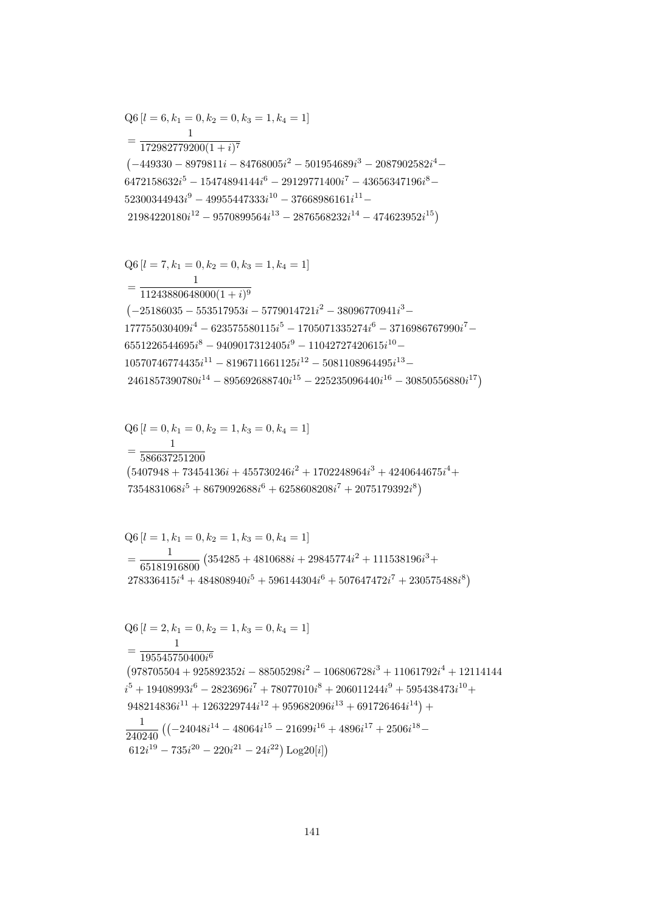$$
Q6 [l = 6, k_1 = 0, k_2 = 0, k_3 = 1, k_4 = 1]
$$
  
= 
$$
\frac{1}{172982779200(1 + i)^7}
$$
  

$$
(-449330 - 8979811i - 84768005i^2 - 501954689i^3 - 2087902582i^4 - 6472158632i^5 - 15474894144i^6 - 29129771400i^7 - 43656347196i^8 - 52300344943i^9 - 49955447333i^{10} - 37668986161i^{11} - 21984220180i^{12} - 9570899564i^{13} - 2876568232i^{14} - 474623952i^{15})
$$
  

$$
Q6 [l = 7, k_1 = 0, k_2 = 0, k_3 = 1, k_4 = 1]
$$

$$
Q6 [l = 7, k_1 = 0, k_2 = 0, k_3 = 1, k_4 = 1]
$$
  
= 
$$
\frac{1}{11243880648000(1 + i)^9}
$$
  
(-25186035 - 553517953i - 5779014721i<sup>2</sup> - 38096770941i<sup>3</sup> -  
177755030409i<sup>4</sup> - 623575580115i<sup>5</sup> - 1705071335274i<sup>6</sup> - 3716986767990i<sup>7</sup> -  
6551226544695i<sup>8</sup> - 9409017312405i<sup>9</sup> - 11042727420615i<sup>10</sup> -  
10570746774435i<sup>11</sup> - 8196711661125i<sup>12</sup> - 5081108964495i<sup>13</sup> -  
2461857390780i<sup>14</sup> - 895692688740i<sup>15</sup> - 225235096440i<sup>16</sup> - 30850556880i<sup>17</sup>)

$$
=\frac{1}{586637251200}
$$
\n
$$
(5407948 + 73454136i + 455730246i^2 + 1702248964i^3 + 4240644675i^4 + 7354831068i^5 + 8679092688i^6 + 6258608208i^7 + 2075179392i^8)
$$

 $Q6[l = 0, k_1 = 0, k_2 = 1, k_3 = 0, k_4 = 1]$ 

$$
Q6 [l = 1, k_1 = 0, k_2 = 1, k_3 = 0, k_4 = 1]
$$
  
= 
$$
\frac{1}{65181916800} (354285 + 4810688i + 29845774i^2 + 111538196i^3 + 278336415i^4 + 484808940i^5 + 596144304i^6 + 507647472i^7 + 230575488i^8)
$$

$$
Q6 [l = 2, k_1 = 0, k_2 = 1, k_3 = 0, k_4 = 1]
$$
  
= 
$$
\frac{1}{195545750400i^6}
$$
  
(978705504 + 925892352i - 88505298i<sup>2</sup> - 106806728i<sup>3</sup> + 11061792i<sup>4</sup> + 12114144  
i<sup>5</sup> + 19408993i<sup>6</sup> - 2823696i<sup>7</sup> + 78077010i<sup>8</sup> + 206011244i<sup>9</sup> + 595438473i<sup>10</sup> +  
948214836i<sup>11</sup> + 1263229744i<sup>12</sup> + 959682096i<sup>13</sup> + 691726464i<sup>14</sup>) +  

$$
\frac{1}{240240} ((-24048i14 - 48064i15 - 21699i16 + 4896i17 + 2506i18 -612i19 - 735i20 - 220i21 - 24i22) Log20[i])
$$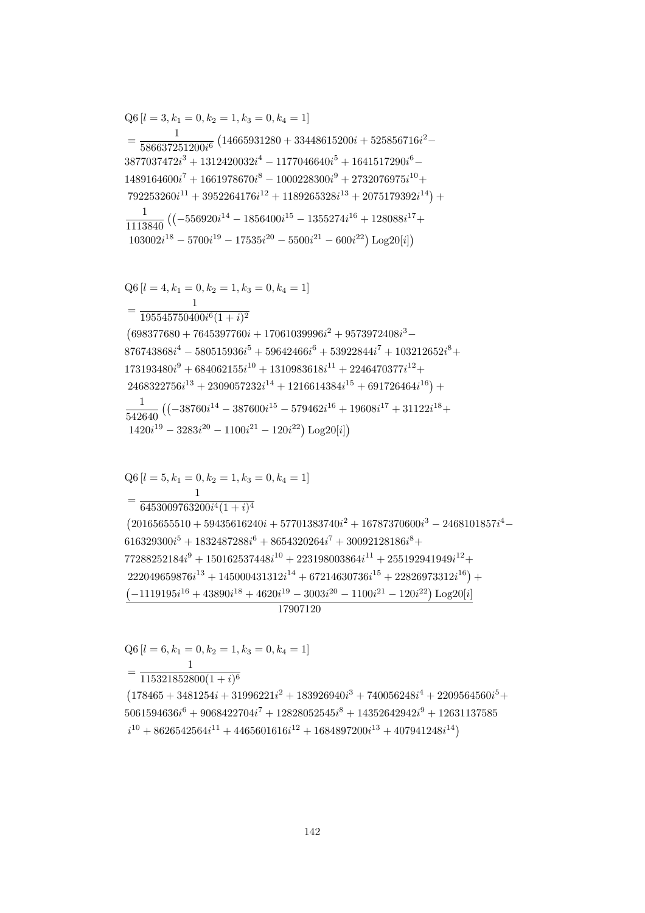$=\frac{1}{115321852800(1+i)^6}$  $(178465 + 3481254i + 31996221i^2 + 183926940i^3 + 740056248i^4 + 2209564560i^5 +$  $5061594636i^6 + 9068422704i^7 + 12828052545i^8 + 14352642942i^9 + 12631137585$  $i^{10} + 8626542564i^{11} + 4465601616i^{12} + 1684897200i^{13} + 407941248i^{14})$ 

 $Q6[l = 6, k_1 = 0, k_2 = 1, k_3 = 0, k_4 = 1]$ 

 $Q6[l = 5, k_1 = 0, k_2 = 1, k_3 = 0, k_4 = 1]$  $\mathbf{1}$  $=\frac{1}{6453009763200i^4(1+i)^4}$  $(20165655510 + 59435616240i + 57701383740i<sup>2</sup> + 16787370600i<sup>3</sup> - 2468101857i<sup>4</sup> 616329300i^5 + 1832487288i^6 + 8654320264i^7 + 30092128186i^8 +$  $77288252184i^9 + 150162537448i^{10} + 223198003864i^{11} + 255192941949i^{12} +$  $222049659876i^{13} + 145000431312i^{14} + 67214630736i^{15} + 22826973312i^{16}) +$  $\left(-1119195i^{16} + 43890i^{18} + 4620i^{19} - 3003i^{20} - 1100i^{21} - 120i^{22}\right)\text{Log}20[i]$ 17907120

$$
\begin{aligned} & \text{Q6}\left[l=4,k_1=0,k_2=1,k_3=0,k_4=1\right] \\ & = \frac{1}{195545750400i^6(1+i)^2} \\ & \text{(698377680+7645397760i+17061039996i^2+9573972408i^3-} \\ & 876743868i^4-580515936i^5+59642466i^6+53922844i^7+103212652i^8+ \\ & 173193480i^9+684062155i^{10}+1310983618i^{11}+2246470377i^{12}+ \\ & 2468322756i^{13}+2309057232i^{14}+1216614384i^{15}+691726464i^{16})+ \\ & \frac{1}{542640}\left(\left(-38760i^{14}-387600i^{15}-579462i^{16}+19608i^{17}+31122i^{18}+ \\ & 1420i^{19}-3283i^{20}-1100i^{21}-120i^{22}\right)\text{Log20}[i]\right) \end{aligned}
$$

$$
Q6 [l = 3, k_1 = 0, k_2 = 1, k_3 = 0, k_4 = 1]
$$
\n
$$
= \frac{1}{586637251200i^6} (14665931280 + 33448615200i + 525856716i^2 - 3877037472i^3 + 1312420032i^4 - 1177046640i^5 + 1641517290i^6 - 1489164600i^7 + 1661978670i^8 - 1000228300i^9 + 2732076975i^{10} + 792253260i^{11} + 3952264176i^{12} + 1189265328i^{13} + 2075179392i^{14}) + 1113840 ((-556920i^{14} - 1856400i^{15} - 1355274i^{16} + 128088i^{17} + 103002i^{18} - 5700i^{19} - 17535i^{20} - 5500i^{21} - 600i^{22}) Log20[i])
$$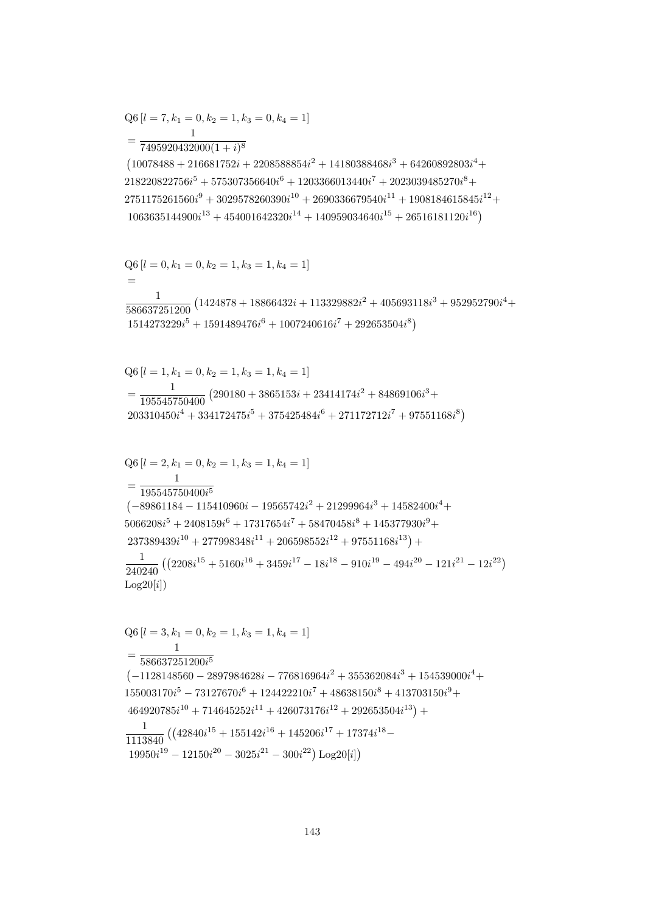$$
Q6 [l = 2, k_1 = 0, k_2 = 1, k_3 = 1, k_4 = 1]
$$
\n
$$
= \frac{1}{195545750400i^5}
$$
\n
$$
(-89861184 - 115410960i - 19565742i^2 + 21299964i^3 + 14582400i^4 + 5066208i^5 + 2408159i^6 + 17317654i^7 + 58470458i^8 + 145377930i^9 + 237389439i^{10} + 277998348i^{11} + 206598552i^{12} + 97551168i^{13}) + 1
$$
\n
$$
\frac{1}{240240} ((2208i^{15} + 5160i^{16} + 3459i^{17} - 18i^{18} - 910i^{19} - 494i^{20} - 121i^{21} - 12i^{22})
$$
\n
$$
Log20[i])
$$
\n
$$
Q6 [l = 3, k_1 = 0, k_2 = 1, k_3 = 1, k_4 = 1]
$$
\n
$$
= \frac{1}{586637251200i^5}
$$
\n
$$
(-1128148560 - 2897984628i - 776816964i^2 + 355362084i^3 + 154539000i^4 + 155003170i^5 - 73127670i^6 + 124422210i^7 + 48638150i^8 + 413703150i^9 + 464920785i^{10} + 714645252i^{11} + 426073176i^{12} + 292653504i^{13}) + 1
$$
\n
$$
\frac{1}{1113840} ((42840i^{15} + 155142i^{16} + 145206i^{17} + 17374i^{18} - 19950i^{19} - 12150
$$

$$
Q6 [l = 1, k_1 = 0, k_2 = 1, k_3 = 1, k_4 = 1]
$$
  
= 
$$
\frac{1}{195545750400} (290180 + 3865153i + 23414174i^2 + 84869106i^3 + 203310450i^4 + 334172475i^5 + 375425484i^6 + 271172712i^7 + 97551168i^8)
$$

 $=$  $\frac{1}{586637251200} \left(1424878 + 18866432 i + 113329882 i^2 + 405693118 i^3 + 952952790 i^4 + \right.$  $\,1$  $1514273229i<sup>5</sup> + 1591489476i<sup>6</sup> + 1007240616i<sup>7</sup> + 292653504i<sup>8</sup>)$ 

$$
Q6 [l = 0, k_1 = 0, k_2 = 1, k_3 = 1, k_4 = 1]
$$

 $7495920432000(1+i)^8$  $(10078488 + 216681752i + 2208588854i^2 + 14180388468i^3 + 64260892803i^4 +$  $218220822756i^5 + 575307356640i^6 + 1203366013440i^7 + 2023039485270i^8 +$  $2751175261560i^9 + 3029578260390i^{10} + 2690336679540i^{11} + 1908184615845i^{12} +$  $1063635144900i^{13} + 454001642320i^{14} + 140959034640i^{15} + 26516181120i^{16})$ 

$$
Q6 [l = 7, k_1 = 0, k_2 = 1, k_3 = 0, k_4 = 1]
$$
  
= 
$$
\frac{1}{7405020432000(1+i)^8}
$$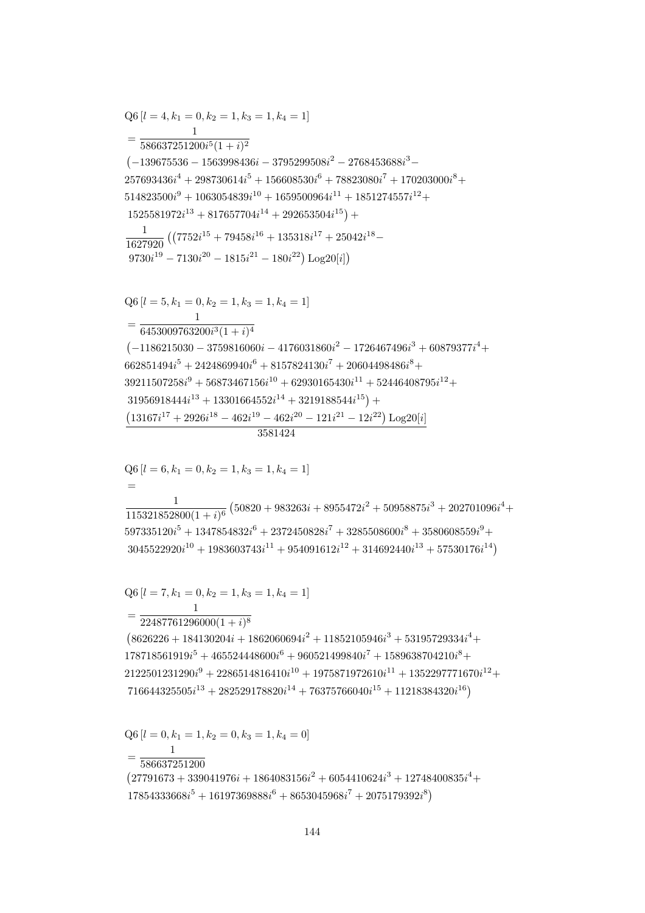$Q6 [l = 0, k_1 = 1, k_2 = 0, k_3 = 1, k_4 = 0]$  $=\frac{1}{586637251200}$  $(27791673 + 339041976i + 1864083156i^2 + 6054410624i^3 + 12748400835i^4 +$  $17854333668i^5 + 16197369888i^6 + 8653045968i^7 + 2075179392i^8$ 

 $=\frac{1}{22487761296000(1+i)^8}$  $(8626226 + 184130204i + 1862060694i^2 + 11852105946i^3 + 53195729334i^4 +$  $178718561919i<sup>5</sup> + 465524448600i<sup>6</sup> + 960521499840i<sup>7</sup> + 1589638704210i<sup>8</sup> +$  $2122501231290i^9 + 2286514816410i^{10} + 1975871972610i^{11} + 1352297771670i^{12} +$  $716644325505i^{13} + 282529178820i^{14} + 76375766040i^{15} + 11218384320i^{16})$ 

 $Q6 [l = 7, k_1 = 0, k_2 = 1, k_3 = 1, k_4 = 1]$ 

 $\overline{\phantom{m}}$  $\frac{1}{115321852800(1+i)^6} \left(50820+983263i+8955472i^2+50958875i^3+202701096i^4+\right.$  $597335120i^5 + 1347854832i^6 + 2372450828i^7 + 3285508600i^8 + 3580608559i^9 +$  $3045522920i^{10} + 1983603743i^{11} + 954091612i^{12} + 314692440i^{13} + 57530176i^{14})$ 

 $Q6 [l = 6, k_1 = 0, k_2 = 1, k_3 = 1, k_4 = 1]$ 

 $Q6$  [ $l = 4, k_1 = 0, k_2 = 1, k_3 = 1, k_4 = 1$ ]

 $=\frac{1}{586637251200i^5(1+i)^2}$  $(-139675536 - 1563998436i - 3795299508i^2 - 2768453688i^3 257693436i^{4} + 298730614i^{5} + 156608530i^{6} + 78823080i^{7} + 170203000i^{8} +$  $514823500i^9 + 1063054839i^{10} + 1659500964i^{11} + 1851274557i^{12} +$  $1525581972i^{13} + 817657704i^{14} + 292653504i^{15}) +$  $\frac{1}{1627920} \left( \left( 7752i^{15} + 79458i^{16} + 135318i^{17} + 25042i^{18} - \right. \right.$  $9730i^{19} - 7130i^{20} - 1815i^{21} - 180i^{22}$ ) Log20[i])  $Q6 [l = 5, k_1 = 0, k_2 = 1, k_3 = 1, k_4 = 1]$  $=\frac{1}{6453009763200i^3(1+i)^4}$  $(-1186215030 - 3759816060i - 4176031860i^2 - 1726467496i^3 + 60879377i^4 +$  $662851494i^{5} + 2424869940i^{6} + 8157824130i^{7} + 20604498486i^{8} +$  $39211507258i<sup>9</sup> + 56873467156i<sup>10</sup> + 62930165430i<sup>11</sup> + 52446408795i<sup>12</sup> +$  $31956918444i^{13} + 13301664552i^{14} + 3219188544i^{15}) +$  $\left(13167i^{17} + 2926i^{18} - 462i^{19} - 462i^{20} - 121i^{21} - 12i^{22}\right) \text{Log}20[i]$ 3581424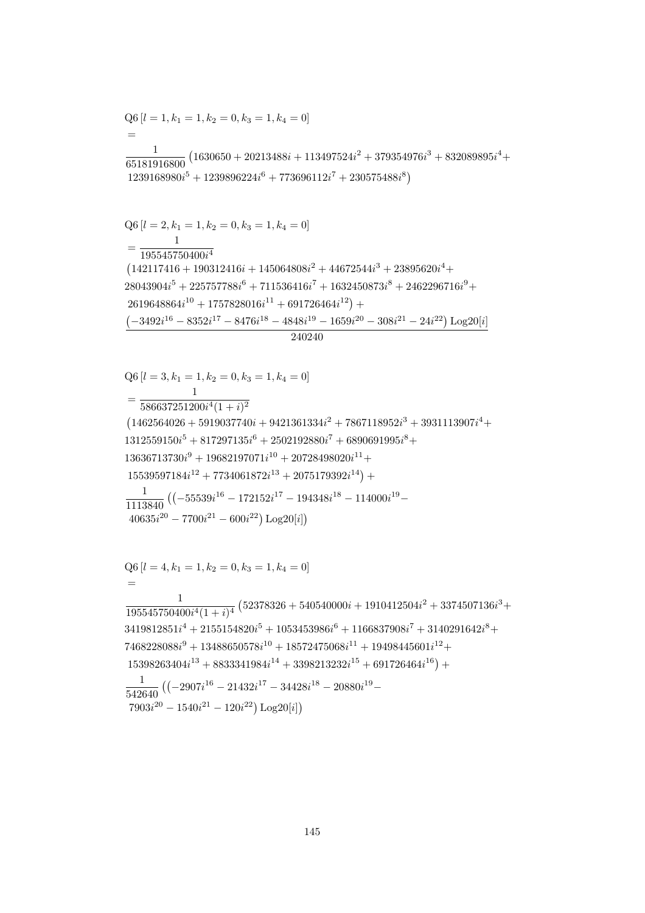$$
Q6 [l = 4, k_1 = 1, k_2 = 0, k_3 = 1, k_4 = 0]
$$
  
=  

$$
\frac{1}{195545750400i^4(1+i)^4} (52378326 + 540540000i + 1910412504i^2 + 3374507136i^3 + 3419812851i^4 + 2155154820i^5 + 1053453986i^6 + 1166837908i^7 + 3140291642i^8 + 7468228088i^9 + 13488650578i^{10} + 18572475068i^{11} + 19498445601i^{12} + 15398263404i^{13} + 8833341984i^{14} + 3398213232i^{15} + 691726464i^{16}) +
$$
\frac{1}{542640} ((-2907i^{16} - 21432i^{17} - 34428i^{18} - 20880i^{19} - 7903i^{20} - 1540i^{21} - 120i^{22}) Log20[i])
$$
$$

$$
Q6 [l = 3, k_1 = 1, k_2 = 0, k_3 = 1, k_4 = 0]
$$
\n
$$
= \frac{1}{586637251200i^4(1 + i)^2}
$$
\n
$$
(1462564026 + 5919037740i + 9421361334i^2 + 7867118952i^3 + 3931113907i^4 + 1312559150i^5 + 817297135i^6 + 2502192880i^7 + 6890691995i^8 + 13636713730i^9 + 19682197071i^{10} + 20728498020i^{11} + 15539597184i^{12} + 7734061872i^{13} + 2075179392i^{14}) + 1113840 ((-55539i^{16} - 172152i^{17} - 194348i^{18} - 114000i^{19} - 40635i^{20} - 7700i^{21} - 600i^{22}) Log20[i])
$$

240240

 $Q6 [l = 2, k_1 = 1, k_2 = 0, k_3 = 1, k_4 = 0]$  $\overline{1}$  $=\frac{1}{195545750400i^4}$  $\left(142117416+190312416i+145064808i^2+44672544i^3+23895620i^4+\right.$  $28043904i^5 + 225757788i^6 + 711536416i^7 + 1632450873i^8 + 2462296716i^9 +$  $2619648864i^{10} + 1757828016i^{11} + 691726464i^{12}) +$  $\left(-3492i^{16}-8352i^{17}-8476i^{18}-4848i^{19}-1659i^{20}-308i^{21}-24i^{22}\right)\text{Log}20[i]$ 

 $Q6[l = 1, k_1 = 1, k_2 = 0, k_3 = 1, k_4 = 0]$  $=$  $\frac{1}{65181916800}\left(1630650+20213488 i + 113497524 i^2 + 379354976 i^3 + 832089895 i^4 + \right.$  $1239168980i^5 + 1239896224i^6 + 773696112i^7 + 230575488i^8$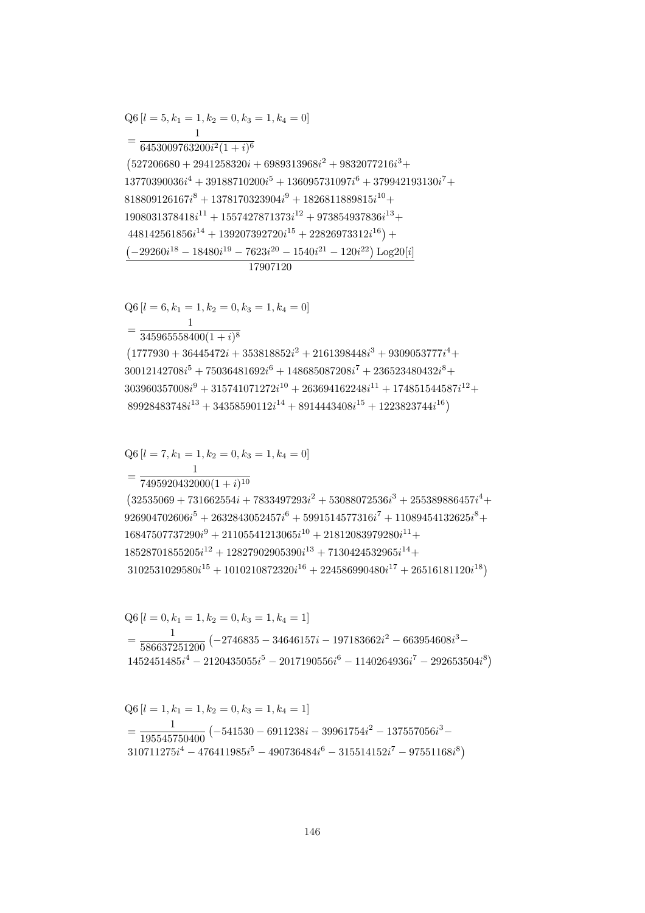$$
Q6 [l = 1, k_1 = 1, k_2 = 0, k_3 = 1, k_4 = 1]
$$
  
= 
$$
\frac{1}{195545750400} (-541530 - 6911238i - 39961754i^2 - 137557056i^3 - 310711275i^4 - 476411985i^5 - 490736484i^6 - 315514152i^7 - 97551168i^8)
$$

$$
Q6 [l = 0, k_1 = 1, k_2 = 0, k_3 = 1, k_4 = 1]
$$
  
=  $\frac{1}{586637251200} (-2746835 - 34646157i - 197183662i^2 - 663954608i^3 - 1452451485i^4 - 2120435055i^5 - 2017190556i^6 - 1140264936i^7 - 292653504i^8)$ 

$$
=\frac{1}{7495920432000(1+i)^{10}}(32535069 + 731662554i + 7833497293i^2 + 53088072536i^3 + 255389886457i^4 +926904702606i^5 + 2632843052457i^6 + 5991514577316i^7 + 11089454132625i^8 +16847507737290i^9 + 21105541213065i^{10} + 21812083979280i^{11} +18528701855205i^{12} + 12827902905390i^{13} + 7130424532965i^{14} +3102531029580i^{15} + 1010210872320i^{16} + 224586990480i^{17} + 26516181120i^{18})
$$

$$
(1777930 + 36445472i + 353818852i2 + 2161398448i3 + 9309053777i4 +30012142708i5 + 75036481692i6 + 148685087208i7 + 236523480432i8 +303960357008i9 + 315741071272i10 + 263694162248i11 + 174851544587i12 +89928483748i13 + 34358590112i14 + 8914443408i15 + 1223823744i16)
$$

 $Q6[l = 6, k_1 = 1, k_2 = 0, k_3 = 1, k_4 = 0]$  $=\frac{1}{345065558400(1+i)8}$ 

$$
(\mathcal{M}_\mathcal{A},\mathcal{M}_\mathcal{A},\mathcal{M}_\mathcal{A},\mathcal{M}_\mathcal{A},\mathcal{M}_\mathcal{A},\mathcal{M}_\mathcal{A},\mathcal{M}_\mathcal{A},\mathcal{M}_\mathcal{A},\mathcal{M}_\mathcal{A},\mathcal{M}_\mathcal{A},\mathcal{M}_\mathcal{A},\mathcal{M}_\mathcal{A},\mathcal{M}_\mathcal{A},\mathcal{M}_\mathcal{A},\mathcal{M}_\mathcal{A},\mathcal{M}_\mathcal{A},\mathcal{M}_\mathcal{A},\mathcal{M}_\mathcal{A},\mathcal{M}_\mathcal{A},\mathcal{M}_\mathcal{A},\mathcal{M}_\mathcal{A},\mathcal{M}_\mathcal{A},\mathcal{M}_\mathcal{A},\mathcal{M}_\mathcal{A},\mathcal{M}_\mathcal{A},\mathcal{M}_\mathcal{A},\mathcal{M}_\mathcal{A},\mathcal{M}_\mathcal{A},\mathcal{M}_\mathcal{A},\mathcal{M}_\mathcal{A},\mathcal{M}_\mathcal{A},\mathcal{M}_\mathcal{A},\mathcal{M}_\mathcal{A},\mathcal{M}_\mathcal{A},\mathcal{M}_\mathcal{A},\mathcal{M}_\mathcal{A},\mathcal{M}_\mathcal{A},\mathcal{M}_\mathcal{A},\mathcal{M}_\mathcal{A},\mathcal{M}_\mathcal{A},\mathcal{M}_\mathcal{A},\mathcal{M}_\mathcal{A},\mathcal{M}_\mathcal{A},\mathcal{M}_\mathcal{A},\mathcal{M}_\mathcal{A},\mathcal{M}_\mathcal{A},\mathcal{M}_\mathcal{A},\mathcal{M}_\mathcal{A},\mathcal{M}_\mathcal{A},\mathcal{M}_\mathcal{A},\mathcal{M}_\mathcal{A},\mathcal{M}_\mathcal{A},\mathcal{M}_\mathcal{A},\mathcal{M}_\mathcal{A},\mathcal{M}_\mathcal{A},\mathcal{M}_\mathcal{A},\mathcal{M}_\mathcal{A},\mathcal{M}_\mathcal{A},\mathcal{M}_\mathcal{A},\mathcal{M}_\mathcal{A},\mathcal{M}_\mathcal{A},\mathcal{M}_\mathcal{A},\mathcal{M}_\mathcal{A},\mathcal
$$

 $Q6$  [ $l = 7, k_1 = 1, k_2 = 0, k_3 = 1, k_4 = 0$ ]

 $Q6[l = 5, k_1 = 1, k_2 = 0, k_3 = 1, k_4 = 0]$  $\mathbf{1}$  $=\frac{1}{6453009763200i^2(1+i)^6}$  $(527206680 + 2941258320i + 6989313968i^2 + 9832077216i^3 +$  $13770390036i^4 + 39188710200i^5 + 136095731097i^6 + 379942193130i^7 +$  $818809126167i^8 + 1378170323904i^9 + 1826811889815i^{10} +$  $1908031378418i^{11} + 1557427871373i^{12} + 973854937836i^{13} +$  $448142561856i^{14} + 139207392720i^{15} + 22826973312i^{16}$  +  $\left(-29260i^{18} - 18480i^{19} - 7623i^{20} - 1540i^{21} - 120i^{22}\right)\text{Log}20[i]$ 17907120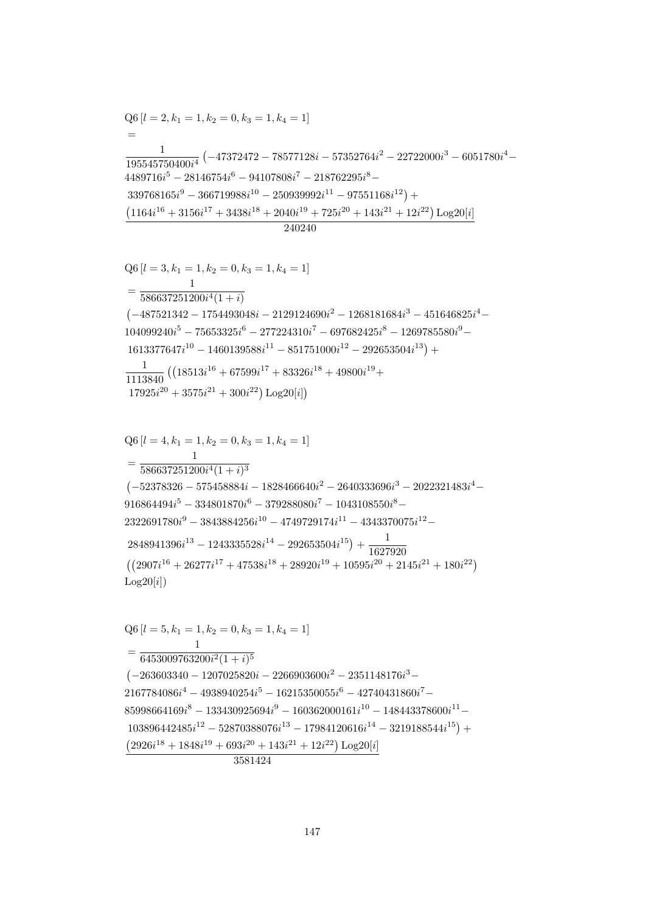147

3581424

 $=\frac{}{586637251200i^4(1+i)^3}$  $(-52378326 - 575458884i - 1828466640i^2 - 2640333696i^3 - 2022321483i^4 916864494i^{5}-334801870i^{6}-379288080i^{7}-1043108550i^{8} 2322691780i^9 - 3843884256i^{10} - 4749729174i^{11} - 4343370075i^{12} 2848941396i^{13} - 1243335528i^{14} - 292653504i^{15}) + \frac{1}{1627920}$  $((2907i^{16} + 26277i^{17} + 47538i^{18} + 28920i^{19} + 10595i^{20} + 2145i^{21} + 180i^{22})$  $Log20[i])$  $Q6[l = 5, k_1 = 1, k_2 = 0, k_3 = 1, k_4 = 1]$  $\mathbf{1}$  $= \frac{1}{6453009763200i^2(1+i)^5}$  $(-263603340 - 1207025820i - 2266903600i^2 - 2351148176i^3 2167784086i^4 - 4938940254i^5 - 16215350055i^6 - 42740431860i^7 - \\$  $85998664169i<sup>8</sup> - 133430925694i<sup>9</sup> - 160362000161i<sup>10</sup> - 148443378600i<sup>11</sup> 103896442485i^{12} - 52870388076i^{13} - 17984120616i^{14} - 3219188544i^{15}) + \\$  $(2926i^{18} + 1848i^{19} + 693i^{20} + 143i^{21} + 12i^{22})$  Log20[i]

$$
Q6 [l = 3, k_1 = 1, k_2 = 0, k_3 = 1, k_4 = 1]
$$
\n
$$
= \frac{1}{586637251200i^4(1+i)}
$$
\n
$$
(-487521342 - 1754493048i - 2129124690i^2 - 1268181684i^3 - 451646825i^4 - 104099240i^5 - 75653325i^6 - 277224310i^7 - 697682425i^8 - 1269785580i^9 - 1613377647i^{10} - 1460139588i^{11} - 851751000i^{12} - 292653504i^{13}) + \frac{1}{1113840} ((18513i^{16} + 67599i^{17} + 83326i^{18} + 49800i^{19} + 17925i^{20} + 3575i^{21} + 300i^{22}) Log20[i])
$$

 $Q6[l = 4, k_1 = 1, k_2 = 0, k_3 = 1, k_4 = 1]$ 

 $Q6[l = 2, k_1 = 1, k_2 = 0, k_3 = 1, k_4 = 1]$  $\frac{1}{195545750400i^4} \left(-47372472 - 78577128i - 57352764i^2 - 22722000i^3 - 6051780i^4 - \right.$  $4489716i<sup>5</sup> - 28146754i<sup>6</sup> - 94107808i<sup>7</sup> - 218762295i<sup>8</sup> 339768165i<sup>9</sup> - 366719988i<sup>10</sup> - 250939992i<sup>11</sup> - 97551168i<sup>12</sup>) +$  $\left( 1164i^{16} + 3156i^{17} + 3438i^{18} + 2040i^{19} + 725i^{20} + 143i^{21} + 12i^{22} \right) \text{Log} 20[i]$  $240240$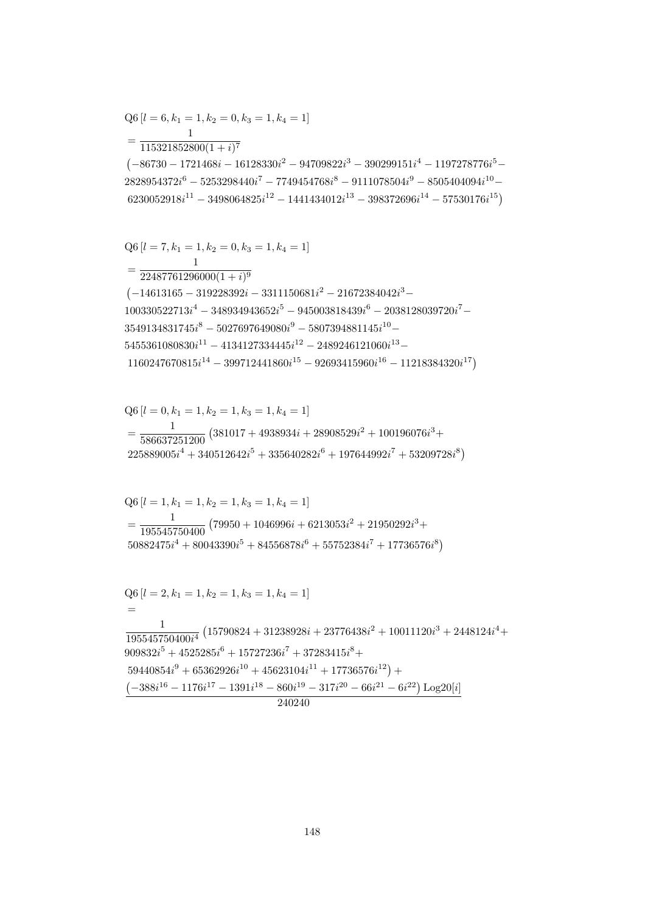$Q6$  [ $l = 2, k_1 = 1, k_2 = 1, k_3 = 1, k_4 = 1$ ]  $=$  $\mathbf{1}$  $\frac{1}{195545750400i^4}\left(15790824 + 31238928i + 23776438i^2 + 10011120i^3 + 2448124i^4 + \right.$  $909832i^5 + 4525285i^6 + 15727236i^7 + 37283415i^8 +$  $59440854i^9 + 65362926i^{10} + 45623104i^{11} + 17736576i^{12}) +$  $\left(-388i^{16}-1176i^{17}-1391i^{18}-860i^{19}-317i^{20}-66i^{21}-6i^{22}\right)\text{Log}20[i]$ 240240

$$
Q6 [l = 1, k_1 = 1, k_2 = 1, k_3 = 1, k_4 = 1]
$$
  
= 
$$
\frac{1}{195545750400} (79950 + 1046996i + 6213053i^2 + 21950292i^3 + 50882475i^4 + 80043390i^5 + 84556878i^6 + 55752384i^7 + 17736576i^8)
$$

$$
Q6 [l = 0, k_1 = 1, k_2 = 1, k_3 = 1, k_4 = 1]
$$
  
= 
$$
\frac{1}{586637251200} (381017 + 4938934i + 28908529i^2 + 100196076i^3 + 225889005i^4 + 340512642i^5 + 335640282i^6 + 197644992i^7 + 53209728i^8)
$$

$$
Q6 [l = 7, k_1 = 1, k_2 = 0, k_3 = 1, k_4 = 1]
$$
  
= 
$$
\frac{1}{22487761296000(1 + i)^9}
$$
  
(-14613165 - 319228392i - 3311150681i<sup>2</sup> - 21672384042i<sup>3</sup> -  
100330522713i<sup>4</sup> - 348934943652i<sup>5</sup> - 945003818439i<sup>6</sup> - 2038128039720i<sup>7</sup> -  
3549134831745i<sup>8</sup> - 5027697649080i<sup>9</sup> - 5807394881145i<sup>10</sup> -  
5455361080830i<sup>11</sup> - 4134127334445i<sup>12</sup> - 2489246121060i<sup>13</sup> -  
1160247670815i<sup>14</sup> - 399712441860i<sup>15</sup> - 92693415960i<sup>16</sup> - 11218384320i<sup>17</sup>)

 $\mathbf{1}$  $=\frac{115321852800(1+i)^7}{115321852800(1+i)^7}$  $\left(-86730 - 1721468i - 16128330i^2 - 94709822i^3 - 390299151i^4 - 1197278776i^5 - \right.$  $2828954372i^6 - 5253298440i^7 - 7749454768i^8 - 9111078504i^9 - 8505404094i^{10} 6230052918i^{11} - 3498064825i^{12} - 1441434012i^{13} - 398372696i^{14} - 57530176i^{15})$ 

 $Q6[l = 6, k_1 = 1, k_2 = 0, k_3 = 1, k_4 = 1]$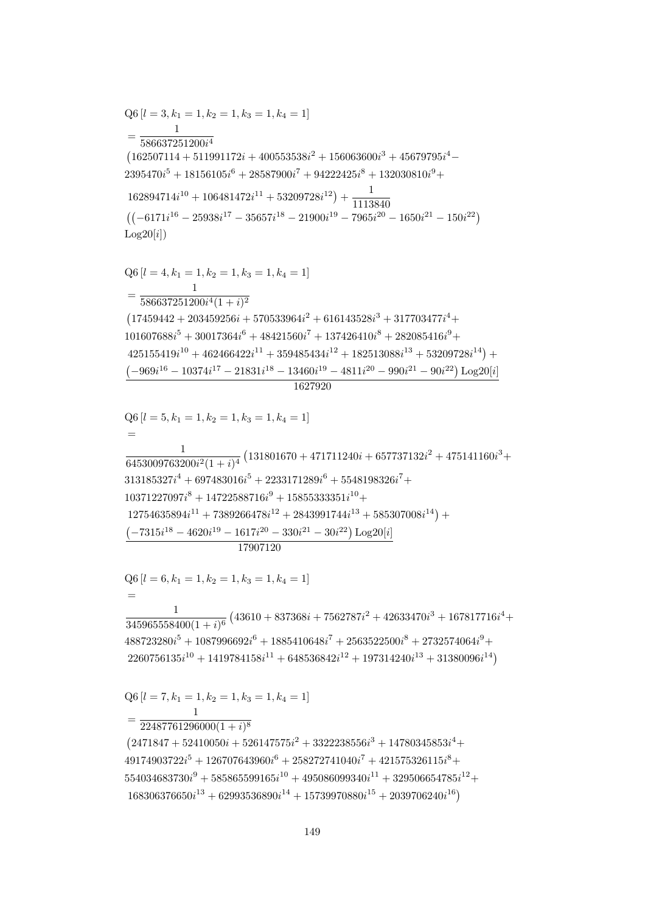$=\frac{1}{22487761296000(1+i)^8}$  $(2471847 + 52410050i + 526147575i^2 + 3322238556i^3 + 14780345853i^4 +$  $49174903722i^{5} + 126707643960i^{6} + 258272741040i^{7} + 421575326115i^{8} +$  $554034683730i^9 + 585865599165i^{10} + 495086099340i^{11} + 329506654785i^{12} +$  $168306376650i^{13} + 62993536890i^{14} + 15739970880i^{15} + 2039706240i^{16})$ 

 $Q6[l = 7, k_1 = 1, k_2 = 1, k_3 = 1, k_4 = 1]$ 

 $\frac{1}{345965558400(1+i)^6} \left(43610+837368 i + 7562787 i^2 + 42633470 i^3 + 167817716 i^4 + \right.$  $488723280i^5 + 1087996692i^6 + 1885410648i^7 + 2563522500i^8 + 2732574064i^9 +$  $2260756135i^{10} + 1419784158i^{11} + 648536842i^{12} + 197314240i^{13} + 31380096i^{14})$ 

 $Q6[l = 6, k_1 = 1, k_2 = 1, k_3 = 1, k_4 = 1]$ 

 $Q6$  [ $l = 5, k_1 = 1, k_2 = 1, k_3 = 1, k_4 = 1$ ]  $\frac{1}{6453009763200i^2(1+i)^4} \left(131801670+471711240i+657737132i^2+475141160i^3+\right.$  $313185327i^4 + 697483016i^5 + 2233171289i^6 + 5548198326i^7 +$  $10371227097i^8 + 14722588716i^9 + 15855333351i^{10} +$  $12754635894i^{11} + 7389266478i^{12} + 2843991744i^{13} + 585307008i^{14}) +$  $\left(-7315i^{18} - 4620i^{19} - 1617i^{20} - 330i^{21} - 30i^{22}\right) \text{Log}20[i]$ 17907120

 $Q6$  [ $l = 4, k_1 = 1, k_2 = 1, k_3 = 1, k_4 = 1$ ]  $=\frac{1}{586637251200i^4(1+i)^2}$  $(17459442 + 203459256i + 570533964i^2 + 616143528i^3 + 317703477i^4 +$  $101607688i^5 + 30017364i^6 + 48421560i^7 + 137426410i^8 + 282085416i^9 +$  $425155419i^{10} + 462466422i^{11} + 359485434i^{12} + 182513088i^{13} + 53209728i^{14}) +$  $\left(-969i^{16}-10374i^{17}-21831i^{18}-13460i^{19}-4811i^{20}-990i^{21}-90i^{22}\right)\text{Log}20[i]$ 

1627920

 $Q6[l = 3, k_1 = 1, k_2 = 1, k_3 = 1, k_4 = 1]$  $=\frac{1}{586637251200i^4}$  $(162507114 + 511991172i + 400553538i^{2} + 156063600i^{3} + 45679795i^{4} 2395470i<sup>5</sup> + 18156105i<sup>6</sup> + 28587900i<sup>7</sup> + 94222425i<sup>8</sup> + 132030810i<sup>9</sup> +$  $162894714i^{10} + 106481472i^{11} + 53209728i^{12}) + \frac{1}{1113840}$  $((-6171i^{16} - 25938i^{17} - 35657i^{18} - 21900i^{19} - 7965i^{20} - 1650i^{21} - 150i^{22})$  $Log20[i])$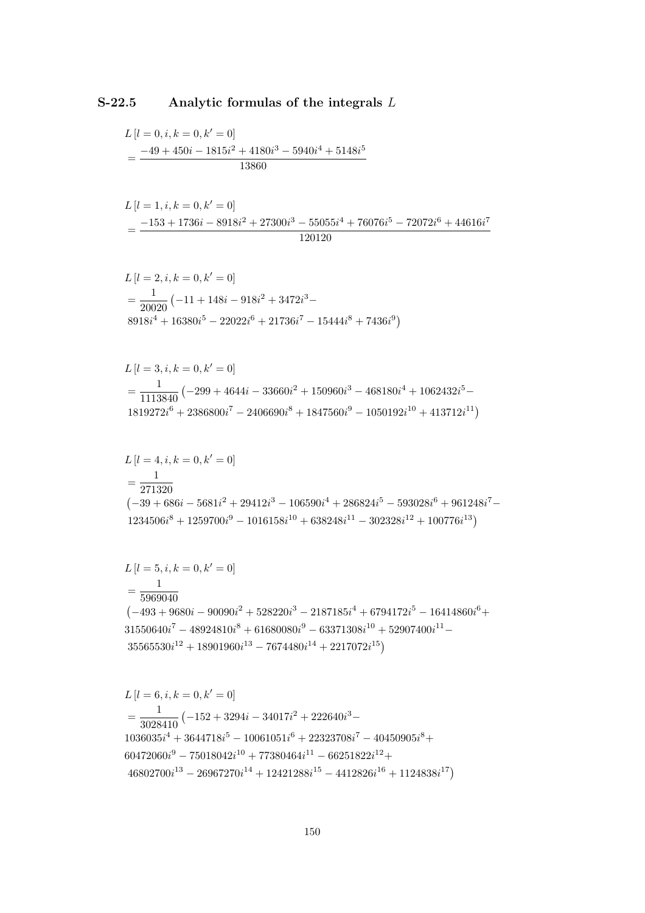## Analytic formulas of the integrals  $L$  $S-22.5$

$$
L[l = 0, i, k = 0, k' = 0]
$$
  
= 
$$
\frac{-49 + 450i - 1815i^2 + 4180i^3 - 5940i^4 + 5148i^5}{13860}
$$

$$
L[l = 1, i, k = 0, k' = 0]
$$
  
= 
$$
\frac{-153 + 1736i - 8918i^2 + 27300i^3 - 55055i^4 + 76076i^5 - 72072i^6 + 44616i^7}{120120}
$$

$$
L[l = 2, i, k = 0, k' = 0]
$$
  
=  $\frac{1}{20020} (-11 + 148i - 918i^2 + 3472i^3 - 8918i^4 + 16380i^5 - 22022i^6 + 21736i^7 - 15444i^8 + 7436i^9)$ 

$$
L[l = 3, i, k = 0, k' = 0]
$$
  
=  $\frac{1}{1113840} (-299 + 4644i - 33660i^2 + 150960i^3 - 468180i^4 + 1062432i^5 - 1819272i^6 + 2386800i^7 - 2406690i^8 + 1847560i^9 - 1050192i^{10} + 413712i^{11})$ 

$$
L [l = 4, i, k = 0, k' = 0]
$$
  
=  $\frac{1}{271320}$   
 $(-39 + 686i - 5681i^2 + 29412i^3 - 106590i^4 + 286824i^5 - 593028i^6 + 961248i^7 - 1234506i^8 + 1259700i^9 - 1016158i^{10} + 638248i^{11} - 302328i^{12} + 100776i^{13})$ 

$$
L[l = 5, i, k = 0, k' = 0]
$$
  
=  $\frac{1}{5969040}$   
 $(-493 + 9680i - 90090i^2 + 528220i^3 - 2187185i^4 + 6794172i^5 - 16414860i^6 + 31550640i^7 - 48924810i^8 + 61680080i^9 - 63371308i^{10} + 52907400i^{11} - 35565530i^{12} + 18901960i^{13} - 7674480i^{14} + 2217072i^{15})$ 

$$
L[l = 6, i, k = 0, k' = 0]
$$
  
=  $\frac{1}{3028410} (-152 + 3294i - 34017i^2 + 222640i^3 - 1036035i^4 + 3644718i^5 - 10061051i^6 + 22323708i^7 - 40450905i^8 + 60472060i^9 - 75018042i^{10} + 77380464i^{11} - 66251822i^{12} + 46802700i^{13} - 26967270i^{14} + 12421288i^{15} - 4412826i^{16} + 1124838i^{17})$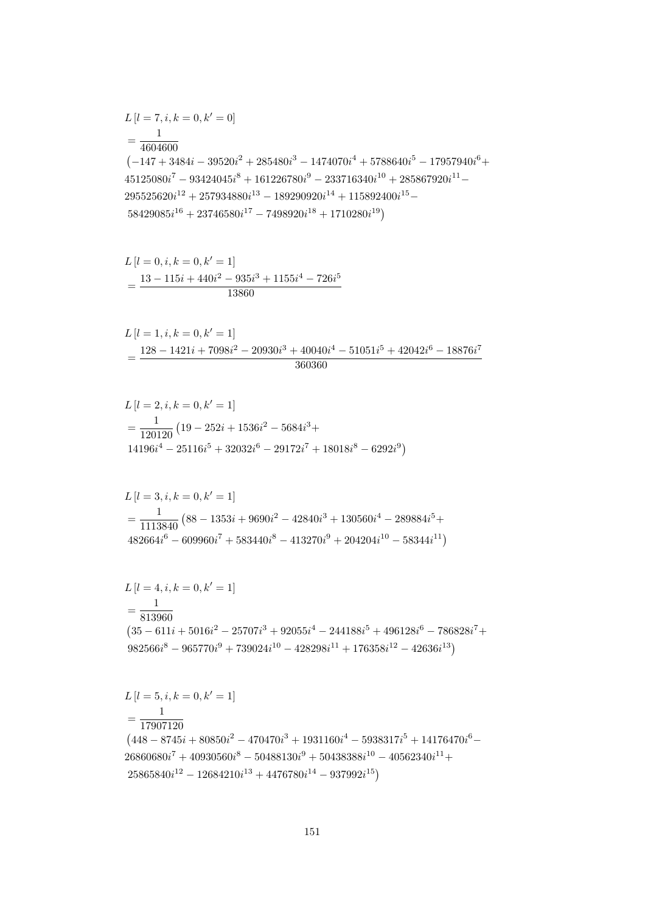$$
L[l = 5, i, k = 0, k' = 1]
$$
  
=  $\frac{1}{17907120}$   
(448 - 8745*i* + 80850*i*<sup>2</sup> - 470470*i*<sup>3</sup> + 1931160*i*<sup>4</sup> - 5938317*i*<sup>5</sup> + 14176470*i*<sup>6</sup> - 26860680*i*<sup>7</sup> + 40930560*i*<sup>8</sup> - 50488130*i*<sup>9</sup> + 50438388*i*<sup>10</sup> - 40562340*i*<sup>11</sup> + 25865840*i*<sup>12</sup> - 12684210*i*<sup>13</sup> + 4476780*i*<sup>14</sup> - 937992*i*<sup>15</sup>)

$$
L[l = 4, i, k = 0, k' = 1]
$$
  
=  $\frac{1}{813960}$   
 $(35 - 611i + 5016i^2 - 25707i^3 + 92055i^4 - 244188i^5 + 496128i^6 - 786828i^7 + 982566i^8 - 965770i^9 + 739024i^{10} - 428298i^{11} + 176358i^{12} - 42636i^{13})$ 

$$
L[l = 3, i, k = 0, k' = 1]
$$
  
=  $\frac{1}{1113840}$  (88 - 1353*i* + 9690*i*<sup>2</sup> - 42840*i*<sup>3</sup> + 130560*i*<sup>4</sup> - 289884*i*<sup>5</sup> + 482664*i*<sup>6</sup> - 609960*i*<sup>7</sup> + 583440*i*<sup>8</sup> - 413270*i*<sup>9</sup> + 204204*i*<sup>10</sup> - 58344*i*<sup>11</sup>)

$$
L[l = 2, i, k = 0, k' = 1]
$$
  
=  $\frac{1}{120120} (19 - 252i + 1536i^2 - 5684i^3 + 14196i^4 - 25116i^5 + 32032i^6 - 29172i^7 + 18018i^8 - 6292i^9)$ 

$$
L[l = 1, i, k = 0, k' = 1]
$$
  
= 
$$
\frac{128 - 1421i + 7098i^2 - 20930i^3 + 40040i^4 - 51051i^5 + 42042i^6 - 18876i^7}{360360}
$$

$$
L[l = 0, i, k = 0, k' = 1]
$$
  
= 
$$
\frac{13 - 115i + 440i^2 - 935i^3 + 1155i^4 - 726i^5}{13860}
$$

$$
L[l = 7, i, k = 0, k' = 0]
$$
  
= 
$$
\frac{1}{4604600}
$$
  

$$
(-147 + 3484i - 39520i^2 + 285480i^3 - 1474070i^4 + 5788640i^5 - 17957940i^6 + 45125080i^7 - 93424045i^8 + 161226780i^9 - 233716340i^{10} + 285867920i^{11} - 295525620i^{12} + 257934880i^{13} - 189290920i^{14} + 115892400i^{15} - 58429085i^{16} + 23746580i^{17} - 7498920i^{18} + 1710280i^{19}
$$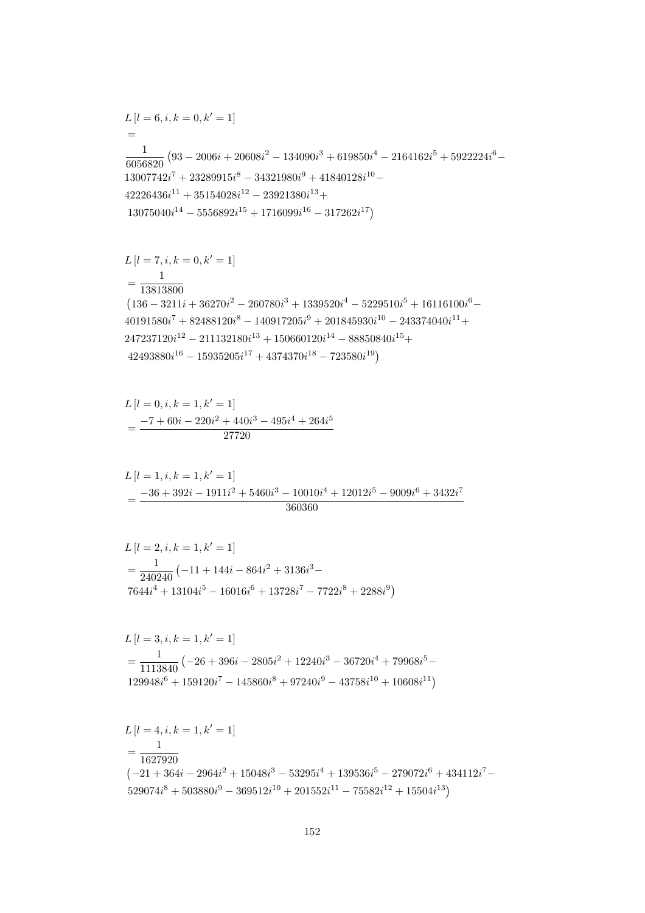$$
L[l = 4, i, k = 1, k' = 1]
$$
  
=  $\frac{1}{1627920}$   
 $(-21 + 364i - 2964i^2 + 15048i^3 - 53295i^4 + 139536i^5 - 279072i^6 + 434112i^7 - 529074i^8 + 503880i^9 - 369512i^{10} + 201552i^{11} - 75582i^{12} + 15504i^{13})$ 

$$
L[l = 3, i, k = 1, k' = 1]
$$
  
=  $\frac{1}{1113840} (-26 + 396i - 2805i^2 + 12240i^3 - 36720i^4 + 79968i^5 - 129948i^6 + 159120i^7 - 145860i^8 + 97240i^9 - 43758i^{10} + 10608i^{11})$ 

$$
L[l = 2, i, k = 1, k' = 1]
$$
  
=  $\frac{1}{240240} (-11 + 144i - 864i^2 + 3136i^3 - 7644i^4 + 13104i^5 - 16016i^6 + 13728i^7 - 7722i^8 + 2288i^9)$ 

$$
L[l = 1, i, k = 1, k' = 1]
$$
  
= 
$$
\frac{-36 + 392i - 1911i^2 + 5460i^3 - 10010i^4 + 12012i^5 - 9009i^6 + 3432i^7}{360360}
$$

$$
L[l = 0, i, k = 1, k' = 1]
$$
  
= 
$$
\frac{-7 + 60i - 220i^2 + 440i^3 - 495i^4 + 264i^5}{27720}
$$

$$
L[l = 7, i, k = 0, k' = 1]
$$
  
=  $\frac{1}{13813800}$   
(136 - 3211i + 36270i<sup>2</sup> - 260780i<sup>3</sup> + 1339520i<sup>4</sup> - 5229510i<sup>5</sup> + 16116100i<sup>6</sup> -  
40191580i<sup>7</sup> + 82488120i<sup>8</sup> - 140917205i<sup>9</sup> + 201845930i<sup>10</sup> - 243374040i<sup>11</sup> +  
247237120i<sup>12</sup> - 211132180i<sup>13</sup> + 150660120i<sup>14</sup> - 88850840i<sup>15</sup> +  
42493880i<sup>16</sup> - 15935205i<sup>17</sup> + 4374370i<sup>18</sup> - 723580i<sup>19</sup>)

$$
L[l = 6, i, k = 0, k' = 1]
$$
  
=  

$$
\frac{1}{6056820} (93 - 2006i + 20608i^{2} - 134090i^{3} + 619850i^{4} - 2164162i^{5} + 5922224i^{6} - 13007742i^{7} + 23289915i^{8} - 34321980i^{9} + 41840128i^{10} - 42226436i^{11} + 35154028i^{12} - 23921380i^{13} + 13075040i^{14} - 5556892i^{15} + 1716099i^{16} - 317262i^{17})
$$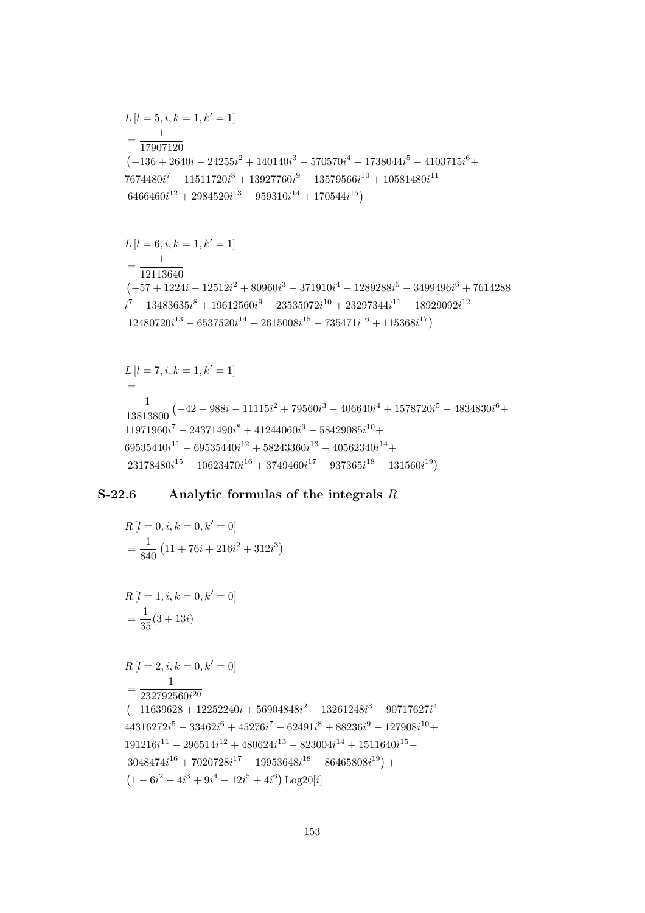$$
R[l = 1, i, k = 0, k' = 0]
$$
  
=  $\frac{1}{35}(3 + 13i)$   

$$
R[l = 2, i, k = 0, k' = 0]
$$
  
=  $\frac{1}{232792560i^{20}}$   

$$
(-11639628 + 12252240i + 56904848i^2 - 13261248i^3 - 90717627i^4 - 44316272i^5 - 33462i^6 + 45276i^7 - 62491i^8 + 88236i^9 - 127908i^{10} + 191216i^{11} - 296514i^{12} + 480624i^{13} - 823004i^{14} + 1511640i^{15} - 3048474i^{16} + 7020728i^{17} - 19953648i^{18} + 86465808i^{19}) + (1 - 6i^2 - 4i^3 + 9i^4 + 12i^5 + 4i^6) Log20[i]
$$

$$
R[l = 0, i, k = 0, k' = 0]
$$
  
=  $\frac{1}{840} (11 + 76i + 216i^2 + 312i^3)$ 

## S-22.6 • Analytic formulas of the integrals  $R$

$$
L[l = 7, i, k = 1, k' = 1]
$$
  
=  

$$
\frac{1}{13813800} \left( -42 + 988i - 11115i^2 + 79560i^3 - 406640i^4 + 1578720i^5 - 4834830i^6 + 11971960i^7 - 24371490i^8 + 41244060i^9 - 58429085i^{10} + 69535440i^{11} - 69535440i^{12} + 58243360i^{13} - 40562340i^{14} + 23178480i^{15} - 10623470i^{16} + 3749460i^{17} - 937365i^{18} + 131560i^{19} \right)
$$

$$
L[l = 6, i, k = 1, k' = 1]
$$
  
= 
$$
\frac{1}{12113640}
$$
  

$$
(-57 + 1224i - 12512i^{2} + 80960i^{3} - 371910i^{4} + 1289288i^{5} - 3499496i^{6} + 7614288i^{7} - 13483635i^{8} + 19612560i^{9} - 23535072i^{10} + 23297344i^{11} - 18929092i^{12} + 12480720i^{13} - 6537520i^{14} + 2615008i^{15} - 735471i^{16} + 115368i^{17})
$$

$$
L[l = 5, i, k = 1, k' = 1]
$$
  
=  $\frac{1}{17907120}$   
(-136 + 2640i - 24255i<sup>2</sup> + 140140i<sup>3</sup> - 570570i<sup>4</sup> + 1738044i<sup>5</sup> - 4103715i<sup>6</sup> +  
7674480i<sup>7</sup> - 11511720i<sup>8</sup> + 13927760i<sup>9</sup> - 13579566i<sup>10</sup> + 10581480i<sup>11</sup> -  
6466460i<sup>12</sup> + 2984520i<sup>13</sup> - 959310i<sup>14</sup> + 170544i<sup>15</sup>)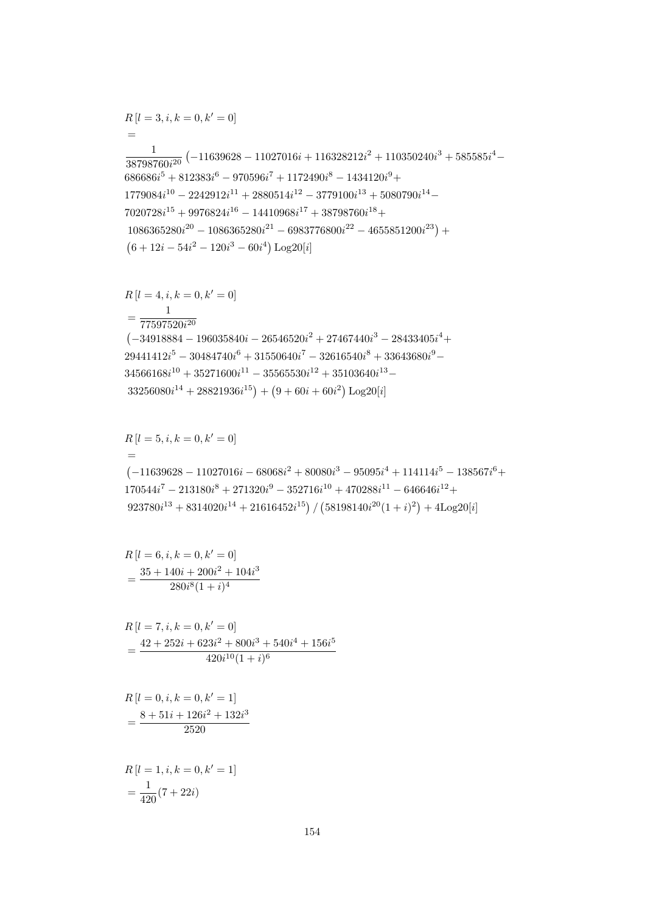$$
R[l = 1, i, k = 0, k' = 1]
$$

$$
= \frac{1}{420}(7 + 22i)
$$

$$
R[l = 0, i, k = 0, k' = 1]
$$
  
= 
$$
\frac{8 + 51i + 126i^{2} + 132i^{3}}{2520}
$$

$$
R[l = 7, i, k = 0, k' = 0]
$$
  
= 
$$
\frac{42 + 252i + 623i^2 + 800i^3 + 540i^4 + 156i^5}{420i^{10}(1+i)^6}
$$

$$
R[l = 6, i, k = 0, k' = 0]
$$
  
= 
$$
\frac{35 + 140i + 200i^{2} + 104i^{3}}{280i^{8}(1 + i)^{4}}
$$

$$
R[l = 5, i, k = 0, k' = 0]
$$
  
= (-11639628 - 11027016i - 68068i<sup>2</sup> + 80080i<sup>3</sup> - 95095i<sup>4</sup> + 114114i<sup>5</sup> - 138567i<sup>6</sup> +  
170544i<sup>7</sup> - 213180i<sup>8</sup> + 271320i<sup>9</sup> - 352716i<sup>10</sup> + 470288i<sup>11</sup> - 646646i<sup>12</sup> +  
923780i<sup>13</sup> + 8314020i<sup>14</sup> + 21616452i<sup>15</sup>) / (58198140i<sup>20</sup>(1 + i)<sup>2</sup>) + 4Log20[i]

$$
R[l = 4, i, k = 0, k' = 0]
$$
  
= 
$$
\frac{1}{77597520i^{20}}
$$
  
(-34918884 - 196035840i - 26546520i<sup>2</sup> + 27467440i<sup>3</sup> - 28433405i<sup>4</sup> +  
29441412i<sup>5</sup> - 30484740i<sup>6</sup> + 31550640i<sup>7</sup> - 32616540i<sup>8</sup> + 33643680i<sup>9</sup> -  
34566168i<sup>10</sup> + 35271600i<sup>11</sup> - 35565530i<sup>12</sup> + 35103640i<sup>13</sup> -  
33256080i<sup>14</sup> + 28821936i<sup>15</sup>) + (9 + 60i + 60i<sup>2</sup>) Log20[i]

$$
R[l = 3, i, k = 0, k' = 0]
$$
\n
$$
=
$$
\n
$$
\frac{1}{38798760i^{20}} \left(-11639628 - 11027016i + 116328212i^2 + 110350240i^3 + 585585i^4 - 686686i^5 + 812383i^6 - 970596i^7 + 1172490i^8 - 1434120i^9 + 1779084i^{10} - 2242912i^{11} + 2880514i^{12} - 3779100i^{13} + 5080790i^{14} - 7020728i^{15} + 9976824i^{16} - 14410968i^{17} + 38798760i^{18} + 1086365280i^{20} - 1086365280i^{21} - 6983776800i^{22} - 4655851200i^{23}\right) +
$$
\n
$$
(6 + 12i - 54i^2 - 120i^3 - 60i^4) \text{Log}20[i]
$$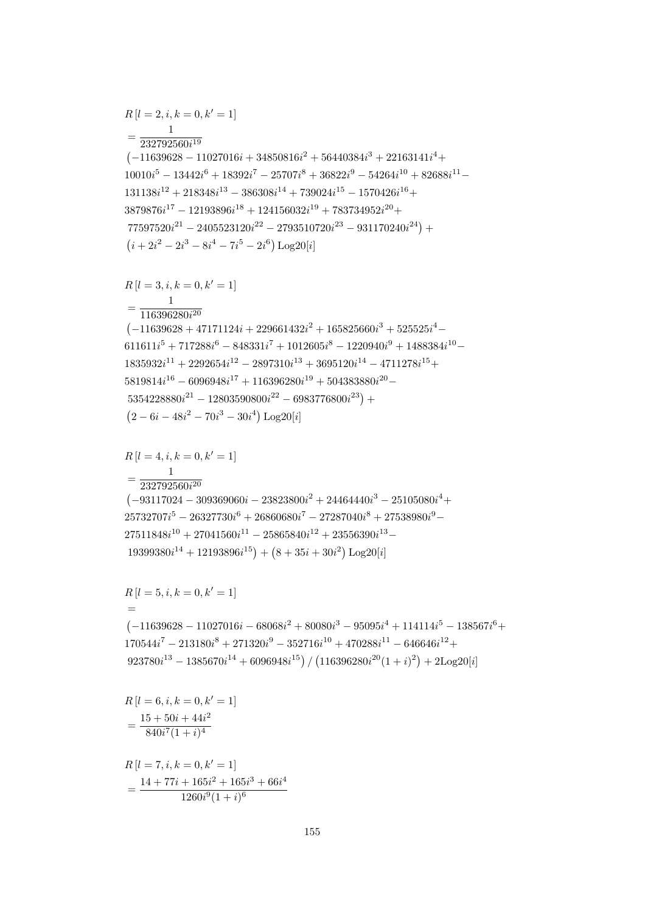$$
R[l = 7, i, k = 0, k' = 1]
$$
  
= 
$$
\frac{14 + 77i + 165i^{2} + 165i^{3} + 66i^{4}}{1260i^{9}(1 + i)^{6}}
$$

 $R\left[l=6,i,k=0,k'=1\right]$ 

 $=\frac{15+50i+44i^2}{840i^7(1+i)^4}$ 

$$
R[l = 5, i, k = 0, k' = 1]
$$
  
= (-11639628 - 11027016i - 68068i<sup>2</sup> + 80080i<sup>3</sup> - 95095i<sup>4</sup> + 114114i<sup>5</sup> - 138567i<sup>6</sup> +  
170544i<sup>7</sup> - 213180i<sup>8</sup> + 271320i<sup>9</sup> - 352716i<sup>10</sup> + 470288i<sup>11</sup> - 646646i<sup>12</sup> +  
923780i<sup>13</sup> - 1385670i<sup>14</sup> + 6096948i<sup>15</sup>) / (116396280i<sup>20</sup>(1 + i)<sup>2</sup>) + 2Log20[i]

$$
R[l = 4, i, k = 0, k' = 1]
$$
\n
$$
= \frac{1}{232792560i^{20}}
$$
\n
$$
(-93117024 - 309369060i - 23823800i^2 + 24464440i^3 - 25105080i^4 + 25732707i^5 - 26327730i^6 + 26860680i^7 - 27287040i^8 + 27538980i^9 - 27511848i^{10} + 27041560i^{11} - 25865840i^{12} + 23556390i^{13} - 19399380i^{14} + 12193896i^{15}) + (8 + 35i + 30i^2) Log20[i]
$$

$$
R[l = 3, i, k = 0, k' = 1]
$$
\n
$$
= \frac{1}{116396280i^{20}}
$$
\n
$$
(-11639628 + 47171124i + 229661432i^{2} + 165825660i^{3} + 525525i^{4} - 611611i^{5} + 717288i^{6} - 848331i^{7} + 1012605i^{8} - 1220940i^{9} + 1488384i^{10} - 1835932i^{11} + 2292654i^{12} - 2897310i^{13} + 3695120i^{14} - 4711278i^{15} + 5819814i^{16} - 6096948i^{17} + 116396280i^{19} + 504383880i^{20} - 5354228880i^{21} - 12803590800i^{22} - 6983776800i^{23}) + 26048i^{21} - 70i^{3} - 30i^{4} \text{Log } 20[i]
$$

$$
R[l = 2, i, k = 0, k' = 1]
$$
\n
$$
= \frac{1}{232792560i^{19}}
$$
\n
$$
(-11639628 - 11027016i + 34850816i^2 + 56440384i^3 + 22163141i^4 + 10010i^5 - 13442i^6 + 18392i^7 - 25707i^8 + 36822i^9 - 54264i^{10} + 82688i^{11} - 131138i^{12} + 218348i^{13} - 386308i^{14} + 739024i^{15} - 1570426i^{16} + 3879876i^{17} - 12193896i^{18} + 124156032i^{19} + 783734952i^{20} + 77597520i^{21} - 2405523120i^{22} - 2793510720i^{23} - 931170240i^{24}) + 2i^2 - 2i^3 - 8i^4 - 7i^5 - 2i^6) \text{Log}20[i]
$$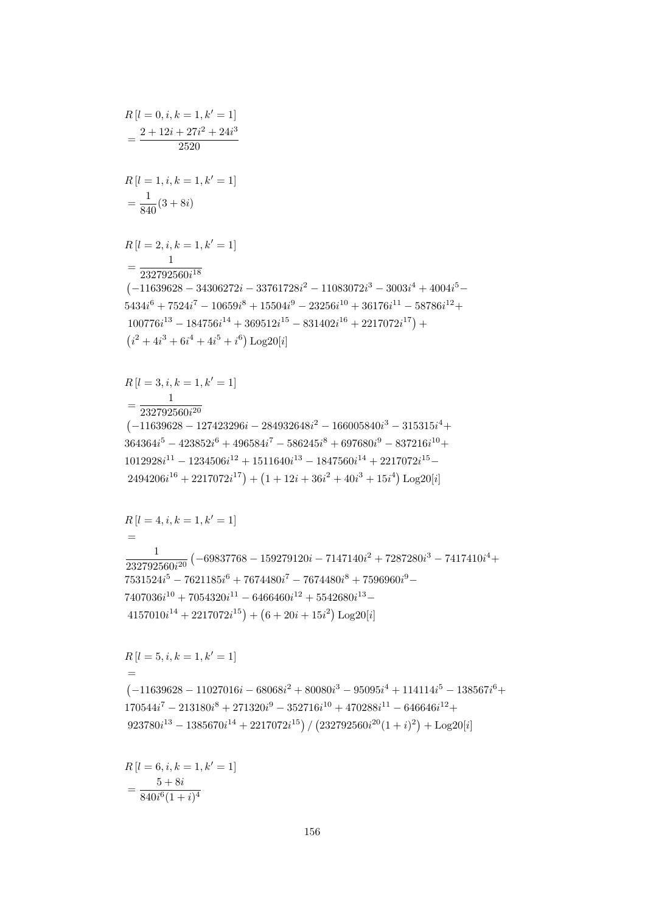$$
R[l = 6, i, k = 1, k' = 1]
$$

$$
= \frac{5 + 8i}{840i^{6}(1 + i)^{4}}
$$

 $R[l = 0, i, k = 1, k' = 1]$ 

 $=\frac{2+12i+27i^2+24i^3}{2520}$ 

$$
R[l = 5, i, k = 1, k' = 1]
$$
  
= (-11639628 - 11027016i - 68068i<sup>2</sup> + 80080i<sup>3</sup> - 95095i<sup>4</sup> + 114114i<sup>5</sup> - 138567i<sup>6</sup> +  
170544i<sup>7</sup> - 213180i<sup>8</sup> + 271320i<sup>9</sup> - 352716i<sup>10</sup> + 470288i<sup>11</sup> - 646646i<sup>12</sup> +  
923780i<sup>13</sup> - 1385670i<sup>14</sup> + 2217072i<sup>15</sup>) / (232792560i<sup>20</sup>(1 + i)<sup>2</sup>) + Log20[i]

$$
R[l = 4, i, k = 1, k' = 1]
$$
  
=  

$$
\frac{1}{232792560i^{20}} \left(-69837768 - 159279120i - 7147140i^{2} + 7287280i^{3} - 7417410i^{4} + 7531524i^{5} - 7621185i^{6} + 7674480i^{7} - 7674480i^{8} + 7596960i^{9} - 7407036i^{10} + 7054320i^{11} - 6466460i^{12} + 5542680i^{13} - 4157010i^{14} + 2217072i^{15}\right) + (6 + 20i + 15i^{2}) Log20[i]
$$

$$
R[l = 3, i, k = 1, k' = 1]
$$
  
= 
$$
\frac{1}{232792560i^{20}}
$$
  
(-11639628 - 127423296i - 284932648i<sup>2</sup> - 166005840i<sup>3</sup> - 315315i<sup>4</sup> +  
364364i<sup>5</sup> - 423852i<sup>6</sup> + 496584i<sup>7</sup> - 586245i<sup>8</sup> + 697680i<sup>9</sup> - 837216i<sup>10</sup> +  
1012928i<sup>11</sup> - 1234506i<sup>12</sup> + 1511640i<sup>13</sup> - 1847560i<sup>14</sup> + 2217072i<sup>15</sup> -  
2494206i<sup>16</sup> + 2217072i<sup>17</sup>) + (1 + 12i + 36i<sup>2</sup> + 40i<sup>3</sup> + 15i<sup>4</sup>) Log20[i]

$$
R[l = 1, i, k = 1, k' = 1]
$$
  
=  $\frac{1}{840}(3 + 8i)$   

$$
R[l = 2, i, k = 1, k' = 1]
$$
  
=  $\frac{1}{232792560i^{18}}$   

$$
(-11639628 - 34306272i - 33761728i^2 - 11083072i^3 - 3003i^4 + 4004i^5 - 5434i^6 + 7524i^7 - 10659i^8 + 15504i^9 - 23256i^{10} + 36176i^{11} - 58786i^{12} + 100776i^{13} - 184756i^{14} + 369512i^{15} - 831402i^{16} + 2217072i^{17}) +
$$
  
 $(i^2 + 4i^3 + 6i^4 + 4i^5 + i^6) \text{Log20}[i]$